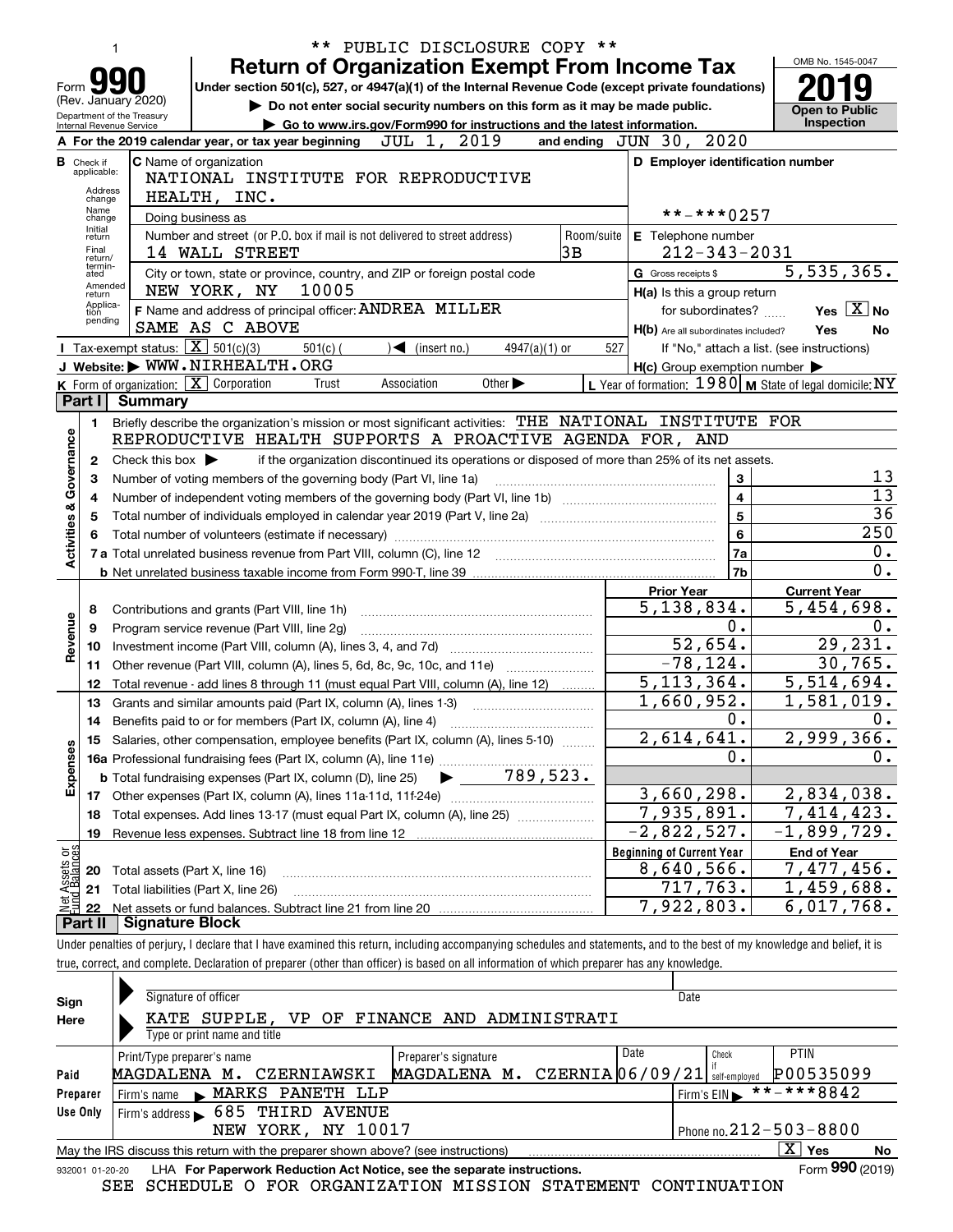|                                |                            |                                                   | ** PUBLIC DISCLOSURE COPY **                                                                                                                                                                                   |            |                                                     | OMB No. 1545-0047                                                        |
|--------------------------------|----------------------------|---------------------------------------------------|----------------------------------------------------------------------------------------------------------------------------------------------------------------------------------------------------------------|------------|-----------------------------------------------------|--------------------------------------------------------------------------|
|                                |                            |                                                   | <b>Return of Organization Exempt From Income Tax</b>                                                                                                                                                           |            |                                                     |                                                                          |
| Form                           |                            | (Rev. January 2020)                               | Under section 501(c), 527, or 4947(a)(1) of the Internal Revenue Code (except private foundations)<br>Do not enter social security numbers on this form as it may be made public.                              |            |                                                     |                                                                          |
|                                |                            | Department of the Treasury                        | Go to www.irs.gov/Form990 for instructions and the latest information.                                                                                                                                         |            |                                                     | <b>Open to Public</b><br><b>Inspection</b>                               |
|                                |                            | Internal Revenue Service                          | JUL 1, 2019<br>A For the 2019 calendar year, or tax year beginning                                                                                                                                             |            | and ending JUN 30, 2020                             |                                                                          |
|                                | <b>B</b> Check if          |                                                   | <b>C</b> Name of organization                                                                                                                                                                                  |            | D Employer identification number                    |                                                                          |
|                                | applicable:<br>Address     |                                                   | NATIONAL INSTITUTE FOR REPRODUCTIVE                                                                                                                                                                            |            |                                                     |                                                                          |
|                                | change<br>Name             |                                                   | HEALTH, INC.                                                                                                                                                                                                   |            |                                                     |                                                                          |
|                                | change<br>Initial          |                                                   | Doing business as                                                                                                                                                                                              |            | **-***0257                                          |                                                                          |
|                                | return<br>Final            |                                                   | Number and street (or P.O. box if mail is not delivered to street address)<br>3B<br>14 WALL STREET                                                                                                             | Room/suite | E Telephone number<br>$212 - 343 - 2031$            |                                                                          |
|                                | return/<br>termin-<br>ated |                                                   | City or town, state or province, country, and ZIP or foreign postal code                                                                                                                                       |            | G Gross receipts \$                                 | $\overline{5,535}$ , 365.                                                |
|                                | Amended<br>return          |                                                   | NEW YORK, NY<br>10005                                                                                                                                                                                          |            | H(a) Is this a group return                         |                                                                          |
|                                | Applica-<br>tion           |                                                   | F Name and address of principal officer: ANDREA MILLER                                                                                                                                                         |            | for subordinates?                                   | Yes $X$ No                                                               |
|                                | pending                    |                                                   | SAME AS C ABOVE                                                                                                                                                                                                |            | H(b) Are all subordinates included?                 | Yes<br>No                                                                |
|                                |                            | Tax-exempt status: $\boxed{\mathbf{X}}$ 501(c)(3) | $\sqrt{\frac{2}{1}}$ (insert no.)<br>$501(c)$ (<br>$4947(a)(1)$ or                                                                                                                                             | 527        |                                                     | If "No," attach a list. (see instructions)                               |
|                                |                            |                                                   | J Website: WWW.NIRHEALTH.ORG                                                                                                                                                                                   |            | $H(c)$ Group exemption number $\blacktriangleright$ |                                                                          |
|                                |                            |                                                   | K Form of organization:   X Corporation<br>Other $\blacktriangleright$<br>Association<br>Trust                                                                                                                 |            |                                                     | L Year of formation: $1980 \vert \mathbf{M}$ State of legal domicile: NY |
|                                | Part I                     | <b>Summary</b>                                    |                                                                                                                                                                                                                |            |                                                     |                                                                          |
|                                | 1.                         |                                                   | Briefly describe the organization's mission or most significant activities: THE NATIONAL INSTITUTE FOR<br>REPRODUCTIVE HEALTH SUPPORTS A PROACTIVE AGENDA FOR, AND                                             |            |                                                     |                                                                          |
| Activities & Governance        | 2                          | Check this box $\blacktriangleright$              | if the organization discontinued its operations or disposed of more than 25% of its net assets.                                                                                                                |            |                                                     |                                                                          |
|                                | З                          |                                                   | Number of voting members of the governing body (Part VI, line 1a)                                                                                                                                              |            | 3                                                   | 13                                                                       |
|                                | 4                          |                                                   |                                                                                                                                                                                                                |            | $\overline{\mathbf{4}}$                             | $\overline{13}$                                                          |
|                                | 5                          |                                                   | 36                                                                                                                                                                                                             |            |                                                     |                                                                          |
|                                | 6                          |                                                   | Total number of individuals employed in calendar year 2019 (Part V, line 2a) manufacture of individuals employed in calendar year 2019 (Part V, line 2a)<br>Total number of volunteers (estimate if necessary) |            | 5<br>6                                              | 250                                                                      |
|                                |                            |                                                   |                                                                                                                                                                                                                |            | 7a                                                  | 0.                                                                       |
|                                |                            |                                                   |                                                                                                                                                                                                                |            | <b>7b</b>                                           | 0.                                                                       |
|                                |                            |                                                   |                                                                                                                                                                                                                |            | <b>Prior Year</b>                                   | <b>Current Year</b>                                                      |
|                                | 8                          |                                                   | Contributions and grants (Part VIII, line 1h)                                                                                                                                                                  |            | $\overline{5,138,834}$ .                            | 5,454,698.                                                               |
|                                | 9                          |                                                   |                                                                                                                                                                                                                |            | 0.                                                  | 0.                                                                       |
| Revenue                        | 10                         |                                                   |                                                                                                                                                                                                                |            | 52,654.                                             | 29, 231.                                                                 |
|                                | 11                         |                                                   |                                                                                                                                                                                                                |            | $-78, 124.$                                         | 30, 765.                                                                 |
|                                | 12                         |                                                   | Total revenue - add lines 8 through 11 (must equal Part VIII, column (A), line 12)                                                                                                                             |            | $\overline{5,113,364}$ .                            | 5,514,694.                                                               |
|                                | 13                         |                                                   | Grants and similar amounts paid (Part IX, column (A), lines 1-3)                                                                                                                                               |            | $\overline{1,660}$ , 952.                           | $\overline{1,581},019.$                                                  |
|                                | 14                         |                                                   | Benefits paid to or for members (Part IX, column (A), line 4)                                                                                                                                                  |            | 0.<br>$\overline{2,614,641.}$                       | 0.<br>2,999,366.                                                         |
|                                | 15                         |                                                   | Salaries, other compensation, employee benefits (Part IX, column (A), lines 5-10)                                                                                                                              |            | 0.                                                  | 0.                                                                       |
| Expenses                       |                            |                                                   | $\blacktriangleright$ 789,523.<br><b>b</b> Total fundraising expenses (Part IX, column (D), line 25)                                                                                                           |            |                                                     |                                                                          |
|                                |                            |                                                   |                                                                                                                                                                                                                |            | 3,660,298.                                          | 2,834,038.                                                               |
|                                | 18                         |                                                   | Total expenses. Add lines 13-17 (must equal Part IX, column (A), line 25) [                                                                                                                                    |            | 7,935,891.                                          | 7,414,423.                                                               |
|                                | 19                         |                                                   |                                                                                                                                                                                                                |            | $-2,822,527.$                                       | $-1,899,729.$                                                            |
|                                |                            |                                                   |                                                                                                                                                                                                                |            | <b>Beginning of Current Year</b>                    | <b>End of Year</b>                                                       |
| Net Assets or<br>Eund Balances | 20                         | Total assets (Part X, line 16)                    |                                                                                                                                                                                                                |            | 8,640,566.                                          | 7,477,456.                                                               |
|                                | 21                         |                                                   | Total liabilities (Part X, line 26)                                                                                                                                                                            |            | 717,763.                                            | $\overline{1,459},688.$                                                  |
|                                | 22                         |                                                   |                                                                                                                                                                                                                |            | 7,922,803.                                          | 6,017,768.                                                               |
|                                | Part II                    | <b>Signature Block</b>                            |                                                                                                                                                                                                                |            |                                                     |                                                                          |
|                                |                            |                                                   | Under penalties of perjury, I declare that I have examined this return, including accompanying schedules and statements, and to the best of my knowledge and belief, it is                                     |            |                                                     |                                                                          |
|                                |                            |                                                   | true, correct, and complete. Declaration of preparer (other than officer) is based on all information of which preparer has any knowledge.                                                                     |            |                                                     |                                                                          |
|                                |                            |                                                   | Signature of officer                                                                                                                                                                                           |            | Date                                                |                                                                          |
| Sign<br>Here                   |                            |                                                   | KATE SUPPLE, VP OF FINANCE AND ADMINISTRATI                                                                                                                                                                    |            |                                                     |                                                                          |
|                                |                            |                                                   |                                                                                                                                                                                                                |            |                                                     |                                                                          |

| Here     | KATE SUPPLE, VP OF FINANCE AND ADMINISTRATI                                                           |                                 |  |  |  |  |  |  |  |  |
|----------|-------------------------------------------------------------------------------------------------------|---------------------------------|--|--|--|--|--|--|--|--|
|          | Type or print name and title                                                                          |                                 |  |  |  |  |  |  |  |  |
|          | Print/Type preparer's name<br>Preparer's signature                                                    | Date<br>PTIN<br>Check           |  |  |  |  |  |  |  |  |
| Paid     | MAGDALENA M. CZERNIA 06/09/21 self-employed<br>MAGDALENA M. CZERNIAWSKI                               | P00535099                       |  |  |  |  |  |  |  |  |
| Preparer | Firm's name MARKS PANETH LLP                                                                          | $1$ Firm's EIN $* * * * * 8842$ |  |  |  |  |  |  |  |  |
| Use Only | Firm's address 685 THIRD AVENUE                                                                       |                                 |  |  |  |  |  |  |  |  |
|          | NEW YORK, NY 10017                                                                                    | Phone no. $212 - 503 - 8800$    |  |  |  |  |  |  |  |  |
|          | X.<br>Yes<br>May the IRS discuss this return with the preparer shown above? (see instructions)<br>No. |                                 |  |  |  |  |  |  |  |  |
|          |                                                                                                       | ---                             |  |  |  |  |  |  |  |  |

SEE SCHEDULE O FOR ORGANIZATION MISSION STATEMENT CONTINUATION

<sup>932001 01-20-20</sup> LHA **For Paperwork Reduction Act Notice, see the separate instructions.**<br>SEE SCHEDIILE O FOR ORGANIZATION MISSION STATEMENT CONTINUIATION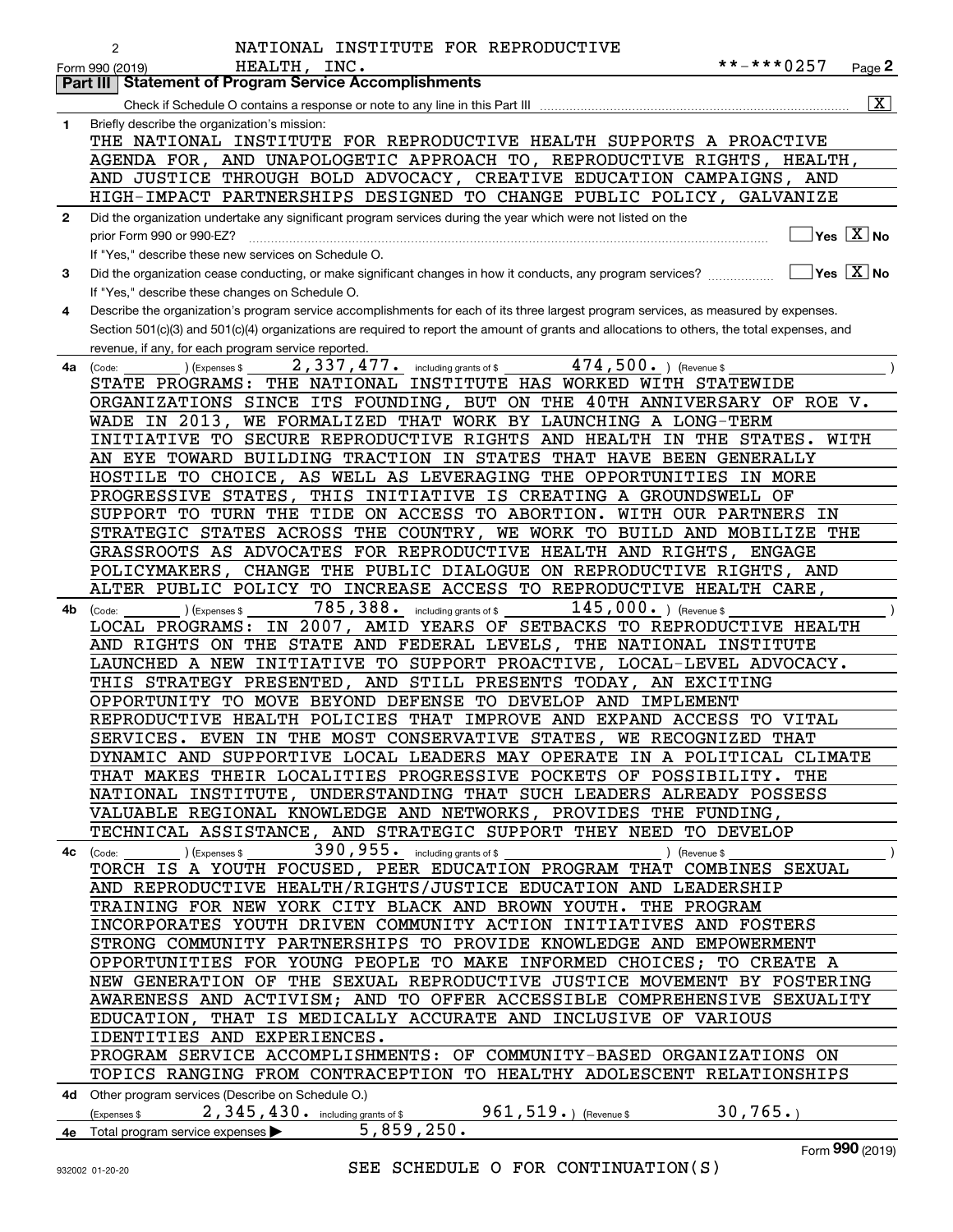|              | NATIONAL INSTITUTE FOR REPRODUCTIVE<br>2                                                                                                     |
|--------------|----------------------------------------------------------------------------------------------------------------------------------------------|
|              | **-***0257<br>HEALTH, INC.<br>Page 2<br>Form 990 (2019)                                                                                      |
|              | <b>Statement of Program Service Accomplishments</b><br><b>Part III</b>                                                                       |
|              | $\overline{\mathbf{x}}$                                                                                                                      |
| 1            | Briefly describe the organization's mission:                                                                                                 |
|              | THE NATIONAL INSTITUTE FOR REPRODUCTIVE HEALTH SUPPORTS A PROACTIVE                                                                          |
|              | AGENDA FOR, AND UNAPOLOGETIC APPROACH TO, REPRODUCTIVE RIGHTS, HEALTH,                                                                       |
|              | AND JUSTICE THROUGH BOLD ADVOCACY, CREATIVE EDUCATION CAMPAIGNS, AND                                                                         |
|              | HIGH-IMPACT PARTNERSHIPS DESIGNED TO CHANGE PUBLIC POLICY, GALVANIZE                                                                         |
| $\mathbf{2}$ | Did the organization undertake any significant program services during the year which were not listed on the                                 |
|              | $\overline{\mathsf{Yes}\mathrel{\hspace{0.05cm}\mathbf{X}}$ No<br>prior Form 990 or 990-EZ?                                                  |
|              | If "Yes," describe these new services on Schedule O.                                                                                         |
| 3            | $\sqrt{Y}$ Yes $\sqrt{X}$ No<br>Did the organization cease conducting, or make significant changes in how it conducts, any program services? |
|              | If "Yes," describe these changes on Schedule O.                                                                                              |
| 4            | Describe the organization's program service accomplishments for each of its three largest program services, as measured by expenses.         |
|              | Section 501(c)(3) and 501(c)(4) organizations are required to report the amount of grants and allocations to others, the total expenses, and |
|              | revenue, if any, for each program service reported.                                                                                          |
| 4a           | 474,500. ) (Revenue \$<br>2,337,477. including grants of \$<br>(Expenses \$<br>(Code:                                                        |
|              | THE NATIONAL INSTITUTE HAS WORKED WITH STATEWIDE<br>STATE PROGRAMS:                                                                          |
|              | ORGANIZATIONS SINCE ITS FOUNDING, BUT ON THE 40TH ANNIVERSARY OF ROE V.                                                                      |
|              | WE FORMALIZED THAT WORK BY LAUNCHING A LONG-TERM<br>WADE IN 2013,                                                                            |
|              | INITIATIVE TO SECURE REPRODUCTIVE RIGHTS AND HEALTH IN THE STATES.<br>WITH                                                                   |
|              | AN EYE TOWARD BUILDING TRACTION IN STATES THAT HAVE BEEN GENERALLY                                                                           |
|              | HOSTILE TO CHOICE, AS WELL AS LEVERAGING THE OPPORTUNITIES IN MORE                                                                           |
|              | PROGRESSIVE STATES, THIS INITIATIVE IS CREATING A GROUNDSWELL OF                                                                             |
|              | SUPPORT TO TURN THE TIDE ON ACCESS TO ABORTION. WITH OUR PARTNERS IN                                                                         |
|              | STRATEGIC STATES ACROSS THE COUNTRY, WE WORK TO BUILD AND MOBILIZE THE                                                                       |
|              | GRASSROOTS AS ADVOCATES FOR REPRODUCTIVE HEALTH AND RIGHTS, ENGAGE                                                                           |
|              | POLICYMAKERS,<br>CHANGE THE PUBLIC DIALOGUE ON REPRODUCTIVE RIGHTS, AND                                                                      |
|              | ALTER PUBLIC POLICY TO INCREASE ACCESS TO REPRODUCTIVE HEALTH CARE,                                                                          |
| 4b           | 785, 388. including grants of \$<br>$145,000.$ ) (Revenue \$<br>(Expenses \$<br>(Code:                                                       |
|              | LOCAL PROGRAMS: IN 2007, AMID YEARS OF SETBACKS TO REPRODUCTIVE HEALTH                                                                       |
|              | AND RIGHTS ON THE STATE AND FEDERAL LEVELS, THE NATIONAL INSTITUTE                                                                           |
|              | LAUNCHED A NEW INITIATIVE TO SUPPORT PROACTIVE, LOCAL-LEVEL ADVOCACY.                                                                        |
|              | THIS STRATEGY PRESENTED, AND STILL PRESENTS TODAY, AN EXCITING                                                                               |
|              | OPPORTUNITY TO MOVE BEYOND DEFENSE TO DEVELOP AND IMPLEMENT<br>REPRODUCTIVE HEALTH POLICIES THAT IMPROVE AND EXPAND ACCESS TO VITAL          |
|              | SERVICES. EVEN IN THE MOST CONSERVATIVE STATES, WE RECOGNIZED THAT                                                                           |
|              | DYNAMIC AND SUPPORTIVE LOCAL LEADERS MAY OPERATE IN A POLITICAL CLIMATE                                                                      |
|              | THAT MAKES THEIR LOCALITIES PROGRESSIVE POCKETS OF POSSIBILITY. THE                                                                          |
|              | NATIONAL INSTITUTE, UNDERSTANDING THAT SUCH LEADERS ALREADY POSSESS                                                                          |
|              | VALUABLE REGIONAL KNOWLEDGE AND NETWORKS, PROVIDES THE FUNDING,                                                                              |
|              | TECHNICAL ASSISTANCE, AND STRATEGIC SUPPORT THEY NEED TO DEVELOP                                                                             |
|              | $390$ , $955$ or including grants of \$<br>(Expenses \$<br>) (Revenue \$<br>4c (Code:                                                        |
|              | TORCH IS A YOUTH FOCUSED, PEER EDUCATION PROGRAM THAT COMBINES SEXUAL                                                                        |
|              | AND REPRODUCTIVE HEALTH/RIGHTS/JUSTICE EDUCATION AND LEADERSHIP                                                                              |
|              | TRAINING FOR NEW YORK CITY BLACK AND BROWN YOUTH. THE PROGRAM                                                                                |
|              | INCORPORATES YOUTH DRIVEN COMMUNITY ACTION INITIATIVES AND FOSTERS                                                                           |
|              | STRONG COMMUNITY PARTNERSHIPS TO PROVIDE KNOWLEDGE AND EMPOWERMENT                                                                           |
|              | OPPORTUNITIES FOR YOUNG PEOPLE TO MAKE INFORMED CHOICES; TO CREATE A                                                                         |
|              | NEW GENERATION OF THE SEXUAL REPRODUCTIVE JUSTICE MOVEMENT BY FOSTERING                                                                      |
|              | AWARENESS AND ACTIVISM; AND TO OFFER ACCESSIBLE COMPREHENSIVE SEXUALITY                                                                      |
|              | EDUCATION, THAT IS MEDICALLY ACCURATE AND INCLUSIVE OF VARIOUS                                                                               |
|              | IDENTITIES AND EXPERIENCES.                                                                                                                  |
|              | PROGRAM SERVICE ACCOMPLISHMENTS: OF COMMUNITY-BASED ORGANIZATIONS ON                                                                         |
|              | TOPICS RANGING FROM CONTRACEPTION TO HEALTHY ADOLESCENT RELATIONSHIPS                                                                        |
|              | 4d Other program services (Describe on Schedule O.)                                                                                          |
|              | 2,345,430. including grants of \$961,519.) (Revenue \$<br>30, 765.<br>(Expenses \$                                                           |
|              | 5,859,250.<br>4e Total program service expenses                                                                                              |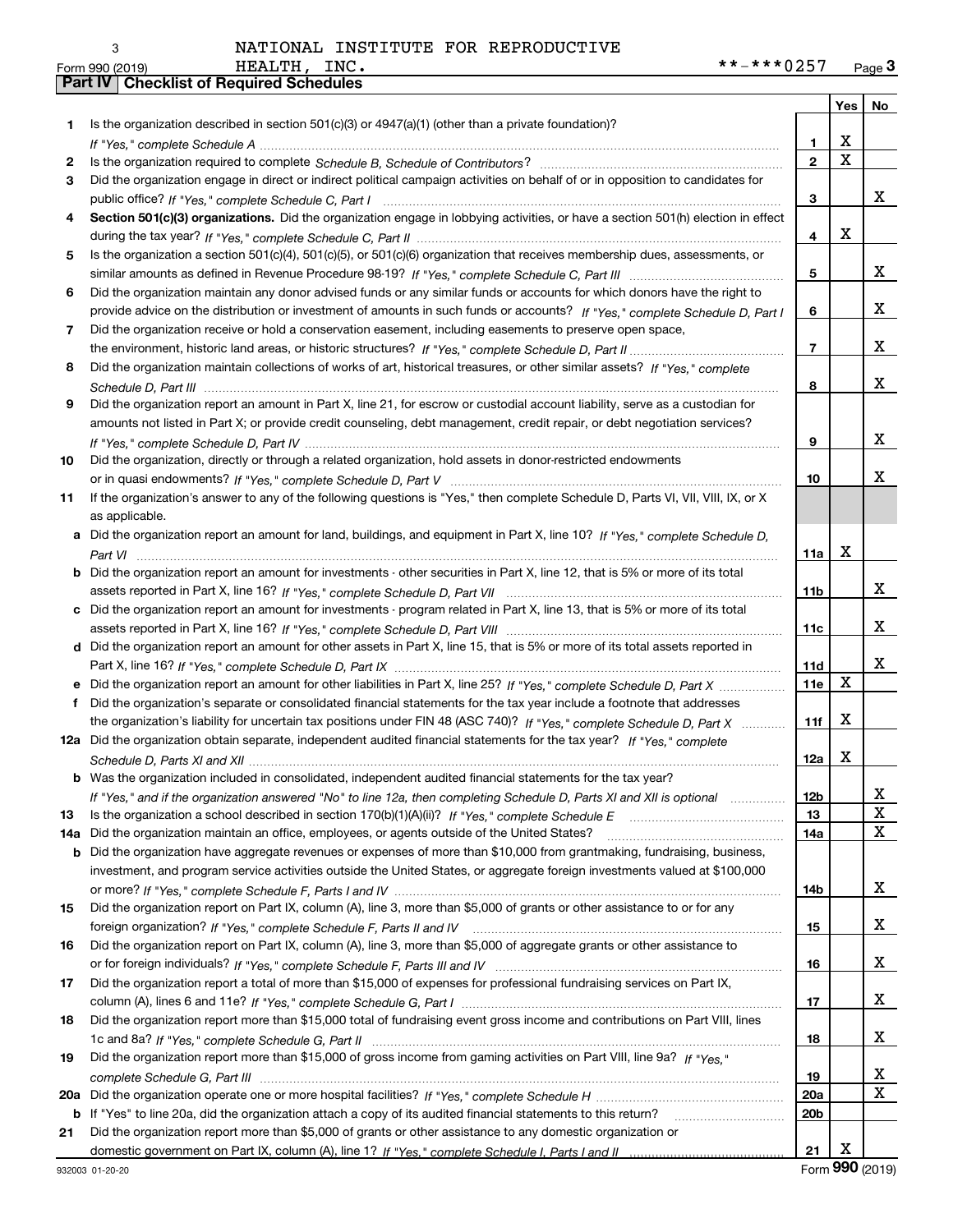|     |                                                                                                                                                                                                                                                   |                 | Yes   No                |             |
|-----|---------------------------------------------------------------------------------------------------------------------------------------------------------------------------------------------------------------------------------------------------|-----------------|-------------------------|-------------|
| 1.  | Is the organization described in section $501(c)(3)$ or $4947(a)(1)$ (other than a private foundation)?                                                                                                                                           |                 |                         |             |
|     |                                                                                                                                                                                                                                                   | 1.              | X                       |             |
| 2   |                                                                                                                                                                                                                                                   | $\overline{2}$  | $\overline{\mathbf{x}}$ |             |
| 3   | Did the organization engage in direct or indirect political campaign activities on behalf of or in opposition to candidates for                                                                                                                   |                 |                         |             |
|     |                                                                                                                                                                                                                                                   | 3               |                         | x           |
| 4   | Section 501(c)(3) organizations. Did the organization engage in lobbying activities, or have a section 501(h) election in effect                                                                                                                  |                 |                         |             |
|     |                                                                                                                                                                                                                                                   | 4               | X                       |             |
| 5   | Is the organization a section 501(c)(4), 501(c)(5), or 501(c)(6) organization that receives membership dues, assessments, or                                                                                                                      |                 |                         |             |
|     |                                                                                                                                                                                                                                                   | 5               |                         | X           |
| 6   | Did the organization maintain any donor advised funds or any similar funds or accounts for which donors have the right to                                                                                                                         |                 |                         |             |
|     | provide advice on the distribution or investment of amounts in such funds or accounts? If "Yes," complete Schedule D, Part I                                                                                                                      | 6               |                         | X           |
| 7   | Did the organization receive or hold a conservation easement, including easements to preserve open space,                                                                                                                                         |                 |                         |             |
|     |                                                                                                                                                                                                                                                   | $\overline{7}$  |                         | X           |
| 8   | Did the organization maintain collections of works of art, historical treasures, or other similar assets? If "Yes," complete                                                                                                                      |                 |                         |             |
|     |                                                                                                                                                                                                                                                   | 8               |                         | X           |
| 9   | Did the organization report an amount in Part X, line 21, for escrow or custodial account liability, serve as a custodian for                                                                                                                     |                 |                         |             |
|     | amounts not listed in Part X; or provide credit counseling, debt management, credit repair, or debt negotiation services?                                                                                                                         |                 |                         |             |
|     |                                                                                                                                                                                                                                                   | 9               |                         | X           |
| 10  | Did the organization, directly or through a related organization, hold assets in donor-restricted endowments                                                                                                                                      |                 |                         |             |
|     |                                                                                                                                                                                                                                                   | 10              |                         | Χ           |
| 11  | If the organization's answer to any of the following questions is "Yes," then complete Schedule D, Parts VI, VII, VIII, IX, or X                                                                                                                  |                 |                         |             |
|     | as applicable.                                                                                                                                                                                                                                    |                 |                         |             |
| a   | Did the organization report an amount for land, buildings, and equipment in Part X, line 10? If "Yes." complete Schedule D.                                                                                                                       |                 |                         |             |
|     |                                                                                                                                                                                                                                                   | 11a             | $\mathbf X$             |             |
| b   | Did the organization report an amount for investments - other securities in Part X, line 12, that is 5% or more of its total                                                                                                                      |                 |                         | X           |
|     |                                                                                                                                                                                                                                                   | 11 <sub>b</sub> |                         |             |
| c   | Did the organization report an amount for investments - program related in Part X, line 13, that is 5% or more of its total                                                                                                                       |                 |                         | х           |
|     |                                                                                                                                                                                                                                                   | 11c             |                         |             |
|     | d Did the organization report an amount for other assets in Part X, line 15, that is 5% or more of its total assets reported in                                                                                                                   | 11d             |                         | х           |
|     |                                                                                                                                                                                                                                                   | 11e             | X                       |             |
| f   | Did the organization report an amount for other liabilities in Part X, line 25? If "Yes," complete Schedule D, Part X                                                                                                                             |                 |                         |             |
|     | Did the organization's separate or consolidated financial statements for the tax year include a footnote that addresses<br>the organization's liability for uncertain tax positions under FIN 48 (ASC 740)? If "Yes," complete Schedule D, Part X | 11f             | X                       |             |
|     | 12a Did the organization obtain separate, independent audited financial statements for the tax year? If "Yes," complete                                                                                                                           |                 |                         |             |
|     |                                                                                                                                                                                                                                                   | 12a             | X                       |             |
|     | <b>b</b> Was the organization included in consolidated, independent audited financial statements for the tax year?                                                                                                                                |                 |                         |             |
|     | If "Yes," and if the organization answered "No" to line 12a, then completing Schedule D, Parts XI and XII is optional                                                                                                                             | <u>12b</u>      |                         | 4           |
| 13  |                                                                                                                                                                                                                                                   | 13              |                         | X           |
| 14a | Did the organization maintain an office, employees, or agents outside of the United States?                                                                                                                                                       | 14a             |                         | X           |
| b   | Did the organization have aggregate revenues or expenses of more than \$10,000 from grantmaking, fundraising, business,                                                                                                                           |                 |                         |             |
|     | investment, and program service activities outside the United States, or aggregate foreign investments valued at \$100,000                                                                                                                        |                 |                         |             |
|     |                                                                                                                                                                                                                                                   | 14b             |                         | X           |
| 15  | Did the organization report on Part IX, column (A), line 3, more than \$5,000 of grants or other assistance to or for any                                                                                                                         |                 |                         |             |
|     |                                                                                                                                                                                                                                                   | 15              |                         | x           |
| 16  | Did the organization report on Part IX, column (A), line 3, more than \$5,000 of aggregate grants or other assistance to                                                                                                                          |                 |                         |             |
|     |                                                                                                                                                                                                                                                   | 16              |                         | X           |
| 17  | Did the organization report a total of more than \$15,000 of expenses for professional fundraising services on Part IX,                                                                                                                           |                 |                         |             |
|     |                                                                                                                                                                                                                                                   | 17              |                         | X           |
| 18  | Did the organization report more than \$15,000 total of fundraising event gross income and contributions on Part VIII, lines                                                                                                                      |                 |                         |             |
|     |                                                                                                                                                                                                                                                   | 18              |                         | X           |
| 19  | Did the organization report more than \$15,000 of gross income from gaming activities on Part VIII, line 9a? If "Yes."                                                                                                                            |                 |                         |             |
|     |                                                                                                                                                                                                                                                   | 19              |                         | х           |
| 20a |                                                                                                                                                                                                                                                   | 20a             |                         | $\mathbf x$ |
|     | b If "Yes" to line 20a, did the organization attach a copy of its audited financial statements to this return?                                                                                                                                    | 20 <sub>b</sub> |                         |             |
| 21  | Did the organization report more than \$5,000 of grants or other assistance to any domestic organization or                                                                                                                                       |                 |                         |             |
|     |                                                                                                                                                                                                                                                   | 21              | X                       |             |

Form (2019) **990**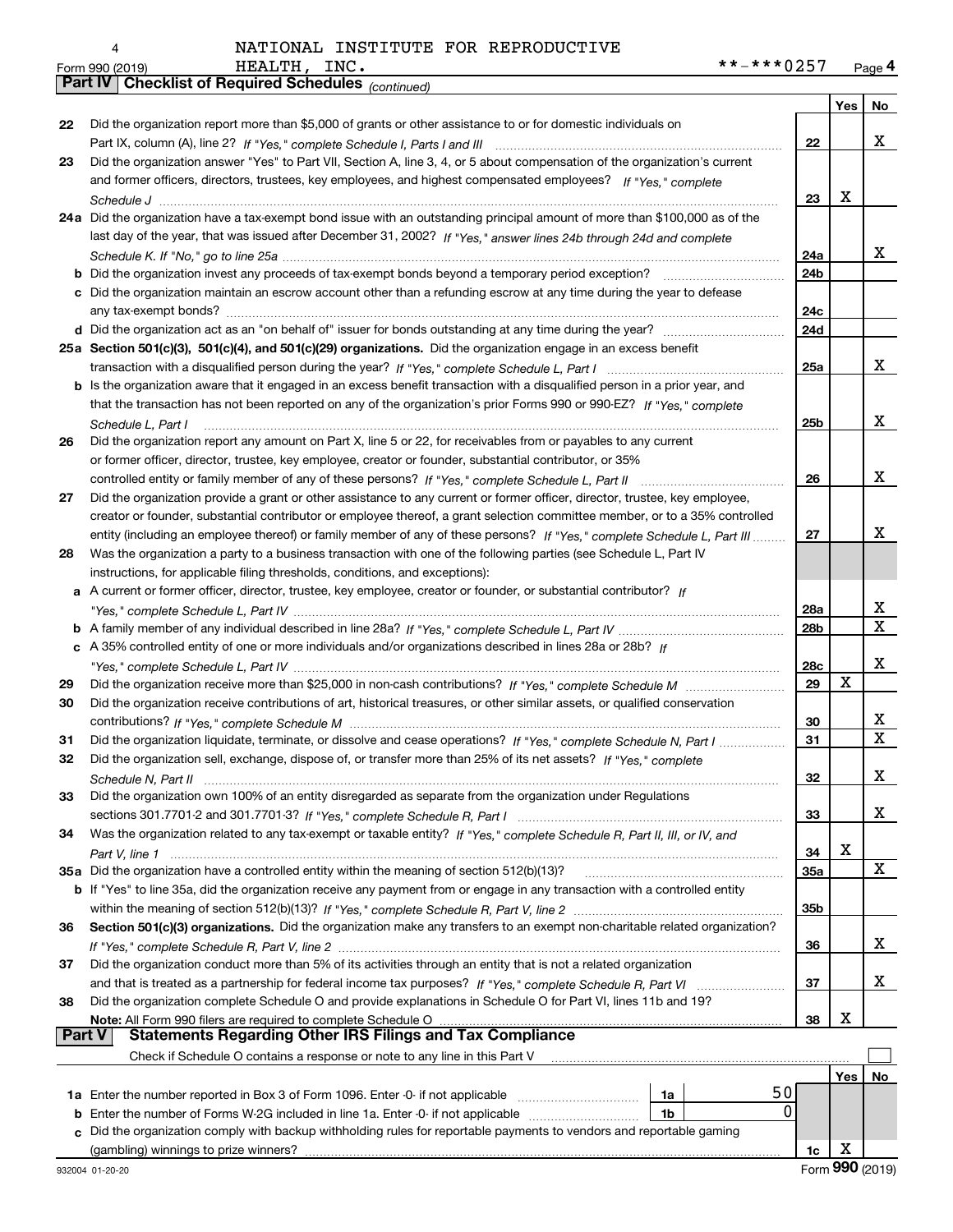| 4 |
|---|
|   |

*(continued)*

|               |                                                                                                                                                                                                                          |                 | Yes | No          |
|---------------|--------------------------------------------------------------------------------------------------------------------------------------------------------------------------------------------------------------------------|-----------------|-----|-------------|
| 22            | Did the organization report more than \$5,000 of grants or other assistance to or for domestic individuals on                                                                                                            |                 |     |             |
|               |                                                                                                                                                                                                                          | 22              |     | х           |
| 23            | Did the organization answer "Yes" to Part VII, Section A, line 3, 4, or 5 about compensation of the organization's current                                                                                               |                 |     |             |
|               | and former officers, directors, trustees, key employees, and highest compensated employees? If "Yes." complete                                                                                                           |                 |     |             |
|               |                                                                                                                                                                                                                          | 23              | X   |             |
|               | 24a Did the organization have a tax-exempt bond issue with an outstanding principal amount of more than \$100,000 as of the                                                                                              |                 |     |             |
|               | last day of the year, that was issued after December 31, 2002? If "Yes," answer lines 24b through 24d and complete                                                                                                       |                 |     |             |
|               |                                                                                                                                                                                                                          | 24a             |     | х           |
|               | <b>b</b> Did the organization invest any proceeds of tax-exempt bonds beyond a temporary period exception?                                                                                                               | 24 <sub>b</sub> |     |             |
|               | c Did the organization maintain an escrow account other than a refunding escrow at any time during the year to defease                                                                                                   | 24c             |     |             |
|               |                                                                                                                                                                                                                          | 24d             |     |             |
|               | 25a Section 501(c)(3), 501(c)(4), and 501(c)(29) organizations. Did the organization engage in an excess benefit                                                                                                         |                 |     |             |
|               |                                                                                                                                                                                                                          | 25a             |     | x           |
|               | <b>b</b> Is the organization aware that it engaged in an excess benefit transaction with a disqualified person in a prior year, and                                                                                      |                 |     |             |
|               | that the transaction has not been reported on any of the organization's prior Forms 990 or 990-EZ? If "Yes," complete                                                                                                    |                 |     |             |
|               | Schedule L, Part I                                                                                                                                                                                                       | 25 <sub>b</sub> |     | х           |
| 26            | Did the organization report any amount on Part X, line 5 or 22, for receivables from or payables to any current                                                                                                          |                 |     |             |
|               | or former officer, director, trustee, key employee, creator or founder, substantial contributor, or 35%                                                                                                                  |                 |     |             |
|               | controlled entity or family member of any of these persons? If "Yes," complete Schedule L, Part II                                                                                                                       | 26              |     | х           |
| 27            | Did the organization provide a grant or other assistance to any current or former officer, director, trustee, key employee,                                                                                              |                 |     |             |
|               | creator or founder, substantial contributor or employee thereof, a grant selection committee member, or to a 35% controlled                                                                                              |                 |     |             |
|               | entity (including an employee thereof) or family member of any of these persons? If "Yes," complete Schedule L, Part III                                                                                                 | 27              |     | x           |
| 28            | Was the organization a party to a business transaction with one of the following parties (see Schedule L, Part IV                                                                                                        |                 |     |             |
|               | instructions, for applicable filing thresholds, conditions, and exceptions):<br>a A current or former officer, director, trustee, key employee, creator or founder, or substantial contributor? If                       |                 |     |             |
|               |                                                                                                                                                                                                                          | 28a             |     | x           |
|               |                                                                                                                                                                                                                          | 28b             |     | $\mathbf X$ |
|               | c A 35% controlled entity of one or more individuals and/or organizations described in lines 28a or 28b? If                                                                                                              |                 |     |             |
|               |                                                                                                                                                                                                                          | 28c             |     | х           |
| 29            |                                                                                                                                                                                                                          | 29              | X   |             |
| 30            | Did the organization receive contributions of art, historical treasures, or other similar assets, or qualified conservation                                                                                              |                 |     |             |
|               |                                                                                                                                                                                                                          | 30              |     | x           |
| 31            | Did the organization liquidate, terminate, or dissolve and cease operations? If "Yes," complete Schedule N, Part I                                                                                                       | 31              |     | $\mathbf x$ |
| 32            | Did the organization sell, exchange, dispose of, or transfer more than 25% of its net assets? If "Yes," complete                                                                                                         |                 |     |             |
|               |                                                                                                                                                                                                                          | 32              |     | x           |
| 33            | Did the organization own 100% of an entity disregarded as separate from the organization under Regulations                                                                                                               |                 |     |             |
|               |                                                                                                                                                                                                                          | 33              |     | х           |
| 34            | Was the organization related to any tax-exempt or taxable entity? If "Yes," complete Schedule R, Part II, III, or IV, and                                                                                                |                 |     |             |
|               |                                                                                                                                                                                                                          | 34              | х   |             |
|               | 35a Did the organization have a controlled entity within the meaning of section 512(b)(13)?                                                                                                                              | 35a             |     | X           |
|               | b If "Yes" to line 35a, did the organization receive any payment from or engage in any transaction with a controlled entity                                                                                              |                 |     |             |
|               |                                                                                                                                                                                                                          | 35b             |     |             |
| 36            | Section 501(c)(3) organizations. Did the organization make any transfers to an exempt non-charitable related organization?                                                                                               |                 |     |             |
|               |                                                                                                                                                                                                                          | 36              |     | х           |
| 37            | Did the organization conduct more than 5% of its activities through an entity that is not a related organization                                                                                                         |                 |     |             |
|               |                                                                                                                                                                                                                          | 37              |     | х           |
| 38            | Did the organization complete Schedule O and provide explanations in Schedule O for Part VI, lines 11b and 19?                                                                                                           |                 |     |             |
|               | Note: All Form 990 filers are required to complete Schedule O<br>All Form 990 filers are required to complete Schedule O …………………………………………………………………………………………<br>Statements Regarding Other IRS Filings and Tax Compliance | 38              | х   |             |
| <b>Part V</b> |                                                                                                                                                                                                                          |                 |     |             |
|               | Check if Schedule O contains a response or note to any line in this Part V                                                                                                                                               |                 |     |             |
|               |                                                                                                                                                                                                                          |                 | Yes | No          |
|               | 50<br>1a Enter the number reported in Box 3 of Form 1096. Enter -0- if not applicable<br>1a                                                                                                                              |                 |     |             |
| b             | 0<br>Enter the number of Forms W-2G included in line 1a. Enter -0- if not applicable<br>1b                                                                                                                               |                 |     |             |
| c.            | Did the organization comply with backup withholding rules for reportable payments to vendors and reportable gaming                                                                                                       |                 |     |             |
|               |                                                                                                                                                                                                                          | 1c              | х   |             |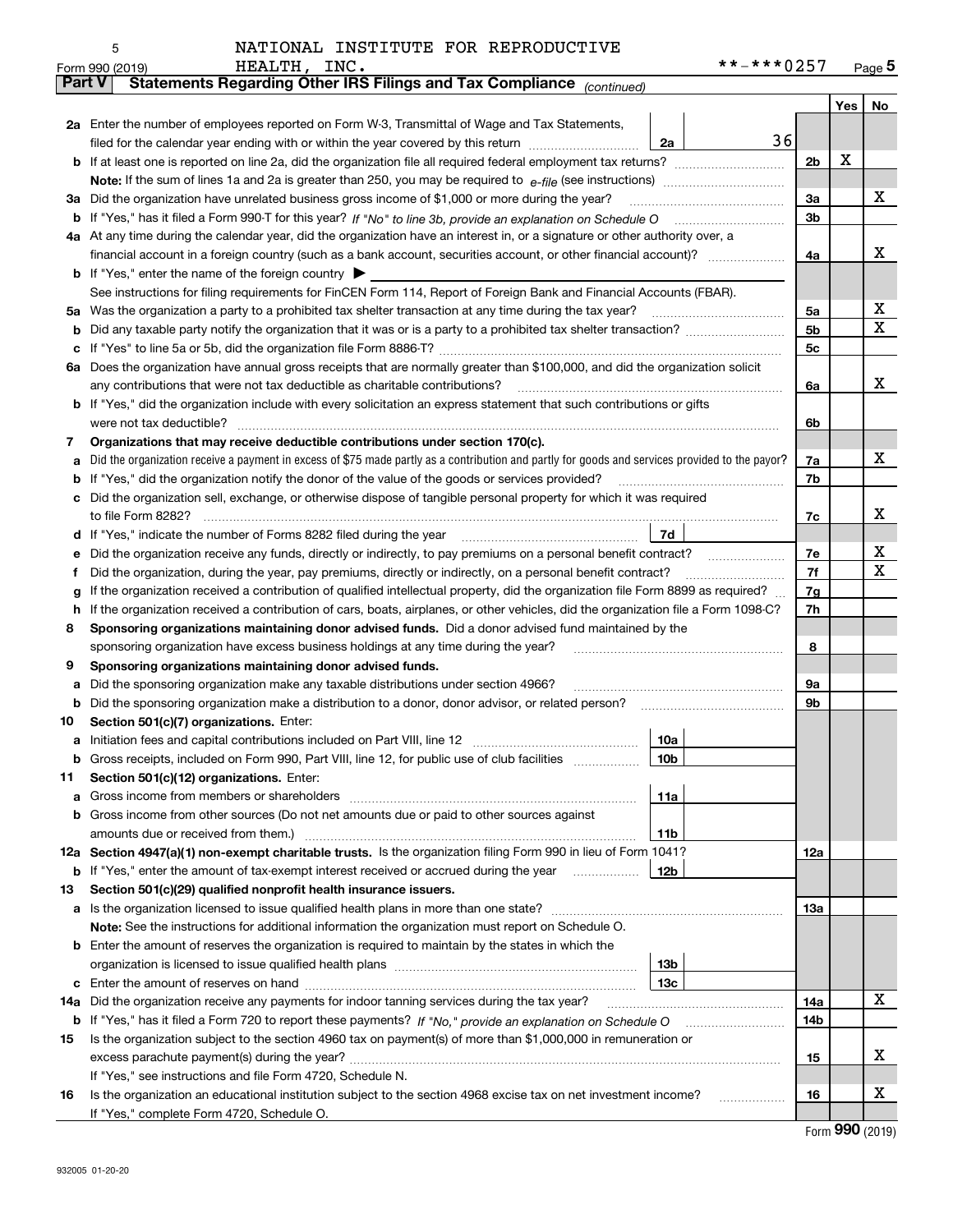| NATIONAL INSTITUTE FOR REPRODUCTIVE |  |
|-------------------------------------|--|
|                                     |  |

|               | HEALTH, INC.<br>Form 990 (2019)                                                                                                                                               | **-***0257 |     | Page $5$ |  |  |  |  |
|---------------|-------------------------------------------------------------------------------------------------------------------------------------------------------------------------------|------------|-----|----------|--|--|--|--|
| <b>Part V</b> | Statements Regarding Other IRS Filings and Tax Compliance (continued)                                                                                                         |            |     |          |  |  |  |  |
|               |                                                                                                                                                                               |            | Yes | No       |  |  |  |  |
|               | 2a Enter the number of employees reported on Form W-3, Transmittal of Wage and Tax Statements,                                                                                |            |     |          |  |  |  |  |
|               | filed for the calendar year ending with or within the year covered by this return<br>2a                                                                                       | 36         |     |          |  |  |  |  |
| b             |                                                                                                                                                                               | 2b         | х   |          |  |  |  |  |
|               |                                                                                                                                                                               |            |     |          |  |  |  |  |
| За            | Did the organization have unrelated business gross income of \$1,000 or more during the year?                                                                                 | 3a         |     | х        |  |  |  |  |
| b             |                                                                                                                                                                               | 3b         |     |          |  |  |  |  |
|               | 4a At any time during the calendar year, did the organization have an interest in, or a signature or other authority over, a                                                  |            |     |          |  |  |  |  |
|               |                                                                                                                                                                               | 4a         |     | х        |  |  |  |  |
|               | <b>b</b> If "Yes," enter the name of the foreign country $\blacktriangleright$                                                                                                |            |     |          |  |  |  |  |
|               | See instructions for filing requirements for FinCEN Form 114, Report of Foreign Bank and Financial Accounts (FBAR).                                                           |            |     |          |  |  |  |  |
| 5a            | Was the organization a party to a prohibited tax shelter transaction at any time during the tax year?                                                                         | 5а         |     | х        |  |  |  |  |
| b             |                                                                                                                                                                               | 5b         |     | х        |  |  |  |  |
| с             |                                                                                                                                                                               | 5c         |     |          |  |  |  |  |
|               | 6a Does the organization have annual gross receipts that are normally greater than \$100,000, and did the organization solicit                                                |            |     |          |  |  |  |  |
|               | any contributions that were not tax deductible as charitable contributions?                                                                                                   | 6a         |     | x        |  |  |  |  |
|               | If "Yes," did the organization include with every solicitation an express statement that such contributions or gifts                                                          |            |     |          |  |  |  |  |
|               | were not tax deductible?                                                                                                                                                      | 6b         |     |          |  |  |  |  |
| 7             | Organizations that may receive deductible contributions under section 170(c).                                                                                                 |            |     |          |  |  |  |  |
| а             | Did the organization receive a payment in excess of \$75 made partly as a contribution and partly for goods and services provided to the payor?                               | 7a         |     | х        |  |  |  |  |
| b             | If "Yes," did the organization notify the donor of the value of the goods or services provided?                                                                               | 7b         |     |          |  |  |  |  |
| c             | Did the organization sell, exchange, or otherwise dispose of tangible personal property for which it was required                                                             |            |     | х        |  |  |  |  |
|               | 7d                                                                                                                                                                            | 7c         |     |          |  |  |  |  |
| d<br>е        |                                                                                                                                                                               | 7e         |     | х        |  |  |  |  |
| f             | Did the organization, during the year, pay premiums, directly or indirectly, on a personal benefit contract?                                                                  | 7f         |     | х        |  |  |  |  |
| g             | If the organization received a contribution of qualified intellectual property, did the organization file Form 8899 as required?                                              | 7g         |     |          |  |  |  |  |
| h             | If the organization received a contribution of cars, boats, airplanes, or other vehicles, did the organization file a Form 1098-C?                                            | 7h         |     |          |  |  |  |  |
| 8             | Sponsoring organizations maintaining donor advised funds. Did a donor advised fund maintained by the                                                                          |            |     |          |  |  |  |  |
|               | sponsoring organization have excess business holdings at any time during the year?                                                                                            | 8          |     |          |  |  |  |  |
| 9             | Sponsoring organizations maintaining donor advised funds.                                                                                                                     |            |     |          |  |  |  |  |
| а             | Did the sponsoring organization make any taxable distributions under section 4966?                                                                                            | 9а         |     |          |  |  |  |  |
| b             | Did the sponsoring organization make a distribution to a donor, donor advisor, or related person?                                                                             | 9b         |     |          |  |  |  |  |
| 10            | Section 501(c)(7) organizations. Enter:                                                                                                                                       |            |     |          |  |  |  |  |
| а             | 10a<br>Initiation fees and capital contributions included on Part VIII, line 12 [111] [11] [12] [11] [12] [11] [12] [                                                         |            |     |          |  |  |  |  |
|               |                                                                                                                                                                               |            |     |          |  |  |  |  |
| 11            | Section 501(c)(12) organizations. Enter:                                                                                                                                      |            |     |          |  |  |  |  |
| a             | Gross income from members or shareholders<br>11a                                                                                                                              |            |     |          |  |  |  |  |
| b             | Gross income from other sources (Do not net amounts due or paid to other sources against                                                                                      |            |     |          |  |  |  |  |
|               | amounts due or received from them.)<br>11b                                                                                                                                    |            |     |          |  |  |  |  |
|               | 12a Section 4947(a)(1) non-exempt charitable trusts. Is the organization filing Form 990 in lieu of Form 1041?                                                                | 12a        |     |          |  |  |  |  |
|               | 12 <sub>b</sub><br><b>b</b> If "Yes," enter the amount of tax-exempt interest received or accrued during the year                                                             |            |     |          |  |  |  |  |
| 13            | Section 501(c)(29) qualified nonprofit health insurance issuers.                                                                                                              |            |     |          |  |  |  |  |
| a             | Is the organization licensed to issue qualified health plans in more than one state?                                                                                          | 13a        |     |          |  |  |  |  |
|               | Note: See the instructions for additional information the organization must report on Schedule O.                                                                             |            |     |          |  |  |  |  |
| b             | Enter the amount of reserves the organization is required to maintain by the states in which the                                                                              |            |     |          |  |  |  |  |
|               | 13 <sub>b</sub>                                                                                                                                                               |            |     |          |  |  |  |  |
| с             | 13 <sub>c</sub>                                                                                                                                                               |            |     |          |  |  |  |  |
| 14a           | Did the organization receive any payments for indoor tanning services during the tax year?                                                                                    | 14a        |     | х        |  |  |  |  |
|               | <b>b</b> If "Yes," has it filed a Form 720 to report these payments? If "No," provide an explanation on Schedule O                                                            | 14b        |     |          |  |  |  |  |
| 15            | Is the organization subject to the section 4960 tax on payment(s) of more than \$1,000,000 in remuneration or                                                                 |            |     | X        |  |  |  |  |
|               |                                                                                                                                                                               | 15         |     |          |  |  |  |  |
| 16            | If "Yes," see instructions and file Form 4720, Schedule N.<br>Is the organization an educational institution subject to the section 4968 excise tax on net investment income? | 16         |     | X        |  |  |  |  |
|               | If "Yes," complete Form 4720, Schedule O.                                                                                                                                     |            |     |          |  |  |  |  |
|               |                                                                                                                                                                               |            |     |          |  |  |  |  |

Form (2019) **990**

5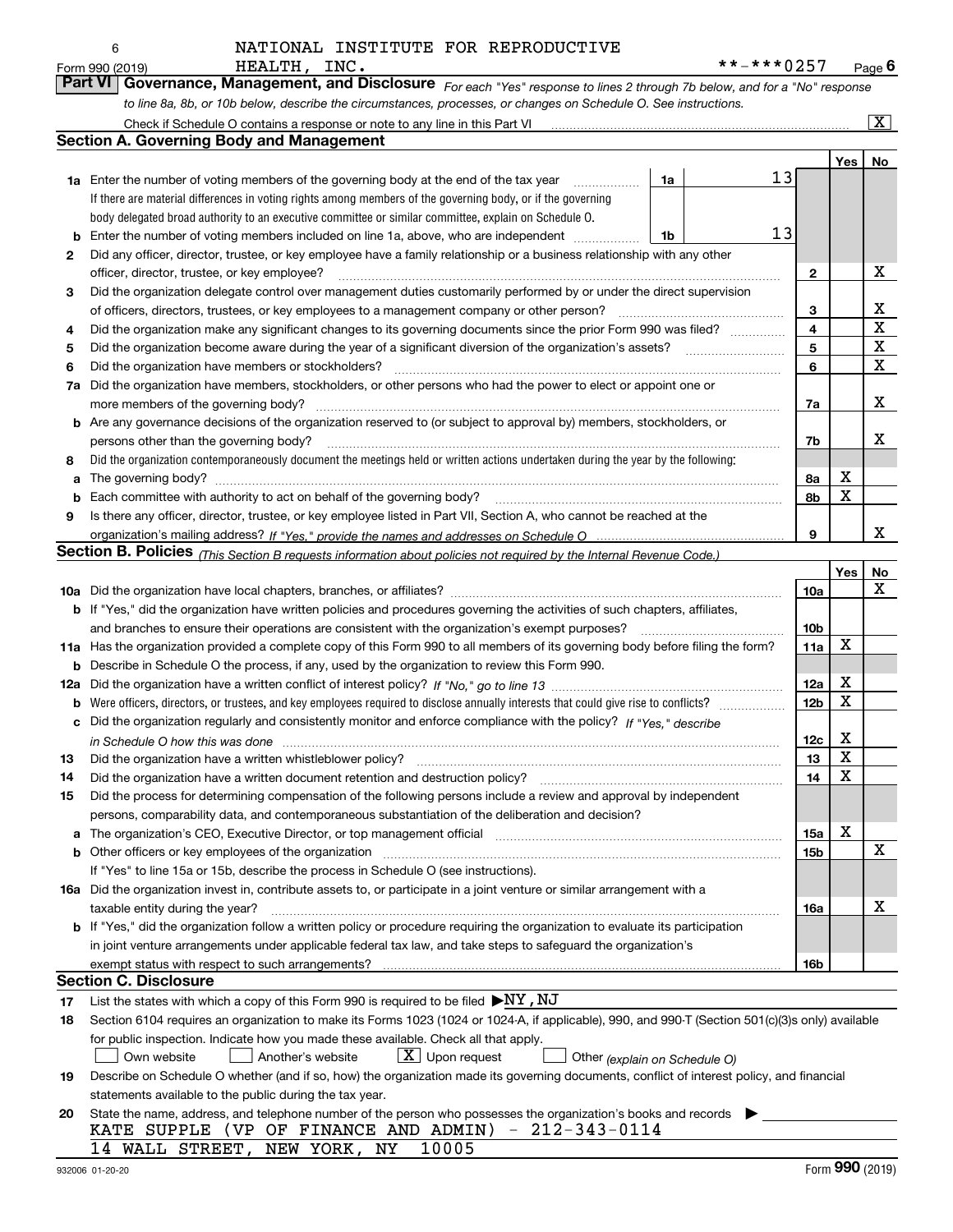|     | HEALTH, INC.<br>Form 990 (2019)                                                                                                                                                                                                |    | **-***0257 |                 |                         | Page $6$                |
|-----|--------------------------------------------------------------------------------------------------------------------------------------------------------------------------------------------------------------------------------|----|------------|-----------------|-------------------------|-------------------------|
|     | Governance, Management, and Disclosure For each "Yes" response to lines 2 through 7b below, and for a "No" response<br><b>Part VI</b>                                                                                          |    |            |                 |                         |                         |
|     | to line 8a, 8b, or 10b below, describe the circumstances, processes, or changes on Schedule O. See instructions.                                                                                                               |    |            |                 |                         |                         |
|     | Check if Schedule O contains a response or note to any line in this Part VI                                                                                                                                                    |    |            |                 |                         | $\overline{\mathbf{X}}$ |
|     | <b>Section A. Governing Body and Management</b>                                                                                                                                                                                |    |            |                 |                         |                         |
|     |                                                                                                                                                                                                                                |    |            |                 | Yes                     | No                      |
|     | <b>1a</b> Enter the number of voting members of the governing body at the end of the tax year                                                                                                                                  | 1a | 13         |                 |                         |                         |
|     | If there are material differences in voting rights among members of the governing body, or if the governing                                                                                                                    |    |            |                 |                         |                         |
|     | body delegated broad authority to an executive committee or similar committee, explain on Schedule O.                                                                                                                          |    |            |                 |                         |                         |
| b   | Enter the number of voting members included on line 1a, above, who are independent                                                                                                                                             | 1b | 13         |                 |                         |                         |
| 2   | Did any officer, director, trustee, or key employee have a family relationship or a business relationship with any other                                                                                                       |    |            |                 |                         |                         |
|     | officer, director, trustee, or key employee?                                                                                                                                                                                   |    |            | $\mathbf{2}$    |                         | х                       |
| 3   | Did the organization delegate control over management duties customarily performed by or under the direct supervision                                                                                                          |    |            |                 |                         |                         |
|     | of officers, directors, trustees, or key employees to a management company or other person?                                                                                                                                    |    |            | 3               |                         | X                       |
| 4   | Did the organization make any significant changes to its governing documents since the prior Form 990 was filed?                                                                                                               |    |            | 4               |                         | $\mathbf X$             |
| 5   |                                                                                                                                                                                                                                |    |            | 5               |                         | X                       |
| 6   | Did the organization have members or stockholders?                                                                                                                                                                             |    |            | 6               |                         | x                       |
|     | Did the organization have members, stockholders, or other persons who had the power to elect or appoint one or                                                                                                                 |    |            |                 |                         |                         |
| 7a  |                                                                                                                                                                                                                                |    |            |                 |                         | X                       |
|     |                                                                                                                                                                                                                                |    |            | 7a              |                         |                         |
|     | <b>b</b> Are any governance decisions of the organization reserved to (or subject to approval by) members, stockholders, or                                                                                                    |    |            |                 |                         | x                       |
|     | persons other than the governing body?                                                                                                                                                                                         |    |            | 7b              |                         |                         |
| 8   | Did the organization contemporaneously document the meetings held or written actions undertaken during the year by the following:                                                                                              |    |            |                 |                         |                         |
| а   |                                                                                                                                                                                                                                |    |            | 8a              | х                       |                         |
| b   |                                                                                                                                                                                                                                |    |            | 8b              | X                       |                         |
| 9   | Is there any officer, director, trustee, or key employee listed in Part VII, Section A, who cannot be reached at the                                                                                                           |    |            |                 |                         |                         |
|     |                                                                                                                                                                                                                                |    |            | 9               |                         | x                       |
|     | Section B. Policies (This Section B requests information about policies not required by the Internal Revenue Code.)                                                                                                            |    |            |                 |                         |                         |
|     |                                                                                                                                                                                                                                |    |            |                 | Yes                     | No                      |
|     |                                                                                                                                                                                                                                |    |            | 10a             |                         | x                       |
|     | b If "Yes," did the organization have written policies and procedures governing the activities of such chapters, affiliates,                                                                                                   |    |            |                 |                         |                         |
|     | and branches to ensure their operations are consistent with the organization's exempt purposes?                                                                                                                                |    |            | 10 <sub>b</sub> |                         |                         |
|     | 11a Has the organization provided a complete copy of this Form 990 to all members of its governing body before filing the form?                                                                                                |    |            | 11a             | x                       |                         |
|     | <b>b</b> Describe in Schedule O the process, if any, used by the organization to review this Form 990.                                                                                                                         |    |            |                 |                         |                         |
| 12a |                                                                                                                                                                                                                                |    |            | 12a             | X                       |                         |
|     | <b>b</b> Were officers, directors, or trustees, and key employees required to disclose annually interests that could give rise to conflicts?                                                                                   |    |            | 12 <sub>b</sub> | х                       |                         |
|     | c Did the organization regularly and consistently monitor and enforce compliance with the policy? If "Yes," describe                                                                                                           |    |            |                 |                         |                         |
|     | in Schedule O how this was done manufactured and contain an according to the water of the state of the state o                                                                                                                 |    |            | 12c             | х                       |                         |
| 13  | Did the organization have a written whistleblower policy? [11] matter content to the organization have a written whistleblower policy? [11] matter content content content of the organization have a written whistleblower po |    |            | 13              | $\overline{\textbf{X}}$ |                         |
| 14  | Did the organization have a written document retention and destruction policy?                                                                                                                                                 |    |            | 14              | х                       |                         |
| 15  | Did the process for determining compensation of the following persons include a review and approval by independent                                                                                                             |    |            |                 |                         |                         |
|     | persons, comparability data, and contemporaneous substantiation of the deliberation and decision?                                                                                                                              |    |            |                 |                         |                         |
| a   | The organization's CEO, Executive Director, or top management official manufactured content of the organization's CEO, Executive Director, or top management official                                                          |    |            | 15a             | х                       |                         |
|     | b Other officers or key employees of the organization manufactured content to the organization manufactured by Other officers or key employees of the organization manufactured content of the organization manufactured by Ot |    |            | 15b             |                         | x                       |
|     | If "Yes" to line 15a or 15b, describe the process in Schedule O (see instructions).                                                                                                                                            |    |            |                 |                         |                         |
|     | 16a Did the organization invest in, contribute assets to, or participate in a joint venture or similar arrangement with a                                                                                                      |    |            |                 |                         |                         |
|     | taxable entity during the year?                                                                                                                                                                                                |    |            | 16a             |                         | х                       |
|     | b If "Yes," did the organization follow a written policy or procedure requiring the organization to evaluate its participation                                                                                                 |    |            |                 |                         |                         |
|     | in joint venture arrangements under applicable federal tax law, and take steps to safeguard the organization's                                                                                                                 |    |            |                 |                         |                         |
|     | exempt status with respect to such arrangements?                                                                                                                                                                               |    |            | 16b             |                         |                         |
|     | <b>Section C. Disclosure</b>                                                                                                                                                                                                   |    |            |                 |                         |                         |
| 17  | List the states with which a copy of this Form 990 is required to be filed $\blacktriangleright$ NY, NJ                                                                                                                        |    |            |                 |                         |                         |
| 18  | Section 6104 requires an organization to make its Forms 1023 (1024 or 1024-A, if applicable), 990, and 990-T (Section 501(c)(3)s only) available                                                                               |    |            |                 |                         |                         |
|     | for public inspection. Indicate how you made these available. Check all that apply.                                                                                                                                            |    |            |                 |                         |                         |
|     | $X$ Upon request<br>Another's website<br>Own website<br>Other (explain on Schedule O)                                                                                                                                          |    |            |                 |                         |                         |
| 19  | Describe on Schedule O whether (and if so, how) the organization made its governing documents, conflict of interest policy, and financial                                                                                      |    |            |                 |                         |                         |
|     | statements available to the public during the tax year.                                                                                                                                                                        |    |            |                 |                         |                         |
| 20  | State the name, address, and telephone number of the person who possesses the organization's books and records                                                                                                                 |    |            |                 |                         |                         |
|     | KATE SUPPLE (VP OF FINANCE AND ADMIN) - $212-343-0114$                                                                                                                                                                         |    |            |                 |                         |                         |
|     | 10005<br>14 WALL STREET, NEW YORK, NY                                                                                                                                                                                          |    |            |                 |                         |                         |

6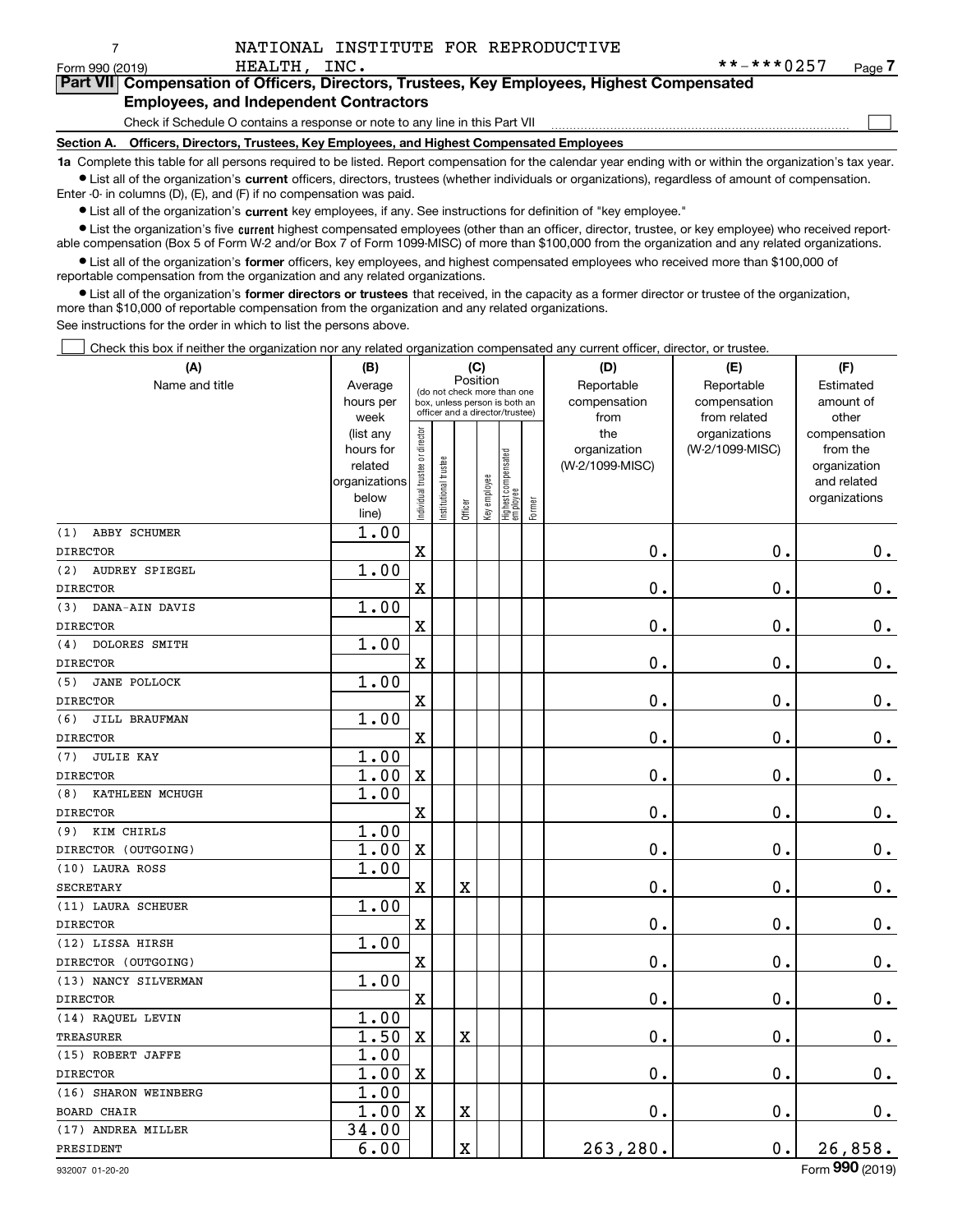$\mathcal{L}^{\text{max}}$ 

| Form 990 (2019) |                                               | HEALTH, INC. |  |                                                                                            | **-***0257 | Page 7 |
|-----------------|-----------------------------------------------|--------------|--|--------------------------------------------------------------------------------------------|------------|--------|
|                 |                                               |              |  | Part VII Compensation of Officers, Directors, Trustees, Key Employees, Highest Compensated |            |        |
|                 | <b>Employees, and Independent Contractors</b> |              |  |                                                                                            |            |        |

### Check if Schedule O contains a response or note to any line in this Part VII

**Section A. Officers, Directors, Trustees, Key Employees, and Highest Compensated Employees**

**1a**  Complete this table for all persons required to be listed. Report compensation for the calendar year ending with or within the organization's tax year. **•** List all of the organization's current officers, directors, trustees (whether individuals or organizations), regardless of amount of compensation.

Enter -0- in columns (D), (E), and (F) if no compensation was paid.

7

 $\bullet$  List all of the organization's  $\,$ current key employees, if any. See instructions for definition of "key employee."

• List the organization's five current highest compensated employees (other than an officer, director, trustee, or key employee) who received report-■ List the organization's five current highest compensated employees (other than an officer, director, trustee, or key employee) who received report-<br>able compensation (Box 5 of Form W-2 and/or Box 7 of Form 1099-MISC) of

**•** List all of the organization's former officers, key employees, and highest compensated employees who received more than \$100,000 of reportable compensation from the organization and any related organizations.

**former directors or trustees**  ¥ List all of the organization's that received, in the capacity as a former director or trustee of the organization, more than \$10,000 of reportable compensation from the organization and any related organizations.

See instructions for the order in which to list the persons above.

Check this box if neither the organization nor any related organization compensated any current officer, director, or trustee.  $\mathcal{L}^{\text{max}}$ 

| (A)                          | (B)               |                                |                                         | (C)                     |              |                                                                  |        | (D)             | (E)                           | (F)                   |
|------------------------------|-------------------|--------------------------------|-----------------------------------------|-------------------------|--------------|------------------------------------------------------------------|--------|-----------------|-------------------------------|-----------------------|
| Name and title               | Average           |                                | Position<br>(do not check more than one |                         |              |                                                                  |        | Reportable      | Reportable                    | Estimated             |
|                              | hours per         |                                |                                         |                         |              | box, unless person is both an<br>officer and a director/trustee) |        | compensation    | compensation                  | amount of             |
|                              | week<br>(list any |                                |                                         |                         |              |                                                                  |        | from<br>the     | from related<br>organizations | other<br>compensation |
|                              | hours for         |                                |                                         |                         |              |                                                                  |        | organization    | (W-2/1099-MISC)               | from the              |
|                              | related           |                                |                                         |                         |              |                                                                  |        | (W-2/1099-MISC) |                               | organization          |
|                              | organizations     |                                |                                         |                         |              |                                                                  |        |                 |                               | and related           |
|                              | below             | Individual trustee or director | nstitutional trustee                    |                         | Key employee | Highest compensated<br>  employee                                | Former |                 |                               | organizations         |
|                              | line)             |                                |                                         | Officer                 |              |                                                                  |        |                 |                               |                       |
| (1)<br>ABBY SCHUMER          | 1.00              |                                |                                         |                         |              |                                                                  |        |                 |                               |                       |
| <b>DIRECTOR</b>              |                   | $\mathbf X$                    |                                         |                         |              |                                                                  |        | $0$ .           | $\mathbf 0$ .                 | $0_{\cdot}$           |
| (2)<br><b>AUDREY SPIEGEL</b> | 1.00              |                                |                                         |                         |              |                                                                  |        |                 |                               |                       |
| <b>DIRECTOR</b>              |                   | $\overline{\textbf{X}}$        |                                         |                         |              |                                                                  |        | $\mathbf 0$ .   | $\mathbf 0$ .                 | $\mathbf 0$ .         |
| DANA-AIN DAVIS<br>(3)        | 1.00              |                                |                                         |                         |              |                                                                  |        |                 |                               |                       |
| <b>DIRECTOR</b>              |                   | $\mathbf X$                    |                                         |                         |              |                                                                  |        | $0$ .           | $\mathbf 0$ .                 | $0_{.}$               |
| DOLORES SMITH<br>(4)         | 1.00              |                                |                                         |                         |              |                                                                  |        |                 |                               |                       |
| <b>DIRECTOR</b>              |                   | $\mathbf X$                    |                                         |                         |              |                                                                  |        | 0.              | 0.                            | $\mathbf 0$ .         |
| (5)<br><b>JANE POLLOCK</b>   | 1.00              |                                |                                         |                         |              |                                                                  |        |                 |                               |                       |
| <b>DIRECTOR</b>              |                   | $\mathbf X$                    |                                         |                         |              |                                                                  |        | $\mathbf 0$ .   | 0.                            | $0_{.}$               |
| (6)<br>JILL BRAUFMAN         | 1.00              |                                |                                         |                         |              |                                                                  |        |                 |                               |                       |
| <b>DIRECTOR</b>              |                   | $\overline{\textbf{X}}$        |                                         |                         |              |                                                                  |        | $\mathbf 0$ .   | $\mathbf 0$ .                 | $0_{.}$               |
| <b>JULIE KAY</b><br>(7)      | 1.00              |                                |                                         |                         |              |                                                                  |        |                 |                               |                       |
| <b>DIRECTOR</b>              | 1.00              | $\mathbf X$                    |                                         |                         |              |                                                                  |        | 0.              | $\mathbf 0$ .                 | $0_{.}$               |
| KATHLEEN MCHUGH<br>(8)       | 1.00              |                                |                                         |                         |              |                                                                  |        |                 |                               |                       |
| <b>DIRECTOR</b>              |                   | $\overline{\mathbf{X}}$        |                                         |                         |              |                                                                  |        | $\mathbf 0$ .   | $\mathbf 0$ .                 | $\mathbf 0$ .         |
| KIM CHIRLS<br>(9)            | 1.00              |                                |                                         |                         |              |                                                                  |        |                 |                               |                       |
| DIRECTOR (OUTGOING)          | 1.00              | X                              |                                         |                         |              |                                                                  |        | $\mathbf 0$ .   | $\mathbf 0$ .                 | $\mathbf 0$ .         |
| (10) LAURA ROSS              | 1.00              |                                |                                         |                         |              |                                                                  |        |                 |                               |                       |
| <b>SECRETARY</b>             |                   | $\mathbf X$                    |                                         | X                       |              |                                                                  |        | 0.              | $\mathbf 0$ .                 | $\mathbf 0$ .         |
| (11) LAURA SCHEUER           | 1.00              |                                |                                         |                         |              |                                                                  |        |                 |                               |                       |
| <b>DIRECTOR</b>              |                   | $\mathbf X$                    |                                         |                         |              |                                                                  |        | $\mathbf{0}$ .  | 0.                            | 0.                    |
| (12) LISSA HIRSH             | 1.00              |                                |                                         |                         |              |                                                                  |        |                 |                               |                       |
| DIRECTOR (OUTGOING)          |                   | $\mathbf x$                    |                                         |                         |              |                                                                  |        | 0.              | $\mathbf 0$ .                 | $\mathbf 0$ .         |
| (13) NANCY SILVERMAN         | 1.00              |                                |                                         |                         |              |                                                                  |        |                 |                               |                       |
| <b>DIRECTOR</b>              |                   | $\mathbf x$                    |                                         |                         |              |                                                                  |        | $\mathbf 0$ .   | $\mathbf 0$ .                 | $0_{.}$               |
| (14) RAQUEL LEVIN            | 1.00              |                                |                                         |                         |              |                                                                  |        |                 |                               |                       |
| TREASURER                    | 1.50              | $\mathbf x$                    |                                         | X                       |              |                                                                  |        | $\mathbf 0$ .   | $\mathbf 0$ .                 | $\mathbf 0$ .         |
| (15) ROBERT JAFFE            | 1.00              |                                |                                         |                         |              |                                                                  |        |                 |                               |                       |
| <b>DIRECTOR</b>              | 1.00              | $\mathbf x$                    |                                         |                         |              |                                                                  |        | 0.              | 0.                            | $0_{.}$               |
| (16) SHARON WEINBERG         | 1.00              |                                |                                         |                         |              |                                                                  |        |                 |                               |                       |
| <b>BOARD CHAIR</b>           | 1.00              | $\mathbf X$                    |                                         | $\overline{\textbf{X}}$ |              |                                                                  |        | 0.              | $\mathbf 0$ .                 | $\mathbf 0$ .         |
| (17) ANDREA MILLER           | 34.00             |                                |                                         |                         |              |                                                                  |        |                 |                               |                       |
| PRESIDENT                    | 6.00              |                                |                                         | X                       |              |                                                                  |        | 263,280.        | 0.                            | 26,858.               |
|                              |                   |                                |                                         |                         |              |                                                                  |        |                 |                               |                       |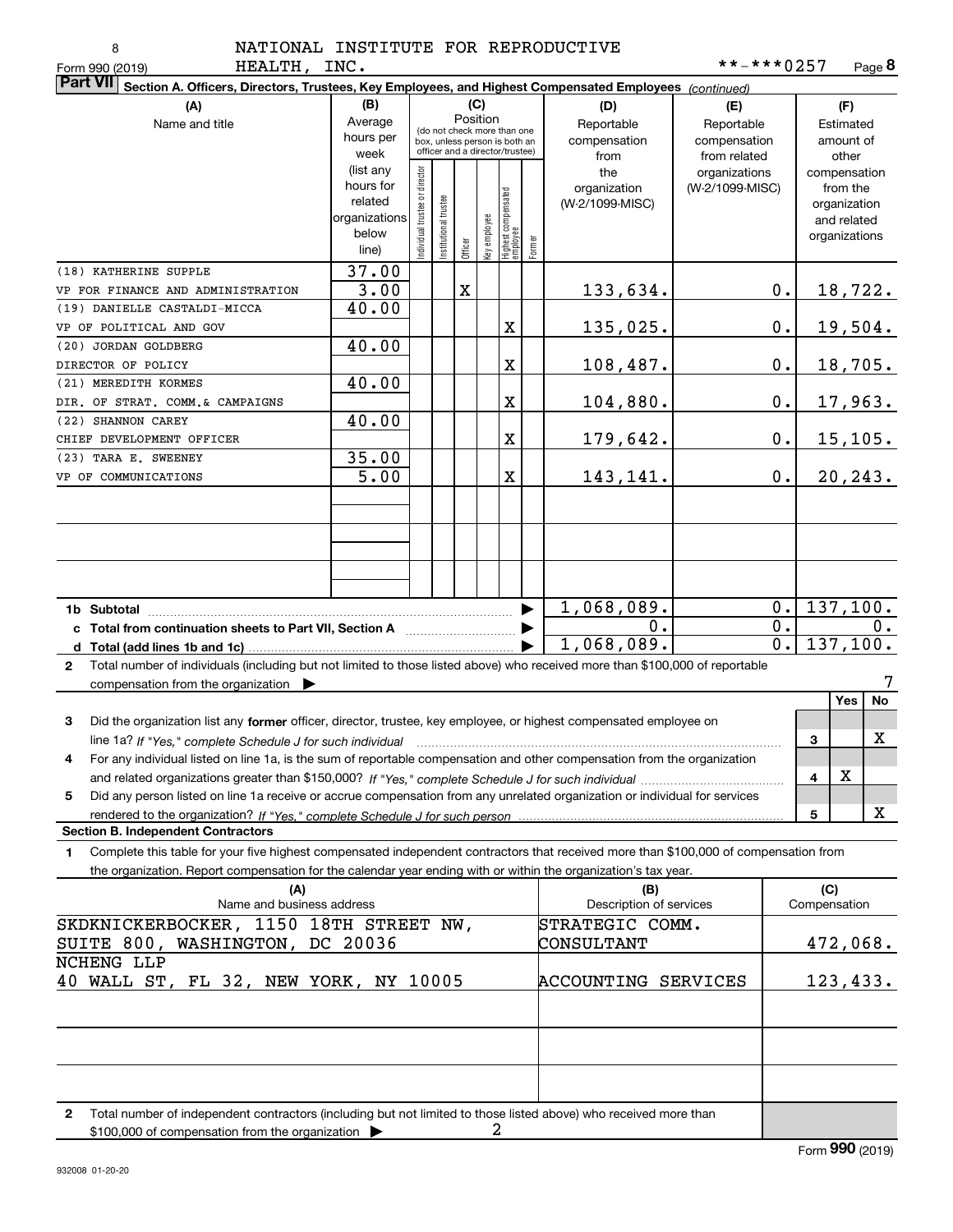| ٦<br>۰,<br>× |
|--------------|
|              |

HEALTH TNC

| неаттн,<br>Form 990 (2019)                                                                                                                   | INC.                     |                               |                       |             |              |                                                              |        |                         | $***$ $***$ $0257$ |   |               | Page <b>ö</b>          |
|----------------------------------------------------------------------------------------------------------------------------------------------|--------------------------|-------------------------------|-----------------------|-------------|--------------|--------------------------------------------------------------|--------|-------------------------|--------------------|---|---------------|------------------------|
| <b>Part VII</b><br>Section A. Officers, Directors, Trustees, Key Employees, and Highest Compensated Employees (continued)                    |                          |                               |                       |             |              |                                                              |        |                         |                    |   |               |                        |
| (A)                                                                                                                                          | (B)                      |                               |                       |             | (C)          |                                                              |        | (D)                     | (E)                |   | (F)           |                        |
| Name and title                                                                                                                               | Average                  |                               |                       | Position    |              |                                                              |        | Reportable              | Reportable         |   | Estimated     |                        |
|                                                                                                                                              | hours per                |                               |                       |             |              | (do not check more than one<br>box, unless person is both an |        | compensation            | compensation       |   | amount of     |                        |
|                                                                                                                                              | week                     |                               |                       |             |              | officer and a director/trustee)                              |        | from                    | from related       |   | other         |                        |
|                                                                                                                                              | (list any                |                               |                       |             |              |                                                              |        | the                     | organizations      |   |               | compensation           |
|                                                                                                                                              | hours for                |                               |                       |             |              |                                                              |        | organization            | (W-2/1099-MISC)    |   | from the      |                        |
|                                                                                                                                              | related<br>organizations |                               |                       |             |              |                                                              |        | (W-2/1099-MISC)         |                    |   | organization  |                        |
|                                                                                                                                              | below                    |                               |                       |             |              |                                                              |        |                         |                    |   | and related   |                        |
|                                                                                                                                              | line)                    | ndividual trustee or director | Institutional trustee | Officer     | key employee | Highest compensated<br> employee                             | Former |                         |                    |   | organizations |                        |
| (18) KATHERINE SUPPLE                                                                                                                        | 37.00                    |                               |                       |             |              |                                                              |        |                         |                    |   |               |                        |
| VP FOR FINANCE AND ADMINISTRATION                                                                                                            | 3.00                     |                               |                       | $\mathbf X$ |              |                                                              |        | 133,634.                | 0.                 |   |               | <u>18,722.</u>         |
| (19) DANIELLE CASTALDI-MICCA                                                                                                                 | 40.00                    |                               |                       |             |              |                                                              |        |                         |                    |   |               |                        |
| VP OF POLITICAL AND GOV                                                                                                                      |                          |                               |                       |             |              | X                                                            |        | 135,025.                | $0\cdot$           |   |               | 19,504.                |
| (20) JORDAN GOLDBERG                                                                                                                         | 40.00                    |                               |                       |             |              |                                                              |        |                         |                    |   |               |                        |
| DIRECTOR OF POLICY                                                                                                                           |                          |                               |                       |             |              | X                                                            |        | 108,487.                | $0\cdot$           |   |               | 18,705.                |
| (21) MEREDITH KORMES                                                                                                                         | 40.00                    |                               |                       |             |              |                                                              |        |                         |                    |   |               |                        |
| DIR. OF STRAT. COMM.& CAMPAIGNS                                                                                                              |                          |                               |                       |             |              | X                                                            |        | 104,880.                | $0\cdot$           |   |               | 17,963.                |
| (22) SHANNON CAREY                                                                                                                           | 40.00                    |                               |                       |             |              |                                                              |        |                         |                    |   |               |                        |
| CHIEF DEVELOPMENT OFFICER                                                                                                                    |                          |                               |                       |             |              | X                                                            |        | 179,642.                | $0\cdot$           |   |               | <u>15,105.</u>         |
| (23) TARA E. SWEENEY                                                                                                                         | 35.00                    |                               |                       |             |              |                                                              |        |                         |                    |   |               |                        |
| VP OF COMMUNICATIONS                                                                                                                         | $\overline{5.00}$        |                               |                       |             |              | X                                                            |        | 143,141.                | 0.                 |   |               | 20, 243.               |
|                                                                                                                                              |                          |                               |                       |             |              |                                                              |        |                         |                    |   |               |                        |
|                                                                                                                                              |                          |                               |                       |             |              |                                                              |        |                         |                    |   |               |                        |
|                                                                                                                                              |                          |                               |                       |             |              |                                                              |        |                         |                    |   |               |                        |
|                                                                                                                                              |                          |                               |                       |             |              |                                                              |        |                         |                    |   |               |                        |
|                                                                                                                                              |                          |                               |                       |             |              |                                                              |        |                         |                    |   |               |                        |
|                                                                                                                                              |                          |                               |                       |             |              |                                                              |        | 1,068,089.              | $0$ .              |   |               | 137, 100.              |
|                                                                                                                                              |                          |                               |                       |             |              |                                                              |        | 0.                      | $0$ .              |   |               | 0.                     |
| c Total from continuation sheets to Part VII, Section A <b>manual</b> Total Total Term                                                       |                          |                               |                       |             |              |                                                              |        | 1,068,089.              | $\overline{0}$ .   |   |               | $\overline{137,100}$ . |
| Total number of individuals (including but not limited to those listed above) who received more than \$100,000 of reportable                 |                          |                               |                       |             |              |                                                              |        |                         |                    |   |               |                        |
| $\mathbf{2}$                                                                                                                                 |                          |                               |                       |             |              |                                                              |        |                         |                    |   |               | 7                      |
| compensation from the organization $\blacktriangleright$                                                                                     |                          |                               |                       |             |              |                                                              |        |                         |                    |   | Yes           | No                     |
|                                                                                                                                              |                          |                               |                       |             |              |                                                              |        |                         |                    |   |               |                        |
| Did the organization list any former officer, director, trustee, key employee, or highest compensated employee on<br>3                       |                          |                               |                       |             |              |                                                              |        |                         |                    |   |               | х                      |
| line 1a? If "Yes," complete Schedule J for such individual manufactured contained and the Ves," complete Schedule J for such individual<br>4 |                          |                               |                       |             |              |                                                              |        |                         |                    | 3 |               |                        |
| For any individual listed on line 1a, is the sum of reportable compensation and other compensation from the organization                     |                          |                               |                       |             |              |                                                              |        |                         |                    | 4 | X             |                        |
|                                                                                                                                              |                          |                               |                       |             |              |                                                              |        |                         |                    |   |               |                        |
| Did any person listed on line 1a receive or accrue compensation from any unrelated organization or individual for services<br>5              |                          |                               |                       |             |              |                                                              |        |                         |                    | 5 |               | X                      |
| <b>Section B. Independent Contractors</b>                                                                                                    |                          |                               |                       |             |              |                                                              |        |                         |                    |   |               |                        |
| Complete this table for your five highest compensated independent contractors that received more than \$100,000 of compensation from<br>1    |                          |                               |                       |             |              |                                                              |        |                         |                    |   |               |                        |
| the organization. Report compensation for the calendar year ending with or within the organization's tax year.                               |                          |                               |                       |             |              |                                                              |        |                         |                    |   |               |                        |
| (A)                                                                                                                                          |                          |                               |                       |             |              |                                                              |        | (B)                     |                    |   | (C)           |                        |
| Name and business address                                                                                                                    |                          |                               |                       |             |              |                                                              |        | Description of services |                    |   | Compensation  |                        |
| SKDKNICKERBOCKER, 1150 18TH STREET NW,                                                                                                       |                          |                               |                       |             |              |                                                              |        | STRATEGIC COMM.         |                    |   |               |                        |
| SUITE 800, WASHINGTON, DC 20036                                                                                                              |                          |                               |                       |             |              |                                                              |        | CONSULTANT              |                    |   |               | 472,068.               |
| NCHENG LLP                                                                                                                                   |                          |                               |                       |             |              |                                                              |        |                         |                    |   |               |                        |
| 40 WALL ST, FL 32, NEW YORK, NY 10005                                                                                                        |                          |                               |                       |             |              |                                                              |        | ACCOUNTING SERVICES     |                    |   |               | 123,433.               |
|                                                                                                                                              |                          |                               |                       |             |              |                                                              |        |                         |                    |   |               |                        |
|                                                                                                                                              |                          |                               |                       |             |              |                                                              |        |                         |                    |   |               |                        |
|                                                                                                                                              |                          |                               |                       |             |              |                                                              |        |                         |                    |   |               |                        |
|                                                                                                                                              |                          |                               |                       |             |              |                                                              |        |                         |                    |   |               |                        |

**2**Total number of independent contractors (including but not limited to those listed above) who received more than \$100,000 of compensation from the organization  $\blacktriangleright$ 2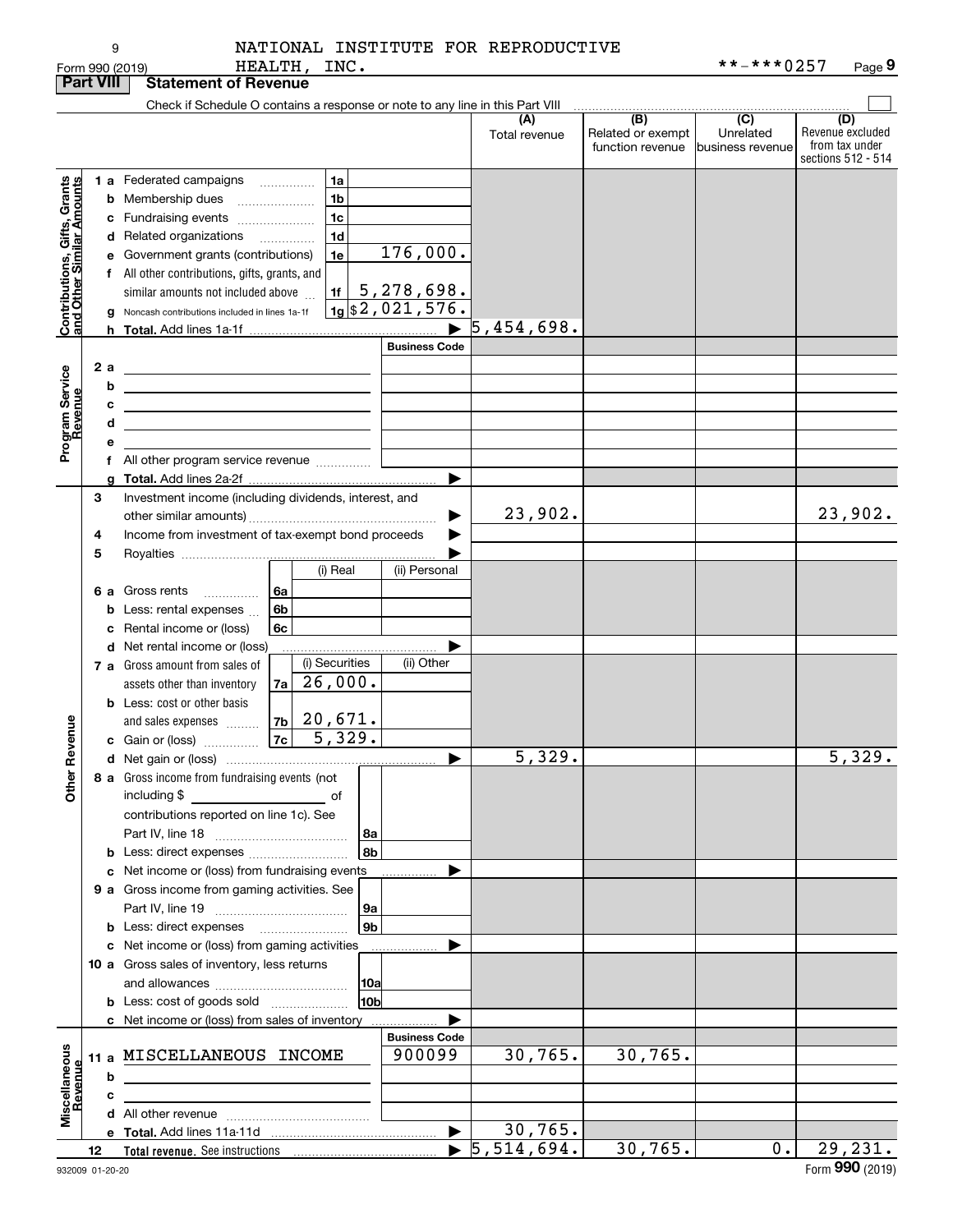| NATIONAL INSTITUTE FOR REPRODUCTIVE |  |  |
|-------------------------------------|--|--|
|                                     |  |  |

|                                                           | <b>Part VIII</b> | <b>Statement of Revenue</b>                                                                                           |                                                               |               |                                              |                                      |                                                                 |
|-----------------------------------------------------------|------------------|-----------------------------------------------------------------------------------------------------------------------|---------------------------------------------------------------|---------------|----------------------------------------------|--------------------------------------|-----------------------------------------------------------------|
|                                                           |                  | Check if Schedule O contains a response or note to any line in this Part VIII                                         |                                                               |               |                                              |                                      |                                                                 |
|                                                           |                  |                                                                                                                       |                                                               | Total revenue | (B)<br>Related or exempt<br>function revenue | (C)<br>Unrelated<br>business revenue | (D)<br>Revenue excluded<br>from tax under<br>sections 512 - 514 |
|                                                           |                  | <b>1 a</b> Federated campaigns<br>1a                                                                                  |                                                               |               |                                              |                                      |                                                                 |
|                                                           |                  | .<br>1 <sub>b</sub><br><b>b</b> Membership dues                                                                       |                                                               |               |                                              |                                      |                                                                 |
|                                                           |                  | 1 <sub>c</sub><br>c Fundraising events                                                                                |                                                               |               |                                              |                                      |                                                                 |
|                                                           |                  | 1 <sub>d</sub><br>d Related organizations                                                                             |                                                               |               |                                              |                                      |                                                                 |
|                                                           |                  | 1e<br>e Government grants (contributions)                                                                             | 176,000.                                                      |               |                                              |                                      |                                                                 |
|                                                           |                  | f All other contributions, gifts, grants, and                                                                         |                                                               |               |                                              |                                      |                                                                 |
|                                                           |                  | similar amounts not included above                                                                                    |                                                               |               |                                              |                                      |                                                                 |
| Contributions, Gifts, Grants<br>and Other Similar Amounts |                  | g Noncash contributions included in lines 1a-1f                                                                       | $\frac{11}{19}$ 5, 278, 698.<br>$\frac{1}{19}$ \$2, 021, 576. |               |                                              |                                      |                                                                 |
|                                                           |                  |                                                                                                                       | $\blacktriangleright$                                         | 5,454,698.    |                                              |                                      |                                                                 |
|                                                           |                  |                                                                                                                       | <b>Business Code</b>                                          |               |                                              |                                      |                                                                 |
|                                                           | 2 a              |                                                                                                                       |                                                               |               |                                              |                                      |                                                                 |
|                                                           | b                | <u> 1989 - Johann Barn, mars eta bainar eta idazlea (</u>                                                             |                                                               |               |                                              |                                      |                                                                 |
|                                                           |                  | <u> 1989 - Johann Stoff, deutscher Stoff, der Stoff, der Stoff, der Stoff, der Stoff, der Stoff, der Stoff, der S</u> |                                                               |               |                                              |                                      |                                                                 |
|                                                           | с<br>d           | <u> 1999 - Johann Harry Harry Harry Harry Harry Harry Harry Harry Harry Harry Harry Harry Harry Harry Harry Harry</u> |                                                               |               |                                              |                                      |                                                                 |
|                                                           | е                | <u> 1989 - Johann Barn, amerikansk politiker (</u>                                                                    |                                                               |               |                                              |                                      |                                                                 |
| Program Service<br>Revenue                                |                  | f All other program service revenue                                                                                   |                                                               |               |                                              |                                      |                                                                 |
|                                                           |                  |                                                                                                                       | ▶                                                             |               |                                              |                                      |                                                                 |
|                                                           | З                | Investment income (including dividends, interest, and                                                                 |                                                               |               |                                              |                                      |                                                                 |
|                                                           |                  |                                                                                                                       | ▶                                                             | 23,902.       |                                              |                                      | 23,902.                                                         |
|                                                           | 4                | Income from investment of tax-exempt bond proceeds                                                                    |                                                               |               |                                              |                                      |                                                                 |
|                                                           | 5                |                                                                                                                       |                                                               |               |                                              |                                      |                                                                 |
|                                                           |                  | (i) Real                                                                                                              | (ii) Personal                                                 |               |                                              |                                      |                                                                 |
|                                                           |                  | 6 a Gross rents<br>6а<br>.                                                                                            |                                                               |               |                                              |                                      |                                                                 |
|                                                           |                  | 6 <sub>b</sub><br><b>b</b> Less: rental expenses                                                                      |                                                               |               |                                              |                                      |                                                                 |
|                                                           |                  | 6c<br>c Rental income or (loss)                                                                                       |                                                               |               |                                              |                                      |                                                                 |
|                                                           |                  | d Net rental income or (loss)                                                                                         |                                                               |               |                                              |                                      |                                                                 |
|                                                           |                  | (i) Securities<br>7 a Gross amount from sales of                                                                      | (ii) Other                                                    |               |                                              |                                      |                                                                 |
|                                                           |                  | 26,000.<br>7a<br>assets other than inventory                                                                          |                                                               |               |                                              |                                      |                                                                 |
|                                                           |                  | <b>b</b> Less: cost or other basis                                                                                    |                                                               |               |                                              |                                      |                                                                 |
|                                                           |                  | and sales expenses $\ldots$   7b   20,671.                                                                            |                                                               |               |                                              |                                      |                                                                 |
|                                                           |                  | $7c \ 5,329.$<br>c Gain or (loss)                                                                                     |                                                               |               |                                              |                                      |                                                                 |
| Revenue                                                   |                  |                                                                                                                       | ▶                                                             | 5,329.        |                                              |                                      | 5,329.                                                          |
| Other                                                     |                  | 8 a Gross income from fundraising events (not<br>including \$                                                         |                                                               |               |                                              |                                      |                                                                 |
|                                                           |                  | contributions reported on line 1c). See                                                                               |                                                               |               |                                              |                                      |                                                                 |
|                                                           |                  | 8a                                                                                                                    |                                                               |               |                                              |                                      |                                                                 |
|                                                           |                  | 8b<br>b Less: direct expenses                                                                                         |                                                               |               |                                              |                                      |                                                                 |
|                                                           |                  | c Net income or (loss) from fundraising events                                                                        |                                                               |               |                                              |                                      |                                                                 |
|                                                           |                  | 9 a Gross income from gaming activities. See                                                                          |                                                               |               |                                              |                                      |                                                                 |
|                                                           |                  | 9a                                                                                                                    |                                                               |               |                                              |                                      |                                                                 |
|                                                           |                  | 9 <sub>b</sub>                                                                                                        |                                                               |               |                                              |                                      |                                                                 |
|                                                           |                  | c Net income or (loss) from gaming activities                                                                         |                                                               |               |                                              |                                      |                                                                 |
|                                                           |                  | 10 a Gross sales of inventory, less returns                                                                           |                                                               |               |                                              |                                      |                                                                 |
|                                                           |                  | 10a                                                                                                                   |                                                               |               |                                              |                                      |                                                                 |
|                                                           |                  | 10bl<br><b>b</b> Less: cost of goods sold                                                                             |                                                               |               |                                              |                                      |                                                                 |
|                                                           |                  | c Net income or (loss) from sales of inventory                                                                        |                                                               |               |                                              |                                      |                                                                 |
|                                                           |                  |                                                                                                                       | <b>Business Code</b>                                          |               |                                              |                                      |                                                                 |
| Miscellaneous<br>Revenue                                  |                  | 11 a MISCELLANEOUS INCOME                                                                                             | 900099                                                        | 30,765.       | 30, 765.                                     |                                      |                                                                 |
|                                                           | b                |                                                                                                                       |                                                               |               |                                              |                                      |                                                                 |
|                                                           | c                |                                                                                                                       |                                                               |               |                                              |                                      |                                                                 |
|                                                           |                  |                                                                                                                       |                                                               |               |                                              |                                      |                                                                 |
|                                                           |                  |                                                                                                                       | $\blacktriangleright$                                         | 30,765.       |                                              |                                      |                                                                 |
|                                                           | 12               |                                                                                                                       |                                                               | 5,514,694.    | 30,765.                                      | $0$ .                                | 29,231.                                                         |

9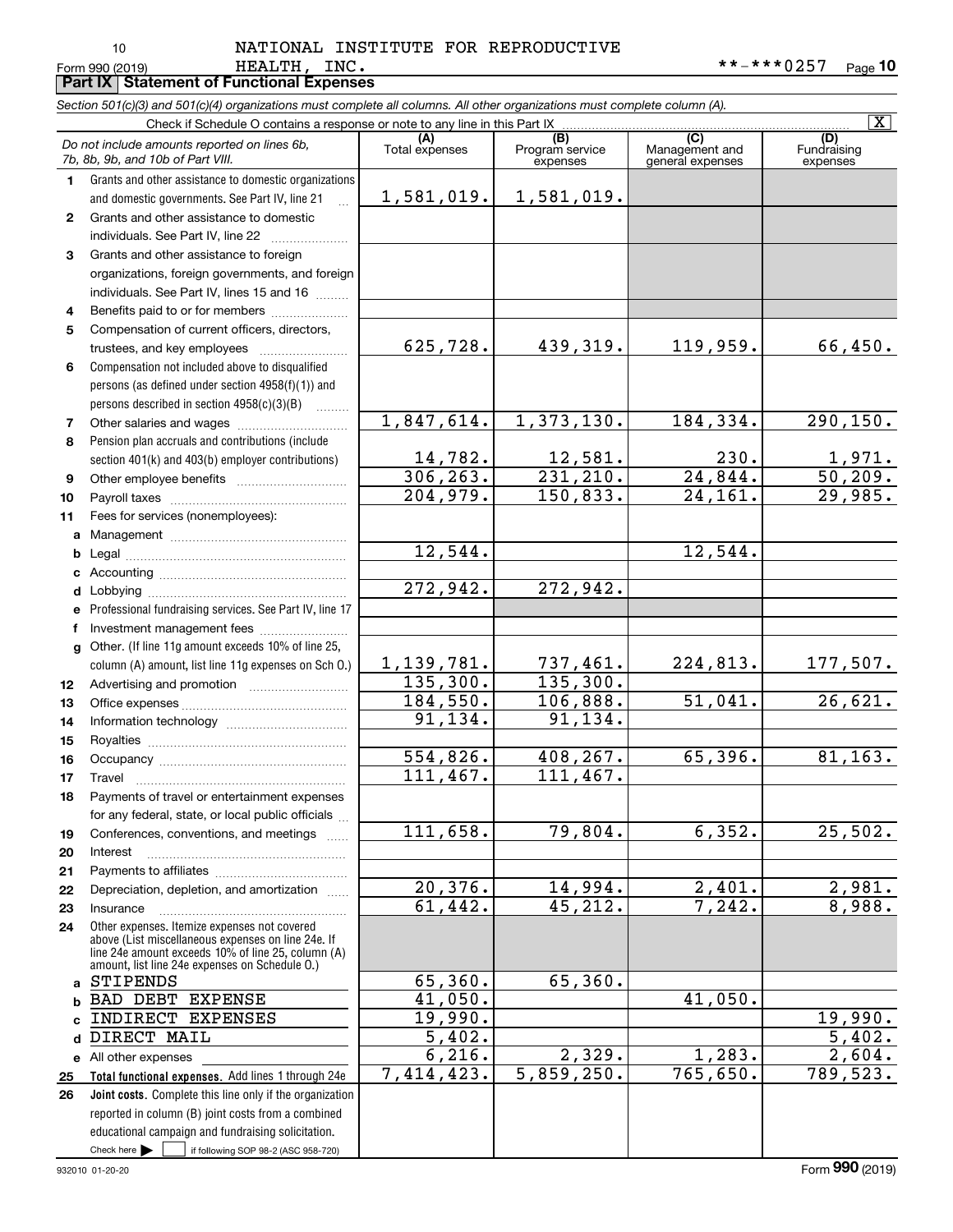## 10

#### Form 990 (2019) **HEALTH, INC.** \* \* - \* \* \* 0 2 5 7 <sub>Page</sub> 1**0** HEALTH, INC. NATIONAL INSTITUTE FOR REPRODUCTIVE

|              | HEALTH, INC.<br>Form 990 (2019)                                                                                            |                                 |                                  |                       | **-***0257<br>$P_{\text{aqe}}$ 10 |
|--------------|----------------------------------------------------------------------------------------------------------------------------|---------------------------------|----------------------------------|-----------------------|-----------------------------------|
|              | <b>Part IX   Statement of Functional Expenses</b>                                                                          |                                 |                                  |                       |                                   |
|              | Section 501(c)(3) and 501(c)(4) organizations must complete all columns. All other organizations must complete column (A). |                                 |                                  |                       | $\overline{\mathbf{x}}$           |
|              |                                                                                                                            | (A)                             | $\overline{(B)}$                 | (C)                   | (D)                               |
|              | Do not include amounts reported on lines 6b,<br>7b, 8b, 9b, and 10b of Part VIII.                                          | Total expenses                  | Program service                  | Management and        | Fundraising                       |
| 1            | Grants and other assistance to domestic organizations                                                                      |                                 | expenses                         | general expenses      | expenses                          |
|              | and domestic governments. See Part IV, line 21                                                                             | 1,581,019.                      | 1,581,019.                       |                       |                                   |
| $\mathbf{2}$ | Grants and other assistance to domestic                                                                                    |                                 |                                  |                       |                                   |
|              | individuals. See Part IV, line 22                                                                                          |                                 |                                  |                       |                                   |
| 3            | Grants and other assistance to foreign                                                                                     |                                 |                                  |                       |                                   |
|              | organizations, foreign governments, and foreign                                                                            |                                 |                                  |                       |                                   |
|              | individuals. See Part IV, lines 15 and 16                                                                                  |                                 |                                  |                       |                                   |
| 4            | Benefits paid to or for members                                                                                            |                                 |                                  |                       |                                   |
| 5            | Compensation of current officers, directors,                                                                               |                                 |                                  |                       |                                   |
|              | trustees, and key employees                                                                                                | 625,728.                        | 439,319.                         | 119,959.              | 66,450.                           |
| 6            | Compensation not included above to disqualified                                                                            |                                 |                                  |                       |                                   |
|              | persons (as defined under section 4958(f)(1)) and                                                                          |                                 |                                  |                       |                                   |
|              | persons described in section $4958(c)(3)(B)$                                                                               |                                 |                                  |                       |                                   |
| 7            |                                                                                                                            | 1,847,614.                      | 1,373,130.                       | 184,334.              | 290, 150.                         |
| 8            | Pension plan accruals and contributions (include                                                                           |                                 |                                  |                       |                                   |
|              | section 401(k) and 403(b) employer contributions)                                                                          | 14,782.<br>$\frac{1}{306,263.}$ | $\frac{12,581}{231,210}$         | 230.                  | $\frac{1,971}{50,209}$ .          |
| 9            |                                                                                                                            |                                 |                                  | 24,844.               |                                   |
| 10           |                                                                                                                            | 204,979.                        | 150,833.                         | $\overline{24,161}$ . | 29,985.                           |
| 11           | Fees for services (nonemployees):                                                                                          |                                 |                                  |                       |                                   |
| a            |                                                                                                                            | 12,544.                         |                                  | 12,544.               |                                   |
| b            |                                                                                                                            |                                 |                                  |                       |                                   |
|              |                                                                                                                            | 272,942.                        | 272,942.                         |                       |                                   |
| d            | Professional fundraising services. See Part IV, line 17                                                                    |                                 |                                  |                       |                                   |
| f            | Investment management fees                                                                                                 |                                 |                                  |                       |                                   |
| g            | Other. (If line 11g amount exceeds 10% of line 25,                                                                         |                                 |                                  |                       |                                   |
|              | column (A) amount, list line 11g expenses on Sch O.)                                                                       | 1,139,781.                      | 737,461.                         | 224,813.              | 177,507.                          |
| 12           |                                                                                                                            | 135, 300.                       | 135,300.                         |                       |                                   |
| 13           |                                                                                                                            | 184, 550.                       | 106,888.                         | 51,041.               | 26,621.                           |
| 14           |                                                                                                                            | 91, 134.                        | 91, 134.                         |                       |                                   |
| 15           |                                                                                                                            |                                 |                                  |                       |                                   |
| 16           |                                                                                                                            | 554,826.                        | 408,267.                         | 65,396.               | 81, 163.                          |
| 17           | Travel                                                                                                                     | 111,467.                        | 111,467.                         |                       |                                   |
| 18           | Payments of travel or entertainment expenses                                                                               |                                 |                                  |                       |                                   |
|              | for any federal, state, or local public officials                                                                          |                                 |                                  |                       |                                   |
| 19           | Conferences, conventions, and meetings                                                                                     | 111,658.                        | 79,804.                          | 6,352.                | 25,502.                           |
| 20           | Interest                                                                                                                   |                                 |                                  |                       |                                   |
| 21           |                                                                                                                            |                                 |                                  |                       |                                   |
| 22           | Depreciation, depletion, and amortization                                                                                  | 20,376.<br>61,442.              | 14,994.<br>$\overline{45,212}$ . | 2,401.<br>7,242.      | 2,981.<br>8,988.                  |
| 23           | Insurance<br>Other expenses. Itemize expenses not covered                                                                  |                                 |                                  |                       |                                   |
| 24           | above (List miscellaneous expenses on line 24e. If<br>line 24e amount exceeds 10% of line 25, column (A)                   |                                 |                                  |                       |                                   |
|              | amount, list line 24e expenses on Schedule O.)<br>STIPENDS                                                                 | 65,360.                         | 65,360.                          |                       |                                   |
| a<br>b       | BAD DEBT EXPENSE                                                                                                           | 41,050.                         |                                  | 41,050.               |                                   |
| C            | INDIRECT EXPENSES                                                                                                          | 19,990.                         |                                  |                       | 19,990.                           |
| d            | DIRECT MAIL                                                                                                                | $\overline{5,402}$ .            |                                  |                       | 5,402.                            |
|              | e All other expenses                                                                                                       | 6,216.                          | 2,329.                           | 1,283.                | 2,604.                            |
| 25           | Total functional expenses. Add lines 1 through 24e                                                                         | 7,414,423.                      | 5,859,250.                       | 765,650.              | 789,523.                          |
| 26           | Joint costs. Complete this line only if the organization                                                                   |                                 |                                  |                       |                                   |
|              | reported in column (B) joint costs from a combined                                                                         |                                 |                                  |                       |                                   |
|              | educational campaign and fundraising solicitation.                                                                         |                                 |                                  |                       |                                   |

Check here  $\begin{array}{|c|c|c|c|c|}\hline \text{ } & \text{ if following SOP 98-2 (ASC 958-720)} \\\hline \end{array}$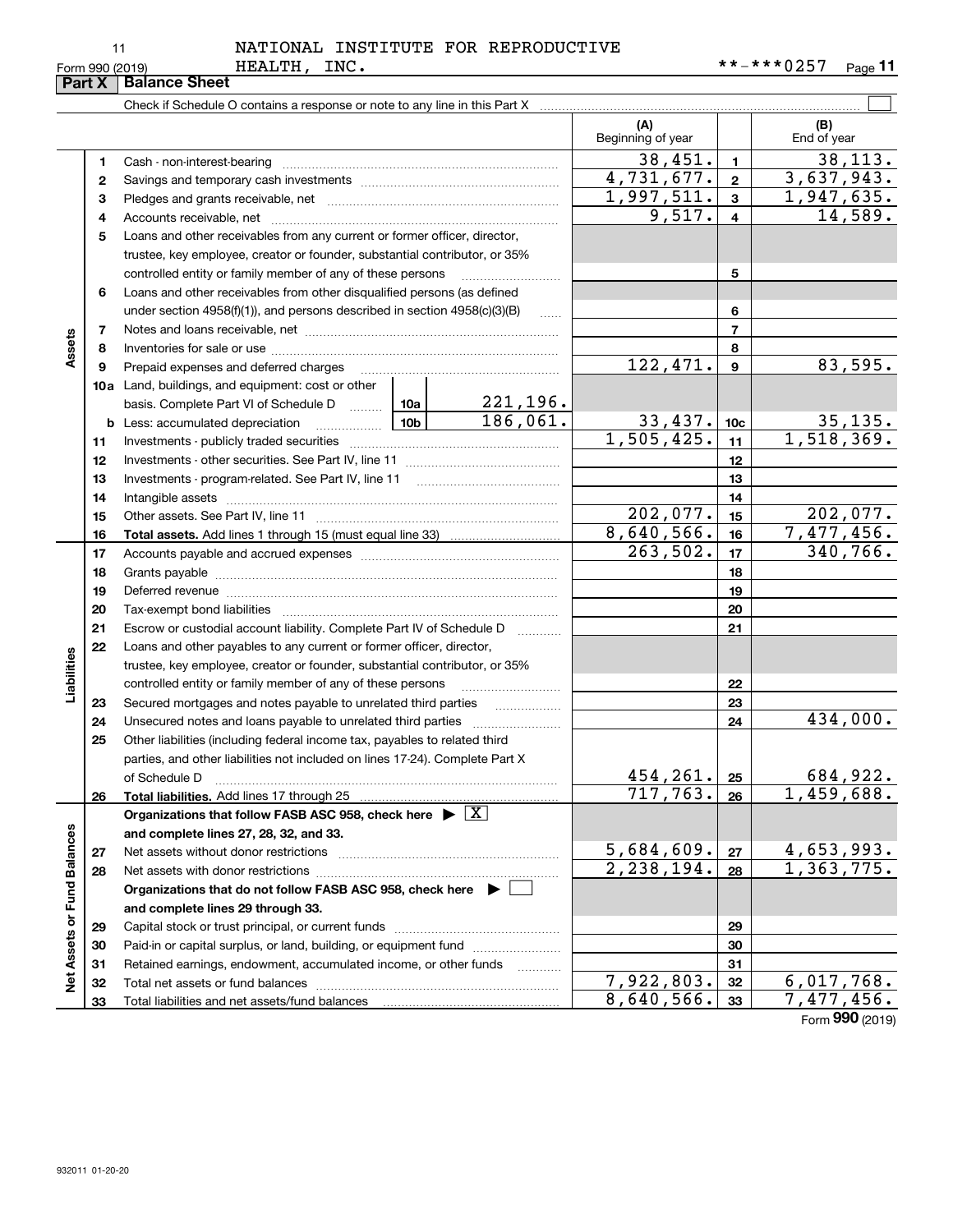## HEALTH, INC. NATIONAL INSTITUTE FOR REPRODUCTIVE

|                             | Part X   | <b>Balance Sheet</b>                                                                                                           |          |                          |                          |                 |                         |  |  |
|-----------------------------|----------|--------------------------------------------------------------------------------------------------------------------------------|----------|--------------------------|--------------------------|-----------------|-------------------------|--|--|
|                             |          |                                                                                                                                |          |                          |                          |                 |                         |  |  |
|                             |          |                                                                                                                                |          |                          | (A)<br>Beginning of year |                 | (B)<br>End of year      |  |  |
|                             | 1        |                                                                                                                                |          |                          | 38,451.                  | $\mathbf{1}$    | 38, 113.                |  |  |
|                             | 2        |                                                                                                                                |          |                          | 4,731,677.               | $\overline{2}$  | 3,637,943.              |  |  |
|                             | З        |                                                                                                                                |          |                          | 1,997,511.               | $\mathbf{3}$    | 1,947,635.              |  |  |
|                             | 4        |                                                                                                                                | 9,517.   | $\overline{4}$           | 14,589.                  |                 |                         |  |  |
|                             | 5        | Loans and other receivables from any current or former officer, director,                                                      |          |                          |                          |                 |                         |  |  |
|                             |          | trustee, key employee, creator or founder, substantial contributor, or 35%                                                     |          |                          |                          |                 |                         |  |  |
|                             |          | controlled entity or family member of any of these persons                                                                     |          |                          |                          | 5               |                         |  |  |
|                             | 6        | Loans and other receivables from other disqualified persons (as defined                                                        |          |                          |                          |                 |                         |  |  |
|                             |          | under section $4958(f)(1)$ , and persons described in section $4958(c)(3)(B)$                                                  |          | 1.1.1.1                  |                          | 6               |                         |  |  |
|                             | 7        |                                                                                                                                |          |                          |                          | $\overline{7}$  |                         |  |  |
| Assets                      | 8        |                                                                                                                                |          |                          |                          | 8               |                         |  |  |
|                             | 9        | Prepaid expenses and deferred charges                                                                                          |          |                          | 122,471.                 | 9               | 83,595.                 |  |  |
|                             |          | <b>10a</b> Land, buildings, and equipment: cost or other                                                                       |          |                          |                          |                 |                         |  |  |
|                             |          | basis. Complete Part VI of Schedule D  10a                                                                                     |          | 221,196.                 |                          |                 |                         |  |  |
|                             | b        | Less: accumulated depreciation                                                                                                 |          | 186,061.                 | 33,437.                  | 10 <sub>c</sub> | 35,135.                 |  |  |
|                             | 11       |                                                                                                                                |          |                          | 1,505,425.               | 11<br>12        | 1,518,369.              |  |  |
|                             | 12       |                                                                                                                                |          |                          |                          |                 |                         |  |  |
|                             | 13       |                                                                                                                                |          |                          |                          | 13              |                         |  |  |
|                             | 14       |                                                                                                                                |          |                          | 14                       |                 |                         |  |  |
|                             | 15       |                                                                                                                                | 202,077. | 15                       | 202,077.                 |                 |                         |  |  |
|                             | 16       |                                                                                                                                |          |                          | 8,640,566.               | 16              | 7,477,456.              |  |  |
|                             | 17       |                                                                                                                                |          |                          | 263,502.                 | 17              | 340,766.                |  |  |
|                             | 18       |                                                                                                                                |          |                          | 18                       |                 |                         |  |  |
|                             | 19       | Deferred revenue manual contracts and contracts are all the manual contracts and contracts are all the contracts of            |          |                          |                          | 19              |                         |  |  |
|                             | 20       |                                                                                                                                |          |                          |                          | 20              |                         |  |  |
|                             | 21       | Escrow or custodial account liability. Complete Part IV of Schedule D                                                          |          | $\overline{\phantom{a}}$ |                          | 21              |                         |  |  |
|                             | 22       | Loans and other payables to any current or former officer, director,                                                           |          |                          |                          |                 |                         |  |  |
| Liabilities                 |          | trustee, key employee, creator or founder, substantial contributor, or 35%                                                     |          |                          |                          |                 |                         |  |  |
|                             |          | controlled entity or family member of any of these persons                                                                     |          |                          |                          | 22<br>23        |                         |  |  |
|                             | 23<br>24 | Secured mortgages and notes payable to unrelated third parties<br>Unsecured notes and loans payable to unrelated third parties |          |                          |                          | 24              | 434,000.                |  |  |
|                             | 25       | Other liabilities (including federal income tax, payables to related third                                                     |          |                          |                          |                 |                         |  |  |
|                             |          | parties, and other liabilities not included on lines 17-24). Complete Part X                                                   |          |                          |                          |                 |                         |  |  |
|                             |          | of Schedule D                                                                                                                  |          |                          | 454,261.                 | 25              | 684,922.                |  |  |
|                             | 26       | Total liabilities. Add lines 17 through 25                                                                                     |          |                          | 717,763.                 | 26              | $\overline{1,}459,688.$ |  |  |
|                             |          | Organizations that follow FASB ASC 958, check here $\blacktriangleright \boxed{X}$                                             |          |                          |                          |                 |                         |  |  |
|                             |          | and complete lines 27, 28, 32, and 33.                                                                                         |          |                          |                          |                 |                         |  |  |
|                             | 27       | Net assets without donor restrictions                                                                                          |          |                          | 5,684,609.               | 27              | 4,653,993.              |  |  |
|                             | 28       |                                                                                                                                |          |                          | 2, 238, 194.             | 28              | 1,363,775.              |  |  |
|                             |          | Organizations that do not follow FASB ASC 958, check here ▶ □                                                                  |          |                          |                          |                 |                         |  |  |
|                             |          | and complete lines 29 through 33.                                                                                              |          |                          |                          |                 |                         |  |  |
|                             | 29       |                                                                                                                                |          |                          |                          | 29              |                         |  |  |
|                             | 30       | Paid-in or capital surplus, or land, building, or equipment fund                                                               |          |                          |                          | 30              |                         |  |  |
|                             | 31       | Retained earnings, endowment, accumulated income, or other funds                                                               |          | .                        |                          | 31              |                         |  |  |
| Net Assets or Fund Balances | 32       |                                                                                                                                |          |                          | 7,922,803.               | 32              | 6,017,768.              |  |  |
|                             | 33       |                                                                                                                                |          |                          | 8,640,566.               | 33              | 7,477,456.              |  |  |
|                             |          |                                                                                                                                |          |                          |                          |                 | Form 990 (2019)         |  |  |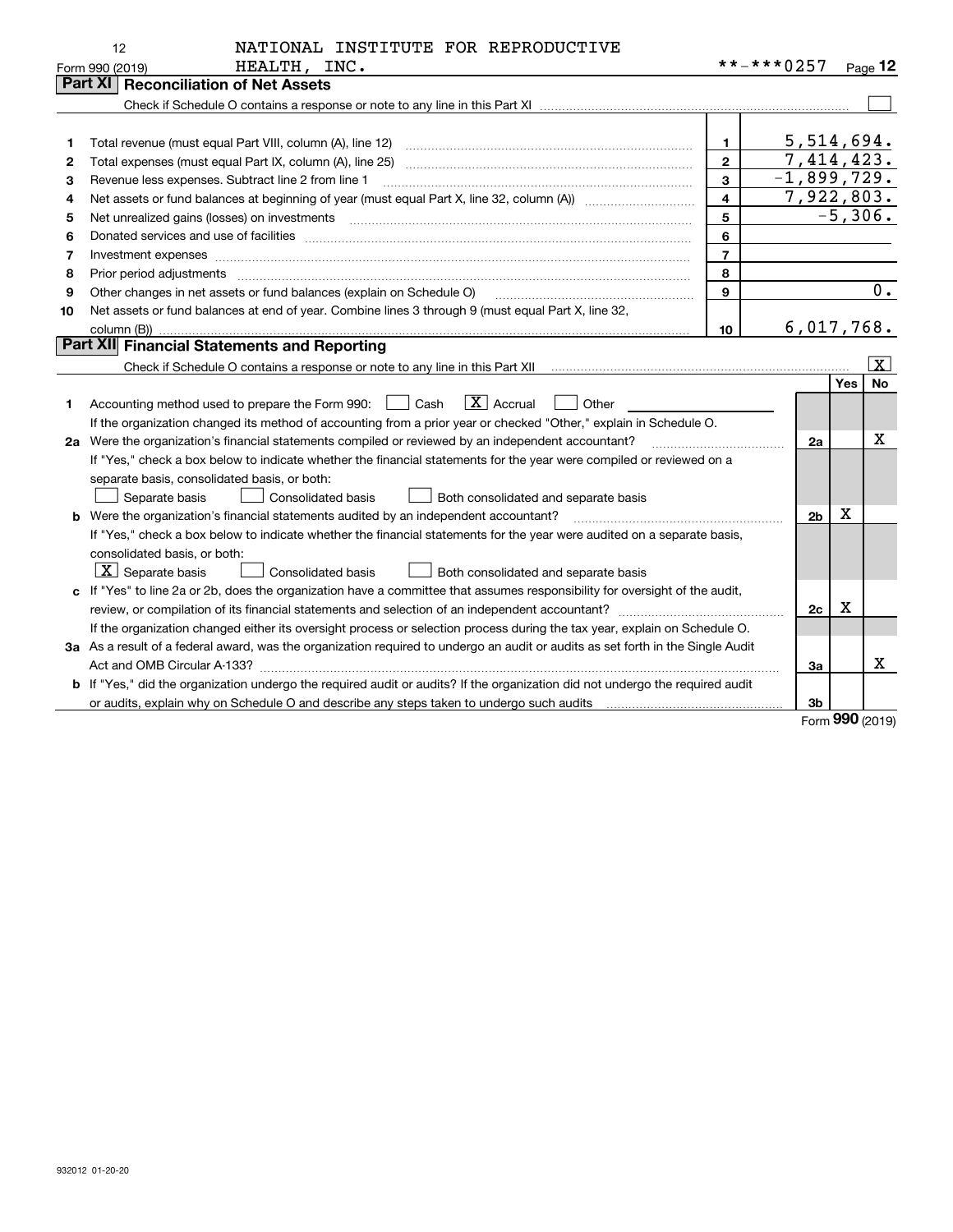|    | NATIONAL INSTITUTE FOR REPRODUCTIVE<br>12                                                                                       |                |                |     |                         |
|----|---------------------------------------------------------------------------------------------------------------------------------|----------------|----------------|-----|-------------------------|
|    | HEALTH, INC.<br>Form 990 (2019)                                                                                                 | **-***0257     |                |     | Page 12                 |
|    | <b>Reconciliation of Net Assets</b><br>Part XI                                                                                  |                |                |     |                         |
|    |                                                                                                                                 |                |                |     |                         |
|    |                                                                                                                                 |                |                |     |                         |
| 1  |                                                                                                                                 | 1              | 5,514,694.     |     |                         |
| 2  | Total expenses (must equal Part IX, column (A), line 25)                                                                        | $\mathbf{2}$   | 7,414,423.     |     |                         |
| з  | Revenue less expenses. Subtract line 2 from line 1                                                                              | 3              | $-1,899,729.$  |     |                         |
| 4  |                                                                                                                                 | 4              | 7,922,803.     |     |                         |
| 5  |                                                                                                                                 | 5              |                |     | $-5,306.$               |
| 6  |                                                                                                                                 | 6              |                |     |                         |
| 7  | Investment expenses www.communication.com/www.communication.com/www.communication.com/www.com/www.com/www.com/                  | $\overline{7}$ |                |     |                         |
| 8  | Prior period adjustments                                                                                                        | 8              |                |     |                         |
| 9  | Other changes in net assets or fund balances (explain on Schedule O)                                                            | 9              |                |     | 0.                      |
| 10 | Net assets or fund balances at end of year. Combine lines 3 through 9 (must equal Part X, line 32,                              |                |                |     |                         |
|    |                                                                                                                                 | 10             | 6,017,768.     |     |                         |
|    | Part XII Financial Statements and Reporting                                                                                     |                |                |     |                         |
|    |                                                                                                                                 |                |                |     | $\overline{\mathbf{X}}$ |
|    |                                                                                                                                 |                |                | Yes | No                      |
| 1  | $\boxed{\mathbf{X}}$ Accrual<br>Accounting method used to prepare the Form 990: <u>I</u> Cash<br>Other                          |                |                |     |                         |
|    | If the organization changed its method of accounting from a prior year or checked "Other," explain in Schedule O.               |                |                |     |                         |
|    | 2a Were the organization's financial statements compiled or reviewed by an independent accountant?                              |                | 2a             |     | Χ                       |
|    | If "Yes," check a box below to indicate whether the financial statements for the year were compiled or reviewed on a            |                |                |     |                         |
|    | separate basis, consolidated basis, or both:                                                                                    |                |                |     |                         |
|    | <b>Consolidated basis</b><br>Separate basis<br>Both consolidated and separate basis                                             |                |                |     |                         |
|    | <b>b</b> Were the organization's financial statements audited by an independent accountant?                                     |                | 2 <sub>b</sub> | x   |                         |
|    | If "Yes," check a box below to indicate whether the financial statements for the year were audited on a separate basis,         |                |                |     |                         |
|    | consolidated basis, or both:                                                                                                    |                |                |     |                         |
|    | $\boxed{\textbf{X}}$ Separate basis<br>Consolidated basis<br>Both consolidated and separate basis                               |                |                |     |                         |
|    | c If "Yes" to line 2a or 2b, does the organization have a committee that assumes responsibility for oversight of the audit,     |                |                |     |                         |
|    |                                                                                                                                 |                | 2c             | X   |                         |
|    | If the organization changed either its oversight process or selection process during the tax year, explain on Schedule O.       |                |                |     |                         |
|    | 3a As a result of a federal award, was the organization required to undergo an audit or audits as set forth in the Single Audit |                |                |     |                         |
|    | Act and OMB Circular A-133?                                                                                                     |                | За             |     | x                       |
|    | b If "Yes," did the organization undergo the required audit or audits? If the organization did not undergo the required audit   |                |                |     |                         |
|    |                                                                                                                                 |                | 3 <sub>b</sub> |     |                         |

Form (2019) **990**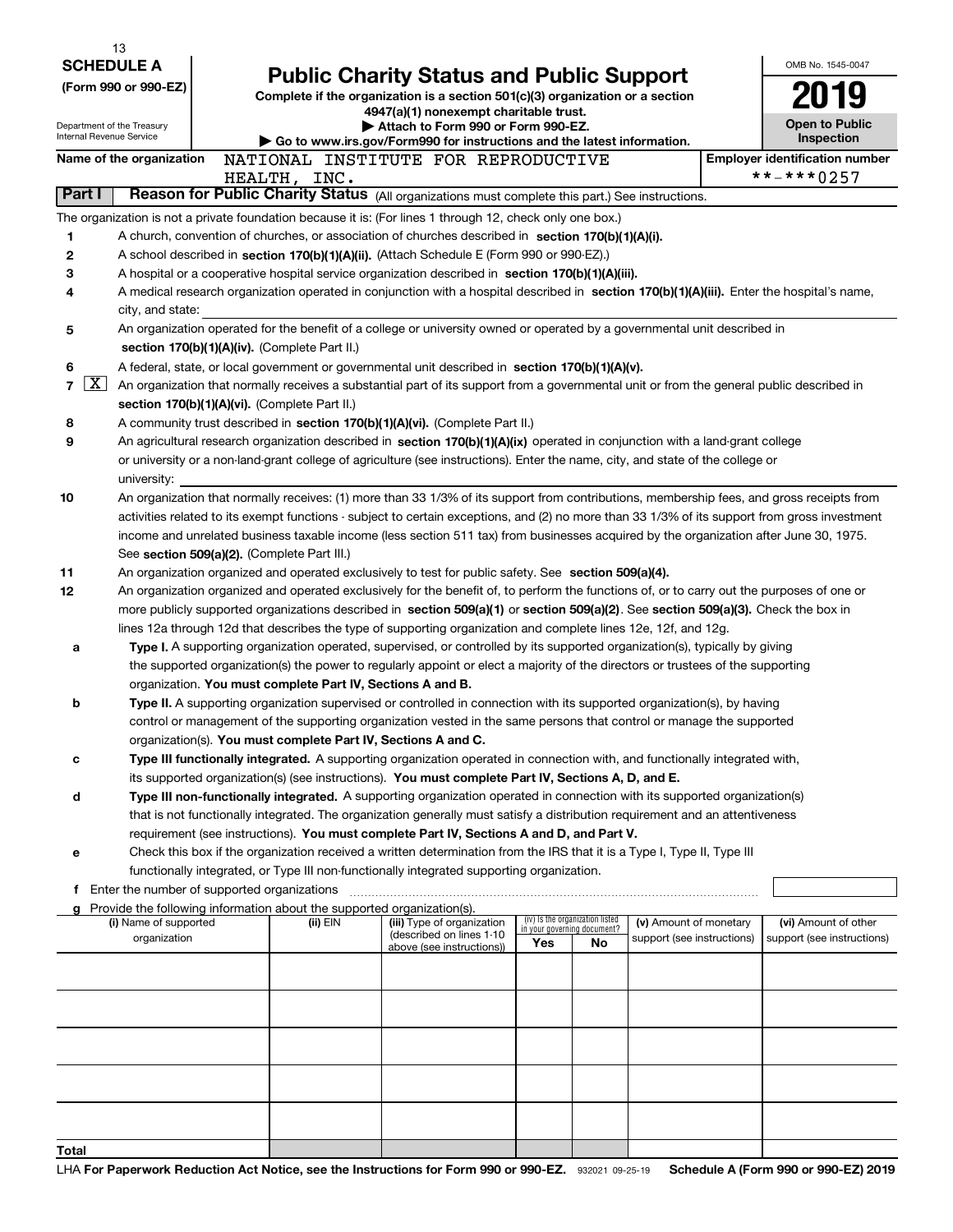|                      | 13                                                     |  |                                                                               |                                                                                                                                                                                                                                                                                            |      |                                                                |                            |  |                                       |
|----------------------|--------------------------------------------------------|--|-------------------------------------------------------------------------------|--------------------------------------------------------------------------------------------------------------------------------------------------------------------------------------------------------------------------------------------------------------------------------------------|------|----------------------------------------------------------------|----------------------------|--|---------------------------------------|
|                      | <b>SCHEDULE A</b>                                      |  | <b>Public Charity Status and Public Support</b>                               |                                                                                                                                                                                                                                                                                            |      |                                                                |                            |  | OMB No. 1545-0047                     |
| (Form 990 or 990-EZ) |                                                        |  | Complete if the organization is a section 501(c)(3) organization or a section |                                                                                                                                                                                                                                                                                            | 2019 |                                                                |                            |  |                                       |
|                      |                                                        |  | 4947(a)(1) nonexempt charitable trust.                                        |                                                                                                                                                                                                                                                                                            |      |                                                                |                            |  | <b>Open to Public</b>                 |
|                      | Department of the Treasury<br>Internal Revenue Service |  |                                                                               | Attach to Form 990 or Form 990-EZ.<br>Go to www.irs.gov/Form990 for instructions and the latest information.                                                                                                                                                                               |      |                                                                |                            |  |                                       |
|                      | Name of the organization                               |  |                                                                               | NATIONAL INSTITUTE FOR REPRODUCTIVE                                                                                                                                                                                                                                                        |      |                                                                |                            |  | <b>Employer identification number</b> |
|                      |                                                        |  | HEALTH, INC.                                                                  |                                                                                                                                                                                                                                                                                            |      |                                                                |                            |  | **-***0257                            |
|                      | <b>Part I</b>                                          |  |                                                                               | Reason for Public Charity Status (All organizations must complete this part.) See instructions.                                                                                                                                                                                            |      |                                                                |                            |  |                                       |
|                      |                                                        |  |                                                                               | The organization is not a private foundation because it is: (For lines 1 through 12, check only one box.)                                                                                                                                                                                  |      |                                                                |                            |  |                                       |
| 1                    |                                                        |  |                                                                               | A church, convention of churches, or association of churches described in section $170(b)(1)(A)(i)$ .                                                                                                                                                                                      |      |                                                                |                            |  |                                       |
| 2                    |                                                        |  |                                                                               | A school described in section 170(b)(1)(A)(ii). (Attach Schedule E (Form 990 or 990-EZ).)                                                                                                                                                                                                  |      |                                                                |                            |  |                                       |
| 3                    |                                                        |  |                                                                               | A hospital or a cooperative hospital service organization described in section 170(b)(1)(A)(iii).                                                                                                                                                                                          |      |                                                                |                            |  |                                       |
| 4                    |                                                        |  |                                                                               | A medical research organization operated in conjunction with a hospital described in section 170(b)(1)(A)(iii). Enter the hospital's name,                                                                                                                                                 |      |                                                                |                            |  |                                       |
| 5                    | city, and state:                                       |  |                                                                               | An organization operated for the benefit of a college or university owned or operated by a governmental unit described in                                                                                                                                                                  |      |                                                                |                            |  |                                       |
|                      |                                                        |  | section 170(b)(1)(A)(iv). (Complete Part II.)                                 |                                                                                                                                                                                                                                                                                            |      |                                                                |                            |  |                                       |
| 6                    |                                                        |  |                                                                               | A federal, state, or local government or governmental unit described in section 170(b)(1)(A)(v).                                                                                                                                                                                           |      |                                                                |                            |  |                                       |
| $\overline{7}$       | $\lfloor x \rfloor$                                    |  |                                                                               | An organization that normally receives a substantial part of its support from a governmental unit or from the general public described in                                                                                                                                                  |      |                                                                |                            |  |                                       |
|                      |                                                        |  | section 170(b)(1)(A)(vi). (Complete Part II.)                                 |                                                                                                                                                                                                                                                                                            |      |                                                                |                            |  |                                       |
| 8                    |                                                        |  |                                                                               | A community trust described in section 170(b)(1)(A)(vi). (Complete Part II.)                                                                                                                                                                                                               |      |                                                                |                            |  |                                       |
| 9                    |                                                        |  |                                                                               | An agricultural research organization described in section 170(b)(1)(A)(ix) operated in conjunction with a land-grant college                                                                                                                                                              |      |                                                                |                            |  |                                       |
|                      |                                                        |  |                                                                               | or university or a non-land-grant college of agriculture (see instructions). Enter the name, city, and state of the college or                                                                                                                                                             |      |                                                                |                            |  |                                       |
|                      | university:                                            |  |                                                                               |                                                                                                                                                                                                                                                                                            |      |                                                                |                            |  |                                       |
| 10                   |                                                        |  |                                                                               | An organization that normally receives: (1) more than 33 1/3% of its support from contributions, membership fees, and gross receipts from<br>activities related to its exempt functions - subject to certain exceptions, and (2) no more than 33 1/3% of its support from gross investment |      |                                                                |                            |  |                                       |
|                      |                                                        |  |                                                                               | income and unrelated business taxable income (less section 511 tax) from businesses acquired by the organization after June 30, 1975.                                                                                                                                                      |      |                                                                |                            |  |                                       |
|                      |                                                        |  | See section 509(a)(2). (Complete Part III.)                                   |                                                                                                                                                                                                                                                                                            |      |                                                                |                            |  |                                       |
| 11                   |                                                        |  |                                                                               | An organization organized and operated exclusively to test for public safety. See section 509(a)(4).                                                                                                                                                                                       |      |                                                                |                            |  |                                       |
| 12                   |                                                        |  |                                                                               | An organization organized and operated exclusively for the benefit of, to perform the functions of, or to carry out the purposes of one or                                                                                                                                                 |      |                                                                |                            |  |                                       |
|                      |                                                        |  |                                                                               | more publicly supported organizations described in section 509(a)(1) or section 509(a)(2). See section 509(a)(3). Check the box in                                                                                                                                                         |      |                                                                |                            |  |                                       |
|                      |                                                        |  |                                                                               | lines 12a through 12d that describes the type of supporting organization and complete lines 12e, 12f, and 12g.                                                                                                                                                                             |      |                                                                |                            |  |                                       |
| а                    |                                                        |  |                                                                               | Type I. A supporting organization operated, supervised, or controlled by its supported organization(s), typically by giving                                                                                                                                                                |      |                                                                |                            |  |                                       |
|                      |                                                        |  |                                                                               | the supported organization(s) the power to regularly appoint or elect a majority of the directors or trustees of the supporting                                                                                                                                                            |      |                                                                |                            |  |                                       |
|                      |                                                        |  | organization. You must complete Part IV, Sections A and B.                    |                                                                                                                                                                                                                                                                                            |      |                                                                |                            |  |                                       |
| b                    |                                                        |  |                                                                               | Type II. A supporting organization supervised or controlled in connection with its supported organization(s), by having                                                                                                                                                                    |      |                                                                |                            |  |                                       |
|                      |                                                        |  |                                                                               | control or management of the supporting organization vested in the same persons that control or manage the supported                                                                                                                                                                       |      |                                                                |                            |  |                                       |
|                      |                                                        |  | organization(s). You must complete Part IV, Sections A and C.                 |                                                                                                                                                                                                                                                                                            |      |                                                                |                            |  |                                       |
| с                    |                                                        |  |                                                                               | Type III functionally integrated. A supporting organization operated in connection with, and functionally integrated with,                                                                                                                                                                 |      |                                                                |                            |  |                                       |
|                      |                                                        |  |                                                                               | its supported organization(s) (see instructions). You must complete Part IV, Sections A, D, and E.                                                                                                                                                                                         |      |                                                                |                            |  |                                       |
| d                    |                                                        |  |                                                                               | Type III non-functionally integrated. A supporting organization operated in connection with its supported organization(s)<br>that is not functionally integrated. The organization generally must satisfy a distribution requirement and an attentiveness                                  |      |                                                                |                            |  |                                       |
|                      |                                                        |  |                                                                               | requirement (see instructions). You must complete Part IV, Sections A and D, and Part V.                                                                                                                                                                                                   |      |                                                                |                            |  |                                       |
| е                    |                                                        |  |                                                                               | Check this box if the organization received a written determination from the IRS that it is a Type I, Type II, Type III                                                                                                                                                                    |      |                                                                |                            |  |                                       |
|                      |                                                        |  |                                                                               | functionally integrated, or Type III non-functionally integrated supporting organization.                                                                                                                                                                                                  |      |                                                                |                            |  |                                       |
| f                    | Enter the number of supported organizations            |  |                                                                               |                                                                                                                                                                                                                                                                                            |      |                                                                |                            |  |                                       |
|                      |                                                        |  | g Provide the following information about the supported organization(s).      |                                                                                                                                                                                                                                                                                            |      |                                                                |                            |  |                                       |
|                      | (i) Name of supported                                  |  | (ii) $EIN$                                                                    | (iii) Type of organization<br>(described on lines 1-10                                                                                                                                                                                                                                     |      | (iv) Is the organization listed<br>in your governing document? | (v) Amount of monetary     |  | (vi) Amount of other                  |
|                      | organization                                           |  |                                                                               | above (see instructions))                                                                                                                                                                                                                                                                  | Yes  | No.                                                            | support (see instructions) |  | support (see instructions)            |
|                      |                                                        |  |                                                                               |                                                                                                                                                                                                                                                                                            |      |                                                                |                            |  |                                       |
|                      |                                                        |  |                                                                               |                                                                                                                                                                                                                                                                                            |      |                                                                |                            |  |                                       |
|                      |                                                        |  |                                                                               |                                                                                                                                                                                                                                                                                            |      |                                                                |                            |  |                                       |
|                      |                                                        |  |                                                                               |                                                                                                                                                                                                                                                                                            |      |                                                                |                            |  |                                       |
|                      |                                                        |  |                                                                               |                                                                                                                                                                                                                                                                                            |      |                                                                |                            |  |                                       |
|                      |                                                        |  |                                                                               |                                                                                                                                                                                                                                                                                            |      |                                                                |                            |  |                                       |
|                      |                                                        |  |                                                                               |                                                                                                                                                                                                                                                                                            |      |                                                                |                            |  |                                       |
|                      |                                                        |  |                                                                               |                                                                                                                                                                                                                                                                                            |      |                                                                |                            |  |                                       |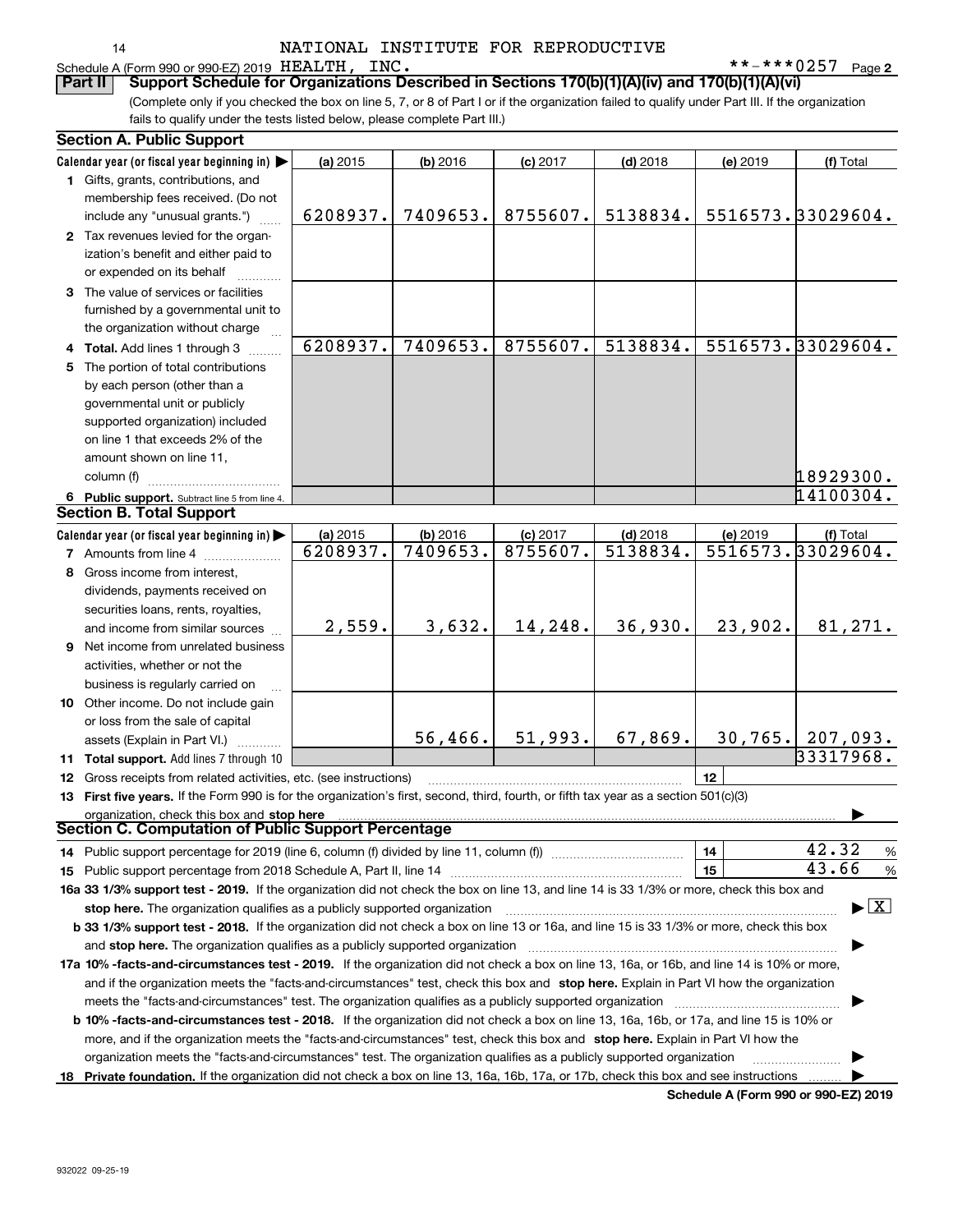**2** HEALTH, INC. \*\*-\*\*\*0257

| dule A (Form |  |
|--------------|--|

Schedule A (Form 990 or 990-EZ) 2019 HEALTH, INC.<br>**Part II** Support Schedule for Organizations De **Part II Support Schedule for Organizations Described in Sections 170(b)(1)(A)(iv) and 170(b)(1)(A)(vi)**

(Complete only if you checked the box on line 5, 7, or 8 of Part I or if the organization failed to qualify under Part III. If the organization fails to qualify under the tests listed below, please complete Part III.)

|   | <b>Section A. Public Support</b>                                                                                                               |          |            |            |            |                                             |                                 |
|---|------------------------------------------------------------------------------------------------------------------------------------------------|----------|------------|------------|------------|---------------------------------------------|---------------------------------|
|   | Calendar year (or fiscal year beginning in)                                                                                                    | (a) 2015 | $(b)$ 2016 | $(c)$ 2017 | $(d)$ 2018 | (e) 2019                                    | (f) Total                       |
|   | 1 Gifts, grants, contributions, and                                                                                                            |          |            |            |            |                                             |                                 |
|   | membership fees received. (Do not                                                                                                              |          |            |            |            |                                             |                                 |
|   | include any "unusual grants.")                                                                                                                 | 6208937. | 7409653.   | 8755607.   | 5138834.   |                                             | 5516573.33029604.               |
|   | 2 Tax revenues levied for the organ-                                                                                                           |          |            |            |            |                                             |                                 |
|   | ization's benefit and either paid to                                                                                                           |          |            |            |            |                                             |                                 |
|   | or expended on its behalf                                                                                                                      |          |            |            |            |                                             |                                 |
|   | 3 The value of services or facilities                                                                                                          |          |            |            |            |                                             |                                 |
|   | furnished by a governmental unit to                                                                                                            |          |            |            |            |                                             |                                 |
|   | the organization without charge                                                                                                                |          |            |            |            |                                             |                                 |
|   | 4 Total. Add lines 1 through 3                                                                                                                 | 6208937. | 7409653.   | 8755607.   | 5138834.   |                                             | 5516573.33029604.               |
|   | 5 The portion of total contributions                                                                                                           |          |            |            |            |                                             |                                 |
|   | by each person (other than a                                                                                                                   |          |            |            |            |                                             |                                 |
|   | governmental unit or publicly                                                                                                                  |          |            |            |            |                                             |                                 |
|   | supported organization) included                                                                                                               |          |            |            |            |                                             |                                 |
|   | on line 1 that exceeds 2% of the                                                                                                               |          |            |            |            |                                             |                                 |
|   | amount shown on line 11,                                                                                                                       |          |            |            |            |                                             |                                 |
|   | column (f)                                                                                                                                     |          |            |            |            |                                             | 18929300.                       |
|   | 6 Public support. Subtract line 5 from line 4.                                                                                                 |          |            |            |            |                                             | 14100304.                       |
|   | <b>Section B. Total Support</b>                                                                                                                |          |            |            |            |                                             |                                 |
|   | Calendar year (or fiscal year beginning in)                                                                                                    | (a) 2015 | (b) 2016   | (c) 2017   | $(d)$ 2018 | (e) 2019                                    | (f) Total                       |
|   | <b>7</b> Amounts from line 4                                                                                                                   | 6208937. | 7409653.   | 8755607.   | 5138834.   |                                             | 5516573.33029604.               |
| 8 | Gross income from interest,                                                                                                                    |          |            |            |            |                                             |                                 |
|   | dividends, payments received on                                                                                                                |          |            |            |            |                                             |                                 |
|   | securities loans, rents, royalties,                                                                                                            |          |            |            |            |                                             |                                 |
|   | and income from similar sources                                                                                                                | 2,559.   | 3,632.     | 14,248.    | 36,930.    | 23,902.                                     | 81,271.                         |
|   | 9 Net income from unrelated business                                                                                                           |          |            |            |            |                                             |                                 |
|   | activities, whether or not the                                                                                                                 |          |            |            |            |                                             |                                 |
|   | business is regularly carried on                                                                                                               |          |            |            |            |                                             |                                 |
|   | 10 Other income. Do not include gain                                                                                                           |          |            |            |            |                                             |                                 |
|   | or loss from the sale of capital                                                                                                               |          |            |            |            |                                             |                                 |
|   | assets (Explain in Part VI.)                                                                                                                   |          | 56,466.    | 51,993.    | 67,869.    |                                             | $30, 765.$ 207,093.             |
|   | 11 Total support. Add lines 7 through 10                                                                                                       |          |            |            |            |                                             | 33317968.                       |
|   | 12 Gross receipts from related activities, etc. (see instructions)                                                                             |          |            |            |            | 12                                          |                                 |
|   | 13 First five years. If the Form 990 is for the organization's first, second, third, fourth, or fifth tax year as a section 501(c)(3)          |          |            |            |            |                                             |                                 |
|   | organization, check this box and stop here                                                                                                     |          |            |            |            |                                             |                                 |
|   | Section C. Computation of Public Support Percentage                                                                                            |          |            |            |            |                                             |                                 |
|   | 14 Public support percentage for 2019 (line 6, column (f) divided by line 11, column (f) <i>mummumumumum</i>                                   |          |            |            |            | 14                                          | 42.32<br>%                      |
|   |                                                                                                                                                |          |            |            |            | 15                                          | 43.66<br>%                      |
|   | 16a 33 1/3% support test - 2019. If the organization did not check the box on line 13, and line 14 is 33 1/3% or more, check this box and      |          |            |            |            |                                             |                                 |
|   | stop here. The organization qualifies as a publicly supported organization                                                                     |          |            |            |            |                                             | $\blacktriangleright$ $\vert$ X |
|   | b 33 1/3% support test - 2018. If the organization did not check a box on line 13 or 16a, and line 15 is 33 1/3% or more, check this box       |          |            |            |            |                                             |                                 |
|   | and stop here. The organization qualifies as a publicly supported organization                                                                 |          |            |            |            |                                             |                                 |
|   | 17a 10% -facts-and-circumstances test - 2019. If the organization did not check a box on line 13, 16a, or 16b, and line 14 is 10% or more,     |          |            |            |            |                                             |                                 |
|   | and if the organization meets the "facts-and-circumstances" test, check this box and stop here. Explain in Part VI how the organization        |          |            |            |            |                                             |                                 |
|   | meets the "facts-and-circumstances" test. The organization qualifies as a publicly supported organization                                      |          |            |            |            |                                             |                                 |
|   | <b>b 10% -facts-and-circumstances test - 2018.</b> If the organization did not check a box on line 13, 16a, 16b, or 17a, and line 15 is 10% or |          |            |            |            |                                             |                                 |
|   | more, and if the organization meets the "facts-and-circumstances" test, check this box and stop here. Explain in Part VI how the               |          |            |            |            |                                             |                                 |
|   | organization meets the "facts-and-circumstances" test. The organization qualifies as a publicly supported organization                         |          |            |            |            |                                             |                                 |
|   | 18 Private foundation. If the organization did not check a box on line 13, 16a, 16b, 17a, or 17b, check this box and see instructions          |          |            |            |            |                                             |                                 |
|   |                                                                                                                                                |          |            |            |            | <b>Cohodulo A (Form 000 or 000 F7) 2010</b> |                                 |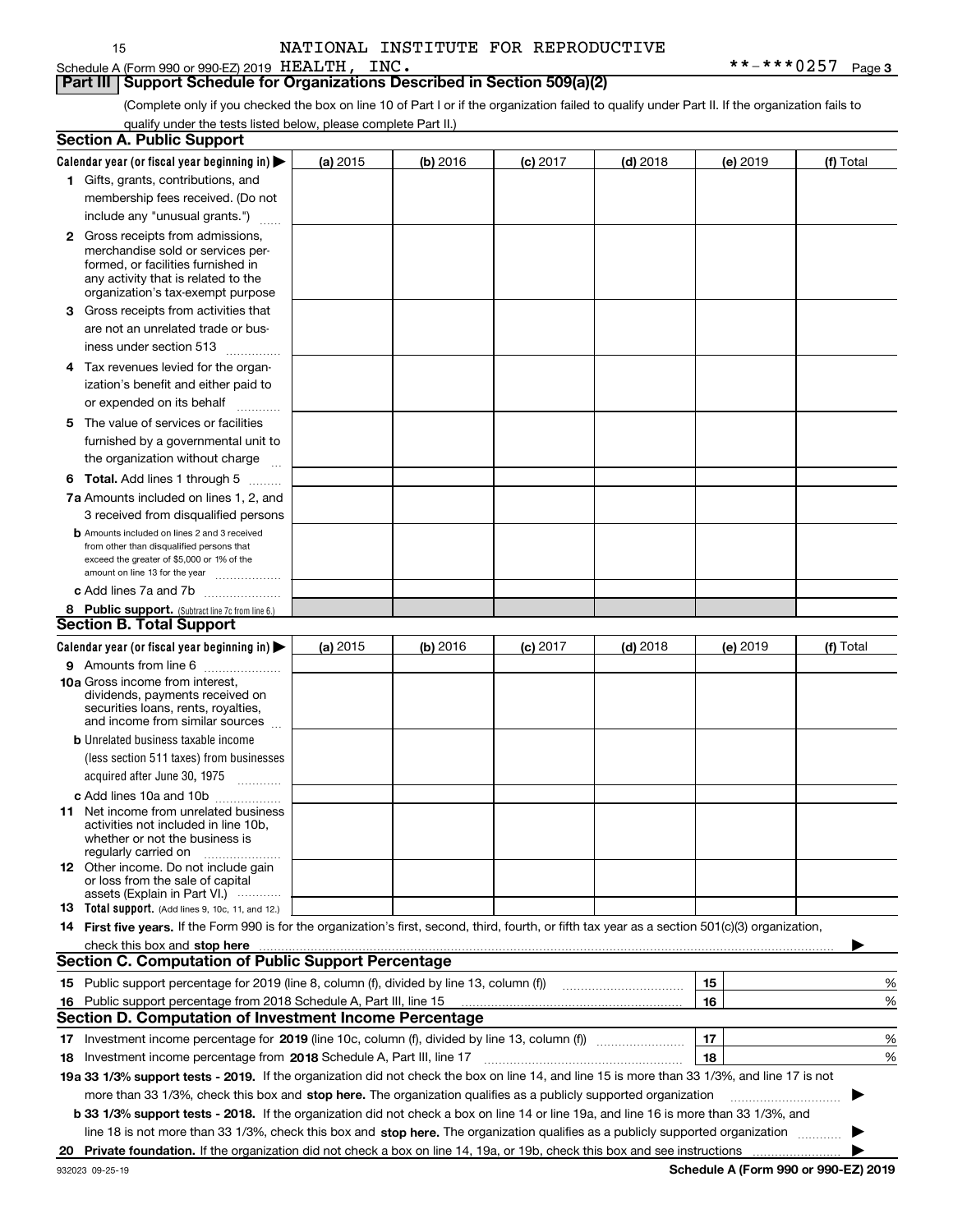Schedule A (Form 990 or 990-EZ) 2019 HEALTH, INC.

15

## **Part III** | Support Schedule for Organizations Described in Section 509(a)(2)

(Complete only if you checked the box on line 10 of Part I or if the organization failed to qualify under Part II. If the organization fails to qualify under the tests listed below, please complete Part II.)

| <b>Section A. Public Support</b>                                                                                                                                                                                                                                                                                                                                                      |          |            |            |            |          |                                             |
|---------------------------------------------------------------------------------------------------------------------------------------------------------------------------------------------------------------------------------------------------------------------------------------------------------------------------------------------------------------------------------------|----------|------------|------------|------------|----------|---------------------------------------------|
| Calendar year (or fiscal year beginning in)                                                                                                                                                                                                                                                                                                                                           | (a) 2015 | (b) 2016   | $(c)$ 2017 | $(d)$ 2018 | (e) 2019 | (f) Total                                   |
| 1 Gifts, grants, contributions, and                                                                                                                                                                                                                                                                                                                                                   |          |            |            |            |          |                                             |
| membership fees received. (Do not                                                                                                                                                                                                                                                                                                                                                     |          |            |            |            |          |                                             |
| include any "unusual grants.")                                                                                                                                                                                                                                                                                                                                                        |          |            |            |            |          |                                             |
| <b>2</b> Gross receipts from admissions,<br>merchandise sold or services per-<br>formed, or facilities furnished in<br>any activity that is related to the<br>organization's tax-exempt purpose                                                                                                                                                                                       |          |            |            |            |          |                                             |
| 3 Gross receipts from activities that<br>are not an unrelated trade or bus-                                                                                                                                                                                                                                                                                                           |          |            |            |            |          |                                             |
| iness under section 513                                                                                                                                                                                                                                                                                                                                                               |          |            |            |            |          |                                             |
| 4 Tax revenues levied for the organ-<br>ization's benefit and either paid to                                                                                                                                                                                                                                                                                                          |          |            |            |            |          |                                             |
| or expended on its behalf<br>.                                                                                                                                                                                                                                                                                                                                                        |          |            |            |            |          |                                             |
| 5 The value of services or facilities<br>furnished by a governmental unit to<br>the organization without charge                                                                                                                                                                                                                                                                       |          |            |            |            |          |                                             |
| <b>6 Total.</b> Add lines 1 through 5                                                                                                                                                                                                                                                                                                                                                 |          |            |            |            |          |                                             |
| 7a Amounts included on lines 1, 2, and                                                                                                                                                                                                                                                                                                                                                |          |            |            |            |          |                                             |
| 3 received from disqualified persons                                                                                                                                                                                                                                                                                                                                                  |          |            |            |            |          |                                             |
| <b>b</b> Amounts included on lines 2 and 3 received<br>from other than disqualified persons that<br>exceed the greater of \$5,000 or 1% of the<br>amount on line 13 for the year                                                                                                                                                                                                      |          |            |            |            |          |                                             |
| c Add lines 7a and 7b                                                                                                                                                                                                                                                                                                                                                                 |          |            |            |            |          |                                             |
| 8 Public support. (Subtract line 7c from line 6.)                                                                                                                                                                                                                                                                                                                                     |          |            |            |            |          |                                             |
| <b>Section B. Total Support</b>                                                                                                                                                                                                                                                                                                                                                       |          |            |            |            |          |                                             |
| Calendar year (or fiscal year beginning in)                                                                                                                                                                                                                                                                                                                                           | (a) 2015 | $(b)$ 2016 | $(c)$ 2017 | $(d)$ 2018 | (e) 2019 | (f) Total                                   |
| 9 Amounts from line 6<br>10a Gross income from interest,<br>dividends, payments received on<br>securities loans, rents, royalties,<br>and income from similar sources                                                                                                                                                                                                                 |          |            |            |            |          |                                             |
| <b>b</b> Unrelated business taxable income                                                                                                                                                                                                                                                                                                                                            |          |            |            |            |          |                                             |
| (less section 511 taxes) from businesses<br>acquired after June 30, 1975                                                                                                                                                                                                                                                                                                              |          |            |            |            |          |                                             |
| c Add lines 10a and 10b                                                                                                                                                                                                                                                                                                                                                               |          |            |            |            |          |                                             |
| <b>11</b> Net income from unrelated business<br>activities not included in line 10b.<br>whether or not the business is<br>regularly carried on                                                                                                                                                                                                                                        |          |            |            |            |          |                                             |
| <b>12</b> Other income. Do not include gain<br>or loss from the sale of capital<br>assets (Explain in Part VI.)                                                                                                                                                                                                                                                                       |          |            |            |            |          |                                             |
| 13 Total support. (Add lines 9, 10c, 11, and 12.)                                                                                                                                                                                                                                                                                                                                     |          |            |            |            |          |                                             |
| 14 First five years. If the Form 990 is for the organization's first, second, third, fourth, or fifth tax year as a section 501(c)(3) organization,<br>check this box and stop here with the continuum control to the control of the change of the change of the change of the change of the change of the change of the change of the change of the change of the change of the chan |          |            |            |            |          |                                             |
| <b>Section C. Computation of Public Support Percentage</b>                                                                                                                                                                                                                                                                                                                            |          |            |            |            |          |                                             |
| 15 Public support percentage for 2019 (line 8, column (f), divided by line 13, column (f))                                                                                                                                                                                                                                                                                            |          |            |            |            | 15       | %                                           |
| 16 Public support percentage from 2018 Schedule A, Part III, line 15<br><b>Section D. Computation of Investment Income Percentage</b>                                                                                                                                                                                                                                                 |          |            |            |            | 16       | %                                           |
|                                                                                                                                                                                                                                                                                                                                                                                       |          |            |            |            |          |                                             |
| 17 Investment income percentage for 2019 (line 10c, column (f), divided by line 13, column (f))                                                                                                                                                                                                                                                                                       |          |            |            |            | 17       | %                                           |
| 18 Investment income percentage from 2018 Schedule A, Part III, line 17                                                                                                                                                                                                                                                                                                               |          |            |            |            | 18       | %                                           |
| 19a 33 1/3% support tests - 2019. If the organization did not check the box on line 14, and line 15 is more than 33 1/3%, and line 17 is not                                                                                                                                                                                                                                          |          |            |            |            |          |                                             |
| more than 33 1/3%, check this box and stop here. The organization qualifies as a publicly supported organization                                                                                                                                                                                                                                                                      |          |            |            |            |          |                                             |
| b 33 1/3% support tests - 2018. If the organization did not check a box on line 14 or line 19a, and line 16 is more than 33 1/3%, and                                                                                                                                                                                                                                                 |          |            |            |            |          |                                             |
| line 18 is not more than 33 1/3%, check this box and stop here. The organization qualifies as a publicly supported organization                                                                                                                                                                                                                                                       |          |            |            |            |          |                                             |
| 20 Private foundation. If the organization did not check a box on line 14, 19a, or 19b, check this box and see instructions                                                                                                                                                                                                                                                           |          |            |            |            |          | <b>Cohodulo A (Form 000 or 000 EZ) 2010</b> |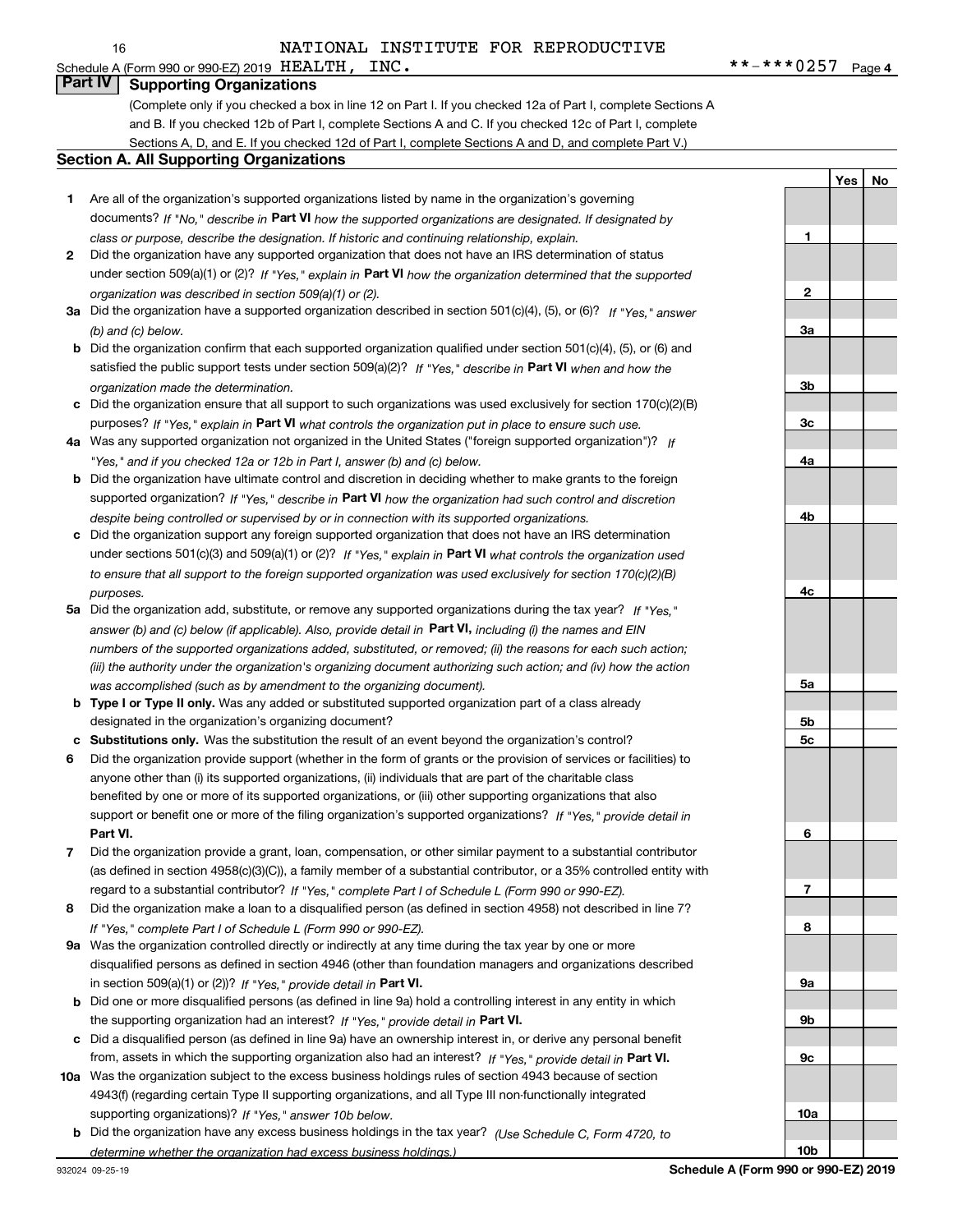**1**

**2**

**3a**

**3b**

**Yes No**

## **Part IV Supporting Organizations**

(Complete only if you checked a box in line 12 on Part I. If you checked 12a of Part I, complete Sections A and B. If you checked 12b of Part I, complete Sections A and C. If you checked 12c of Part I, complete Sections A, D, and E. If you checked 12d of Part I, complete Sections A and D, and complete Part V.)

### **Section A. All Supporting Organizations**

- **1** Are all of the organization's supported organizations listed by name in the organization's governing documents? If "No," describe in **Part VI** how the supported organizations are designated. If designated by *class or purpose, describe the designation. If historic and continuing relationship, explain.*
- **2** Did the organization have any supported organization that does not have an IRS determination of status under section 509(a)(1) or (2)? If "Yes," explain in Part VI how the organization determined that the supported *organization was described in section 509(a)(1) or (2).*
- **3a** Did the organization have a supported organization described in section 501(c)(4), (5), or (6)? If "Yes," answer *(b) and (c) below.*
- **b** Did the organization confirm that each supported organization qualified under section 501(c)(4), (5), or (6) and satisfied the public support tests under section 509(a)(2)? If "Yes," describe in **Part VI** when and how the *organization made the determination.*
- **c**Did the organization ensure that all support to such organizations was used exclusively for section 170(c)(2)(B) purposes? If "Yes," explain in **Part VI** what controls the organization put in place to ensure such use.
- **4a***If* Was any supported organization not organized in the United States ("foreign supported organization")? *"Yes," and if you checked 12a or 12b in Part I, answer (b) and (c) below.*
- **b** Did the organization have ultimate control and discretion in deciding whether to make grants to the foreign supported organization? If "Yes," describe in **Part VI** how the organization had such control and discretion *despite being controlled or supervised by or in connection with its supported organizations.*
- **c** Did the organization support any foreign supported organization that does not have an IRS determination under sections 501(c)(3) and 509(a)(1) or (2)? If "Yes," explain in **Part VI** what controls the organization used *to ensure that all support to the foreign supported organization was used exclusively for section 170(c)(2)(B) purposes.*
- **5a***If "Yes,"* Did the organization add, substitute, or remove any supported organizations during the tax year? answer (b) and (c) below (if applicable). Also, provide detail in **Part VI,** including (i) the names and EIN *numbers of the supported organizations added, substituted, or removed; (ii) the reasons for each such action; (iii) the authority under the organization's organizing document authorizing such action; and (iv) how the action was accomplished (such as by amendment to the organizing document).*
- **b** Type I or Type II only. Was any added or substituted supported organization part of a class already designated in the organization's organizing document?
- **cSubstitutions only.**  Was the substitution the result of an event beyond the organization's control?
- **6** Did the organization provide support (whether in the form of grants or the provision of services or facilities) to **Part VI.** *If "Yes," provide detail in* support or benefit one or more of the filing organization's supported organizations? anyone other than (i) its supported organizations, (ii) individuals that are part of the charitable class benefited by one or more of its supported organizations, or (iii) other supporting organizations that also
- **7**Did the organization provide a grant, loan, compensation, or other similar payment to a substantial contributor *If "Yes," complete Part I of Schedule L (Form 990 or 990-EZ).* regard to a substantial contributor? (as defined in section 4958(c)(3)(C)), a family member of a substantial contributor, or a 35% controlled entity with
- **8** Did the organization make a loan to a disqualified person (as defined in section 4958) not described in line 7? *If "Yes," complete Part I of Schedule L (Form 990 or 990-EZ).*
- **9a** Was the organization controlled directly or indirectly at any time during the tax year by one or more in section 509(a)(1) or (2))? If "Yes," *provide detail in* <code>Part VI.</code> disqualified persons as defined in section 4946 (other than foundation managers and organizations described
- **b** Did one or more disqualified persons (as defined in line 9a) hold a controlling interest in any entity in which the supporting organization had an interest? If "Yes," provide detail in P**art VI**.
- **c**Did a disqualified person (as defined in line 9a) have an ownership interest in, or derive any personal benefit from, assets in which the supporting organization also had an interest? If "Yes," provide detail in P**art VI.**
- **10a** Was the organization subject to the excess business holdings rules of section 4943 because of section supporting organizations)? If "Yes," answer 10b below. 4943(f) (regarding certain Type II supporting organizations, and all Type III non-functionally integrated
- **b** Did the organization have any excess business holdings in the tax year? (Use Schedule C, Form 4720, to *determine whether the organization had excess business holdings.)*

**10b**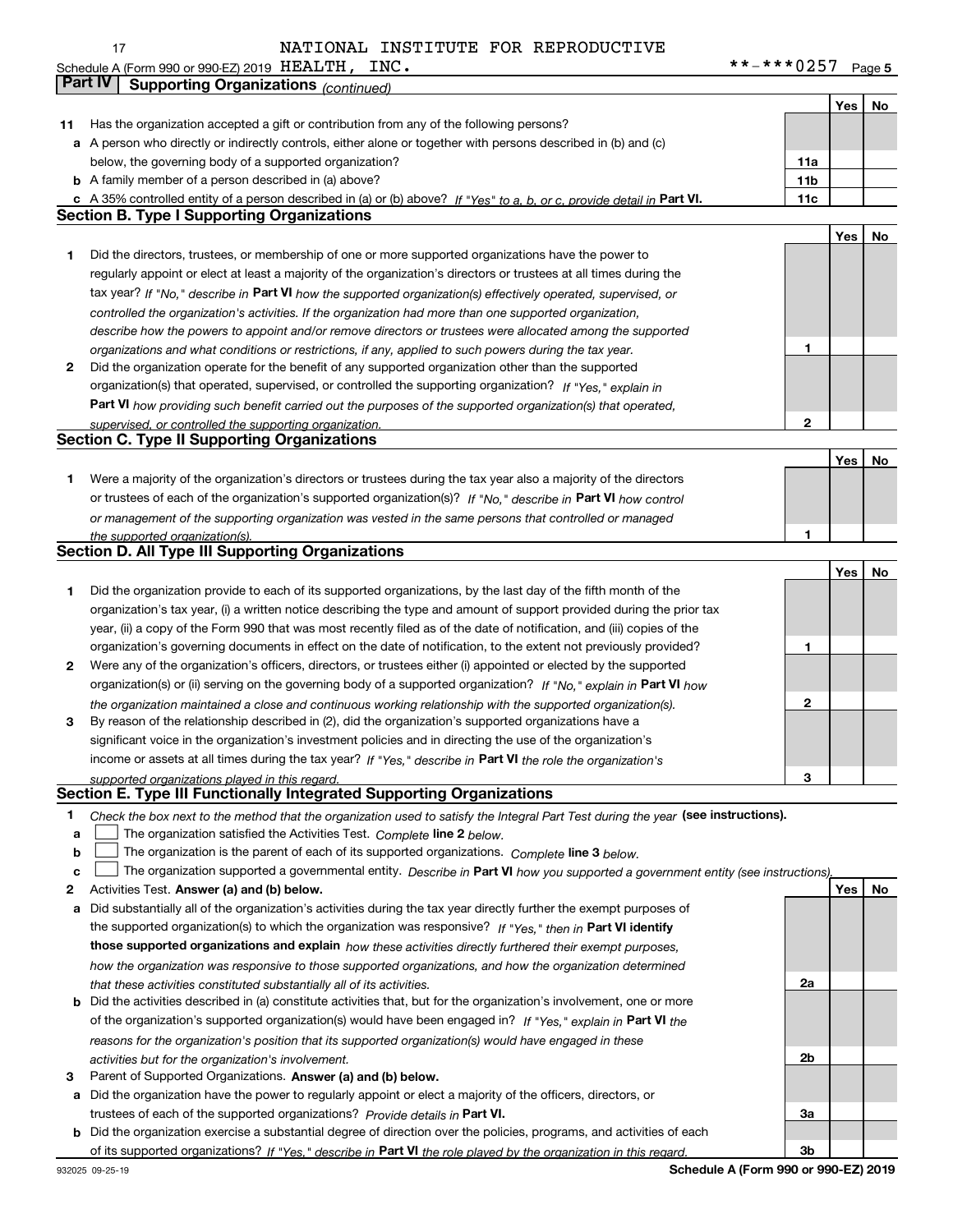17

## NATIONAL INSTITUTE FOR REPRODUCTIVE

**5** Schedule A (Form 990 or 990-EZ) 2019 Page HEALTH, INC. \*\*-\*\*\*0257

|    | Part IV<br><b>Supporting Organizations (continued)</b>                                                                                                                       |              |     |    |
|----|------------------------------------------------------------------------------------------------------------------------------------------------------------------------------|--------------|-----|----|
|    |                                                                                                                                                                              |              | Yes | No |
| 11 | Has the organization accepted a gift or contribution from any of the following persons?                                                                                      |              |     |    |
| a  | A person who directly or indirectly controls, either alone or together with persons described in (b) and (c)                                                                 |              |     |    |
|    | below, the governing body of a supported organization?                                                                                                                       | 11a          |     |    |
|    | <b>b</b> A family member of a person described in (a) above?                                                                                                                 | 11b          |     |    |
|    | c A 35% controlled entity of a person described in (a) or (b) above? If "Yes" to a, b, or c, provide detail in Part VI.                                                      | 11c          |     |    |
|    | <b>Section B. Type I Supporting Organizations</b>                                                                                                                            |              |     |    |
|    |                                                                                                                                                                              |              | Yes | No |
| 1  | Did the directors, trustees, or membership of one or more supported organizations have the power to                                                                          |              |     |    |
|    | regularly appoint or elect at least a majority of the organization's directors or trustees at all times during the                                                           |              |     |    |
|    | tax year? If "No," describe in Part VI how the supported organization(s) effectively operated, supervised, or                                                                |              |     |    |
|    |                                                                                                                                                                              |              |     |    |
|    | controlled the organization's activities. If the organization had more than one supported organization,                                                                      |              |     |    |
|    | describe how the powers to appoint and/or remove directors or trustees were allocated among the supported                                                                    | 1            |     |    |
|    | organizations and what conditions or restrictions, if any, applied to such powers during the tax year.                                                                       |              |     |    |
| 2  | Did the organization operate for the benefit of any supported organization other than the supported                                                                          |              |     |    |
|    | organization(s) that operated, supervised, or controlled the supporting organization? If "Yes," explain in                                                                   |              |     |    |
|    | Part VI how providing such benefit carried out the purposes of the supported organization(s) that operated,                                                                  | 2            |     |    |
|    | supervised, or controlled the supporting organization.<br><b>Section C. Type II Supporting Organizations</b>                                                                 |              |     |    |
|    |                                                                                                                                                                              |              | Yes | No |
|    |                                                                                                                                                                              |              |     |    |
| 1  | Were a majority of the organization's directors or trustees during the tax year also a majority of the directors                                                             |              |     |    |
|    | or trustees of each of the organization's supported organization(s)? If "No." describe in Part VI how control                                                                |              |     |    |
|    | or management of the supporting organization was vested in the same persons that controlled or managed                                                                       | 1            |     |    |
|    | the supported organization(s).<br><b>Section D. All Type III Supporting Organizations</b>                                                                                    |              |     |    |
|    |                                                                                                                                                                              |              |     |    |
|    |                                                                                                                                                                              |              | Yes | No |
| 1  | Did the organization provide to each of its supported organizations, by the last day of the fifth month of the                                                               |              |     |    |
|    | organization's tax year, (i) a written notice describing the type and amount of support provided during the prior tax                                                        |              |     |    |
|    | year, (ii) a copy of the Form 990 that was most recently filed as of the date of notification, and (iii) copies of the                                                       |              |     |    |
|    | organization's governing documents in effect on the date of notification, to the extent not previously provided?                                                             | 1            |     |    |
| 2  | Were any of the organization's officers, directors, or trustees either (i) appointed or elected by the supported                                                             |              |     |    |
|    | organization(s) or (ii) serving on the governing body of a supported organization? If "No," explain in Part VI how                                                           |              |     |    |
|    | the organization maintained a close and continuous working relationship with the supported organization(s).                                                                  | $\mathbf{2}$ |     |    |
| з  | By reason of the relationship described in (2), did the organization's supported organizations have a                                                                        |              |     |    |
|    | significant voice in the organization's investment policies and in directing the use of the organization's                                                                   |              |     |    |
|    | income or assets at all times during the tax year? If "Yes," describe in Part VI the role the organization's                                                                 |              |     |    |
|    | supported organizations played in this regard.<br>Section E. Type III Functionally Integrated Supporting Organizations                                                       | 3            |     |    |
|    |                                                                                                                                                                              |              |     |    |
| 1  | Check the box next to the method that the organization used to satisfy the Integral Part Test during the year (see instructions).                                            |              |     |    |
| a  | The organization satisfied the Activities Test. Complete line 2 below.                                                                                                       |              |     |    |
| b  | The organization is the parent of each of its supported organizations. Complete line 3 below.                                                                                |              |     |    |
| c  | The organization supported a governmental entity. Describe in Part VI how you supported a government entity (see instructions)<br>Activities Test. Answer (a) and (b) below. |              | Yes |    |
| 2  |                                                                                                                                                                              |              |     | No |
| а  | Did substantially all of the organization's activities during the tax year directly further the exempt purposes of                                                           |              |     |    |
|    | the supported organization(s) to which the organization was responsive? If "Yes," then in Part VI identify                                                                   |              |     |    |
|    | those supported organizations and explain how these activities directly furthered their exempt purposes,                                                                     |              |     |    |
|    | how the organization was responsive to those supported organizations, and how the organization determined                                                                    |              |     |    |
|    | that these activities constituted substantially all of its activities.                                                                                                       | 2a           |     |    |
|    | <b>b</b> Did the activities described in (a) constitute activities that, but for the organization's involvement, one or more                                                 |              |     |    |
|    | of the organization's supported organization(s) would have been engaged in? If "Yes," explain in Part VI the                                                                 |              |     |    |
|    | reasons for the organization's position that its supported organization(s) would have engaged in these                                                                       |              |     |    |
|    | activities but for the organization's involvement.                                                                                                                           | 2b           |     |    |
| з  | Parent of Supported Organizations. Answer (a) and (b) below.                                                                                                                 |              |     |    |
| а  | Did the organization have the power to regularly appoint or elect a majority of the officers, directors, or                                                                  |              |     |    |
|    | trustees of each of the supported organizations? Provide details in Part VI.                                                                                                 | За           |     |    |
|    | <b>b</b> Did the organization exercise a substantial degree of direction over the policies, programs, and activities of each                                                 |              |     |    |
|    | of its supported organizations? If "Yes," describe in Part VI the role played by the organization in this regard.                                                            | Зb           |     |    |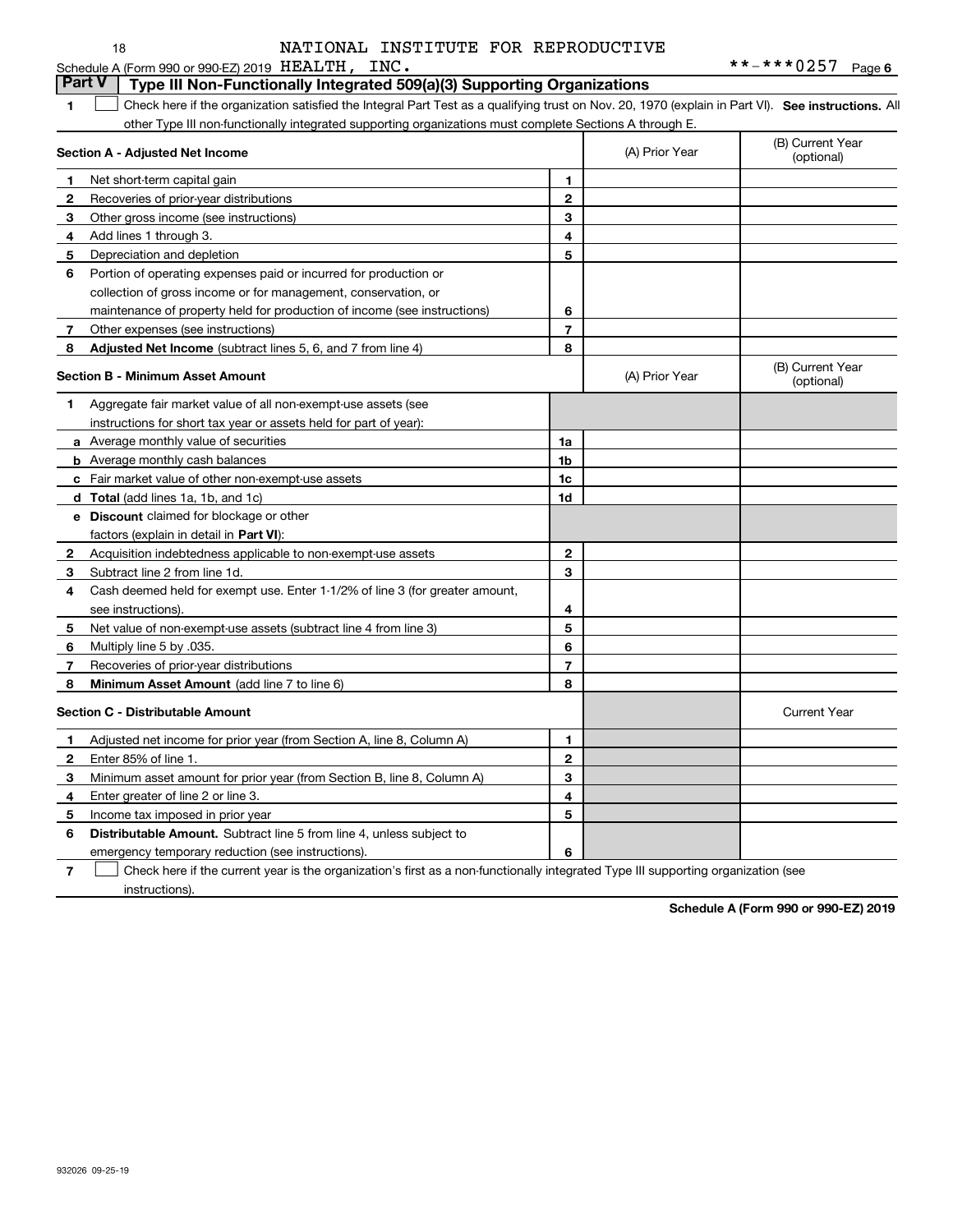|               | NATIONAL INSTITUTE FOR REPRODUCTIVE<br>18                                                                                                         |              |                | **-***0257 Page 6              |
|---------------|---------------------------------------------------------------------------------------------------------------------------------------------------|--------------|----------------|--------------------------------|
| <b>Part V</b> | Schedule A (Form 990 or 990-EZ) 2019 HEALTH, INC.<br>Type III Non-Functionally Integrated 509(a)(3) Supporting Organizations                      |              |                |                                |
| 1             | Check here if the organization satisfied the Integral Part Test as a qualifying trust on Nov. 20, 1970 (explain in Part VI). See instructions. Al |              |                |                                |
|               | other Type III non-functionally integrated supporting organizations must complete Sections A through E.                                           |              |                |                                |
|               |                                                                                                                                                   |              |                | (B) Current Year               |
|               | Section A - Adjusted Net Income                                                                                                                   |              | (A) Prior Year | (optional)                     |
| 1             | Net short-term capital gain                                                                                                                       | 1.           |                |                                |
| $\mathbf{2}$  | Recoveries of prior-year distributions                                                                                                            | $\mathbf{2}$ |                |                                |
| 3             | Other gross income (see instructions)                                                                                                             | 3            |                |                                |
| 4             | Add lines 1 through 3.                                                                                                                            | 4            |                |                                |
| 5             | Depreciation and depletion                                                                                                                        | 5            |                |                                |
| 6             | Portion of operating expenses paid or incurred for production or                                                                                  |              |                |                                |
|               | collection of gross income or for management, conservation, or                                                                                    |              |                |                                |
|               | maintenance of property held for production of income (see instructions)                                                                          | 6            |                |                                |
| 7             | Other expenses (see instructions)                                                                                                                 | 7            |                |                                |
| 8             | Adjusted Net Income (subtract lines 5, 6, and 7 from line 4)                                                                                      | 8            |                |                                |
|               | <b>Section B - Minimum Asset Amount</b>                                                                                                           |              | (A) Prior Year | (B) Current Year<br>(optional) |
| 1             | Aggregate fair market value of all non-exempt-use assets (see                                                                                     |              |                |                                |
|               | instructions for short tax year or assets held for part of year):                                                                                 |              |                |                                |
|               | <b>a</b> Average monthly value of securities                                                                                                      | 1a           |                |                                |
|               | <b>b</b> Average monthly cash balances                                                                                                            | 1b           |                |                                |
|               | c Fair market value of other non-exempt-use assets                                                                                                | 1c           |                |                                |
|               | d Total (add lines 1a, 1b, and 1c)                                                                                                                | 1d           |                |                                |
|               | e Discount claimed for blockage or other                                                                                                          |              |                |                                |
|               | factors (explain in detail in Part VI):                                                                                                           |              |                |                                |
| 2             | Acquisition indebtedness applicable to non-exempt-use assets                                                                                      | $\mathbf{2}$ |                |                                |
| 3             | Subtract line 2 from line 1d.                                                                                                                     | 3            |                |                                |
| 4             | Cash deemed held for exempt use. Enter 1-1/2% of line 3 (for greater amount,                                                                      |              |                |                                |
|               | see instructions).                                                                                                                                | 4            |                |                                |
| 5             | Net value of non-exempt-use assets (subtract line 4 from line 3)                                                                                  | 5            |                |                                |
| 6             | Multiply line 5 by .035.                                                                                                                          | 6            |                |                                |
| 7             | Recoveries of prior-year distributions                                                                                                            | 7            |                |                                |
| 8             | Minimum Asset Amount (add line 7 to line 6)                                                                                                       | 8            |                |                                |
|               | <b>Section C - Distributable Amount</b>                                                                                                           |              |                | <b>Current Year</b>            |
| 1             | Adjusted net income for prior year (from Section A, line 8, Column A)                                                                             | 1            |                |                                |
| 2             | Enter 85% of line 1.                                                                                                                              | 2            |                |                                |
| 3             | Minimum asset amount for prior year (from Section B, line 8, Column A)                                                                            | 3            |                |                                |
| 4             | Enter greater of line 2 or line 3.                                                                                                                | 4            |                |                                |
| 5             | Income tax imposed in prior year                                                                                                                  | 5            |                |                                |
| 6             | Distributable Amount. Subtract line 5 from line 4, unless subject to                                                                              |              |                |                                |
|               | emergency temporary reduction (see instructions).                                                                                                 | 6            |                |                                |
| 7             | Check here if the current year is the organization's first as a non-functionally integrated Type III supporting organization (see                 |              |                |                                |

instructions).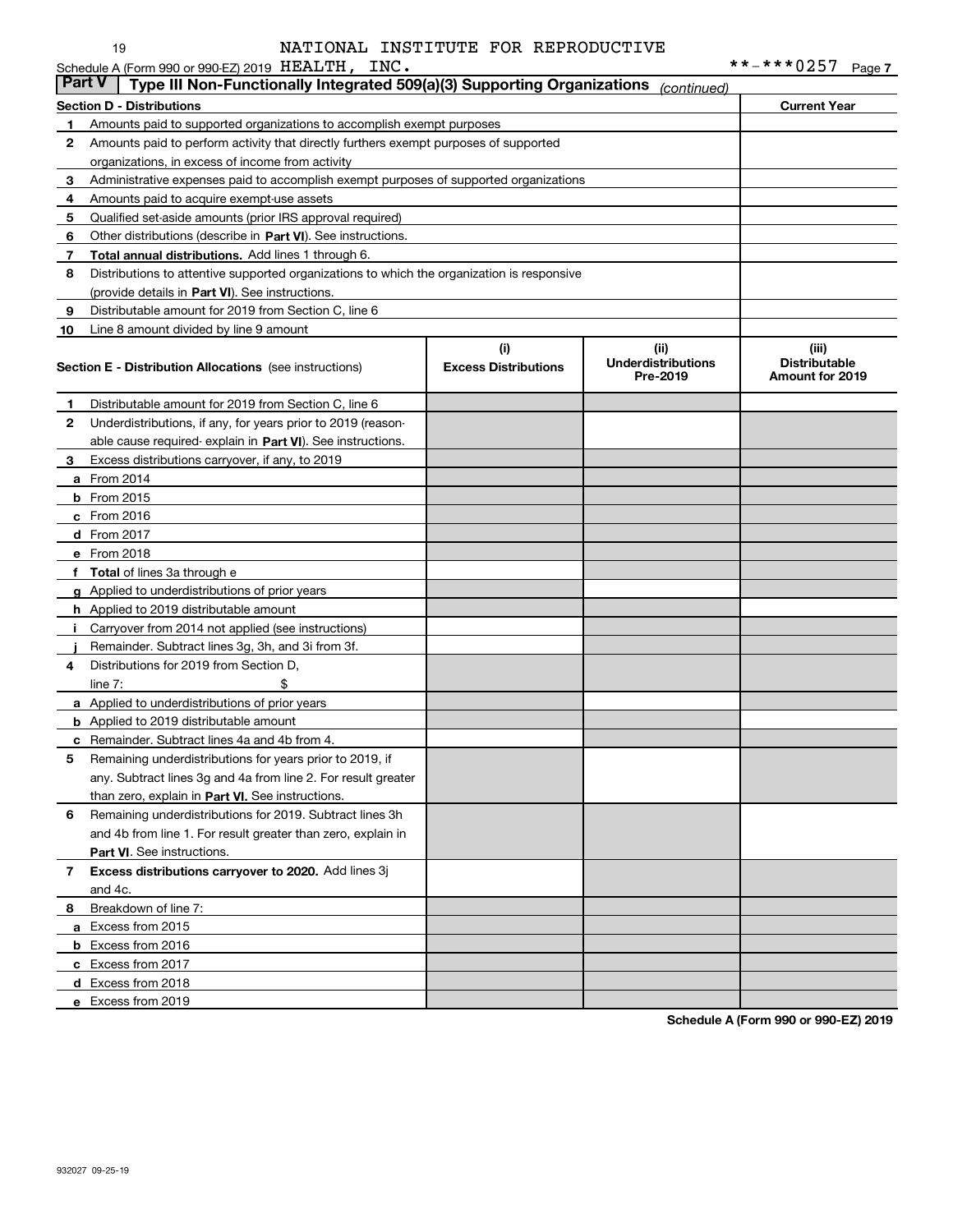| <b>Part V</b> | Schedule A (Form 990 or 990-EZ) 2019 HEALTH,<br>INC.<br>Type III Non-Functionally Integrated 509(a)(3) Supporting Organizations |                                    | (continued)                                   | **-***0257<br>Page 7                             |
|---------------|---------------------------------------------------------------------------------------------------------------------------------|------------------------------------|-----------------------------------------------|--------------------------------------------------|
|               | <b>Section D - Distributions</b>                                                                                                |                                    |                                               | <b>Current Year</b>                              |
| 1             | Amounts paid to supported organizations to accomplish exempt purposes                                                           |                                    |                                               |                                                  |
| 2             | Amounts paid to perform activity that directly furthers exempt purposes of supported                                            |                                    |                                               |                                                  |
|               | organizations, in excess of income from activity                                                                                |                                    |                                               |                                                  |
| 3             | Administrative expenses paid to accomplish exempt purposes of supported organizations                                           |                                    |                                               |                                                  |
| 4             | Amounts paid to acquire exempt-use assets                                                                                       |                                    |                                               |                                                  |
| 5             | Qualified set-aside amounts (prior IRS approval required)                                                                       |                                    |                                               |                                                  |
| 6             | Other distributions (describe in Part VI). See instructions.                                                                    |                                    |                                               |                                                  |
| 7             | <b>Total annual distributions.</b> Add lines 1 through 6.                                                                       |                                    |                                               |                                                  |
| 8             | Distributions to attentive supported organizations to which the organization is responsive                                      |                                    |                                               |                                                  |
|               | (provide details in Part VI). See instructions.                                                                                 |                                    |                                               |                                                  |
| 9             | Distributable amount for 2019 from Section C, line 6                                                                            |                                    |                                               |                                                  |
| 10            | Line 8 amount divided by line 9 amount                                                                                          |                                    |                                               |                                                  |
|               | <b>Section E - Distribution Allocations</b> (see instructions)                                                                  | (i)<br><b>Excess Distributions</b> | (ii)<br><b>Underdistributions</b><br>Pre-2019 | (iii)<br><b>Distributable</b><br>Amount for 2019 |
| 1             | Distributable amount for 2019 from Section C, line 6                                                                            |                                    |                                               |                                                  |
| 2             | Underdistributions, if any, for years prior to 2019 (reason-                                                                    |                                    |                                               |                                                  |
|               | able cause required-explain in Part VI). See instructions.                                                                      |                                    |                                               |                                                  |
| 3             | Excess distributions carryover, if any, to 2019                                                                                 |                                    |                                               |                                                  |
|               | <b>a</b> From 2014                                                                                                              |                                    |                                               |                                                  |
|               | <b>b</b> From 2015                                                                                                              |                                    |                                               |                                                  |
|               | $c$ From 2016                                                                                                                   |                                    |                                               |                                                  |
|               | d From 2017                                                                                                                     |                                    |                                               |                                                  |
|               | e From 2018                                                                                                                     |                                    |                                               |                                                  |
|               | f Total of lines 3a through e                                                                                                   |                                    |                                               |                                                  |
|               | g Applied to underdistributions of prior years                                                                                  |                                    |                                               |                                                  |
|               | <b>h</b> Applied to 2019 distributable amount                                                                                   |                                    |                                               |                                                  |
|               | i Carryover from 2014 not applied (see instructions)                                                                            |                                    |                                               |                                                  |
|               | Remainder. Subtract lines 3g, 3h, and 3i from 3f.                                                                               |                                    |                                               |                                                  |
| 4             | Distributions for 2019 from Section D.                                                                                          |                                    |                                               |                                                  |
|               | \$<br>line $7:$                                                                                                                 |                                    |                                               |                                                  |
|               | <b>a</b> Applied to underdistributions of prior years                                                                           |                                    |                                               |                                                  |
|               | <b>b</b> Applied to 2019 distributable amount                                                                                   |                                    |                                               |                                                  |
|               | c Remainder. Subtract lines 4a and 4b from 4.                                                                                   |                                    |                                               |                                                  |
| 5             | Remaining underdistributions for years prior to 2019, if                                                                        |                                    |                                               |                                                  |
|               | any. Subtract lines 3g and 4a from line 2. For result greater                                                                   |                                    |                                               |                                                  |
|               | than zero, explain in Part VI. See instructions.                                                                                |                                    |                                               |                                                  |
| 6             | Remaining underdistributions for 2019. Subtract lines 3h                                                                        |                                    |                                               |                                                  |
|               | and 4b from line 1. For result greater than zero, explain in                                                                    |                                    |                                               |                                                  |

**8**Breakdown of line 7:

and 4c.

**a** Excess from 2015 **b** Excess from 2016 **c** Excess from 2017 **d** Excess from 2018 **e** Excess from 2019

**Part VI** . See instructions.

**7 Excess distributions carryover to 2020.**  Add lines 3j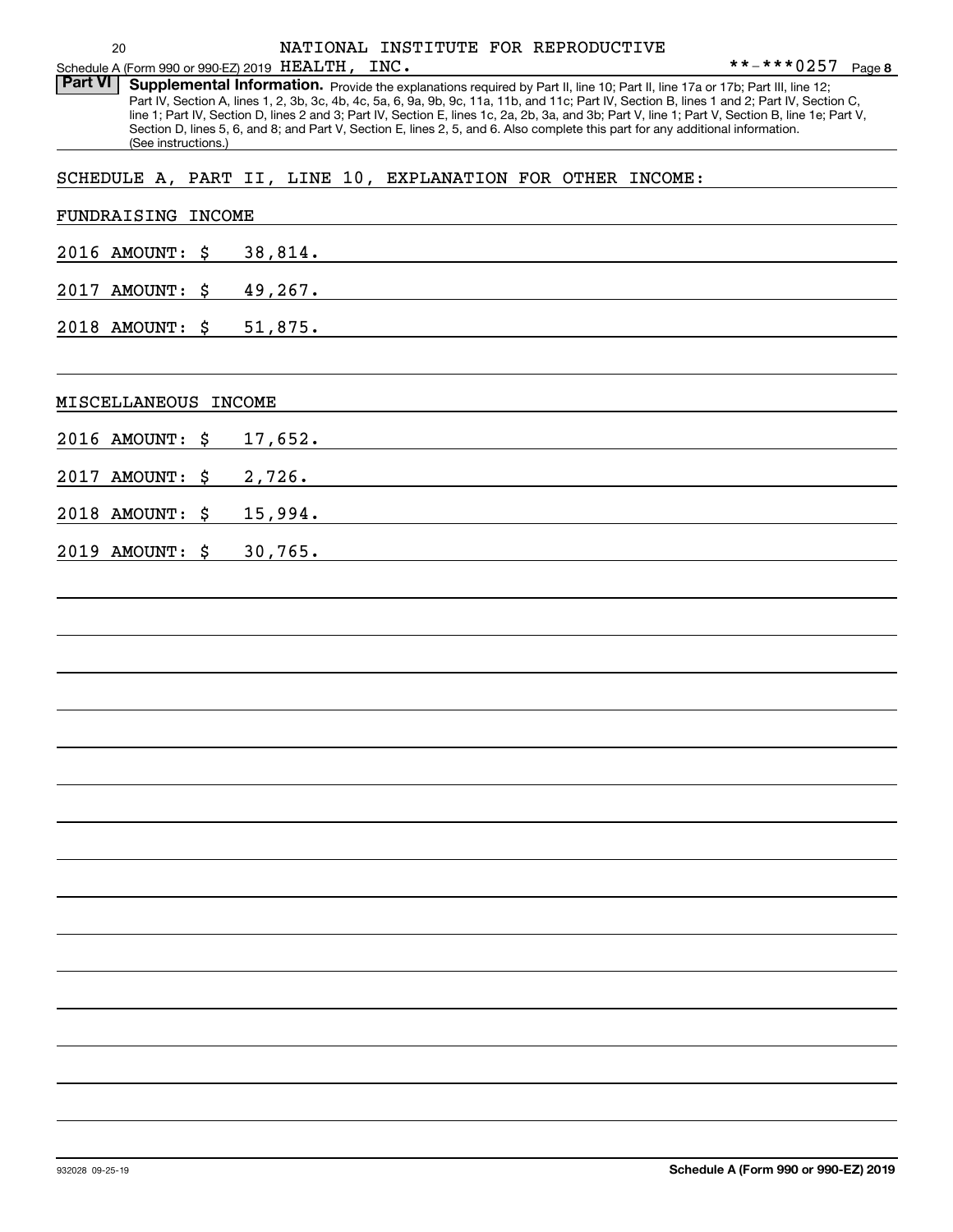Part VI | Supplemental Information. Provide the explanations required by Part II, line 10; Part II, line 17a or 17b; Part III, line 12; Part IV, Section A, lines 1, 2, 3b, 3c, 4b, 4c, 5a, 6, 9a, 9b, 9c, 11a, 11b, and 11c; Part IV, Section B, lines 1 and 2; Part IV, Section C, line 1; Part IV, Section D, lines 2 and 3; Part IV, Section E, lines 1c, 2a, 2b, 3a, and 3b; Part V, line 1; Part V, Section B, line 1e; Part V, Section D, lines 5, 6, and 8; and Part V, Section E, lines 2, 5, and 6. Also complete this part for any additional information. (See instructions.)

SCHEDULE A, PART II, LINE 10, EXPLANATION FOR OTHER INCOME:

| FUNDRAISING INCOME      |                |
|-------------------------|----------------|
| 2016 AMOUNT: \$         | 38,814.        |
| 2017 AMOUNT: \$ 49,267. |                |
| 2018 AMOUNT: \$ 51,875. |                |
|                         |                |
| MISCELLANEOUS INCOME    |                |
| 2016 AMOUNT: \$         | <u>17,652.</u> |
| 2017 AMOUNT: \$ 2,726.  |                |
| 2018 AMOUNT: \$ 15,994. |                |
| 2019 AMOUNT: \$         | 30,765.        |
|                         |                |
|                         |                |
|                         |                |
|                         |                |
|                         |                |
|                         |                |
|                         |                |
|                         |                |
|                         |                |
|                         |                |
|                         |                |
|                         |                |
|                         |                |
|                         |                |
|                         |                |
|                         |                |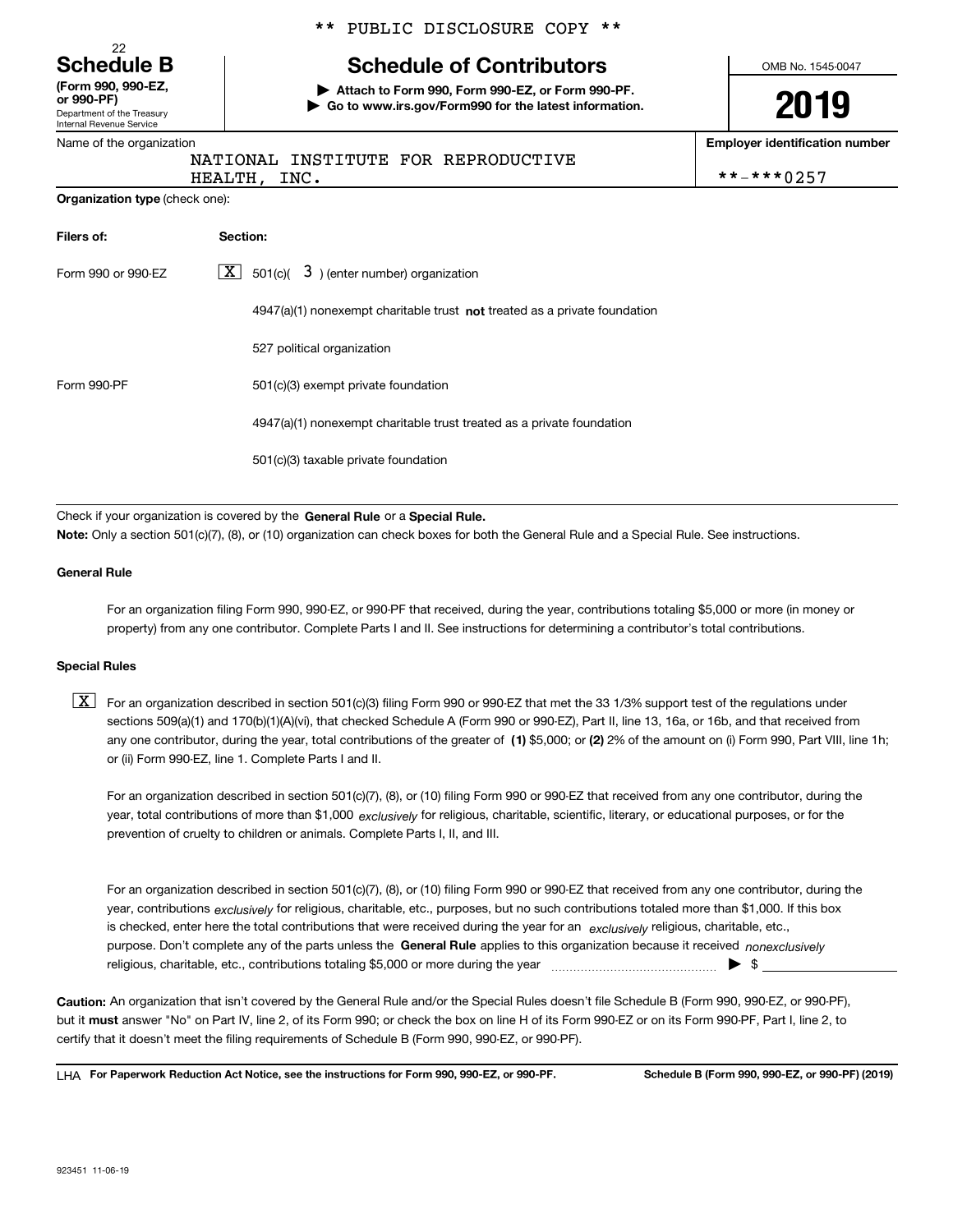Department of the Treasury **(Form 990, 990-EZ, or 990-PF)**

22

Internal Revenue Service

## \*\* PUBLIC DISCLOSURE COPY \*\*

## **Schedule B Schedule of Contributors**

**| Attach to Form 990, Form 990-EZ, or Form 990-PF. | Go to www.irs.gov/Form990 for the latest information.** OMB No. 1545-0047

**2019**

**Employer identification number**

|  | Name of the organization |  |
|--|--------------------------|--|
|  |                          |  |

**Organization type** (check one):

## NATIONAL INSTITUTE FOR REPRODUCTIVE

HEALTH, INC. \*\*-\*\*\*0257

| Filers of:         | Section:                                                                           |
|--------------------|------------------------------------------------------------------------------------|
| Form 990 or 990-EZ | $\lfloor x \rfloor$ 501(c)( 3) (enter number) organization                         |
|                    | $4947(a)(1)$ nonexempt charitable trust <b>not</b> treated as a private foundation |
|                    | 527 political organization                                                         |
| Form 990-PF        | 501(c)(3) exempt private foundation                                                |
|                    | 4947(a)(1) nonexempt charitable trust treated as a private foundation              |
|                    | 501(c)(3) taxable private foundation                                               |

Check if your organization is covered by the **General Rule** or a **Special Rule.**<br>Nota: Only a section 501(c)(7), (8), or (10) erganization can chock boxes for be **Note:**  Only a section 501(c)(7), (8), or (10) organization can check boxes for both the General Rule and a Special Rule. See instructions.

### **General Rule**

For an organization filing Form 990, 990-EZ, or 990-PF that received, during the year, contributions totaling \$5,000 or more (in money or property) from any one contributor. Complete Parts I and II. See instructions for determining a contributor's total contributions.

### **Special Rules**

any one contributor, during the year, total contributions of the greater of  $\,$  (1) \$5,000; or **(2)** 2% of the amount on (i) Form 990, Part VIII, line 1h;  $\boxed{\textbf{X}}$  For an organization described in section 501(c)(3) filing Form 990 or 990-EZ that met the 33 1/3% support test of the regulations under sections 509(a)(1) and 170(b)(1)(A)(vi), that checked Schedule A (Form 990 or 990-EZ), Part II, line 13, 16a, or 16b, and that received from or (ii) Form 990-EZ, line 1. Complete Parts I and II.

year, total contributions of more than \$1,000 *exclusively* for religious, charitable, scientific, literary, or educational purposes, or for the For an organization described in section 501(c)(7), (8), or (10) filing Form 990 or 990-EZ that received from any one contributor, during the prevention of cruelty to children or animals. Complete Parts I, II, and III.

purpose. Don't complete any of the parts unless the **General Rule** applies to this organization because it received *nonexclusively* year, contributions <sub>exclusively</sub> for religious, charitable, etc., purposes, but no such contributions totaled more than \$1,000. If this box is checked, enter here the total contributions that were received during the year for an  $\;$ exclusively religious, charitable, etc., For an organization described in section 501(c)(7), (8), or (10) filing Form 990 or 990-EZ that received from any one contributor, during the religious, charitable, etc., contributions totaling \$5,000 or more during the year  $\Box$ — $\Box$   $\Box$ 

**Caution:**  An organization that isn't covered by the General Rule and/or the Special Rules doesn't file Schedule B (Form 990, 990-EZ, or 990-PF), but it **must** answer "No" on Part IV, line 2, of its Form 990; or check the box on line H of its Form 990-EZ or on its Form 990-PF, Part I, line 2, to<br>cortify that it doesn't meet the filipe requirements of Schodule B (Fer certify that it doesn't meet the filing requirements of Schedule B (Form 990, 990-EZ, or 990-PF).

**For Paperwork Reduction Act Notice, see the instructions for Form 990, 990-EZ, or 990-PF. Schedule B (Form 990, 990-EZ, or 990-PF) (2019)** LHA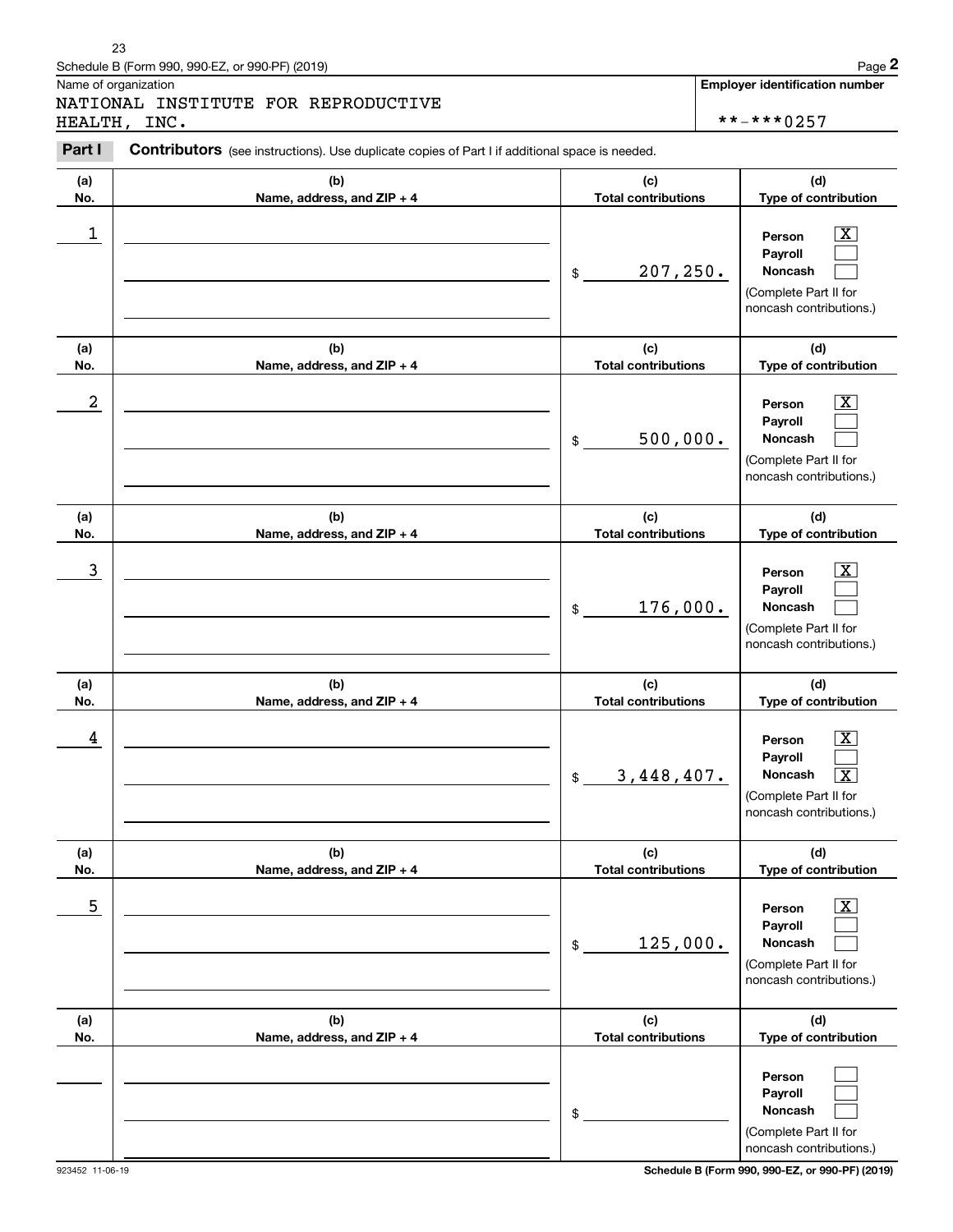|            | Schedule B (Form 990, 990-EZ, or 990-PF) (2019)                                                       |                                   | Page 2                                                                                                                          |
|------------|-------------------------------------------------------------------------------------------------------|-----------------------------------|---------------------------------------------------------------------------------------------------------------------------------|
|            | Name of organization<br>NATIONAL INSTITUTE FOR REPRODUCTIVE                                           |                                   | <b>Employer identification number</b>                                                                                           |
|            | HEALTH, INC.                                                                                          |                                   | **-***0257                                                                                                                      |
| Part I     | <b>Contributors</b> (see instructions). Use duplicate copies of Part I if additional space is needed. |                                   |                                                                                                                                 |
| (a)<br>No. | (b)<br>Name, address, and ZIP + 4                                                                     | (c)<br><b>Total contributions</b> | (d)<br>Type of contribution                                                                                                     |
| 1          |                                                                                                       | 207, 250.<br>$\mathfrak{S}$       | X<br>Person<br>Payroll<br>Noncash<br>(Complete Part II for<br>noncash contributions.)                                           |
| (a)<br>No. | (b)<br>Name, address, and ZIP + 4                                                                     | (c)<br><b>Total contributions</b> | (d)<br>Type of contribution                                                                                                     |
| 2          |                                                                                                       | 500,000.<br>\$                    | X<br>Person<br>Payroll<br>Noncash<br>(Complete Part II for<br>noncash contributions.)                                           |
| (a)<br>No. | (b)<br>Name, address, and ZIP + 4                                                                     | (c)<br><b>Total contributions</b> | (d)<br>Type of contribution                                                                                                     |
| 3          |                                                                                                       | 176,000.<br>$\mathfrak{S}$        | X<br>Person<br>Payroll<br>Noncash<br>(Complete Part II for<br>noncash contributions.)                                           |
| (a)<br>No. | (b)<br>Name, address, and ZIP + 4                                                                     | (c)<br><b>Total contributions</b> | (d)<br>Type of contribution                                                                                                     |
| 4          |                                                                                                       | 3,448,407.<br>$\frac{1}{2}$       | $\boxed{\text{X}}$<br>Person<br>Payroll<br>Noncash<br>$\overline{\text{X}}$<br>(Complete Part II for<br>noncash contributions.) |
| (a)<br>No. | (b)<br>Name, address, and ZIP + 4                                                                     | (c)<br><b>Total contributions</b> | (d)<br>Type of contribution                                                                                                     |
| 5          |                                                                                                       | 125,000.<br>\$                    | $\vert$ X<br>Person<br>Payroll<br><b>Noncash</b><br>(Complete Part II for<br>noncash contributions.)                            |
| (a)<br>No. | (b)<br>Name, address, and ZIP + 4                                                                     | (c)<br><b>Total contributions</b> | (d)<br>Type of contribution                                                                                                     |
|            |                                                                                                       | \$                                | Person<br>Payroll<br>Noncash<br>(Complete Part II for<br>noncash contributions.)                                                |

23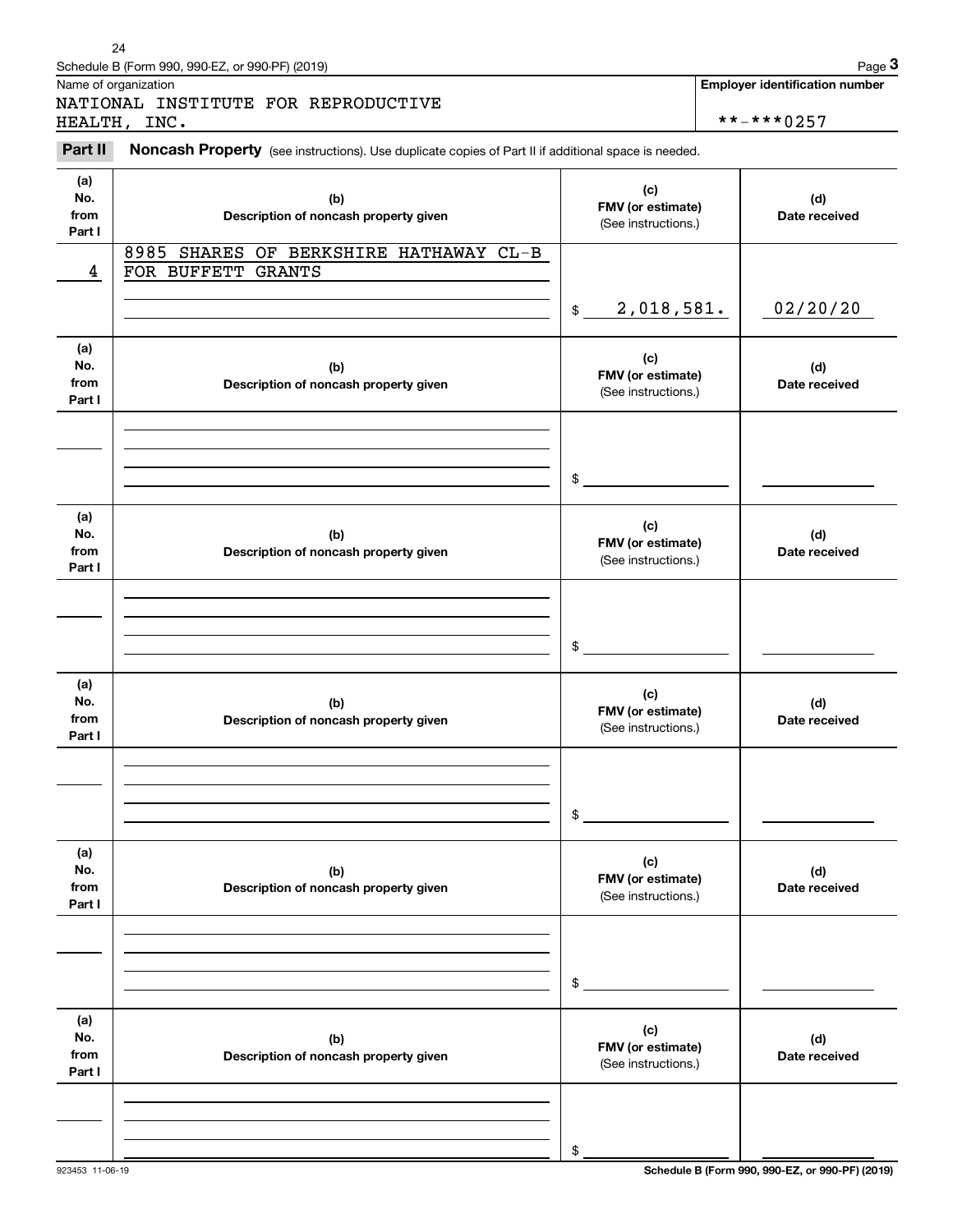|                              | 24<br>Schedule B (Form 990, 990-EZ, or 990-PF) (2019)                                               |                                                 | Page 3                                              |
|------------------------------|-----------------------------------------------------------------------------------------------------|-------------------------------------------------|-----------------------------------------------------|
|                              | Name of organization<br>NATIONAL INSTITUTE FOR REPRODUCTIVE<br>HEALTH, INC.                         |                                                 | <b>Employer identification number</b><br>**-***0257 |
| Part II                      | Noncash Property (see instructions). Use duplicate copies of Part II if additional space is needed. |                                                 |                                                     |
| (a)<br>No.<br>from<br>Part I | (b)<br>Description of noncash property given                                                        | (c)<br>FMV (or estimate)<br>(See instructions.) | (d)<br>Date received                                |
| 4                            | 8985 SHARES OF BERKSHIRE HATHAWAY CL-B<br>FOR BUFFETT GRANTS                                        |                                                 |                                                     |
|                              |                                                                                                     | 2,018,581.<br>$$\mathbb{S}$$                    | 02/20/20                                            |
| (a)<br>No.<br>from<br>Part I | (b)<br>Description of noncash property given                                                        | (c)<br>FMV (or estimate)<br>(See instructions.) | (d)<br>Date received                                |
|                              |                                                                                                     | \$                                              |                                                     |
| (a)<br>No.<br>from<br>Part I | (b)<br>Description of noncash property given                                                        | (c)<br>FMV (or estimate)<br>(See instructions.) | (d)<br>Date received                                |
|                              |                                                                                                     | \$                                              |                                                     |
| (a)<br>No.<br>from<br>Part I | (b)<br>Description of noncash property given                                                        | (c)<br>FMV (or estimate)<br>(See instructions.) | (d)<br>Date received                                |
|                              |                                                                                                     | \$                                              |                                                     |
| (a)<br>No.<br>from<br>Part I | (b)<br>Description of noncash property given                                                        | (c)<br>FMV (or estimate)<br>(See instructions.) | (d)<br>Date received                                |
|                              |                                                                                                     | \$                                              |                                                     |
| (a)<br>No.<br>from<br>Part I | (b)<br>Description of noncash property given                                                        | (c)<br>FMV (or estimate)<br>(See instructions.) | (d)<br>Date received                                |
|                              |                                                                                                     | \$                                              |                                                     |

923453 11-06-19 **Schedule B (Form 990, 990-EZ, or 990-PF) (2019)**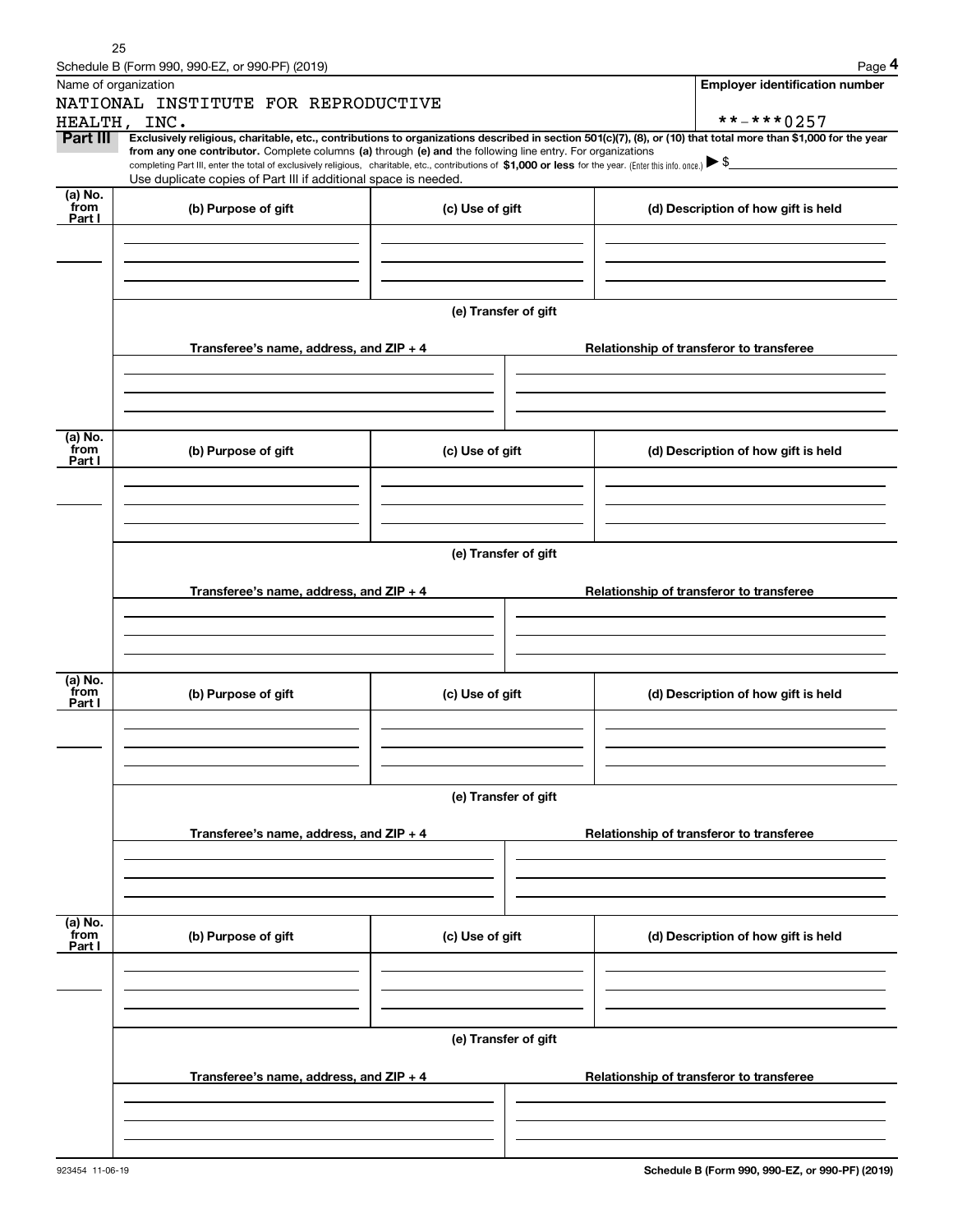|                           | Schedule B (Form 990, 990-EZ, or 990-PF) (2019)                                                                                                                                                                                                                            |                      | Page 4                                                                                                                                                         |  |  |  |  |  |
|---------------------------|----------------------------------------------------------------------------------------------------------------------------------------------------------------------------------------------------------------------------------------------------------------------------|----------------------|----------------------------------------------------------------------------------------------------------------------------------------------------------------|--|--|--|--|--|
| Name of organization      |                                                                                                                                                                                                                                                                            |                      | <b>Employer identification number</b>                                                                                                                          |  |  |  |  |  |
|                           | NATIONAL INSTITUTE FOR REPRODUCTIVE                                                                                                                                                                                                                                        |                      |                                                                                                                                                                |  |  |  |  |  |
|                           | HEALTH, INC.                                                                                                                                                                                                                                                               |                      | **-***0257                                                                                                                                                     |  |  |  |  |  |
| Part III                  | from any one contributor. Complete columns (a) through (e) and the following line entry. For organizations<br>completing Part III, enter the total of exclusively religious, charitable, etc., contributions of \$1,000 or less for the year. (Enter this info. once.) \\$ |                      | Exclusively religious, charitable, etc., contributions to organizations described in section 501(c)(7), (8), or (10) that total more than \$1,000 for the year |  |  |  |  |  |
|                           | Use duplicate copies of Part III if additional space is needed.                                                                                                                                                                                                            |                      |                                                                                                                                                                |  |  |  |  |  |
| (a) No.<br>from<br>Part I | (b) Purpose of gift                                                                                                                                                                                                                                                        | (c) Use of gift      | (d) Description of how gift is held                                                                                                                            |  |  |  |  |  |
|                           |                                                                                                                                                                                                                                                                            |                      |                                                                                                                                                                |  |  |  |  |  |
|                           |                                                                                                                                                                                                                                                                            | (e) Transfer of gift |                                                                                                                                                                |  |  |  |  |  |
|                           | Transferee's name, address, and $ZIP + 4$                                                                                                                                                                                                                                  |                      | Relationship of transferor to transferee                                                                                                                       |  |  |  |  |  |
|                           |                                                                                                                                                                                                                                                                            |                      |                                                                                                                                                                |  |  |  |  |  |
| (a) No.<br>from<br>Part I | (b) Purpose of gift                                                                                                                                                                                                                                                        | (c) Use of gift      | (d) Description of how gift is held                                                                                                                            |  |  |  |  |  |
|                           |                                                                                                                                                                                                                                                                            |                      |                                                                                                                                                                |  |  |  |  |  |
|                           | (e) Transfer of gift                                                                                                                                                                                                                                                       |                      |                                                                                                                                                                |  |  |  |  |  |
|                           |                                                                                                                                                                                                                                                                            |                      |                                                                                                                                                                |  |  |  |  |  |
|                           | Transferee's name, address, and $ZIP + 4$                                                                                                                                                                                                                                  |                      | Relationship of transferor to transferee                                                                                                                       |  |  |  |  |  |
|                           |                                                                                                                                                                                                                                                                            |                      |                                                                                                                                                                |  |  |  |  |  |
| (a) No.<br>from<br>Part I | (b) Purpose of gift                                                                                                                                                                                                                                                        | (c) Use of gift      | (d) Description of how gift is held                                                                                                                            |  |  |  |  |  |
|                           |                                                                                                                                                                                                                                                                            |                      |                                                                                                                                                                |  |  |  |  |  |
|                           |                                                                                                                                                                                                                                                                            | (e) Transfer of gift |                                                                                                                                                                |  |  |  |  |  |
|                           | Transferee's name, address, and ZIP + 4                                                                                                                                                                                                                                    |                      | Relationship of transferor to transferee                                                                                                                       |  |  |  |  |  |
|                           |                                                                                                                                                                                                                                                                            |                      |                                                                                                                                                                |  |  |  |  |  |
| (a) No.<br>from<br>Part I | (b) Purpose of gift                                                                                                                                                                                                                                                        | (c) Use of gift      | (d) Description of how gift is held                                                                                                                            |  |  |  |  |  |
|                           |                                                                                                                                                                                                                                                                            |                      |                                                                                                                                                                |  |  |  |  |  |
|                           |                                                                                                                                                                                                                                                                            | (e) Transfer of gift |                                                                                                                                                                |  |  |  |  |  |
|                           | Transferee's name, address, and ZIP + 4                                                                                                                                                                                                                                    |                      | Relationship of transferor to transferee                                                                                                                       |  |  |  |  |  |
|                           |                                                                                                                                                                                                                                                                            |                      |                                                                                                                                                                |  |  |  |  |  |
|                           |                                                                                                                                                                                                                                                                            |                      |                                                                                                                                                                |  |  |  |  |  |

25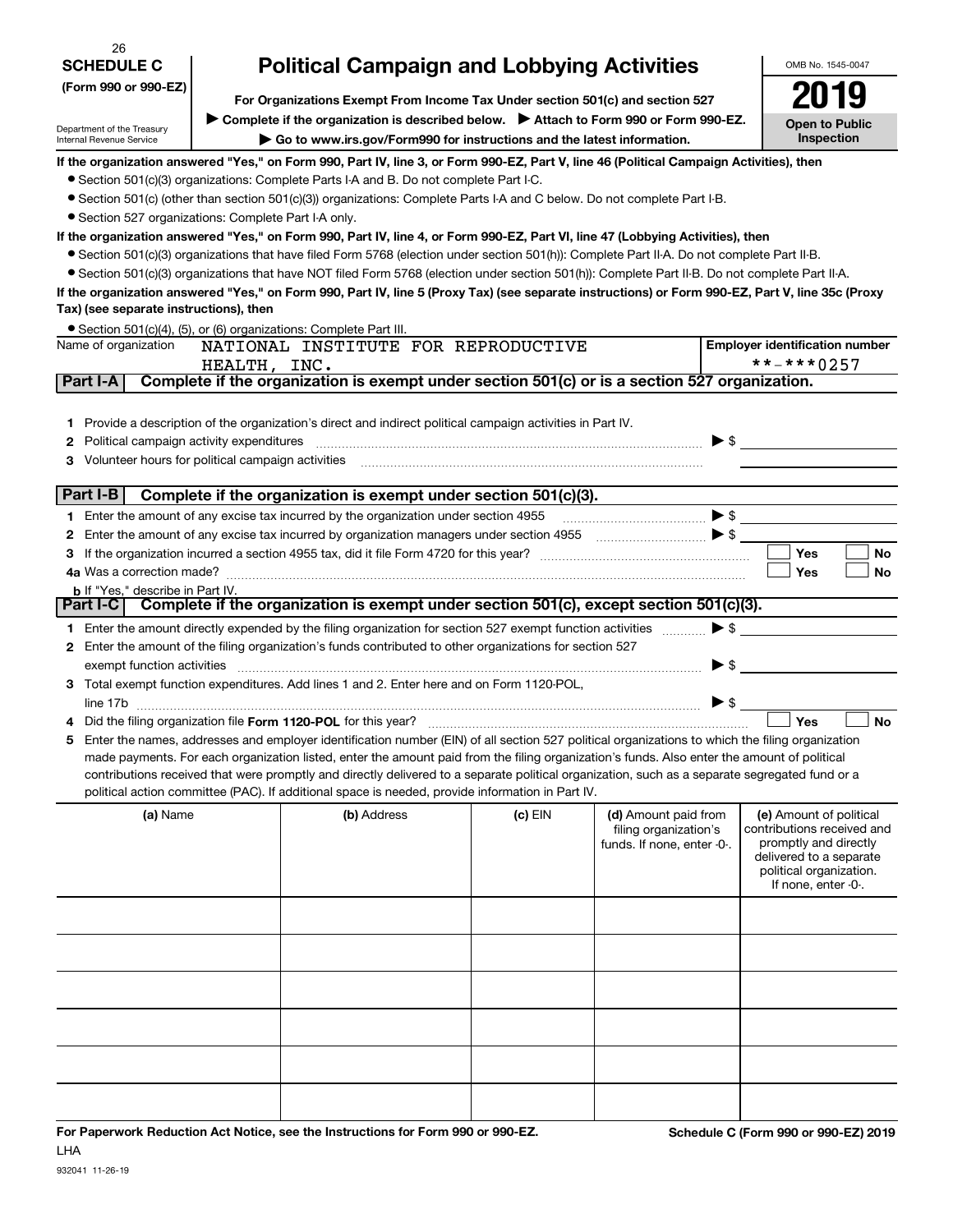| 26                                                                   |                                                                                                                                                                                                                                                                               |                                                                                                                                                                                                                                |           |                                                                        | OMB No. 1545-0047                                   |  |  |  |  |
|----------------------------------------------------------------------|-------------------------------------------------------------------------------------------------------------------------------------------------------------------------------------------------------------------------------------------------------------------------------|--------------------------------------------------------------------------------------------------------------------------------------------------------------------------------------------------------------------------------|-----------|------------------------------------------------------------------------|-----------------------------------------------------|--|--|--|--|
| <b>SCHEDULE C</b>                                                    | <b>Political Campaign and Lobbying Activities</b>                                                                                                                                                                                                                             |                                                                                                                                                                                                                                |           |                                                                        |                                                     |  |  |  |  |
| (Form 990 or 990-EZ)                                                 | For Organizations Exempt From Income Tax Under section 501(c) and section 527                                                                                                                                                                                                 |                                                                                                                                                                                                                                |           |                                                                        |                                                     |  |  |  |  |
|                                                                      |                                                                                                                                                                                                                                                                               | Complete if the organization is described below. > Attach to Form 990 or Form 990-EZ.                                                                                                                                          |           |                                                                        | <b>Open to Public</b>                               |  |  |  |  |
| Department of the Treasury<br>Internal Revenue Service               | Go to www.irs.gov/Form990 for instructions and the latest information.                                                                                                                                                                                                        |                                                                                                                                                                                                                                |           |                                                                        |                                                     |  |  |  |  |
|                                                                      |                                                                                                                                                                                                                                                                               | If the organization answered "Yes," on Form 990, Part IV, line 3, or Form 990-EZ, Part V, line 46 (Political Campaign Activities), then                                                                                        |           |                                                                        |                                                     |  |  |  |  |
|                                                                      |                                                                                                                                                                                                                                                                               | • Section 501(c)(3) organizations: Complete Parts I-A and B. Do not complete Part I-C.                                                                                                                                         |           |                                                                        |                                                     |  |  |  |  |
|                                                                      |                                                                                                                                                                                                                                                                               | • Section 501(c) (other than section 501(c)(3)) organizations: Complete Parts I-A and C below. Do not complete Part I-B.                                                                                                       |           |                                                                        |                                                     |  |  |  |  |
| • Section 527 organizations: Complete Part I-A only.                 |                                                                                                                                                                                                                                                                               |                                                                                                                                                                                                                                |           |                                                                        |                                                     |  |  |  |  |
|                                                                      | If the organization answered "Yes," on Form 990, Part IV, line 4, or Form 990-EZ, Part VI, line 47 (Lobbying Activities), then<br>● Section 501(c)(3) organizations that have filed Form 5768 (election under section 501(h)): Complete Part II-A. Do not complete Part II-B. |                                                                                                                                                                                                                                |           |                                                                        |                                                     |  |  |  |  |
|                                                                      |                                                                                                                                                                                                                                                                               | • Section 501(c)(3) organizations that have NOT filed Form 5768 (election under section 501(h)): Complete Part II-B. Do not complete Part II-A.                                                                                |           |                                                                        |                                                     |  |  |  |  |
|                                                                      |                                                                                                                                                                                                                                                                               | If the organization answered "Yes," on Form 990, Part IV, line 5 (Proxy Tax) (see separate instructions) or Form 990-EZ, Part V, line 35c (Proxy                                                                               |           |                                                                        |                                                     |  |  |  |  |
| Tax) (see separate instructions), then                               |                                                                                                                                                                                                                                                                               |                                                                                                                                                                                                                                |           |                                                                        |                                                     |  |  |  |  |
| • Section 501(c)(4), (5), or (6) organizations: Complete Part III.   |                                                                                                                                                                                                                                                                               |                                                                                                                                                                                                                                |           |                                                                        |                                                     |  |  |  |  |
| Name of organization                                                 |                                                                                                                                                                                                                                                                               | NATIONAL INSTITUTE FOR REPRODUCTIVE                                                                                                                                                                                            |           |                                                                        | <b>Employer identification number</b>               |  |  |  |  |
|                                                                      | HEALTH, INC.                                                                                                                                                                                                                                                                  |                                                                                                                                                                                                                                |           |                                                                        | **-***0257                                          |  |  |  |  |
| Part I-A                                                             |                                                                                                                                                                                                                                                                               | Complete if the organization is exempt under section 501(c) or is a section 527 organization.                                                                                                                                  |           |                                                                        |                                                     |  |  |  |  |
|                                                                      |                                                                                                                                                                                                                                                                               |                                                                                                                                                                                                                                |           |                                                                        |                                                     |  |  |  |  |
| 1.<br>Political campaign activity expenditures<br>2                  |                                                                                                                                                                                                                                                                               | Provide a description of the organization's direct and indirect political campaign activities in Part IV.                                                                                                                      |           |                                                                        | $\triangleright$ \$                                 |  |  |  |  |
| з                                                                    |                                                                                                                                                                                                                                                                               | Volunteer hours for political campaign activities [11] matter content to the state of political campaign activities [11] matter content to the state of the state of the state of the state of the state of the state of the s |           |                                                                        |                                                     |  |  |  |  |
|                                                                      |                                                                                                                                                                                                                                                                               |                                                                                                                                                                                                                                |           |                                                                        |                                                     |  |  |  |  |
| Part I-B                                                             |                                                                                                                                                                                                                                                                               | Complete if the organization is exempt under section 501(c)(3).                                                                                                                                                                |           |                                                                        |                                                     |  |  |  |  |
|                                                                      |                                                                                                                                                                                                                                                                               | Enter the amount of any excise tax incurred by the organization under section 4955                                                                                                                                             |           | $\bullet \mathsf{s} \hspace{2em} \longrightarrow \hspace{2em} \bullet$ |                                                     |  |  |  |  |
| 2                                                                    |                                                                                                                                                                                                                                                                               |                                                                                                                                                                                                                                |           |                                                                        |                                                     |  |  |  |  |
| з                                                                    |                                                                                                                                                                                                                                                                               |                                                                                                                                                                                                                                |           |                                                                        | Yes<br>No                                           |  |  |  |  |
| 4a Was a correction made?<br><b>b</b> If "Yes," describe in Part IV. |                                                                                                                                                                                                                                                                               |                                                                                                                                                                                                                                |           |                                                                        | Yes<br><b>No</b>                                    |  |  |  |  |
| Part I-C                                                             |                                                                                                                                                                                                                                                                               | Complete if the organization is exempt under section 501(c), except section 501(c)(3).                                                                                                                                         |           |                                                                        |                                                     |  |  |  |  |
| 1.                                                                   |                                                                                                                                                                                                                                                                               | Enter the amount directly expended by the filing organization for section 527 exempt function activities                                                                                                                       |           |                                                                        | $\blacktriangleright$ \$                            |  |  |  |  |
| 2                                                                    |                                                                                                                                                                                                                                                                               | Enter the amount of the filing organization's funds contributed to other organizations for section 527                                                                                                                         |           |                                                                        |                                                     |  |  |  |  |
| exempt function activities                                           |                                                                                                                                                                                                                                                                               |                                                                                                                                                                                                                                |           |                                                                        | $\blacktriangleright$ \$                            |  |  |  |  |
| З.                                                                   |                                                                                                                                                                                                                                                                               | Total exempt function expenditures. Add lines 1 and 2. Enter here and on Form 1120-POL,                                                                                                                                        |           |                                                                        |                                                     |  |  |  |  |
| line 17b                                                             |                                                                                                                                                                                                                                                                               |                                                                                                                                                                                                                                |           | $\blacktriangleright$ \$                                               |                                                     |  |  |  |  |
|                                                                      |                                                                                                                                                                                                                                                                               | Enter the names, addresses and employer identification number (EIN) of all section 527 political organizations to which the filing organization                                                                                |           |                                                                        | Yes<br><b>No</b>                                    |  |  |  |  |
| 5                                                                    |                                                                                                                                                                                                                                                                               | made payments. For each organization listed, enter the amount paid from the filing organization's funds. Also enter the amount of political                                                                                    |           |                                                                        |                                                     |  |  |  |  |
|                                                                      |                                                                                                                                                                                                                                                                               | contributions received that were promptly and directly delivered to a separate political organization, such as a separate segregated fund or a                                                                                 |           |                                                                        |                                                     |  |  |  |  |
|                                                                      |                                                                                                                                                                                                                                                                               | political action committee (PAC). If additional space is needed, provide information in Part IV.                                                                                                                               |           |                                                                        |                                                     |  |  |  |  |
| (a) Name                                                             |                                                                                                                                                                                                                                                                               | (b) Address                                                                                                                                                                                                                    | $(c)$ EIN | (d) Amount paid from                                                   | (e) Amount of political                             |  |  |  |  |
|                                                                      |                                                                                                                                                                                                                                                                               |                                                                                                                                                                                                                                |           | filing organization's<br>funds. If none, enter -0-.                    | contributions received and<br>promptly and directly |  |  |  |  |
|                                                                      |                                                                                                                                                                                                                                                                               |                                                                                                                                                                                                                                |           |                                                                        | delivered to a separate                             |  |  |  |  |
|                                                                      |                                                                                                                                                                                                                                                                               |                                                                                                                                                                                                                                |           |                                                                        | political organization.<br>If none, enter -0-.      |  |  |  |  |
|                                                                      |                                                                                                                                                                                                                                                                               |                                                                                                                                                                                                                                |           |                                                                        |                                                     |  |  |  |  |
|                                                                      |                                                                                                                                                                                                                                                                               |                                                                                                                                                                                                                                |           |                                                                        |                                                     |  |  |  |  |
|                                                                      |                                                                                                                                                                                                                                                                               |                                                                                                                                                                                                                                |           |                                                                        |                                                     |  |  |  |  |
|                                                                      |                                                                                                                                                                                                                                                                               |                                                                                                                                                                                                                                |           |                                                                        |                                                     |  |  |  |  |
|                                                                      |                                                                                                                                                                                                                                                                               |                                                                                                                                                                                                                                |           |                                                                        |                                                     |  |  |  |  |
|                                                                      |                                                                                                                                                                                                                                                                               |                                                                                                                                                                                                                                |           |                                                                        |                                                     |  |  |  |  |
|                                                                      |                                                                                                                                                                                                                                                                               |                                                                                                                                                                                                                                |           |                                                                        |                                                     |  |  |  |  |
|                                                                      |                                                                                                                                                                                                                                                                               |                                                                                                                                                                                                                                |           |                                                                        |                                                     |  |  |  |  |
|                                                                      |                                                                                                                                                                                                                                                                               |                                                                                                                                                                                                                                |           |                                                                        |                                                     |  |  |  |  |
|                                                                      |                                                                                                                                                                                                                                                                               |                                                                                                                                                                                                                                |           |                                                                        |                                                     |  |  |  |  |
|                                                                      |                                                                                                                                                                                                                                                                               |                                                                                                                                                                                                                                |           |                                                                        |                                                     |  |  |  |  |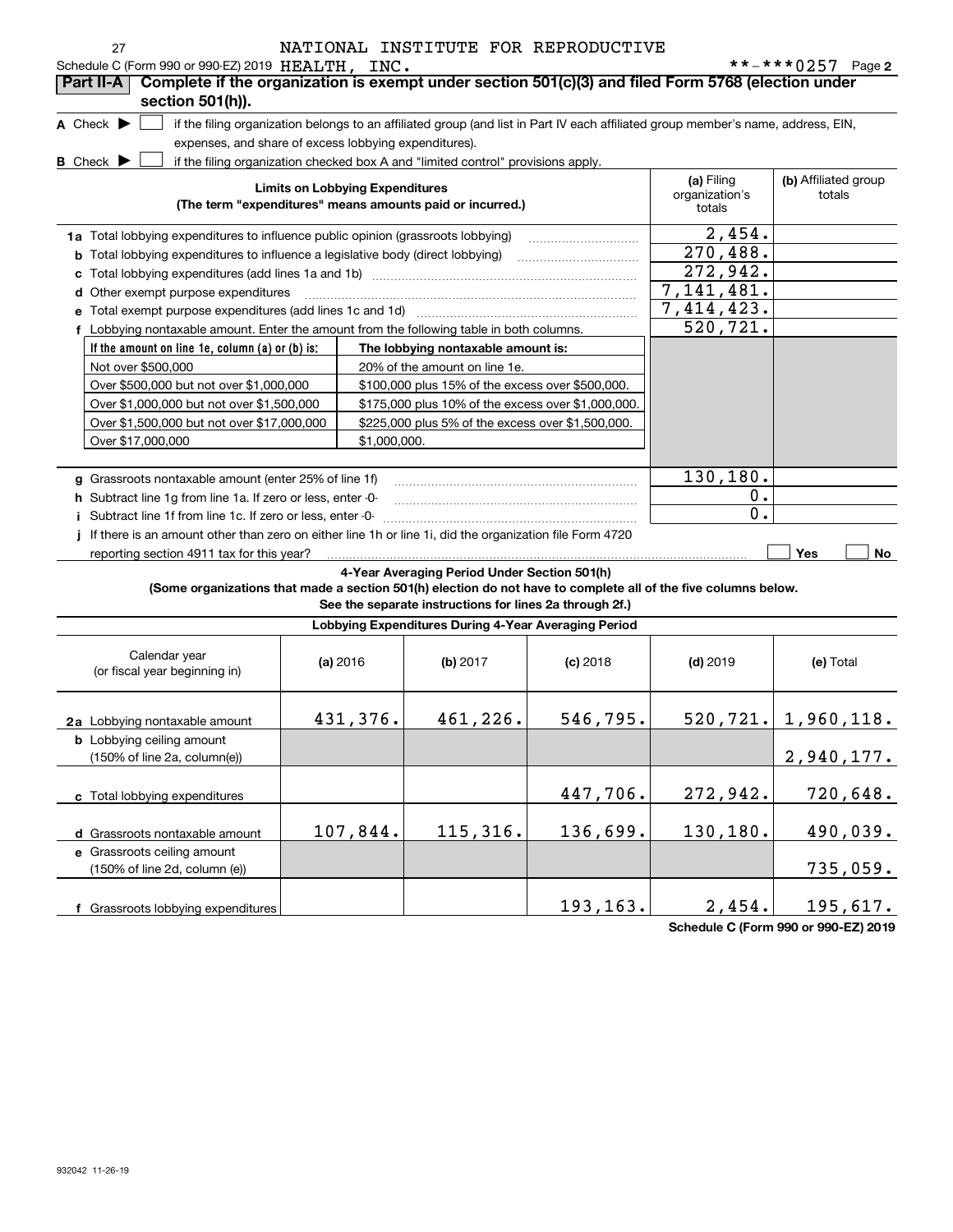| 27<br>Schedule C (Form 990 or 990-EZ) 2019 HEALTH, INC.                                                                             |                                        |                                                                                  | NATIONAL INSTITUTE FOR REPRODUCTIVE |                                                                                                                                   | **-***0257 Page 2                    |
|-------------------------------------------------------------------------------------------------------------------------------------|----------------------------------------|----------------------------------------------------------------------------------|-------------------------------------|-----------------------------------------------------------------------------------------------------------------------------------|--------------------------------------|
| Complete if the organization is exempt under section 501(c)(3) and filed Form 5768 (election under<br>Part II-A<br>section 501(h)). |                                        |                                                                                  |                                     |                                                                                                                                   |                                      |
| A Check $\blacktriangleright$                                                                                                       |                                        |                                                                                  |                                     | if the filing organization belongs to an affiliated group (and list in Part IV each affiliated group member's name, address, EIN, |                                      |
| expenses, and share of excess lobbying expenditures).                                                                               |                                        |                                                                                  |                                     |                                                                                                                                   |                                      |
| <b>B</b> Check $\blacktriangleright$                                                                                                |                                        | if the filing organization checked box A and "limited control" provisions apply. |                                     |                                                                                                                                   |                                      |
|                                                                                                                                     | <b>Limits on Lobbying Expenditures</b> | (The term "expenditures" means amounts paid or incurred.)                        |                                     | (a) Filing<br>organization's<br>totals                                                                                            | (b) Affiliated group<br>totals       |
| 1a Total lobbying expenditures to influence public opinion (grassroots lobbying)                                                    |                                        |                                                                                  |                                     | 2,454.                                                                                                                            |                                      |
| <b>b</b> Total lobbying expenditures to influence a legislative body (direct lobbying)                                              | 270,488.                               |                                                                                  |                                     |                                                                                                                                   |                                      |
| c                                                                                                                                   |                                        |                                                                                  |                                     | 272,942.                                                                                                                          |                                      |
| d Other exempt purpose expenditures                                                                                                 |                                        |                                                                                  |                                     | 7, 141, 481.                                                                                                                      |                                      |
| e Total exempt purpose expenditures (add lines 1c and 1d)                                                                           |                                        |                                                                                  |                                     | 7,414,423.                                                                                                                        |                                      |
| f Lobbying nontaxable amount. Enter the amount from the following table in both columns.                                            |                                        |                                                                                  |                                     | 520,721.                                                                                                                          |                                      |
| If the amount on line 1e, column (a) or (b) is:                                                                                     |                                        | The lobbying nontaxable amount is:                                               |                                     |                                                                                                                                   |                                      |
| Not over \$500,000                                                                                                                  |                                        | 20% of the amount on line 1e.                                                    |                                     |                                                                                                                                   |                                      |
| Over \$500,000 but not over \$1,000,000                                                                                             |                                        | \$100,000 plus 15% of the excess over \$500,000.                                 |                                     |                                                                                                                                   |                                      |
| Over \$1,000,000 but not over \$1,500,000                                                                                           |                                        | \$175,000 plus 10% of the excess over \$1,000,000.                               |                                     |                                                                                                                                   |                                      |
| Over \$1,500,000 but not over \$17,000,000                                                                                          |                                        | \$225,000 plus 5% of the excess over \$1,500,000.                                |                                     |                                                                                                                                   |                                      |
| Over \$17,000,000                                                                                                                   | \$1,000,000.                           |                                                                                  |                                     |                                                                                                                                   |                                      |
|                                                                                                                                     |                                        |                                                                                  |                                     |                                                                                                                                   |                                      |
| g Grassroots nontaxable amount (enter 25% of line 1f)                                                                               |                                        |                                                                                  |                                     | 130,180.                                                                                                                          |                                      |
| h Subtract line 1g from line 1a. If zero or less, enter -0-                                                                         |                                        |                                                                                  |                                     | 0.                                                                                                                                |                                      |
| i Subtract line 1f from line 1c. If zero or less, enter -0-                                                                         |                                        |                                                                                  |                                     | 0.                                                                                                                                |                                      |
| If there is an amount other than zero on either line 1h or line 1i, did the organization file Form 4720                             |                                        |                                                                                  |                                     |                                                                                                                                   | Yes                                  |
| reporting section 4911 tax for this year?                                                                                           |                                        | 4-Year Averaging Period Under Section 501(h)                                     |                                     |                                                                                                                                   | No                                   |
| (Some organizations that made a section 501(h) election do not have to complete all of the five columns below.                      |                                        | See the separate instructions for lines 2a through 2f.)                          |                                     |                                                                                                                                   |                                      |
|                                                                                                                                     |                                        | Lobbying Expenditures During 4-Year Averaging Period                             |                                     |                                                                                                                                   |                                      |
| Calendar year<br>(or fiscal year beginning in)                                                                                      | (a) 2016                               | (b) $2017$                                                                       | $(c)$ 2018                          | $(d)$ 2019                                                                                                                        | (e) Total                            |
| 2a Lobbying nontaxable amount                                                                                                       | 431,376.                               | 461,226.                                                                         | 546, 795.                           |                                                                                                                                   | $520, 721.$ 1, 960, 118.             |
| <b>b</b> Lobbying ceiling amount<br>(150% of line 2a, column(e))                                                                    |                                        |                                                                                  |                                     |                                                                                                                                   | 2,940,177.                           |
| c Total lobbying expenditures                                                                                                       |                                        |                                                                                  | 447,706.                            | 272,942.                                                                                                                          | 720,648.                             |
| d Grassroots nontaxable amount                                                                                                      | 107,844.                               | 115,316.                                                                         | 136,699.                            | 130,180.                                                                                                                          | 490,039.                             |
| e Grassroots ceiling amount<br>(150% of line 2d, column (e))                                                                        |                                        |                                                                                  |                                     |                                                                                                                                   | 735,059.                             |
| f Grassroots lobbying expenditures                                                                                                  |                                        |                                                                                  | 193,163.                            | 2,454.                                                                                                                            | 195,617.                             |
|                                                                                                                                     |                                        |                                                                                  |                                     |                                                                                                                                   | Schedule C (Form 990 or 990-EZ) 2019 |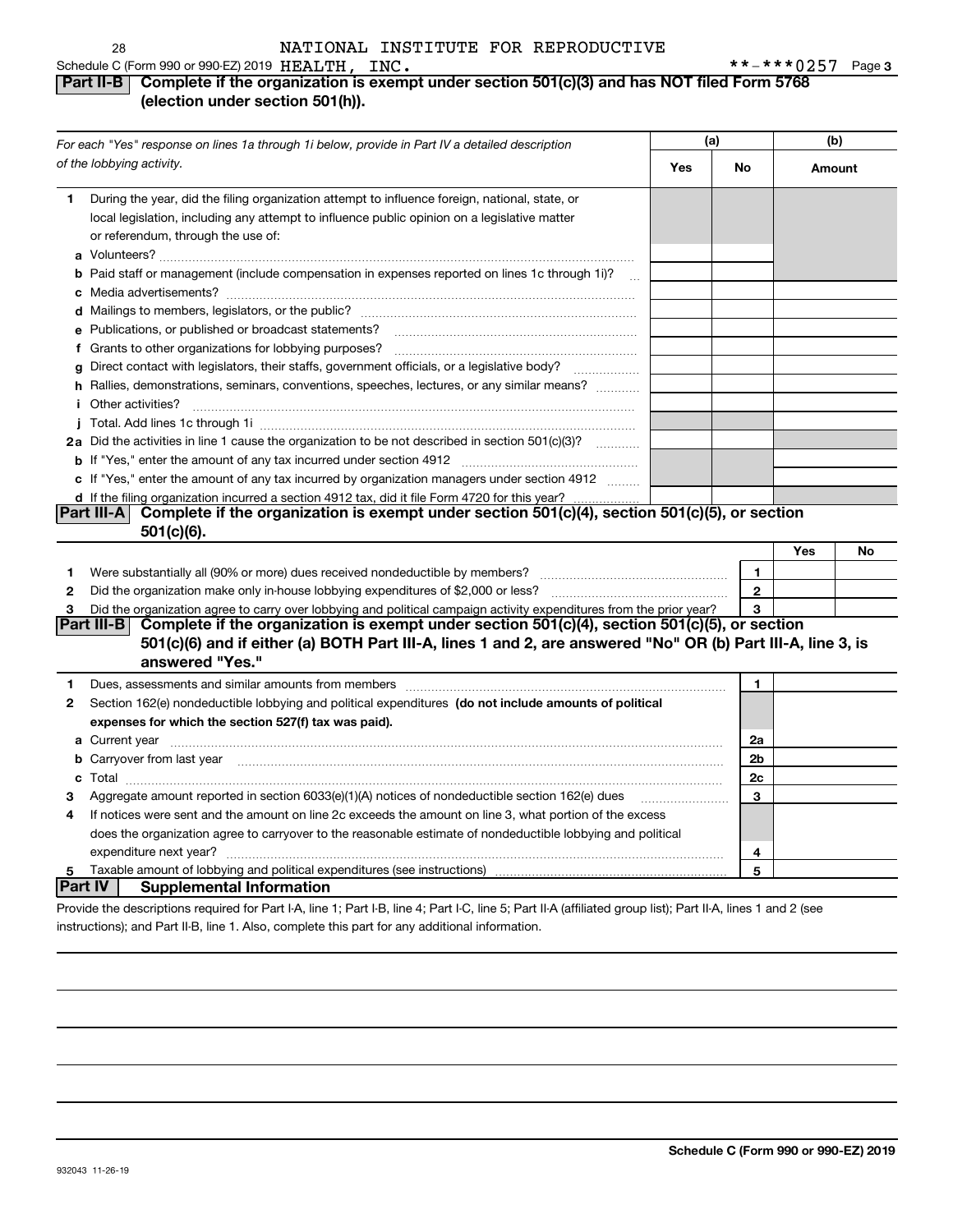## **Part II-B** Complete if the organization is exempt under section 501(c)(3) and has NOT filed Form 5768 **(election under section 501(h)).**

|              | For each "Yes" response on lines 1a through 1i below, provide in Part IV a detailed description                                                                                                                                                                                                                                         | (a) |              |        | (b) |
|--------------|-----------------------------------------------------------------------------------------------------------------------------------------------------------------------------------------------------------------------------------------------------------------------------------------------------------------------------------------|-----|--------------|--------|-----|
|              | of the lobbying activity.                                                                                                                                                                                                                                                                                                               | Yes | No           | Amount |     |
| 1            | During the year, did the filing organization attempt to influence foreign, national, state, or<br>local legislation, including any attempt to influence public opinion on a legislative matter<br>or referendum, through the use of:                                                                                                    |     |              |        |     |
|              | <b>b</b> Paid staff or management (include compensation in expenses reported on lines 1c through 1i)?<br>$\ddotsc$                                                                                                                                                                                                                      |     |              |        |     |
|              |                                                                                                                                                                                                                                                                                                                                         |     |              |        |     |
|              |                                                                                                                                                                                                                                                                                                                                         |     |              |        |     |
|              | e Publications, or published or broadcast statements?                                                                                                                                                                                                                                                                                   |     |              |        |     |
|              |                                                                                                                                                                                                                                                                                                                                         |     |              |        |     |
|              | g Direct contact with legislators, their staffs, government officials, or a legislative body?                                                                                                                                                                                                                                           |     |              |        |     |
|              | h Rallies, demonstrations, seminars, conventions, speeches, lectures, or any similar means?                                                                                                                                                                                                                                             |     |              |        |     |
|              | <i>i</i> Other activities?                                                                                                                                                                                                                                                                                                              |     |              |        |     |
|              |                                                                                                                                                                                                                                                                                                                                         |     |              |        |     |
|              | 2a Did the activities in line 1 cause the organization to be not described in section 501(c)(3)?                                                                                                                                                                                                                                        |     |              |        |     |
|              | <b>b</b> If "Yes," enter the amount of any tax incurred under section 4912 <i>managerana content</i> in the amount of any tax                                                                                                                                                                                                           |     |              |        |     |
|              | c If "Yes," enter the amount of any tax incurred by organization managers under section 4912                                                                                                                                                                                                                                            |     |              |        |     |
|              | d If the filing organization incurred a section 4912 tax, did it file Form 4720 for this year?                                                                                                                                                                                                                                          |     |              |        |     |
|              | Complete if the organization is exempt under section 501(c)(4), section 501(c)(5), or section<br> Part III-A                                                                                                                                                                                                                            |     |              |        |     |
|              | $501(c)(6)$ .                                                                                                                                                                                                                                                                                                                           |     |              |        |     |
|              |                                                                                                                                                                                                                                                                                                                                         |     |              | Yes    | No  |
| 1            |                                                                                                                                                                                                                                                                                                                                         |     | $\mathbf{1}$ |        |     |
| $\mathbf{2}$ |                                                                                                                                                                                                                                                                                                                                         |     | $\mathbf{2}$ |        |     |
| з            | Did the organization agree to carry over lobbying and political campaign activity expenditures from the prior year?<br>Complete if the organization is exempt under section 501(c)(4), section 501(c)(5), or section<br>Part III-B                                                                                                      |     |              |        |     |
|              | 501(c)(6) and if either (a) BOTH Part III-A, lines 1 and 2, are answered "No" OR (b) Part III-A, line 3, is                                                                                                                                                                                                                             |     |              |        |     |
|              | answered "Yes."                                                                                                                                                                                                                                                                                                                         |     |              |        |     |
| 1            |                                                                                                                                                                                                                                                                                                                                         |     | 1            |        |     |
| 2            | Dues, assessments and similar amounts from members [111] matter continuum matter and similar amounts and similar amounts from members [11] matter continuum matter and similar amounts from members [11] matter and similar an<br>Section 162(e) nondeductible lobbying and political expenditures (do not include amounts of political |     |              |        |     |
|              | expenses for which the section 527(f) tax was paid).                                                                                                                                                                                                                                                                                    |     |              |        |     |
|              |                                                                                                                                                                                                                                                                                                                                         |     | 2a           |        |     |
|              | <b>b</b> Carryover from last year <b>contained to the contract of the contract of contract of the contract of contract of contract of contract of contract of contract of contract of contract of contract of contract of contract of</b>                                                                                               |     | 2b           |        |     |
|              |                                                                                                                                                                                                                                                                                                                                         |     | 2c           |        |     |
| з            | Aggregate amount reported in section 6033(e)(1)(A) notices of nondeductible section 162(e) dues                                                                                                                                                                                                                                         |     | 3            |        |     |
| 4            | If notices were sent and the amount on line 2c exceeds the amount on line 3, what portion of the excess                                                                                                                                                                                                                                 |     |              |        |     |
|              | does the organization agree to carryover to the reasonable estimate of nondeductible lobbying and political                                                                                                                                                                                                                             |     |              |        |     |
|              |                                                                                                                                                                                                                                                                                                                                         |     | 4            |        |     |
| 5            |                                                                                                                                                                                                                                                                                                                                         |     | 5            |        |     |
|              | Part IV  <br><b>Supplemental Information</b>                                                                                                                                                                                                                                                                                            |     |              |        |     |
|              | Provide the descriptions required for Part I-A, line 1; Part I-B, line 4; Part I-C, line 5; Part II-A (affiliated group list); Part II-A, lines 1 and 2 (see                                                                                                                                                                            |     |              |        |     |

instructions); and Part II-B, line 1. Also, complete this part for any additional information.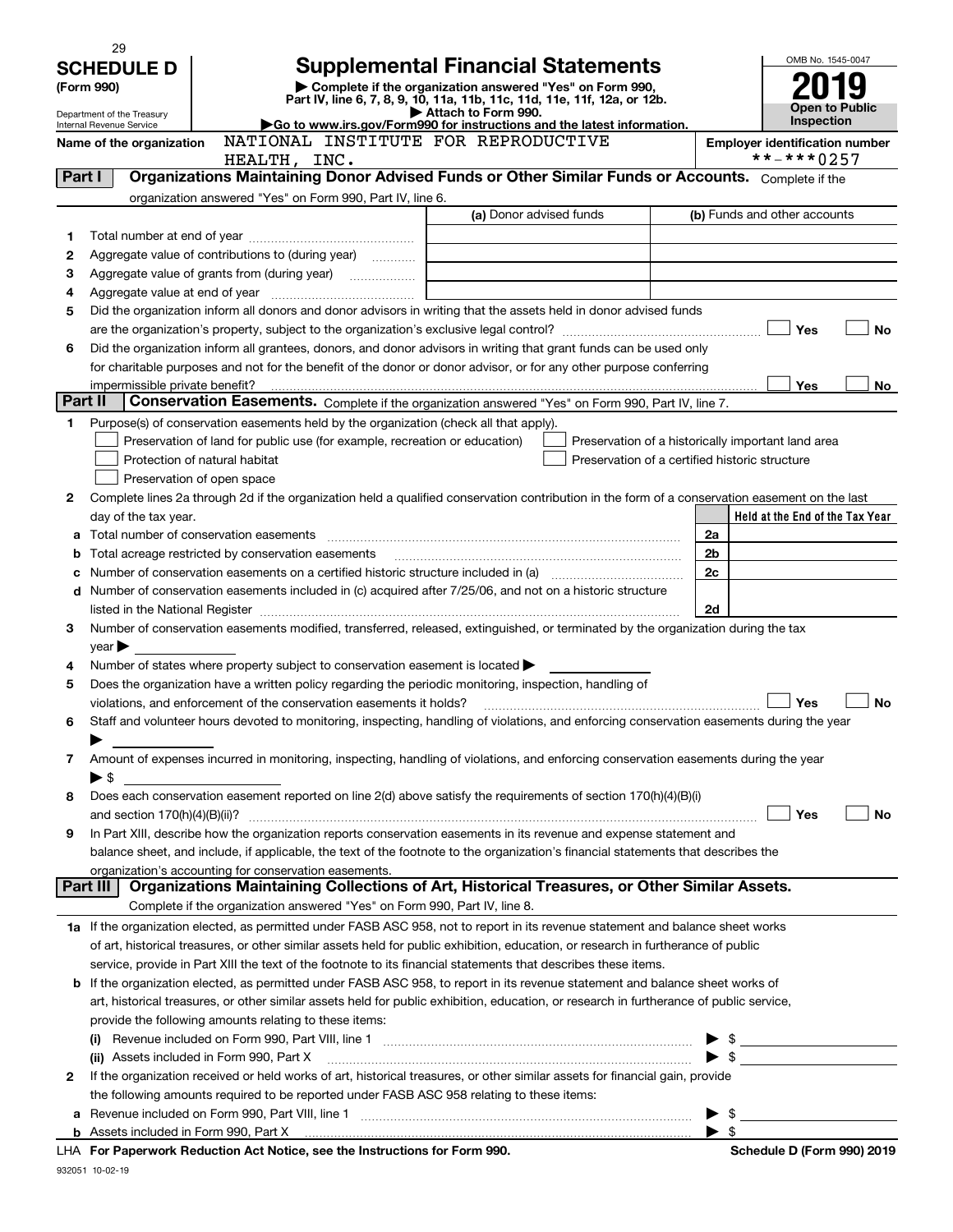|              | 29                                                   |                                                                                                                                                                                                                               |                                                          |                                                    |                |                              | OMB No. 1545-0047                     |
|--------------|------------------------------------------------------|-------------------------------------------------------------------------------------------------------------------------------------------------------------------------------------------------------------------------------|----------------------------------------------------------|----------------------------------------------------|----------------|------------------------------|---------------------------------------|
|              | <b>SCHEDULE D</b>                                    |                                                                                                                                                                                                                               | <b>Supplemental Financial Statements</b>                 |                                                    |                |                              |                                       |
|              | (Form 990)                                           | Part IV, line 6, 7, 8, 9, 10, 11a, 11b, 11c, 11d, 11e, 11f, 12a, or 12b.                                                                                                                                                      | Complete if the organization answered "Yes" on Form 990, |                                                    |                |                              |                                       |
|              | Department of the Treasury                           |                                                                                                                                                                                                                               | Attach to Form 990.                                      |                                                    |                |                              | Open to Public<br><b>Inspection</b>   |
|              | Internal Revenue Service<br>Name of the organization | Go to www.irs.gov/Form990 for instructions and the latest information.<br>NATIONAL INSTITUTE FOR REPRODUCTIVE                                                                                                                 |                                                          |                                                    |                |                              | <b>Employer identification number</b> |
|              |                                                      | HEALTH, INC.                                                                                                                                                                                                                  |                                                          |                                                    |                | **-***0257                   |                                       |
| Part I       |                                                      | Organizations Maintaining Donor Advised Funds or Other Similar Funds or Accounts. Complete if the                                                                                                                             |                                                          |                                                    |                |                              |                                       |
|              |                                                      | organization answered "Yes" on Form 990, Part IV, line 6.                                                                                                                                                                     |                                                          |                                                    |                |                              |                                       |
|              |                                                      |                                                                                                                                                                                                                               | (a) Donor advised funds                                  |                                                    |                | (b) Funds and other accounts |                                       |
| $\mathbf{1}$ |                                                      |                                                                                                                                                                                                                               |                                                          |                                                    |                |                              |                                       |
| 2            |                                                      | Aggregate value of contributions to (during year)                                                                                                                                                                             |                                                          |                                                    |                |                              |                                       |
| 3            |                                                      | Aggregate value of grants from (during year) <i>mimimimimial</i>                                                                                                                                                              |                                                          |                                                    |                |                              |                                       |
| 4<br>5       |                                                      | Did the organization inform all donors and donor advisors in writing that the assets held in donor advised funds                                                                                                              |                                                          |                                                    |                |                              |                                       |
|              |                                                      |                                                                                                                                                                                                                               |                                                          |                                                    |                | Yes                          | No                                    |
| 6            |                                                      | Did the organization inform all grantees, donors, and donor advisors in writing that grant funds can be used only                                                                                                             |                                                          |                                                    |                |                              |                                       |
|              |                                                      | for charitable purposes and not for the benefit of the donor or donor advisor, or for any other purpose conferring                                                                                                            |                                                          |                                                    |                |                              |                                       |
|              | impermissible private benefit?                       |                                                                                                                                                                                                                               |                                                          |                                                    |                | Yes                          | No                                    |
| Part II      |                                                      | Conservation Easements. Complete if the organization answered "Yes" on Form 990, Part IV, line 7.                                                                                                                             |                                                          |                                                    |                |                              |                                       |
| 1            |                                                      | Purpose(s) of conservation easements held by the organization (check all that apply).                                                                                                                                         |                                                          |                                                    |                |                              |                                       |
|              |                                                      | Preservation of land for public use (for example, recreation or education)                                                                                                                                                    |                                                          | Preservation of a historically important land area |                |                              |                                       |
|              |                                                      | Protection of natural habitat                                                                                                                                                                                                 |                                                          | Preservation of a certified historic structure     |                |                              |                                       |
|              |                                                      | Preservation of open space                                                                                                                                                                                                    |                                                          |                                                    |                |                              |                                       |
| 2            |                                                      | Complete lines 2a through 2d if the organization held a qualified conservation contribution in the form of a conservation easement on the last                                                                                |                                                          |                                                    |                |                              |                                       |
|              | day of the tax year.                                 | Total number of conservation easements                                                                                                                                                                                        |                                                          |                                                    | 2a             |                              | Held at the End of the Tax Year       |
| а            |                                                      | Total acreage restricted by conservation easements                                                                                                                                                                            |                                                          |                                                    | 2 <sub>b</sub> |                              |                                       |
|              |                                                      | Number of conservation easements on a certified historic structure included in (a) manufacture of conservation                                                                                                                |                                                          |                                                    | 2c             |                              |                                       |
| d            |                                                      | Number of conservation easements included in (c) acquired after 7/25/06, and not on a historic structure                                                                                                                      |                                                          |                                                    |                |                              |                                       |
|              |                                                      | listed in the National Register [11, 1200] and the National Register [11, 1200] and the Mational Register [11, 1200] and the Mational Register [11, 1200] and the Mational Register [11, 1200] and the Mational Register [11, |                                                          |                                                    | 2d             |                              |                                       |
| 3            |                                                      | Number of conservation easements modified, transferred, released, extinguished, or terminated by the organization during the tax                                                                                              |                                                          |                                                    |                |                              |                                       |
|              | vear                                                 |                                                                                                                                                                                                                               |                                                          |                                                    |                |                              |                                       |
| 4            |                                                      | Number of states where property subject to conservation easement is located $\blacktriangleright$                                                                                                                             |                                                          |                                                    |                |                              |                                       |
| 5            |                                                      | Does the organization have a written policy regarding the periodic monitoring, inspection, handling of                                                                                                                        |                                                          |                                                    |                |                              |                                       |
|              |                                                      | violations, and enforcement of the conservation easements it holds?                                                                                                                                                           |                                                          |                                                    |                | Yes                          | No                                    |
|              |                                                      | Staff and volunteer hours devoted to monitoring, inspecting, handling of violations, and enforcing conservation easements during the year                                                                                     |                                                          |                                                    |                |                              |                                       |
| 7            |                                                      | Amount of expenses incurred in monitoring, inspecting, handling of violations, and enforcing conservation easements during the year                                                                                           |                                                          |                                                    |                |                              |                                       |
|              | $\blacktriangleright$ \$                             |                                                                                                                                                                                                                               |                                                          |                                                    |                |                              |                                       |
| 8            |                                                      | Does each conservation easement reported on line 2(d) above satisfy the requirements of section 170(h)(4)(B)(i)                                                                                                               |                                                          |                                                    |                |                              |                                       |
|              |                                                      |                                                                                                                                                                                                                               |                                                          |                                                    |                | Yes                          | No                                    |
| 9            |                                                      | In Part XIII, describe how the organization reports conservation easements in its revenue and expense statement and                                                                                                           |                                                          |                                                    |                |                              |                                       |
|              |                                                      | balance sheet, and include, if applicable, the text of the footnote to the organization's financial statements that describes the                                                                                             |                                                          |                                                    |                |                              |                                       |
|              |                                                      | organization's accounting for conservation easements.                                                                                                                                                                         |                                                          |                                                    |                |                              |                                       |
|              | Part III                                             | Organizations Maintaining Collections of Art, Historical Treasures, or Other Similar Assets.<br>Complete if the organization answered "Yes" on Form 990, Part IV, line 8.                                                     |                                                          |                                                    |                |                              |                                       |
|              |                                                      | 1a If the organization elected, as permitted under FASB ASC 958, not to report in its revenue statement and balance sheet works                                                                                               |                                                          |                                                    |                |                              |                                       |
|              |                                                      | of art, historical treasures, or other similar assets held for public exhibition, education, or research in furtherance of public                                                                                             |                                                          |                                                    |                |                              |                                       |
|              |                                                      | service, provide in Part XIII the text of the footnote to its financial statements that describes these items.                                                                                                                |                                                          |                                                    |                |                              |                                       |
|              |                                                      | <b>b</b> If the organization elected, as permitted under FASB ASC 958, to report in its revenue statement and balance sheet works of                                                                                          |                                                          |                                                    |                |                              |                                       |
|              |                                                      | art, historical treasures, or other similar assets held for public exhibition, education, or research in furtherance of public service,                                                                                       |                                                          |                                                    |                |                              |                                       |
|              |                                                      | provide the following amounts relating to these items:                                                                                                                                                                        |                                                          |                                                    |                |                              |                                       |
|              |                                                      |                                                                                                                                                                                                                               |                                                          |                                                    |                |                              |                                       |
|              |                                                      | (ii) Assets included in Form 990, Part X                                                                                                                                                                                      |                                                          |                                                    |                |                              |                                       |
| 2            |                                                      | If the organization received or held works of art, historical treasures, or other similar assets for financial gain, provide                                                                                                  |                                                          |                                                    |                |                              |                                       |
|              |                                                      | the following amounts required to be reported under FASB ASC 958 relating to these items:                                                                                                                                     |                                                          |                                                    |                |                              |                                       |
| а            |                                                      |                                                                                                                                                                                                                               |                                                          |                                                    |                | \$                           |                                       |
| b            |                                                      | Assets included in Form 990, Part X [11, 2008] [2010] [2010] [2010] [2010] [2010] [2010] [2010] [2010] [2010] [<br>LHA For Paperwork Reduction Act Notice, see the Instructions for Form 990.                                 |                                                          |                                                    |                |                              | Schedule D (Form 990) 2019            |
|              |                                                      |                                                                                                                                                                                                                               |                                                          |                                                    |                |                              |                                       |

932051 10-02-19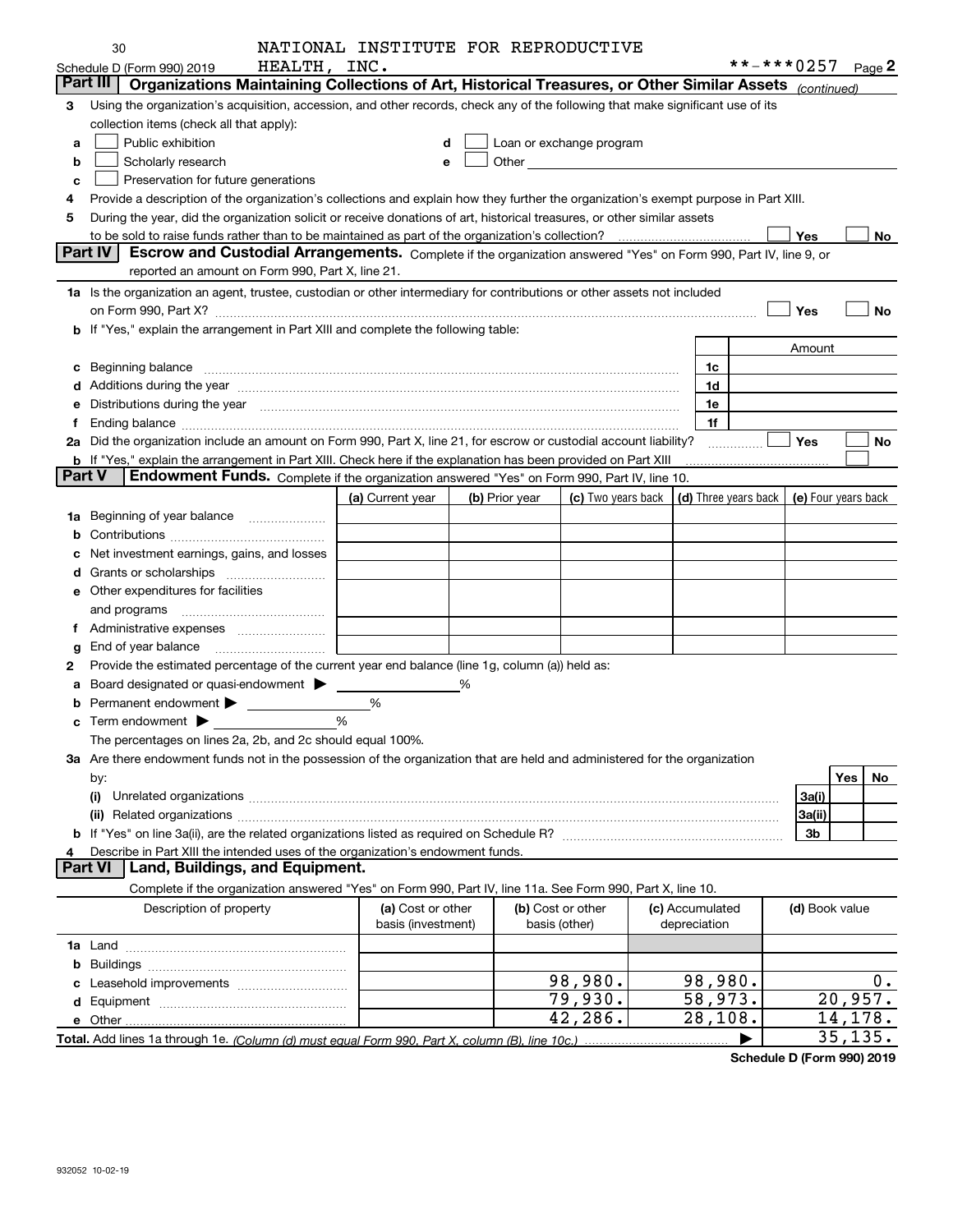|                | 30                                                                                                                                                                                                                             | NATIONAL INSTITUTE FOR REPRODUCTIVE |   |                |                                                                                                                                                                                                                                |                                                                             |                  |             |
|----------------|--------------------------------------------------------------------------------------------------------------------------------------------------------------------------------------------------------------------------------|-------------------------------------|---|----------------|--------------------------------------------------------------------------------------------------------------------------------------------------------------------------------------------------------------------------------|-----------------------------------------------------------------------------|------------------|-------------|
|                | HEALTH, INC.<br>Schedule D (Form 990) 2019                                                                                                                                                                                     |                                     |   |                |                                                                                                                                                                                                                                |                                                                             | $***$ $***$ 0257 | Page $2$    |
|                | Part III   Organizations Maintaining Collections of Art, Historical Treasures, or Other Similar Assets (continued)                                                                                                             |                                     |   |                |                                                                                                                                                                                                                                |                                                                             |                  |             |
| 3              | Using the organization's acquisition, accession, and other records, check any of the following that make significant use of its                                                                                                |                                     |   |                |                                                                                                                                                                                                                                |                                                                             |                  |             |
|                | collection items (check all that apply):                                                                                                                                                                                       |                                     |   |                |                                                                                                                                                                                                                                |                                                                             |                  |             |
| a              | Public exhibition                                                                                                                                                                                                              |                                     | d |                | Loan or exchange program                                                                                                                                                                                                       |                                                                             |                  |             |
| b              | Scholarly research                                                                                                                                                                                                             |                                     | e |                | Other and the control of the control of the control of the control of the control of the control of the control of the control of the control of the control of the control of the control of the control of the control of th |                                                                             |                  |             |
| c              | Preservation for future generations                                                                                                                                                                                            |                                     |   |                |                                                                                                                                                                                                                                |                                                                             |                  |             |
| 4              | Provide a description of the organization's collections and explain how they further the organization's exempt purpose in Part XIII.                                                                                           |                                     |   |                |                                                                                                                                                                                                                                |                                                                             |                  |             |
| 5              | During the year, did the organization solicit or receive donations of art, historical treasures, or other similar assets                                                                                                       |                                     |   |                |                                                                                                                                                                                                                                |                                                                             |                  |             |
|                |                                                                                                                                                                                                                                |                                     |   |                |                                                                                                                                                                                                                                |                                                                             | Yes              | No.         |
|                | <b>Part IV</b><br>Escrow and Custodial Arrangements. Complete if the organization answered "Yes" on Form 990, Part IV, line 9, or                                                                                              |                                     |   |                |                                                                                                                                                                                                                                |                                                                             |                  |             |
|                | reported an amount on Form 990, Part X, line 21.                                                                                                                                                                               |                                     |   |                |                                                                                                                                                                                                                                |                                                                             |                  |             |
|                |                                                                                                                                                                                                                                |                                     |   |                |                                                                                                                                                                                                                                |                                                                             |                  |             |
|                | 1a Is the organization an agent, trustee, custodian or other intermediary for contributions or other assets not included                                                                                                       |                                     |   |                |                                                                                                                                                                                                                                |                                                                             |                  |             |
|                |                                                                                                                                                                                                                                |                                     |   |                |                                                                                                                                                                                                                                |                                                                             | Yes              | No          |
|                | b If "Yes," explain the arrangement in Part XIII and complete the following table:                                                                                                                                             |                                     |   |                |                                                                                                                                                                                                                                |                                                                             |                  |             |
|                |                                                                                                                                                                                                                                |                                     |   |                |                                                                                                                                                                                                                                |                                                                             | Amount           |             |
|                | c Beginning balance measurements and the contract of the contract of the contract of the contract of the contract of the contract of the contract of the contract of the contract of the contract of the contract of the contr |                                     |   |                |                                                                                                                                                                                                                                | 1c                                                                          |                  |             |
|                |                                                                                                                                                                                                                                |                                     |   |                |                                                                                                                                                                                                                                | 1d                                                                          |                  |             |
|                | Distributions during the year manufactured and an account of the state of the state of the state of the state o                                                                                                                |                                     |   |                |                                                                                                                                                                                                                                | 1e                                                                          |                  |             |
| f              | Ending balance manufactured and contract the contract of the contract of the contract of the contract of the contract of the contract of the contract of the contract of the contract of the contract of the contract of the c |                                     |   |                |                                                                                                                                                                                                                                | 1f                                                                          |                  |             |
|                | 2a Did the organization include an amount on Form 990, Part X, line 21, for escrow or custodial account liability?                                                                                                             |                                     |   |                |                                                                                                                                                                                                                                |                                                                             | Yes              | No          |
|                | <b>b</b> If "Yes," explain the arrangement in Part XIII. Check here if the explanation has been provided on Part XIII                                                                                                          |                                     |   |                |                                                                                                                                                                                                                                |                                                                             |                  |             |
| <b>Part V</b>  | Endowment Funds. Complete if the organization answered "Yes" on Form 990, Part IV, line 10.                                                                                                                                    |                                     |   |                |                                                                                                                                                                                                                                |                                                                             |                  |             |
|                |                                                                                                                                                                                                                                | (a) Current year                    |   | (b) Prior year |                                                                                                                                                                                                                                | (c) Two years back $\vert$ (d) Three years back $\vert$ (e) Four years back |                  |             |
|                | 1a Beginning of year balance                                                                                                                                                                                                   |                                     |   |                |                                                                                                                                                                                                                                |                                                                             |                  |             |
| b              |                                                                                                                                                                                                                                |                                     |   |                |                                                                                                                                                                                                                                |                                                                             |                  |             |
| c              | Net investment earnings, gains, and losses                                                                                                                                                                                     |                                     |   |                |                                                                                                                                                                                                                                |                                                                             |                  |             |
| d              |                                                                                                                                                                                                                                |                                     |   |                |                                                                                                                                                                                                                                |                                                                             |                  |             |
|                | <b>e</b> Other expenditures for facilities                                                                                                                                                                                     |                                     |   |                |                                                                                                                                                                                                                                |                                                                             |                  |             |
|                |                                                                                                                                                                                                                                |                                     |   |                |                                                                                                                                                                                                                                |                                                                             |                  |             |
|                | and programs                                                                                                                                                                                                                   |                                     |   |                |                                                                                                                                                                                                                                |                                                                             |                  |             |
|                | f Administrative expenses                                                                                                                                                                                                      |                                     |   |                |                                                                                                                                                                                                                                |                                                                             |                  |             |
| g              | End of year balance                                                                                                                                                                                                            |                                     |   |                |                                                                                                                                                                                                                                |                                                                             |                  |             |
| 2              | Provide the estimated percentage of the current year end balance (line 1g, column (a)) held as:                                                                                                                                |                                     |   |                |                                                                                                                                                                                                                                |                                                                             |                  |             |
|                | a Board designated or quasi-endowment >                                                                                                                                                                                        |                                     | % |                |                                                                                                                                                                                                                                |                                                                             |                  |             |
| b              | Permanent endowment > 1                                                                                                                                                                                                        | %                                   |   |                |                                                                                                                                                                                                                                |                                                                             |                  |             |
|                |                                                                                                                                                                                                                                | %                                   |   |                |                                                                                                                                                                                                                                |                                                                             |                  |             |
|                | The percentages on lines 2a, 2b, and 2c should equal 100%.                                                                                                                                                                     |                                     |   |                |                                                                                                                                                                                                                                |                                                                             |                  |             |
|                | 3a Are there endowment funds not in the possession of the organization that are held and administered for the organization                                                                                                     |                                     |   |                |                                                                                                                                                                                                                                |                                                                             |                  |             |
|                | by:                                                                                                                                                                                                                            |                                     |   |                |                                                                                                                                                                                                                                |                                                                             |                  | Yes  <br>No |
|                | (i)                                                                                                                                                                                                                            |                                     |   |                |                                                                                                                                                                                                                                |                                                                             | 3a(i)            |             |
|                | (ii)                                                                                                                                                                                                                           |                                     |   |                |                                                                                                                                                                                                                                |                                                                             | 3a(ii)           |             |
|                |                                                                                                                                                                                                                                |                                     |   |                |                                                                                                                                                                                                                                |                                                                             | 3b               |             |
| 4              | Describe in Part XIII the intended uses of the organization's endowment funds.                                                                                                                                                 |                                     |   |                |                                                                                                                                                                                                                                |                                                                             |                  |             |
| <b>Part VI</b> | Land, Buildings, and Equipment.                                                                                                                                                                                                |                                     |   |                |                                                                                                                                                                                                                                |                                                                             |                  |             |
|                | Complete if the organization answered "Yes" on Form 990, Part IV, line 11a. See Form 990, Part X, line 10.                                                                                                                     |                                     |   |                |                                                                                                                                                                                                                                |                                                                             |                  |             |
|                | Description of property                                                                                                                                                                                                        | (a) Cost or other                   |   |                | (b) Cost or other                                                                                                                                                                                                              | (c) Accumulated                                                             | (d) Book value   |             |
|                |                                                                                                                                                                                                                                | basis (investment)                  |   |                | basis (other)                                                                                                                                                                                                                  | depreciation                                                                |                  |             |
|                |                                                                                                                                                                                                                                |                                     |   |                |                                                                                                                                                                                                                                |                                                                             |                  |             |
|                |                                                                                                                                                                                                                                |                                     |   |                |                                                                                                                                                                                                                                |                                                                             |                  |             |
|                |                                                                                                                                                                                                                                |                                     |   |                |                                                                                                                                                                                                                                |                                                                             |                  |             |
|                |                                                                                                                                                                                                                                |                                     |   |                | 98,980.                                                                                                                                                                                                                        | 98,980.                                                                     |                  | 0.          |
|                |                                                                                                                                                                                                                                |                                     |   |                | 79,930.                                                                                                                                                                                                                        | 58,973.                                                                     |                  | 20,957.     |
|                |                                                                                                                                                                                                                                |                                     |   |                | 42,286.                                                                                                                                                                                                                        | 28,108.                                                                     |                  | 14, 178.    |
|                |                                                                                                                                                                                                                                |                                     |   |                |                                                                                                                                                                                                                                |                                                                             |                  | 35, 135.    |

**Schedule D (Form 990) 2019**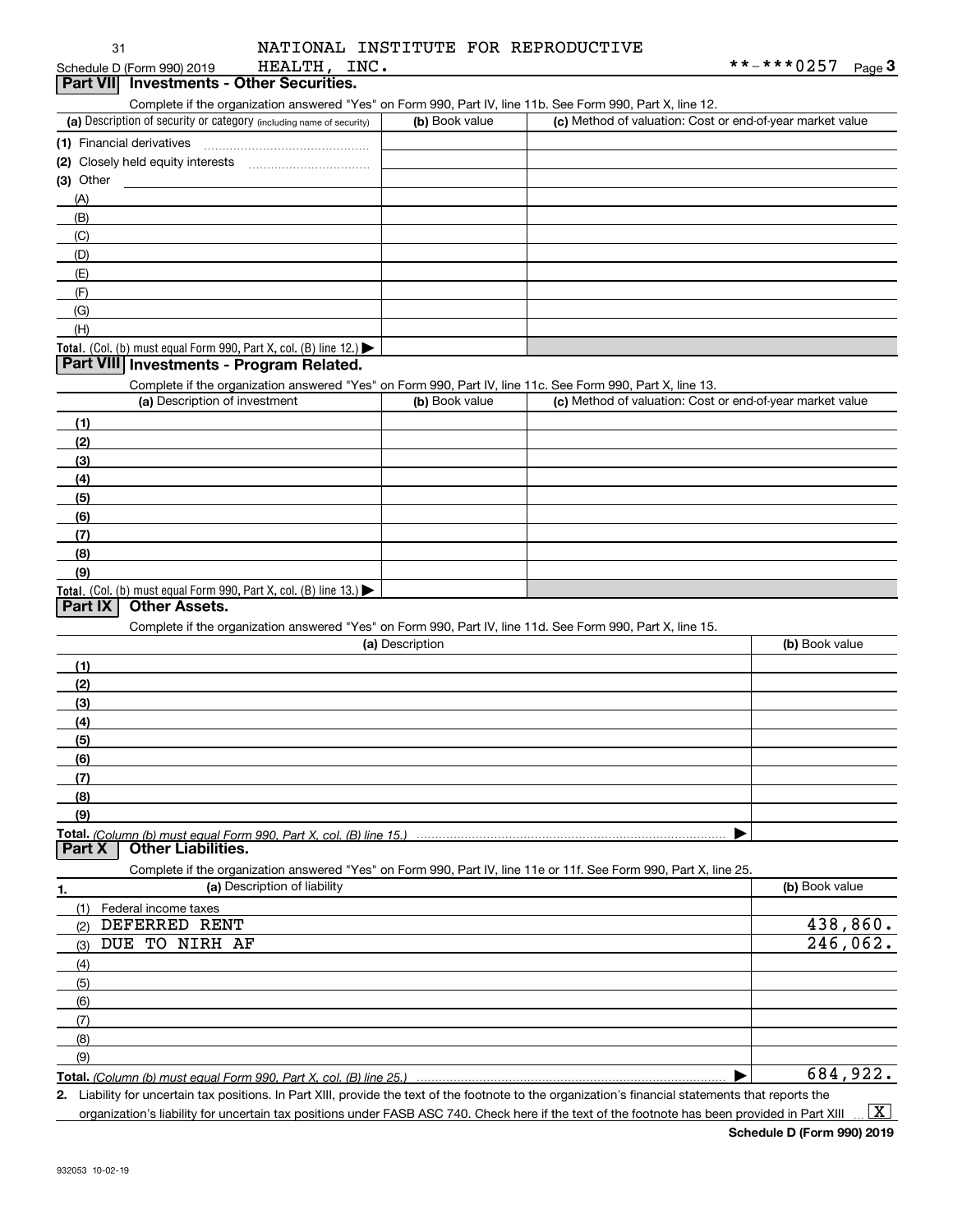| 31                                                                                                               |                              | NATIONAL INSTITUTE FOR REPRODUCTIVE |                                                                                                                   |                   |
|------------------------------------------------------------------------------------------------------------------|------------------------------|-------------------------------------|-------------------------------------------------------------------------------------------------------------------|-------------------|
| Schedule D (Form 990) 2019                                                                                       | HEALTH, INC.                 |                                     |                                                                                                                   | **-***0257 Page 3 |
| Part VII Investments - Other Securities.                                                                         |                              |                                     |                                                                                                                   |                   |
|                                                                                                                  |                              |                                     | Complete if the organization answered "Yes" on Form 990, Part IV, line 11b. See Form 990, Part X, line 12.        |                   |
| (a) Description of security or category (including name of security)                                             |                              | (b) Book value                      | (c) Method of valuation: Cost or end-of-year market value                                                         |                   |
| (1) Financial derivatives                                                                                        |                              |                                     |                                                                                                                   |                   |
|                                                                                                                  |                              |                                     |                                                                                                                   |                   |
| $(3)$ Other                                                                                                      |                              |                                     |                                                                                                                   |                   |
| (A)                                                                                                              |                              |                                     |                                                                                                                   |                   |
| (B)                                                                                                              |                              |                                     |                                                                                                                   |                   |
| (C)                                                                                                              |                              |                                     |                                                                                                                   |                   |
| (D)                                                                                                              |                              |                                     |                                                                                                                   |                   |
| (E)                                                                                                              |                              |                                     |                                                                                                                   |                   |
| (F)                                                                                                              |                              |                                     |                                                                                                                   |                   |
| (G)                                                                                                              |                              |                                     |                                                                                                                   |                   |
| (H)                                                                                                              |                              |                                     |                                                                                                                   |                   |
| Total. (Col. (b) must equal Form 990, Part X, col. (B) line 12.) $\blacktriangleright$                           |                              |                                     |                                                                                                                   |                   |
| Part VIII Investments - Program Related.                                                                         |                              |                                     |                                                                                                                   |                   |
|                                                                                                                  |                              |                                     | Complete if the organization answered "Yes" on Form 990, Part IV, line 11c. See Form 990, Part X, line 13.        |                   |
| (a) Description of investment                                                                                    |                              | (b) Book value                      | (c) Method of valuation: Cost or end-of-year market value                                                         |                   |
| (1)                                                                                                              |                              |                                     |                                                                                                                   |                   |
| (2)                                                                                                              |                              |                                     |                                                                                                                   |                   |
| (3)                                                                                                              |                              |                                     |                                                                                                                   |                   |
| (4)                                                                                                              |                              |                                     |                                                                                                                   |                   |
| (5)                                                                                                              |                              |                                     |                                                                                                                   |                   |
| (6)                                                                                                              |                              |                                     |                                                                                                                   |                   |
| (7)                                                                                                              |                              |                                     |                                                                                                                   |                   |
| (8)                                                                                                              |                              |                                     |                                                                                                                   |                   |
| (9)                                                                                                              |                              |                                     |                                                                                                                   |                   |
| Total. (Col. (b) must equal Form 990, Part X, col. (B) line 13.)                                                 |                              |                                     |                                                                                                                   |                   |
| <b>Other Assets.</b><br><b>Part IX</b>                                                                           |                              |                                     |                                                                                                                   |                   |
|                                                                                                                  |                              |                                     | Complete if the organization answered "Yes" on Form 990, Part IV, line 11d. See Form 990, Part X, line 15.        |                   |
|                                                                                                                  |                              | (a) Description                     |                                                                                                                   | (b) Book value    |
| (1)                                                                                                              |                              |                                     |                                                                                                                   |                   |
| (2)                                                                                                              |                              |                                     |                                                                                                                   |                   |
| (3)                                                                                                              |                              |                                     |                                                                                                                   |                   |
| (4)                                                                                                              |                              |                                     |                                                                                                                   |                   |
| (5)                                                                                                              |                              |                                     |                                                                                                                   |                   |
| (6)                                                                                                              |                              |                                     |                                                                                                                   |                   |
| (7)                                                                                                              |                              |                                     |                                                                                                                   |                   |
| (8)                                                                                                              |                              |                                     |                                                                                                                   |                   |
| (9)                                                                                                              |                              |                                     |                                                                                                                   |                   |
| Total. (Column (b) must equal Form 990. Part X, col. (B) line 15.)<br><b>Part X</b><br><b>Other Liabilities.</b> |                              |                                     |                                                                                                                   |                   |
|                                                                                                                  |                              |                                     | Complete if the organization answered "Yes" on Form 990, Part IV, line 11e or 11f. See Form 990, Part X, line 25. |                   |
| 1.                                                                                                               | (a) Description of liability |                                     |                                                                                                                   | (b) Book value    |
| Federal income taxes<br>(1)                                                                                      |                              |                                     |                                                                                                                   |                   |
| DEFERRED RENT<br>(2)                                                                                             |                              |                                     |                                                                                                                   | 438,860.          |
| DUE TO NIRH AF<br>(3)                                                                                            |                              |                                     |                                                                                                                   | 246,062.          |
| (4)                                                                                                              |                              |                                     |                                                                                                                   |                   |
| (5)                                                                                                              |                              |                                     |                                                                                                                   |                   |

**Total.**  *(Column (b) must equal Form 990, Part X, col. (B) line 25.)* (9)

**2.** | Liability for uncertain tax positions. In Part XIII, provide the text of the footnote to the organization's financial statements that reports the 684,922.

organization's liability for uncertain tax positions under FASB ASC 740. Check here if the text of the footnote has been provided in Part XIII

 $\boxed{\text{X}}$ 

(6) (7) (8)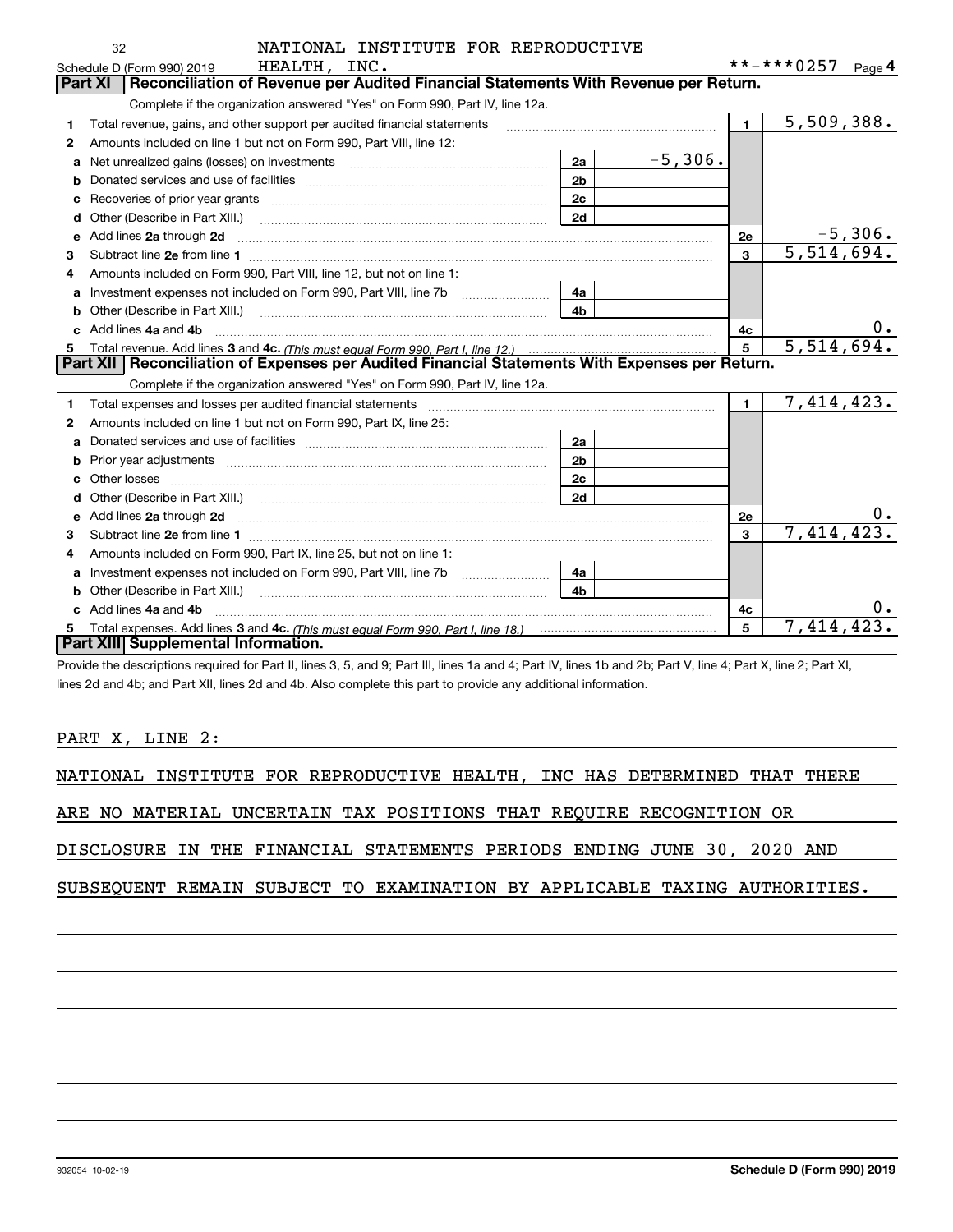|    | NATIONAL INSTITUTE FOR REPRODUCTIVE<br>32                                                                                                                                                                                           |                |           |                |                   |
|----|-------------------------------------------------------------------------------------------------------------------------------------------------------------------------------------------------------------------------------------|----------------|-----------|----------------|-------------------|
|    | HEALTH, INC.<br>Schedule D (Form 990) 2019                                                                                                                                                                                          |                |           |                | **-***0257 Page 4 |
|    | Reconciliation of Revenue per Audited Financial Statements With Revenue per Return.<br>Part XI                                                                                                                                      |                |           |                |                   |
|    | Complete if the organization answered "Yes" on Form 990, Part IV, line 12a.                                                                                                                                                         |                |           |                |                   |
| 1  | Total revenue, gains, and other support per audited financial statements                                                                                                                                                            |                |           | $\blacksquare$ | 5,509,388.        |
| 2  | Amounts included on line 1 but not on Form 990, Part VIII, line 12:                                                                                                                                                                 |                |           |                |                   |
| a  | Net unrealized gains (losses) on investments [11] [12] matter and all the unrealized gains (losses) on investments                                                                                                                  | 2a             | $-5,306.$ |                |                   |
| b  |                                                                                                                                                                                                                                     | 2 <sub>b</sub> |           |                |                   |
| c  |                                                                                                                                                                                                                                     | 2c             |           |                |                   |
| d  |                                                                                                                                                                                                                                     | 2d             |           |                |                   |
| е  | Add lines 2a through 2d                                                                                                                                                                                                             |                |           | 2e             | <u>-5,306.</u>    |
| 3  |                                                                                                                                                                                                                                     |                |           | 3              | 5,514,694.        |
| 4  | Amounts included on Form 990, Part VIII, line 12, but not on line 1:                                                                                                                                                                |                |           |                |                   |
| a  |                                                                                                                                                                                                                                     | 4a             |           |                |                   |
| b  | Other (Describe in Part XIII.) <b>Construction Contract Construction</b> Chemical Construction Chemical Chemical Chemical Chemical Chemical Chemical Chemical Chemical Chemical Chemical Chemical Chemical Chemical Chemical Chemic | 4 <sub>b</sub> |           |                |                   |
|    | Add lines 4a and 4b                                                                                                                                                                                                                 |                |           | 4c             |                   |
| 5. |                                                                                                                                                                                                                                     |                |           | 5              | 5,514,694.        |
|    | Part XII   Reconciliation of Expenses per Audited Financial Statements With Expenses per Return.                                                                                                                                    |                |           |                |                   |
|    | Complete if the organization answered "Yes" on Form 990, Part IV, line 12a.                                                                                                                                                         |                |           |                |                   |
| 1  | Total expenses and losses per audited financial statements [11] [11] Total expenses and losses per audited financial statements [11] [11] Total expenses and losses per audited financial statements                                |                |           | $\mathbf{1}$   | 7,414,423.        |
| 2  | Amounts included on line 1 but not on Form 990, Part IX, line 25:                                                                                                                                                                   |                |           |                |                   |
| a  |                                                                                                                                                                                                                                     | 2a             |           |                |                   |
| b  |                                                                                                                                                                                                                                     | 2 <sub>b</sub> |           |                |                   |
| c  |                                                                                                                                                                                                                                     | 2c             |           |                |                   |
| d  |                                                                                                                                                                                                                                     | 2d             |           |                |                   |
| е  | Add lines 2a through 2d <b>contained a contained a contained a contained a</b> contained a contact the state of the state of the state of the state of the state of the state of the state of the state of the state of the state o |                |           | 2e             |                   |
| з  |                                                                                                                                                                                                                                     |                |           | 3              | 7,414,423.        |
| 4  | Amounts included on Form 990, Part IX, line 25, but not on line 1:                                                                                                                                                                  |                |           |                |                   |
| a  |                                                                                                                                                                                                                                     | 4a             |           |                |                   |
| b  |                                                                                                                                                                                                                                     | 4 <sub>h</sub> |           |                |                   |
|    | c Add lines 4a and 4b                                                                                                                                                                                                               |                |           | 4c             | $0 \cdot$         |
| 5. |                                                                                                                                                                                                                                     |                |           | 5              | 7,414,423.        |
|    | Part XIII Supplemental Information.                                                                                                                                                                                                 |                |           |                |                   |
|    | Provide the descriptions required for Part II, lines 3, 5, and 9; Part III, lines 1a and 4; Part IV, lines 1b and 2b; Part V, line 4; Part X, line 2; Part XI,                                                                      |                |           |                |                   |

lines 2d and 4b; and Part XII, lines 2d and 4b. Also complete this part to provide any additional information.

PART X, LINE 2:

NATIONAL INSTITUTE FOR REPRODUCTIVE HEALTH, INC HAS DETERMINED THAT THERE

ARE NO MATERIAL UNCERTAIN TAX POSITIONS THAT REQUIRE RECOGNITION OR

DISCLOSURE IN THE FINANCIAL STATEMENTS PERIODS ENDING JUNE 30, 2020 AND

SUBSEQUENT REMAIN SUBJECT TO EXAMINATION BY APPLICABLE TAXING AUTHORITIES.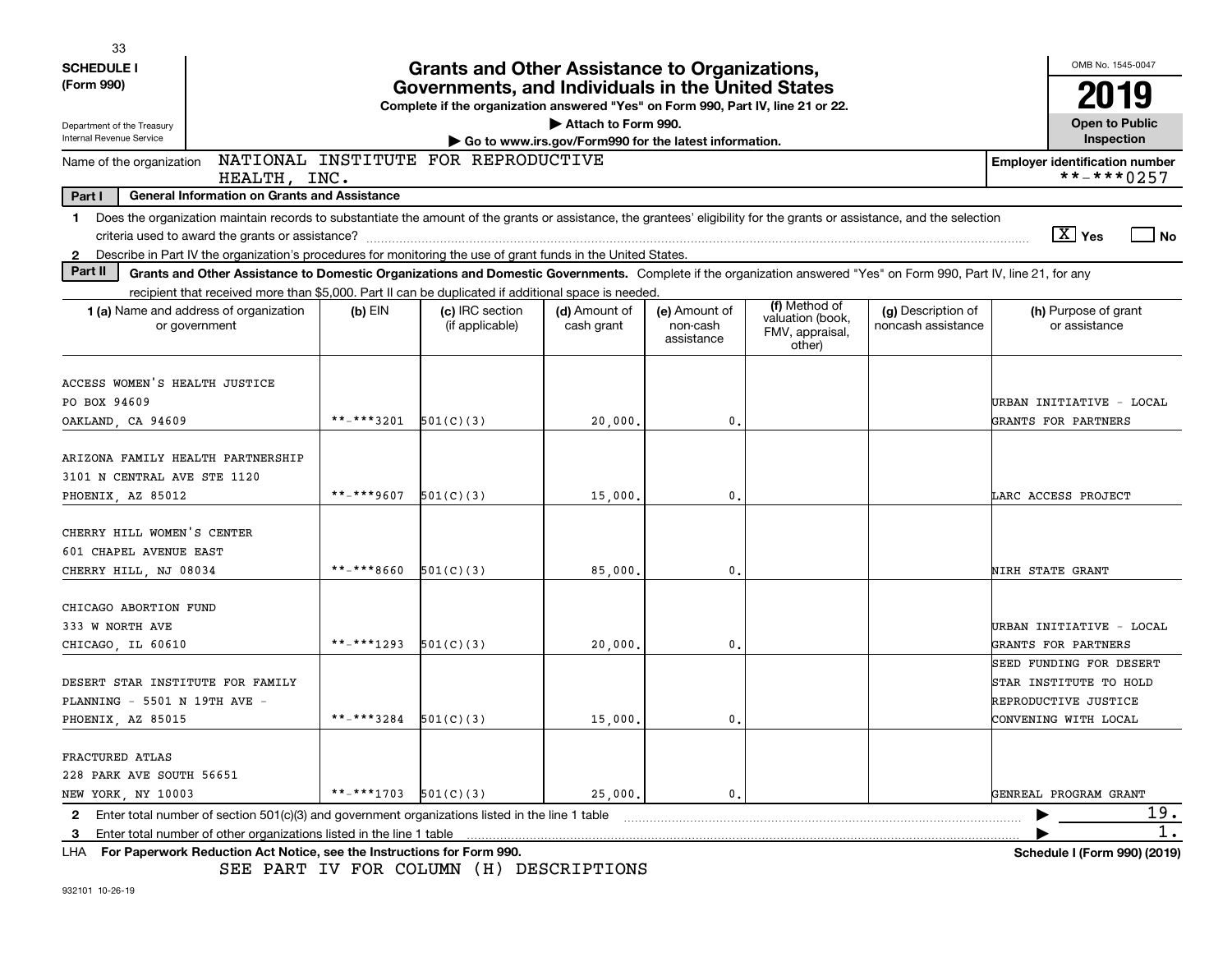| 33                                |                                                                                                                                                                          |            |                                                                                  |                                                       |                                         |                                                                |                                          |                                                     |
|-----------------------------------|--------------------------------------------------------------------------------------------------------------------------------------------------------------------------|------------|----------------------------------------------------------------------------------|-------------------------------------------------------|-----------------------------------------|----------------------------------------------------------------|------------------------------------------|-----------------------------------------------------|
| <b>SCHEDULE I</b>                 |                                                                                                                                                                          |            | <b>Grants and Other Assistance to Organizations,</b>                             |                                                       |                                         |                                                                |                                          | OMB No. 1545-0047                                   |
| (Form 990)                        |                                                                                                                                                                          |            | Governments, and Individuals in the United States                                |                                                       |                                         |                                                                |                                          | 2019                                                |
|                                   |                                                                                                                                                                          |            | Complete if the organization answered "Yes" on Form 990, Part IV, line 21 or 22. |                                                       |                                         |                                                                |                                          |                                                     |
| Department of the Treasury        |                                                                                                                                                                          |            |                                                                                  | Attach to Form 990.                                   |                                         |                                                                |                                          | <b>Open to Public</b>                               |
| Internal Revenue Service          |                                                                                                                                                                          |            |                                                                                  | Go to www.irs.gov/Form990 for the latest information. |                                         |                                                                |                                          | Inspection                                          |
| Name of the organization          | HEALTH, INC.                                                                                                                                                             |            | NATIONAL INSTITUTE FOR REPRODUCTIVE                                              |                                                       |                                         |                                                                |                                          | <b>Employer identification number</b><br>**-***0257 |
| Part I                            | <b>General Information on Grants and Assistance</b>                                                                                                                      |            |                                                                                  |                                                       |                                         |                                                                |                                          |                                                     |
| -1                                | Does the organization maintain records to substantiate the amount of the grants or assistance, the grantees' eligibility for the grants or assistance, and the selection |            |                                                                                  |                                                       |                                         |                                                                |                                          |                                                     |
|                                   | criteria used to award the grants or assistance?                                                                                                                         |            |                                                                                  |                                                       |                                         |                                                                |                                          | $X$ Yes<br>l No                                     |
| 2                                 | Describe in Part IV the organization's procedures for monitoring the use of grant funds in the United States.                                                            |            |                                                                                  |                                                       |                                         |                                                                |                                          |                                                     |
| Part II                           | Grants and Other Assistance to Domestic Organizations and Domestic Governments. Complete if the organization answered "Yes" on Form 990, Part IV, line 21, for any       |            |                                                                                  |                                                       |                                         |                                                                |                                          |                                                     |
|                                   | recipient that received more than \$5,000. Part II can be duplicated if additional space is needed                                                                       |            |                                                                                  |                                                       |                                         |                                                                |                                          |                                                     |
|                                   | <b>1 (a)</b> Name and address of organization<br>or government                                                                                                           | $(b)$ EIN  | (c) IRC section<br>(if applicable)                                               | (d) Amount of<br>cash grant                           | (e) Amount of<br>non-cash<br>assistance | (f) Method of<br>valuation (book,<br>FMV, appraisal,<br>other) | (g) Description of<br>noncash assistance | (h) Purpose of grant<br>or assistance               |
|                                   |                                                                                                                                                                          |            |                                                                                  |                                                       |                                         |                                                                |                                          |                                                     |
| ACCESS WOMEN'S HEALTH JUSTICE     |                                                                                                                                                                          |            |                                                                                  |                                                       |                                         |                                                                |                                          |                                                     |
| PO BOX 94609                      |                                                                                                                                                                          |            |                                                                                  |                                                       |                                         |                                                                |                                          | URBAN INITIATIVE - LOCAL                            |
| OAKLAND, CA 94609                 |                                                                                                                                                                          | **-***3201 | 501(C)(3)                                                                        | 20,000                                                | 0.                                      |                                                                |                                          | GRANTS FOR PARTNERS                                 |
|                                   |                                                                                                                                                                          |            |                                                                                  |                                                       |                                         |                                                                |                                          |                                                     |
| ARIZONA FAMILY HEALTH PARTNERSHIP |                                                                                                                                                                          |            |                                                                                  |                                                       |                                         |                                                                |                                          |                                                     |
| 3101 N CENTRAL AVE STE 1120       |                                                                                                                                                                          | **-***9607 | 501(C)(3)                                                                        |                                                       | 0.                                      |                                                                |                                          | LARC ACCESS PROJECT                                 |
| PHOENIX, AZ 85012                 |                                                                                                                                                                          |            |                                                                                  | 15,000                                                |                                         |                                                                |                                          |                                                     |
| CHERRY HILL WOMEN'S CENTER        |                                                                                                                                                                          |            |                                                                                  |                                                       |                                         |                                                                |                                          |                                                     |
| 601 CHAPEL AVENUE EAST            |                                                                                                                                                                          |            |                                                                                  |                                                       |                                         |                                                                |                                          |                                                     |
| CHERRY HILL, NJ 08034             |                                                                                                                                                                          | **-***8660 | 501(C)(3)                                                                        | 85,000                                                | 0.                                      |                                                                |                                          | <b>NIRH STATE GRANT</b>                             |
|                                   |                                                                                                                                                                          |            |                                                                                  |                                                       |                                         |                                                                |                                          |                                                     |
| CHICAGO ABORTION FUND             |                                                                                                                                                                          |            |                                                                                  |                                                       |                                         |                                                                |                                          |                                                     |
| 333 W NORTH AVE                   |                                                                                                                                                                          |            |                                                                                  |                                                       |                                         |                                                                |                                          | URBAN INITIATIVE - LOCAL                            |
| CHICAGO, IL 60610                 |                                                                                                                                                                          | **-***1293 | 501(C)(3)                                                                        | 20,000                                                | 0.                                      |                                                                |                                          | GRANTS FOR PARTNERS                                 |
|                                   |                                                                                                                                                                          |            |                                                                                  |                                                       |                                         |                                                                |                                          | SEED FUNDING FOR DESERT                             |
| DESERT STAR INSTITUTE FOR FAMILY  |                                                                                                                                                                          |            |                                                                                  |                                                       |                                         |                                                                |                                          | STAR INSTITUTE TO HOLD                              |
| PLANNING - 5501 N 19TH AVE -      |                                                                                                                                                                          |            |                                                                                  |                                                       |                                         |                                                                |                                          | REPRODUCTIVE JUSTICE                                |
| PHOENIX, AZ 85015                 |                                                                                                                                                                          | **-***3284 | 501(C)(3)                                                                        | 15,000                                                | 0.                                      |                                                                |                                          | CONVENING WITH LOCAL                                |
|                                   |                                                                                                                                                                          |            |                                                                                  |                                                       |                                         |                                                                |                                          |                                                     |
| FRACTURED ATLAS                   |                                                                                                                                                                          |            |                                                                                  |                                                       |                                         |                                                                |                                          |                                                     |
| 228 PARK AVE SOUTH 56651          |                                                                                                                                                                          |            |                                                                                  |                                                       |                                         |                                                                |                                          |                                                     |
| NEW YORK, NY 10003                |                                                                                                                                                                          | **_***1703 | 501(C)(3)                                                                        | 25,000.                                               | 0.                                      |                                                                |                                          | GENREAL PROGRAM GRANT                               |
| 2                                 | Enter total number of section 501(c)(3) and government organizations listed in the line 1 table                                                                          |            |                                                                                  |                                                       |                                         |                                                                |                                          | 19.                                                 |
| 3                                 | Enter total number of other organizations listed in the line 1 table                                                                                                     |            |                                                                                  |                                                       |                                         |                                                                |                                          |                                                     |
|                                   | LHA For Paperwork Reduction Act Notice, see the Instructions for Form 990.                                                                                               |            |                                                                                  |                                                       |                                         |                                                                |                                          | Schedule I (Form 990) (2019)                        |

SEE PART IV FOR COLUMN (H) DESCRIPTIONS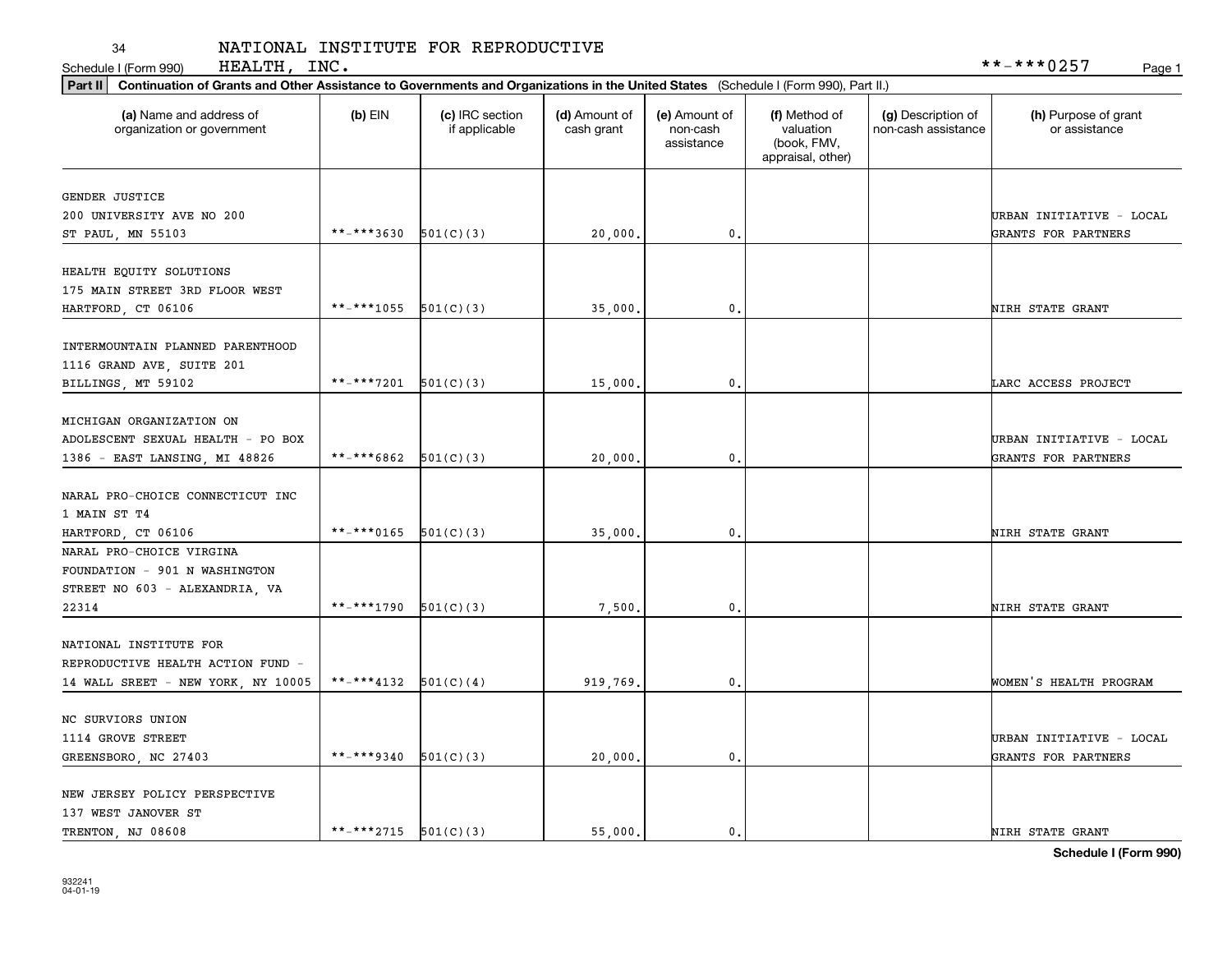# 34<br>Schedule I (Form 990)

## NATIONAL INSTITUTE FOR REPRODUCTIVE

|                                                       | Part II   Continuation of Grants and Other Assistance to Governments and Organizations in the United States (Schedule I (Form 990), Part II.) |                                  |                             |                                         |                                                                |                                           |                                                 |  |  |  |  |
|-------------------------------------------------------|-----------------------------------------------------------------------------------------------------------------------------------------------|----------------------------------|-----------------------------|-----------------------------------------|----------------------------------------------------------------|-------------------------------------------|-------------------------------------------------|--|--|--|--|
| (a) Name and address of<br>organization or government | $(b)$ EIN                                                                                                                                     | (c) IRC section<br>if applicable | (d) Amount of<br>cash grant | (e) Amount of<br>non-cash<br>assistance | (f) Method of<br>valuation<br>(book, FMV,<br>appraisal, other) | (g) Description of<br>non-cash assistance | (h) Purpose of grant<br>or assistance           |  |  |  |  |
|                                                       |                                                                                                                                               |                                  |                             |                                         |                                                                |                                           |                                                 |  |  |  |  |
| <b>GENDER JUSTICE</b>                                 |                                                                                                                                               |                                  |                             |                                         |                                                                |                                           |                                                 |  |  |  |  |
| 200 UNIVERSITY AVE NO 200<br>ST PAUL, MN 55103        | **-***3630                                                                                                                                    | 501(C)(3)                        | 20,000.                     | 0.                                      |                                                                |                                           | URBAN INITIATIVE - LOCAL<br>GRANTS FOR PARTNERS |  |  |  |  |
|                                                       |                                                                                                                                               |                                  |                             |                                         |                                                                |                                           |                                                 |  |  |  |  |
| HEALTH EQUITY SOLUTIONS                               |                                                                                                                                               |                                  |                             |                                         |                                                                |                                           |                                                 |  |  |  |  |
| 175 MAIN STREET 3RD FLOOR WEST                        |                                                                                                                                               |                                  |                             |                                         |                                                                |                                           |                                                 |  |  |  |  |
| HARTFORD, CT 06106                                    | **-***1055                                                                                                                                    | 501(C)(3)                        | 35,000                      | $\mathbf{0}$                            |                                                                |                                           | NIRH STATE GRANT                                |  |  |  |  |
|                                                       |                                                                                                                                               |                                  |                             |                                         |                                                                |                                           |                                                 |  |  |  |  |
| INTERMOUNTAIN PLANNED PARENTHOOD                      |                                                                                                                                               |                                  |                             |                                         |                                                                |                                           |                                                 |  |  |  |  |
| 1116 GRAND AVE, SUITE 201                             |                                                                                                                                               |                                  |                             |                                         |                                                                |                                           |                                                 |  |  |  |  |
| BILLINGS, MT 59102                                    | **-***7201                                                                                                                                    | 501(C)(3)                        | 15,000.                     | 0.                                      |                                                                |                                           | LARC ACCESS PROJECT                             |  |  |  |  |
| MICHIGAN ORGANIZATION ON                              |                                                                                                                                               |                                  |                             |                                         |                                                                |                                           |                                                 |  |  |  |  |
| ADOLESCENT SEXUAL HEALTH - PO BOX                     |                                                                                                                                               |                                  |                             |                                         |                                                                |                                           | URBAN INITIATIVE - LOCAL                        |  |  |  |  |
| 1386 - EAST LANSING, MI 48826                         | **_***6862                                                                                                                                    | 501(C)(3)                        | 20,000                      | $\mathbf{0}$                            |                                                                |                                           | GRANTS FOR PARTNERS                             |  |  |  |  |
|                                                       |                                                                                                                                               |                                  |                             |                                         |                                                                |                                           |                                                 |  |  |  |  |
| NARAL PRO-CHOICE CONNECTICUT INC                      |                                                                                                                                               |                                  |                             |                                         |                                                                |                                           |                                                 |  |  |  |  |
| 1 MAIN ST T4                                          |                                                                                                                                               |                                  |                             |                                         |                                                                |                                           |                                                 |  |  |  |  |
| HARTFORD, CT 06106                                    | **-***0165                                                                                                                                    | 501(C)(3)                        | 35,000                      | 0.                                      |                                                                |                                           | NIRH STATE GRANT                                |  |  |  |  |
| NARAL PRO-CHOICE VIRGINA                              |                                                                                                                                               |                                  |                             |                                         |                                                                |                                           |                                                 |  |  |  |  |
| FOUNDATION - 901 N WASHINGTON                         |                                                                                                                                               |                                  |                             |                                         |                                                                |                                           |                                                 |  |  |  |  |
| STREET NO 603 - ALEXANDRIA, VA                        |                                                                                                                                               |                                  |                             |                                         |                                                                |                                           |                                                 |  |  |  |  |
| 22314                                                 | **-***1790                                                                                                                                    | 501(C)(3)                        | 7,500                       | 0.                                      |                                                                |                                           | NIRH STATE GRANT                                |  |  |  |  |
|                                                       |                                                                                                                                               |                                  |                             |                                         |                                                                |                                           |                                                 |  |  |  |  |
| NATIONAL INSTITUTE FOR                                |                                                                                                                                               |                                  |                             |                                         |                                                                |                                           |                                                 |  |  |  |  |
| REPRODUCTIVE HEALTH ACTION FUND -                     |                                                                                                                                               |                                  |                             |                                         |                                                                |                                           |                                                 |  |  |  |  |
| 14 WALL SREET - NEW YORK, NY 10005                    | **-****4132                                                                                                                                   | 501(C)(4)                        | 919,769.                    | 0.                                      |                                                                |                                           | WOMEN'S HEALTH PROGRAM                          |  |  |  |  |
| NC SURVIORS UNION                                     |                                                                                                                                               |                                  |                             |                                         |                                                                |                                           |                                                 |  |  |  |  |
| 1114 GROVE STREET                                     |                                                                                                                                               |                                  |                             |                                         |                                                                |                                           | URBAN INITIATIVE - LOCAL                        |  |  |  |  |
| GREENSBORO, NC 27403                                  | **_****9340                                                                                                                                   | 501(C)(3)                        | 20,000                      | 0.                                      |                                                                |                                           | GRANTS FOR PARTNERS                             |  |  |  |  |
|                                                       |                                                                                                                                               |                                  |                             |                                         |                                                                |                                           |                                                 |  |  |  |  |
| NEW JERSEY POLICY PERSPECTIVE                         |                                                                                                                                               |                                  |                             |                                         |                                                                |                                           |                                                 |  |  |  |  |
| 137 WEST JANOVER ST                                   |                                                                                                                                               |                                  |                             |                                         |                                                                |                                           |                                                 |  |  |  |  |
| TRENTON, NJ 08608                                     | **_****2715                                                                                                                                   | 501(C)(3)                        | 55,000,                     | 0.                                      |                                                                |                                           | NIRH STATE GRANT                                |  |  |  |  |
|                                                       |                                                                                                                                               |                                  |                             |                                         |                                                                |                                           |                                                 |  |  |  |  |

**Schedule I (Form 990)**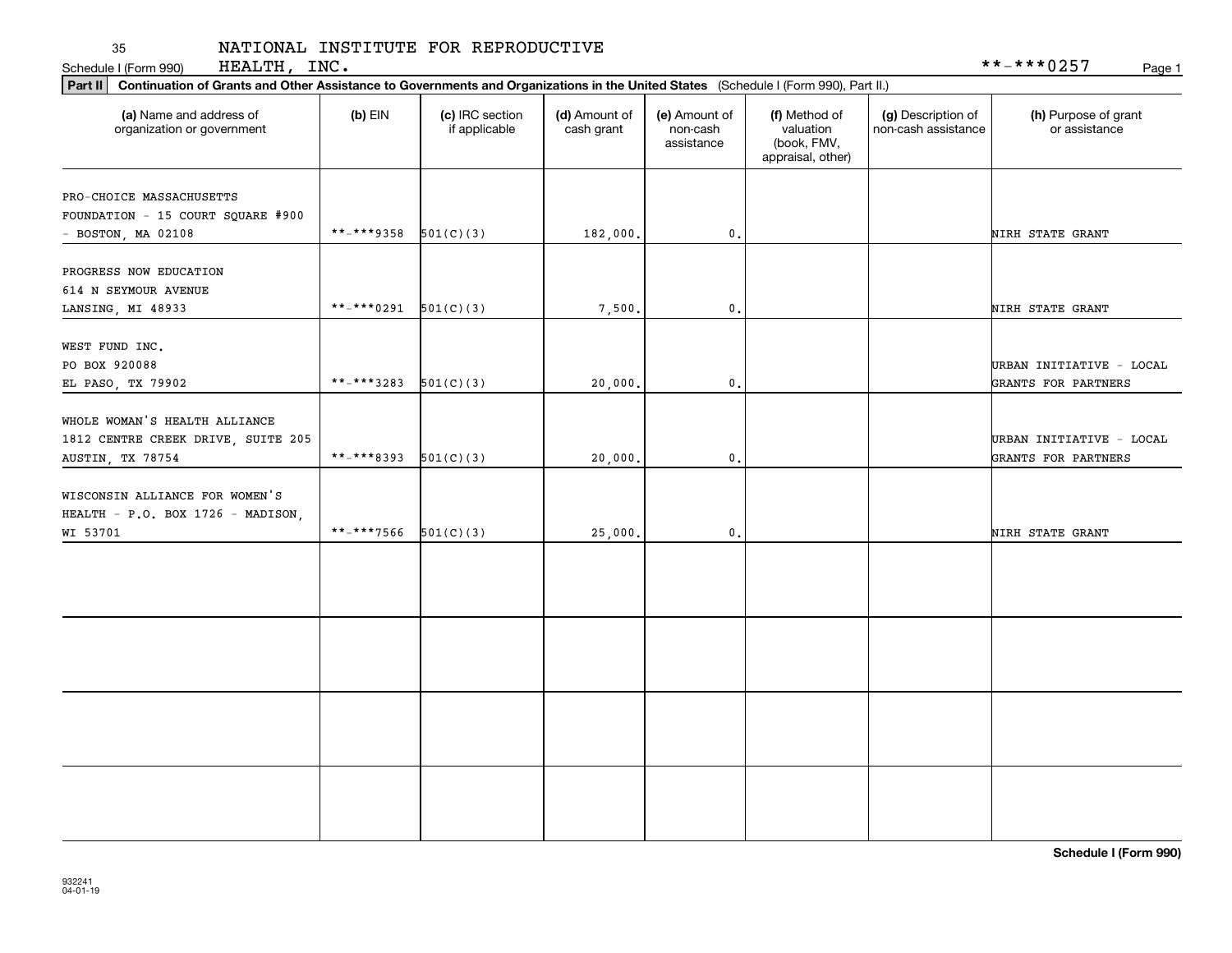Schedule I (Form 990) Page 1 HEALTH, INC. 35<br>Schedule I (Form 990)

| Part II   Continuation of Grants and Other Assistance to Governments and Organizations in the United States (Schedule I (Form 990), Part II.) |             |                                  |                             |                                         |                                                                |                                           |                                       |
|-----------------------------------------------------------------------------------------------------------------------------------------------|-------------|----------------------------------|-----------------------------|-----------------------------------------|----------------------------------------------------------------|-------------------------------------------|---------------------------------------|
| (a) Name and address of<br>organization or government                                                                                         | $(b)$ EIN   | (c) IRC section<br>if applicable | (d) Amount of<br>cash grant | (e) Amount of<br>non-cash<br>assistance | (f) Method of<br>valuation<br>(book, FMV,<br>appraisal, other) | (g) Description of<br>non-cash assistance | (h) Purpose of grant<br>or assistance |
| PRO-CHOICE MASSACHUSETTS                                                                                                                      |             |                                  |                             |                                         |                                                                |                                           |                                       |
| FOUNDATION - 15 COURT SQUARE #900                                                                                                             |             |                                  |                             |                                         |                                                                |                                           |                                       |
| $-$ BOSTON, MA 02108                                                                                                                          | **_****9358 | 501(C)(3)                        | 182,000.                    | $\mathbf{0}$ .                          |                                                                |                                           | NIRH STATE GRANT                      |
|                                                                                                                                               |             |                                  |                             |                                         |                                                                |                                           |                                       |
| PROGRESS NOW EDUCATION                                                                                                                        |             |                                  |                             |                                         |                                                                |                                           |                                       |
| 614 N SEYMOUR AVENUE                                                                                                                          |             |                                  |                             |                                         |                                                                |                                           |                                       |
| LANSING, MI 48933                                                                                                                             | **-***0291  | 501(C)(3)                        | 7,500.                      | 0.                                      |                                                                |                                           | NIRH STATE GRANT                      |
|                                                                                                                                               |             |                                  |                             |                                         |                                                                |                                           |                                       |
| WEST FUND INC.                                                                                                                                |             |                                  |                             |                                         |                                                                |                                           |                                       |
| PO BOX 920088                                                                                                                                 |             |                                  |                             |                                         |                                                                |                                           | URBAN INITIATIVE - LOCAL              |
| EL PASO, TX 79902                                                                                                                             | **-***3283  | 501(C)(3)                        | 20,000.                     | 0.                                      |                                                                |                                           | GRANTS FOR PARTNERS                   |
| WHOLE WOMAN'S HEALTH ALLIANCE                                                                                                                 |             |                                  |                             |                                         |                                                                |                                           |                                       |
|                                                                                                                                               |             |                                  |                             |                                         |                                                                |                                           |                                       |
| 1812 CENTRE CREEK DRIVE, SUITE 205                                                                                                            | **-***8393  |                                  |                             |                                         |                                                                |                                           | URBAN INITIATIVE - LOCAL              |
| AUSTIN, TX 78754                                                                                                                              |             | 501(C)(3)                        | 20,000.                     | 0.                                      |                                                                |                                           | GRANTS FOR PARTNERS                   |
| WISCONSIN ALLIANCE FOR WOMEN'S                                                                                                                |             |                                  |                             |                                         |                                                                |                                           |                                       |
| HEALTH - P.O. BOX 1726 - MADISON,                                                                                                             |             |                                  |                             |                                         |                                                                |                                           |                                       |
| WI 53701                                                                                                                                      | **-***7566  | 501(C)(3)                        | 25,000.                     | 0.                                      |                                                                |                                           | NIRH STATE GRANT                      |
|                                                                                                                                               |             |                                  |                             |                                         |                                                                |                                           |                                       |
|                                                                                                                                               |             |                                  |                             |                                         |                                                                |                                           |                                       |
|                                                                                                                                               |             |                                  |                             |                                         |                                                                |                                           |                                       |
|                                                                                                                                               |             |                                  |                             |                                         |                                                                |                                           |                                       |
|                                                                                                                                               |             |                                  |                             |                                         |                                                                |                                           |                                       |
|                                                                                                                                               |             |                                  |                             |                                         |                                                                |                                           |                                       |
|                                                                                                                                               |             |                                  |                             |                                         |                                                                |                                           |                                       |
|                                                                                                                                               |             |                                  |                             |                                         |                                                                |                                           |                                       |
|                                                                                                                                               |             |                                  |                             |                                         |                                                                |                                           |                                       |
|                                                                                                                                               |             |                                  |                             |                                         |                                                                |                                           |                                       |
|                                                                                                                                               |             |                                  |                             |                                         |                                                                |                                           |                                       |
|                                                                                                                                               |             |                                  |                             |                                         |                                                                |                                           |                                       |
|                                                                                                                                               |             |                                  |                             |                                         |                                                                |                                           |                                       |
|                                                                                                                                               |             |                                  |                             |                                         |                                                                |                                           |                                       |
|                                                                                                                                               |             |                                  |                             |                                         |                                                                |                                           |                                       |

**Schedule I (Form 990)**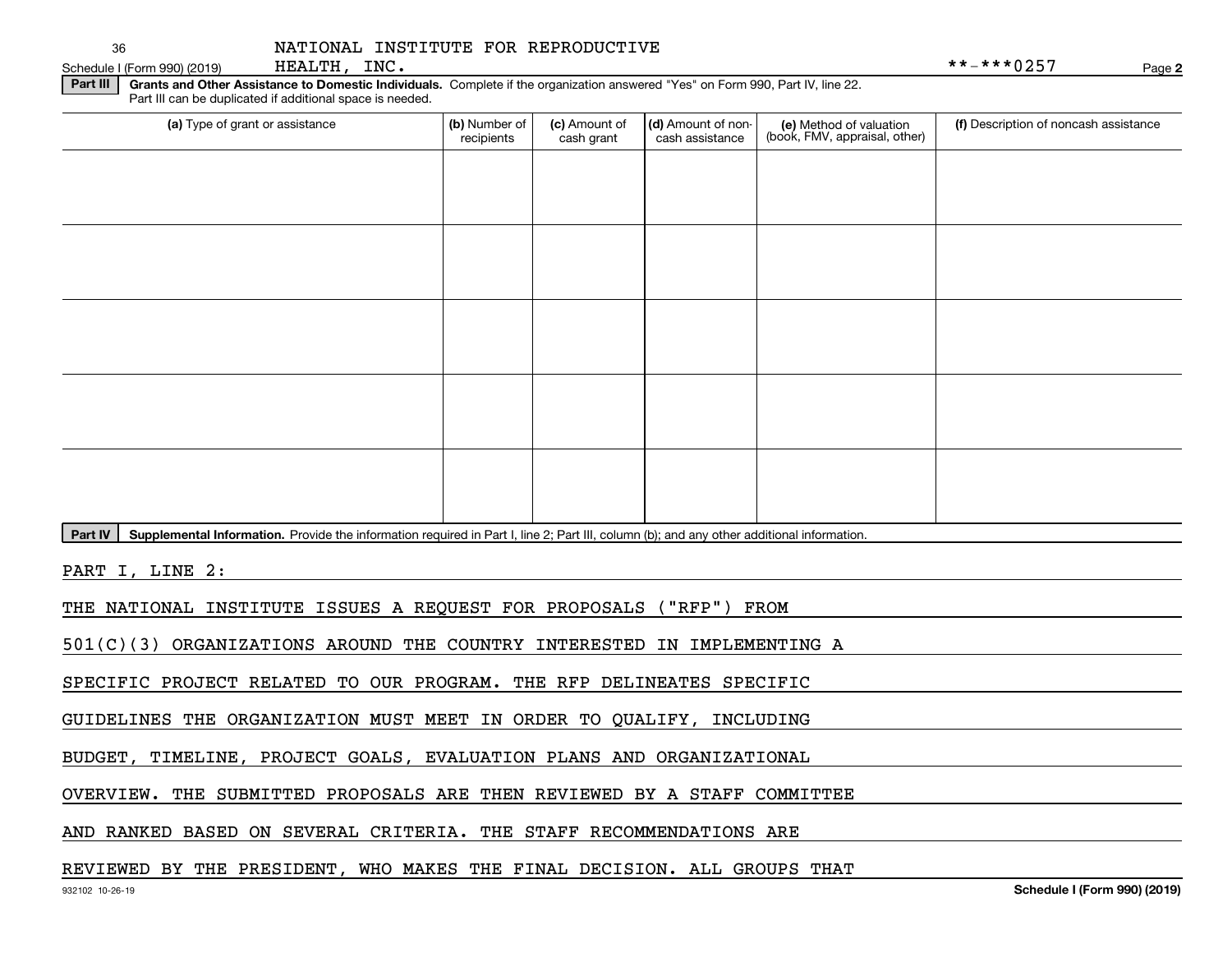HEALTH, INC.

Schedule I (Form 990) (2019) HEALTH, INC.

**2**

**Part III** | Grants and Other Assistance to Domestic Individuals. Complete if the organization answered "Yes" on Form 990, Part IV, line 22. Part III can be duplicated if additional space is needed.

| (a) Type of grant or assistance | (b) Number of<br>recipients | (c) Amount of<br>cash grant | (d) Amount of non-<br>cash assistance | (e) Method of valuation<br>(book, FMV, appraisal, other) | (f) Description of noncash assistance |
|---------------------------------|-----------------------------|-----------------------------|---------------------------------------|----------------------------------------------------------|---------------------------------------|
|                                 |                             |                             |                                       |                                                          |                                       |
|                                 |                             |                             |                                       |                                                          |                                       |
|                                 |                             |                             |                                       |                                                          |                                       |
|                                 |                             |                             |                                       |                                                          |                                       |
|                                 |                             |                             |                                       |                                                          |                                       |
|                                 |                             |                             |                                       |                                                          |                                       |
|                                 |                             |                             |                                       |                                                          |                                       |
|                                 |                             |                             |                                       |                                                          |                                       |
|                                 |                             |                             |                                       |                                                          |                                       |
|                                 |                             |                             |                                       |                                                          |                                       |

**Part IV** | Supplemental Information. Provide the information required in Part I, line 2; Part III, column (b); and any other additional information.<br>

PART I, LINE 2:

THE NATIONAL INSTITUTE ISSUES A REQUEST FOR PROPOSALS ("RFP") FROM

501(C)(3) ORGANIZATIONS AROUND THE COUNTRY INTERESTED IN IMPLEMENTING A

SPECIFIC PROJECT RELATED TO OUR PROGRAM. THE RFP DELINEATES SPECIFIC

GUIDELINES THE ORGANIZATION MUST MEET IN ORDER TO QUALIFY, INCLUDING

BUDGET, TIMELINE, PROJECT GOALS, EVALUATION PLANS AND ORGANIZATIONAL

OVERVIEW. THE SUBMITTED PROPOSALS ARE THEN REVIEWED BY A STAFF COMMITTEE

AND RANKED BASED ON SEVERAL CRITERIA. THE STAFF RECOMMENDATIONS ARE

## REVIEWED BY THE PRESIDENT, WHO MAKES THE FINAL DECISION. ALL GROUPS THAT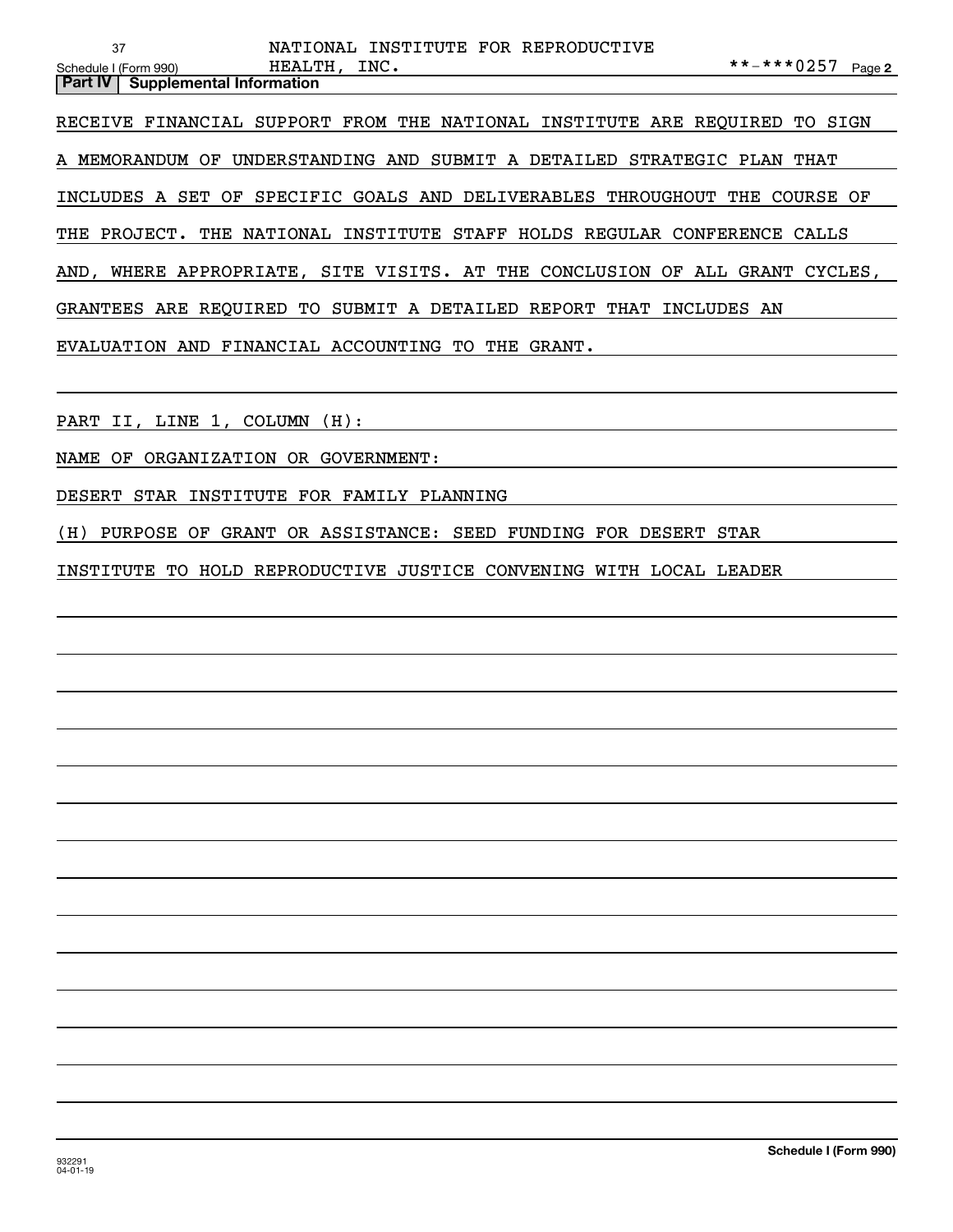| <b>Part IV   Supplemental Information</b> |              |  |                                     |                               |  |
|-------------------------------------------|--------------|--|-------------------------------------|-------------------------------|--|
| Schedule I (Form 990)                     | HEALTH, INC. |  |                                     | **-***0257 $_{\text{Page 2}}$ |  |
|                                           |              |  | NATIONAL INSTITUTE FOR REPRODUCTIVE |                               |  |

RECEIVE FINANCIAL SUPPORT FROM THE NATIONAL INSTITUTE ARE REQUIRED TO SIGN

A MEMORANDUM OF UNDERSTANDING AND SUBMIT A DETAILED STRATEGIC PLAN THAT

INCLUDES A SET OF SPECIFIC GOALS AND DELIVERABLES THROUGHOUT THE COURSE OF

THE PROJECT. THE NATIONAL INSTITUTE STAFF HOLDS REGULAR CONFERENCE CALLS

AND, WHERE APPROPRIATE, SITE VISITS. AT THE CONCLUSION OF ALL GRANT CYCLES,

GRANTEES ARE REQUIRED TO SUBMIT A DETAILED REPORT THAT INCLUDES AN

EVALUATION AND FINANCIAL ACCOUNTING TO THE GRANT.

PART II, LINE 1, COLUMN (H):

NAME OF ORGANIZATION OR GOVERNMENT:

DESERT STAR INSTITUTE FOR FAMILY PLANNING

(H) PURPOSE OF GRANT OR ASSISTANCE: SEED FUNDING FOR DESERT STAR

INSTITUTE TO HOLD REPRODUCTIVE JUSTICE CONVENING WITH LOCAL LEADER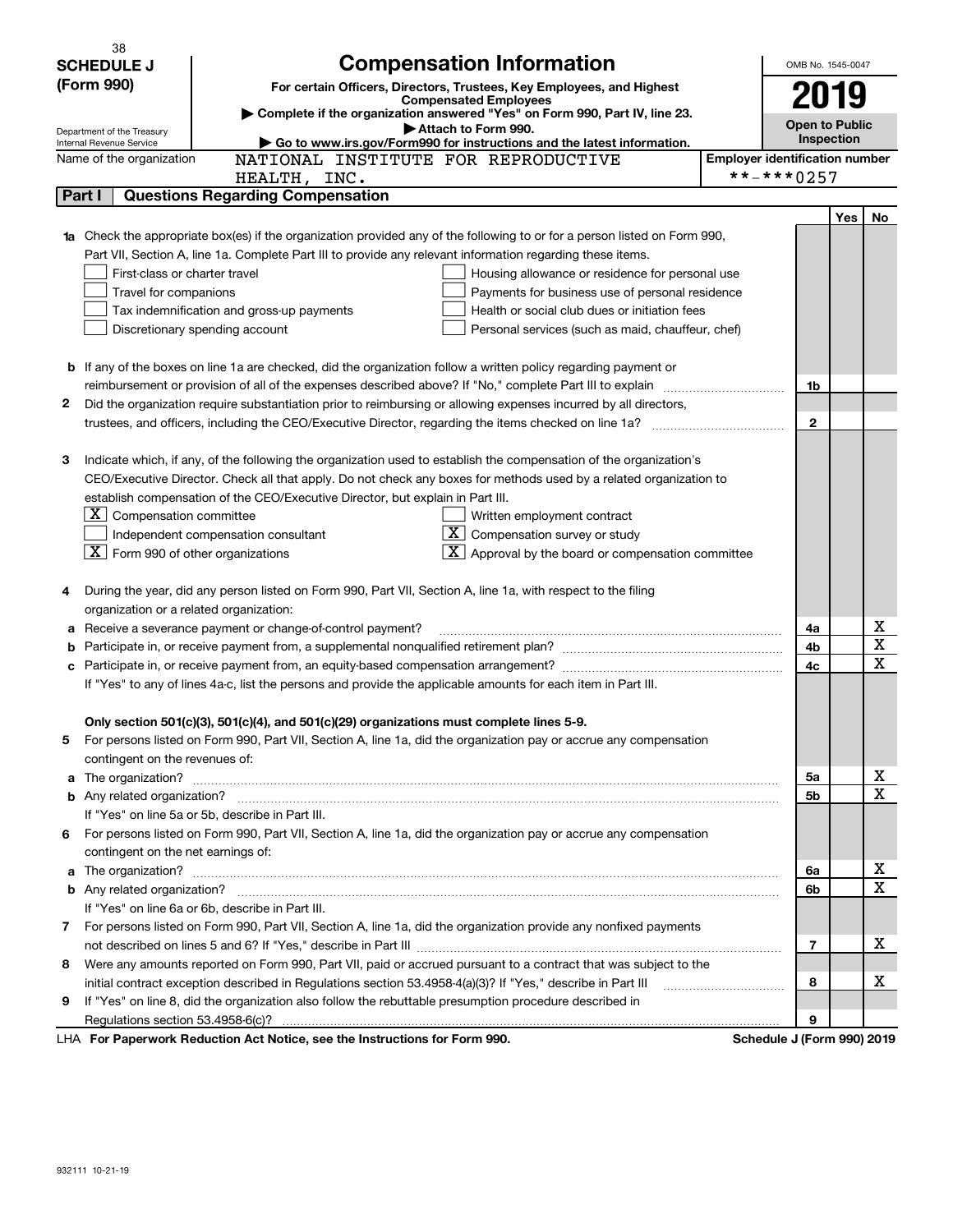| <b>Compensation Information</b><br><b>SCHEDULE J</b><br>OMB No. 1545-0047<br>(Form 990)<br>For certain Officers, Directors, Trustees, Key Employees, and Highest<br><b>Compensated Employees</b><br>Complete if the organization answered "Yes" on Form 990, Part IV, line 23.<br><b>Open to Public</b><br>Attach to Form 990.<br>Department of the Treasury<br>Inspection<br>Go to www.irs.gov/Form990 for instructions and the latest information.<br>Internal Revenue Service<br>NATIONAL INSTITUTE FOR REPRODUCTIVE<br><b>Employer identification number</b><br>Name of the organization<br>**-***0257<br>HEALTH, INC.<br><b>Questions Regarding Compensation</b><br>Part I<br>Yes<br>No.<br><b>1a</b> Check the appropriate box(es) if the organization provided any of the following to or for a person listed on Form 990,<br>Part VII, Section A, line 1a. Complete Part III to provide any relevant information regarding these items.<br>First-class or charter travel<br>Housing allowance or residence for personal use<br>Travel for companions<br>Payments for business use of personal residence<br>Tax indemnification and gross-up payments<br>Health or social club dues or initiation fees<br>Discretionary spending account<br>Personal services (such as maid, chauffeur, chef)<br><b>b</b> If any of the boxes on line 1a are checked, did the organization follow a written policy regarding payment or<br>1b<br>2<br>Did the organization require substantiation prior to reimbursing or allowing expenses incurred by all directors,<br>$\mathbf{2}$<br>trustees, and officers, including the CEO/Executive Director, regarding the items checked on line 1a?<br>Indicate which, if any, of the following the organization used to establish the compensation of the organization's<br>З<br>CEO/Executive Director. Check all that apply. Do not check any boxes for methods used by a related organization to<br>establish compensation of the CEO/Executive Director, but explain in Part III.<br>$X$ Compensation committee<br>Written employment contract<br>$ \mathbf{X} $ Compensation survey or study<br>Independent compensation consultant<br>$\overline{\mathbf{X}}$ Form 990 of other organizations<br>$\mathbf{X}$ Approval by the board or compensation committee<br>During the year, did any person listed on Form 990, Part VII, Section A, line 1a, with respect to the filing<br>4<br>organization or a related organization:<br>х<br>Receive a severance payment or change-of-control payment?<br>4a<br>а<br>$\mathbf X$<br>4b<br>b<br>$\mathbf X$<br>4c<br>If "Yes" to any of lines 4a-c, list the persons and provide the applicable amounts for each item in Part III.<br>Only section 501(c)(3), 501(c)(4), and 501(c)(29) organizations must complete lines 5-9.<br>For persons listed on Form 990, Part VII, Section A, line 1a, did the organization pay or accrue any compensation<br>5.<br>contingent on the revenues of:<br>х<br>a The organization? <b>Entitled Strategier Contract Contract Contract Contract Contract Contract Contract Contract Contract Contract Contract Contract Contract Contract Contract Contract Contract Contract Contract Contract C</b><br>5a<br>$\mathbf X$<br>5b<br>If "Yes" on line 5a or 5b, describe in Part III.<br>6 For persons listed on Form 990, Part VII, Section A, line 1a, did the organization pay or accrue any compensation<br>contingent on the net earnings of:<br>х<br>a The organization? <b>Constitution</b> and the organization?<br>6a<br>$\mathbf X$<br>6b<br>If "Yes" on line 6a or 6b, describe in Part III.<br>7 For persons listed on Form 990, Part VII, Section A, line 1a, did the organization provide any nonfixed payments<br>x<br>7<br>Were any amounts reported on Form 990, Part VII, paid or accrued pursuant to a contract that was subject to the<br>8<br>x<br>8<br>If "Yes" on line 8, did the organization also follow the rebuttable presumption procedure described in<br>9<br>9<br>LHA For Paperwork Reduction Act Notice, see the Instructions for Form 990.<br>Schedule J (Form 990) 2019 | 38 |  |  |  |  |
|-------------------------------------------------------------------------------------------------------------------------------------------------------------------------------------------------------------------------------------------------------------------------------------------------------------------------------------------------------------------------------------------------------------------------------------------------------------------------------------------------------------------------------------------------------------------------------------------------------------------------------------------------------------------------------------------------------------------------------------------------------------------------------------------------------------------------------------------------------------------------------------------------------------------------------------------------------------------------------------------------------------------------------------------------------------------------------------------------------------------------------------------------------------------------------------------------------------------------------------------------------------------------------------------------------------------------------------------------------------------------------------------------------------------------------------------------------------------------------------------------------------------------------------------------------------------------------------------------------------------------------------------------------------------------------------------------------------------------------------------------------------------------------------------------------------------------------------------------------------------------------------------------------------------------------------------------------------------------------------------------------------------------------------------------------------------------------------------------------------------------------------------------------------------------------------------------------------------------------------------------------------------------------------------------------------------------------------------------------------------------------------------------------------------------------------------------------------------------------------------------------------------------------------------------------------------------------------------------------------------------------------------------------------------------------------------------------------------------------------------------------------------------------------------------------------------------------------------------------------------------------------------------------------------------------------------------------------------------------------------------------------------------------------------------------------------------------------------------------------------------------------------------------------------------------------------------------------------------------------------------------------------------------------------------------------------------------------------------------------------------------------------------------------------------------------------------------------------------------------------------------------------------------------------------------------------------------------------------------------------------------------------------------------------------------------------------------------------------------------------------------------------------------------------------------------------------------------------------------------------------------------------------------------------------------------------------------------------------------------------------------------------------------------------------------------------------------------------------------------------------------|----|--|--|--|--|
|                                                                                                                                                                                                                                                                                                                                                                                                                                                                                                                                                                                                                                                                                                                                                                                                                                                                                                                                                                                                                                                                                                                                                                                                                                                                                                                                                                                                                                                                                                                                                                                                                                                                                                                                                                                                                                                                                                                                                                                                                                                                                                                                                                                                                                                                                                                                                                                                                                                                                                                                                                                                                                                                                                                                                                                                                                                                                                                                                                                                                                                                                                                                                                                                                                                                                                                                                                                                                                                                                                                                                                                                                                                                                                                                                                                                                                                                                                                                                                                                                                                                                                                               |    |  |  |  |  |
|                                                                                                                                                                                                                                                                                                                                                                                                                                                                                                                                                                                                                                                                                                                                                                                                                                                                                                                                                                                                                                                                                                                                                                                                                                                                                                                                                                                                                                                                                                                                                                                                                                                                                                                                                                                                                                                                                                                                                                                                                                                                                                                                                                                                                                                                                                                                                                                                                                                                                                                                                                                                                                                                                                                                                                                                                                                                                                                                                                                                                                                                                                                                                                                                                                                                                                                                                                                                                                                                                                                                                                                                                                                                                                                                                                                                                                                                                                                                                                                                                                                                                                                               |    |  |  |  |  |
|                                                                                                                                                                                                                                                                                                                                                                                                                                                                                                                                                                                                                                                                                                                                                                                                                                                                                                                                                                                                                                                                                                                                                                                                                                                                                                                                                                                                                                                                                                                                                                                                                                                                                                                                                                                                                                                                                                                                                                                                                                                                                                                                                                                                                                                                                                                                                                                                                                                                                                                                                                                                                                                                                                                                                                                                                                                                                                                                                                                                                                                                                                                                                                                                                                                                                                                                                                                                                                                                                                                                                                                                                                                                                                                                                                                                                                                                                                                                                                                                                                                                                                                               |    |  |  |  |  |
|                                                                                                                                                                                                                                                                                                                                                                                                                                                                                                                                                                                                                                                                                                                                                                                                                                                                                                                                                                                                                                                                                                                                                                                                                                                                                                                                                                                                                                                                                                                                                                                                                                                                                                                                                                                                                                                                                                                                                                                                                                                                                                                                                                                                                                                                                                                                                                                                                                                                                                                                                                                                                                                                                                                                                                                                                                                                                                                                                                                                                                                                                                                                                                                                                                                                                                                                                                                                                                                                                                                                                                                                                                                                                                                                                                                                                                                                                                                                                                                                                                                                                                                               |    |  |  |  |  |
|                                                                                                                                                                                                                                                                                                                                                                                                                                                                                                                                                                                                                                                                                                                                                                                                                                                                                                                                                                                                                                                                                                                                                                                                                                                                                                                                                                                                                                                                                                                                                                                                                                                                                                                                                                                                                                                                                                                                                                                                                                                                                                                                                                                                                                                                                                                                                                                                                                                                                                                                                                                                                                                                                                                                                                                                                                                                                                                                                                                                                                                                                                                                                                                                                                                                                                                                                                                                                                                                                                                                                                                                                                                                                                                                                                                                                                                                                                                                                                                                                                                                                                                               |    |  |  |  |  |
|                                                                                                                                                                                                                                                                                                                                                                                                                                                                                                                                                                                                                                                                                                                                                                                                                                                                                                                                                                                                                                                                                                                                                                                                                                                                                                                                                                                                                                                                                                                                                                                                                                                                                                                                                                                                                                                                                                                                                                                                                                                                                                                                                                                                                                                                                                                                                                                                                                                                                                                                                                                                                                                                                                                                                                                                                                                                                                                                                                                                                                                                                                                                                                                                                                                                                                                                                                                                                                                                                                                                                                                                                                                                                                                                                                                                                                                                                                                                                                                                                                                                                                                               |    |  |  |  |  |
|                                                                                                                                                                                                                                                                                                                                                                                                                                                                                                                                                                                                                                                                                                                                                                                                                                                                                                                                                                                                                                                                                                                                                                                                                                                                                                                                                                                                                                                                                                                                                                                                                                                                                                                                                                                                                                                                                                                                                                                                                                                                                                                                                                                                                                                                                                                                                                                                                                                                                                                                                                                                                                                                                                                                                                                                                                                                                                                                                                                                                                                                                                                                                                                                                                                                                                                                                                                                                                                                                                                                                                                                                                                                                                                                                                                                                                                                                                                                                                                                                                                                                                                               |    |  |  |  |  |
|                                                                                                                                                                                                                                                                                                                                                                                                                                                                                                                                                                                                                                                                                                                                                                                                                                                                                                                                                                                                                                                                                                                                                                                                                                                                                                                                                                                                                                                                                                                                                                                                                                                                                                                                                                                                                                                                                                                                                                                                                                                                                                                                                                                                                                                                                                                                                                                                                                                                                                                                                                                                                                                                                                                                                                                                                                                                                                                                                                                                                                                                                                                                                                                                                                                                                                                                                                                                                                                                                                                                                                                                                                                                                                                                                                                                                                                                                                                                                                                                                                                                                                                               |    |  |  |  |  |
|                                                                                                                                                                                                                                                                                                                                                                                                                                                                                                                                                                                                                                                                                                                                                                                                                                                                                                                                                                                                                                                                                                                                                                                                                                                                                                                                                                                                                                                                                                                                                                                                                                                                                                                                                                                                                                                                                                                                                                                                                                                                                                                                                                                                                                                                                                                                                                                                                                                                                                                                                                                                                                                                                                                                                                                                                                                                                                                                                                                                                                                                                                                                                                                                                                                                                                                                                                                                                                                                                                                                                                                                                                                                                                                                                                                                                                                                                                                                                                                                                                                                                                                               |    |  |  |  |  |
|                                                                                                                                                                                                                                                                                                                                                                                                                                                                                                                                                                                                                                                                                                                                                                                                                                                                                                                                                                                                                                                                                                                                                                                                                                                                                                                                                                                                                                                                                                                                                                                                                                                                                                                                                                                                                                                                                                                                                                                                                                                                                                                                                                                                                                                                                                                                                                                                                                                                                                                                                                                                                                                                                                                                                                                                                                                                                                                                                                                                                                                                                                                                                                                                                                                                                                                                                                                                                                                                                                                                                                                                                                                                                                                                                                                                                                                                                                                                                                                                                                                                                                                               |    |  |  |  |  |
|                                                                                                                                                                                                                                                                                                                                                                                                                                                                                                                                                                                                                                                                                                                                                                                                                                                                                                                                                                                                                                                                                                                                                                                                                                                                                                                                                                                                                                                                                                                                                                                                                                                                                                                                                                                                                                                                                                                                                                                                                                                                                                                                                                                                                                                                                                                                                                                                                                                                                                                                                                                                                                                                                                                                                                                                                                                                                                                                                                                                                                                                                                                                                                                                                                                                                                                                                                                                                                                                                                                                                                                                                                                                                                                                                                                                                                                                                                                                                                                                                                                                                                                               |    |  |  |  |  |
|                                                                                                                                                                                                                                                                                                                                                                                                                                                                                                                                                                                                                                                                                                                                                                                                                                                                                                                                                                                                                                                                                                                                                                                                                                                                                                                                                                                                                                                                                                                                                                                                                                                                                                                                                                                                                                                                                                                                                                                                                                                                                                                                                                                                                                                                                                                                                                                                                                                                                                                                                                                                                                                                                                                                                                                                                                                                                                                                                                                                                                                                                                                                                                                                                                                                                                                                                                                                                                                                                                                                                                                                                                                                                                                                                                                                                                                                                                                                                                                                                                                                                                                               |    |  |  |  |  |
|                                                                                                                                                                                                                                                                                                                                                                                                                                                                                                                                                                                                                                                                                                                                                                                                                                                                                                                                                                                                                                                                                                                                                                                                                                                                                                                                                                                                                                                                                                                                                                                                                                                                                                                                                                                                                                                                                                                                                                                                                                                                                                                                                                                                                                                                                                                                                                                                                                                                                                                                                                                                                                                                                                                                                                                                                                                                                                                                                                                                                                                                                                                                                                                                                                                                                                                                                                                                                                                                                                                                                                                                                                                                                                                                                                                                                                                                                                                                                                                                                                                                                                                               |    |  |  |  |  |
|                                                                                                                                                                                                                                                                                                                                                                                                                                                                                                                                                                                                                                                                                                                                                                                                                                                                                                                                                                                                                                                                                                                                                                                                                                                                                                                                                                                                                                                                                                                                                                                                                                                                                                                                                                                                                                                                                                                                                                                                                                                                                                                                                                                                                                                                                                                                                                                                                                                                                                                                                                                                                                                                                                                                                                                                                                                                                                                                                                                                                                                                                                                                                                                                                                                                                                                                                                                                                                                                                                                                                                                                                                                                                                                                                                                                                                                                                                                                                                                                                                                                                                                               |    |  |  |  |  |
|                                                                                                                                                                                                                                                                                                                                                                                                                                                                                                                                                                                                                                                                                                                                                                                                                                                                                                                                                                                                                                                                                                                                                                                                                                                                                                                                                                                                                                                                                                                                                                                                                                                                                                                                                                                                                                                                                                                                                                                                                                                                                                                                                                                                                                                                                                                                                                                                                                                                                                                                                                                                                                                                                                                                                                                                                                                                                                                                                                                                                                                                                                                                                                                                                                                                                                                                                                                                                                                                                                                                                                                                                                                                                                                                                                                                                                                                                                                                                                                                                                                                                                                               |    |  |  |  |  |
|                                                                                                                                                                                                                                                                                                                                                                                                                                                                                                                                                                                                                                                                                                                                                                                                                                                                                                                                                                                                                                                                                                                                                                                                                                                                                                                                                                                                                                                                                                                                                                                                                                                                                                                                                                                                                                                                                                                                                                                                                                                                                                                                                                                                                                                                                                                                                                                                                                                                                                                                                                                                                                                                                                                                                                                                                                                                                                                                                                                                                                                                                                                                                                                                                                                                                                                                                                                                                                                                                                                                                                                                                                                                                                                                                                                                                                                                                                                                                                                                                                                                                                                               |    |  |  |  |  |
|                                                                                                                                                                                                                                                                                                                                                                                                                                                                                                                                                                                                                                                                                                                                                                                                                                                                                                                                                                                                                                                                                                                                                                                                                                                                                                                                                                                                                                                                                                                                                                                                                                                                                                                                                                                                                                                                                                                                                                                                                                                                                                                                                                                                                                                                                                                                                                                                                                                                                                                                                                                                                                                                                                                                                                                                                                                                                                                                                                                                                                                                                                                                                                                                                                                                                                                                                                                                                                                                                                                                                                                                                                                                                                                                                                                                                                                                                                                                                                                                                                                                                                                               |    |  |  |  |  |
|                                                                                                                                                                                                                                                                                                                                                                                                                                                                                                                                                                                                                                                                                                                                                                                                                                                                                                                                                                                                                                                                                                                                                                                                                                                                                                                                                                                                                                                                                                                                                                                                                                                                                                                                                                                                                                                                                                                                                                                                                                                                                                                                                                                                                                                                                                                                                                                                                                                                                                                                                                                                                                                                                                                                                                                                                                                                                                                                                                                                                                                                                                                                                                                                                                                                                                                                                                                                                                                                                                                                                                                                                                                                                                                                                                                                                                                                                                                                                                                                                                                                                                                               |    |  |  |  |  |
|                                                                                                                                                                                                                                                                                                                                                                                                                                                                                                                                                                                                                                                                                                                                                                                                                                                                                                                                                                                                                                                                                                                                                                                                                                                                                                                                                                                                                                                                                                                                                                                                                                                                                                                                                                                                                                                                                                                                                                                                                                                                                                                                                                                                                                                                                                                                                                                                                                                                                                                                                                                                                                                                                                                                                                                                                                                                                                                                                                                                                                                                                                                                                                                                                                                                                                                                                                                                                                                                                                                                                                                                                                                                                                                                                                                                                                                                                                                                                                                                                                                                                                                               |    |  |  |  |  |
|                                                                                                                                                                                                                                                                                                                                                                                                                                                                                                                                                                                                                                                                                                                                                                                                                                                                                                                                                                                                                                                                                                                                                                                                                                                                                                                                                                                                                                                                                                                                                                                                                                                                                                                                                                                                                                                                                                                                                                                                                                                                                                                                                                                                                                                                                                                                                                                                                                                                                                                                                                                                                                                                                                                                                                                                                                                                                                                                                                                                                                                                                                                                                                                                                                                                                                                                                                                                                                                                                                                                                                                                                                                                                                                                                                                                                                                                                                                                                                                                                                                                                                                               |    |  |  |  |  |
|                                                                                                                                                                                                                                                                                                                                                                                                                                                                                                                                                                                                                                                                                                                                                                                                                                                                                                                                                                                                                                                                                                                                                                                                                                                                                                                                                                                                                                                                                                                                                                                                                                                                                                                                                                                                                                                                                                                                                                                                                                                                                                                                                                                                                                                                                                                                                                                                                                                                                                                                                                                                                                                                                                                                                                                                                                                                                                                                                                                                                                                                                                                                                                                                                                                                                                                                                                                                                                                                                                                                                                                                                                                                                                                                                                                                                                                                                                                                                                                                                                                                                                                               |    |  |  |  |  |
|                                                                                                                                                                                                                                                                                                                                                                                                                                                                                                                                                                                                                                                                                                                                                                                                                                                                                                                                                                                                                                                                                                                                                                                                                                                                                                                                                                                                                                                                                                                                                                                                                                                                                                                                                                                                                                                                                                                                                                                                                                                                                                                                                                                                                                                                                                                                                                                                                                                                                                                                                                                                                                                                                                                                                                                                                                                                                                                                                                                                                                                                                                                                                                                                                                                                                                                                                                                                                                                                                                                                                                                                                                                                                                                                                                                                                                                                                                                                                                                                                                                                                                                               |    |  |  |  |  |
|                                                                                                                                                                                                                                                                                                                                                                                                                                                                                                                                                                                                                                                                                                                                                                                                                                                                                                                                                                                                                                                                                                                                                                                                                                                                                                                                                                                                                                                                                                                                                                                                                                                                                                                                                                                                                                                                                                                                                                                                                                                                                                                                                                                                                                                                                                                                                                                                                                                                                                                                                                                                                                                                                                                                                                                                                                                                                                                                                                                                                                                                                                                                                                                                                                                                                                                                                                                                                                                                                                                                                                                                                                                                                                                                                                                                                                                                                                                                                                                                                                                                                                                               |    |  |  |  |  |
|                                                                                                                                                                                                                                                                                                                                                                                                                                                                                                                                                                                                                                                                                                                                                                                                                                                                                                                                                                                                                                                                                                                                                                                                                                                                                                                                                                                                                                                                                                                                                                                                                                                                                                                                                                                                                                                                                                                                                                                                                                                                                                                                                                                                                                                                                                                                                                                                                                                                                                                                                                                                                                                                                                                                                                                                                                                                                                                                                                                                                                                                                                                                                                                                                                                                                                                                                                                                                                                                                                                                                                                                                                                                                                                                                                                                                                                                                                                                                                                                                                                                                                                               |    |  |  |  |  |
|                                                                                                                                                                                                                                                                                                                                                                                                                                                                                                                                                                                                                                                                                                                                                                                                                                                                                                                                                                                                                                                                                                                                                                                                                                                                                                                                                                                                                                                                                                                                                                                                                                                                                                                                                                                                                                                                                                                                                                                                                                                                                                                                                                                                                                                                                                                                                                                                                                                                                                                                                                                                                                                                                                                                                                                                                                                                                                                                                                                                                                                                                                                                                                                                                                                                                                                                                                                                                                                                                                                                                                                                                                                                                                                                                                                                                                                                                                                                                                                                                                                                                                                               |    |  |  |  |  |
|                                                                                                                                                                                                                                                                                                                                                                                                                                                                                                                                                                                                                                                                                                                                                                                                                                                                                                                                                                                                                                                                                                                                                                                                                                                                                                                                                                                                                                                                                                                                                                                                                                                                                                                                                                                                                                                                                                                                                                                                                                                                                                                                                                                                                                                                                                                                                                                                                                                                                                                                                                                                                                                                                                                                                                                                                                                                                                                                                                                                                                                                                                                                                                                                                                                                                                                                                                                                                                                                                                                                                                                                                                                                                                                                                                                                                                                                                                                                                                                                                                                                                                                               |    |  |  |  |  |
|                                                                                                                                                                                                                                                                                                                                                                                                                                                                                                                                                                                                                                                                                                                                                                                                                                                                                                                                                                                                                                                                                                                                                                                                                                                                                                                                                                                                                                                                                                                                                                                                                                                                                                                                                                                                                                                                                                                                                                                                                                                                                                                                                                                                                                                                                                                                                                                                                                                                                                                                                                                                                                                                                                                                                                                                                                                                                                                                                                                                                                                                                                                                                                                                                                                                                                                                                                                                                                                                                                                                                                                                                                                                                                                                                                                                                                                                                                                                                                                                                                                                                                                               |    |  |  |  |  |
|                                                                                                                                                                                                                                                                                                                                                                                                                                                                                                                                                                                                                                                                                                                                                                                                                                                                                                                                                                                                                                                                                                                                                                                                                                                                                                                                                                                                                                                                                                                                                                                                                                                                                                                                                                                                                                                                                                                                                                                                                                                                                                                                                                                                                                                                                                                                                                                                                                                                                                                                                                                                                                                                                                                                                                                                                                                                                                                                                                                                                                                                                                                                                                                                                                                                                                                                                                                                                                                                                                                                                                                                                                                                                                                                                                                                                                                                                                                                                                                                                                                                                                                               |    |  |  |  |  |
|                                                                                                                                                                                                                                                                                                                                                                                                                                                                                                                                                                                                                                                                                                                                                                                                                                                                                                                                                                                                                                                                                                                                                                                                                                                                                                                                                                                                                                                                                                                                                                                                                                                                                                                                                                                                                                                                                                                                                                                                                                                                                                                                                                                                                                                                                                                                                                                                                                                                                                                                                                                                                                                                                                                                                                                                                                                                                                                                                                                                                                                                                                                                                                                                                                                                                                                                                                                                                                                                                                                                                                                                                                                                                                                                                                                                                                                                                                                                                                                                                                                                                                                               |    |  |  |  |  |
|                                                                                                                                                                                                                                                                                                                                                                                                                                                                                                                                                                                                                                                                                                                                                                                                                                                                                                                                                                                                                                                                                                                                                                                                                                                                                                                                                                                                                                                                                                                                                                                                                                                                                                                                                                                                                                                                                                                                                                                                                                                                                                                                                                                                                                                                                                                                                                                                                                                                                                                                                                                                                                                                                                                                                                                                                                                                                                                                                                                                                                                                                                                                                                                                                                                                                                                                                                                                                                                                                                                                                                                                                                                                                                                                                                                                                                                                                                                                                                                                                                                                                                                               |    |  |  |  |  |
|                                                                                                                                                                                                                                                                                                                                                                                                                                                                                                                                                                                                                                                                                                                                                                                                                                                                                                                                                                                                                                                                                                                                                                                                                                                                                                                                                                                                                                                                                                                                                                                                                                                                                                                                                                                                                                                                                                                                                                                                                                                                                                                                                                                                                                                                                                                                                                                                                                                                                                                                                                                                                                                                                                                                                                                                                                                                                                                                                                                                                                                                                                                                                                                                                                                                                                                                                                                                                                                                                                                                                                                                                                                                                                                                                                                                                                                                                                                                                                                                                                                                                                                               |    |  |  |  |  |
|                                                                                                                                                                                                                                                                                                                                                                                                                                                                                                                                                                                                                                                                                                                                                                                                                                                                                                                                                                                                                                                                                                                                                                                                                                                                                                                                                                                                                                                                                                                                                                                                                                                                                                                                                                                                                                                                                                                                                                                                                                                                                                                                                                                                                                                                                                                                                                                                                                                                                                                                                                                                                                                                                                                                                                                                                                                                                                                                                                                                                                                                                                                                                                                                                                                                                                                                                                                                                                                                                                                                                                                                                                                                                                                                                                                                                                                                                                                                                                                                                                                                                                                               |    |  |  |  |  |
|                                                                                                                                                                                                                                                                                                                                                                                                                                                                                                                                                                                                                                                                                                                                                                                                                                                                                                                                                                                                                                                                                                                                                                                                                                                                                                                                                                                                                                                                                                                                                                                                                                                                                                                                                                                                                                                                                                                                                                                                                                                                                                                                                                                                                                                                                                                                                                                                                                                                                                                                                                                                                                                                                                                                                                                                                                                                                                                                                                                                                                                                                                                                                                                                                                                                                                                                                                                                                                                                                                                                                                                                                                                                                                                                                                                                                                                                                                                                                                                                                                                                                                                               |    |  |  |  |  |
|                                                                                                                                                                                                                                                                                                                                                                                                                                                                                                                                                                                                                                                                                                                                                                                                                                                                                                                                                                                                                                                                                                                                                                                                                                                                                                                                                                                                                                                                                                                                                                                                                                                                                                                                                                                                                                                                                                                                                                                                                                                                                                                                                                                                                                                                                                                                                                                                                                                                                                                                                                                                                                                                                                                                                                                                                                                                                                                                                                                                                                                                                                                                                                                                                                                                                                                                                                                                                                                                                                                                                                                                                                                                                                                                                                                                                                                                                                                                                                                                                                                                                                                               |    |  |  |  |  |
|                                                                                                                                                                                                                                                                                                                                                                                                                                                                                                                                                                                                                                                                                                                                                                                                                                                                                                                                                                                                                                                                                                                                                                                                                                                                                                                                                                                                                                                                                                                                                                                                                                                                                                                                                                                                                                                                                                                                                                                                                                                                                                                                                                                                                                                                                                                                                                                                                                                                                                                                                                                                                                                                                                                                                                                                                                                                                                                                                                                                                                                                                                                                                                                                                                                                                                                                                                                                                                                                                                                                                                                                                                                                                                                                                                                                                                                                                                                                                                                                                                                                                                                               |    |  |  |  |  |
|                                                                                                                                                                                                                                                                                                                                                                                                                                                                                                                                                                                                                                                                                                                                                                                                                                                                                                                                                                                                                                                                                                                                                                                                                                                                                                                                                                                                                                                                                                                                                                                                                                                                                                                                                                                                                                                                                                                                                                                                                                                                                                                                                                                                                                                                                                                                                                                                                                                                                                                                                                                                                                                                                                                                                                                                                                                                                                                                                                                                                                                                                                                                                                                                                                                                                                                                                                                                                                                                                                                                                                                                                                                                                                                                                                                                                                                                                                                                                                                                                                                                                                                               |    |  |  |  |  |
|                                                                                                                                                                                                                                                                                                                                                                                                                                                                                                                                                                                                                                                                                                                                                                                                                                                                                                                                                                                                                                                                                                                                                                                                                                                                                                                                                                                                                                                                                                                                                                                                                                                                                                                                                                                                                                                                                                                                                                                                                                                                                                                                                                                                                                                                                                                                                                                                                                                                                                                                                                                                                                                                                                                                                                                                                                                                                                                                                                                                                                                                                                                                                                                                                                                                                                                                                                                                                                                                                                                                                                                                                                                                                                                                                                                                                                                                                                                                                                                                                                                                                                                               |    |  |  |  |  |
|                                                                                                                                                                                                                                                                                                                                                                                                                                                                                                                                                                                                                                                                                                                                                                                                                                                                                                                                                                                                                                                                                                                                                                                                                                                                                                                                                                                                                                                                                                                                                                                                                                                                                                                                                                                                                                                                                                                                                                                                                                                                                                                                                                                                                                                                                                                                                                                                                                                                                                                                                                                                                                                                                                                                                                                                                                                                                                                                                                                                                                                                                                                                                                                                                                                                                                                                                                                                                                                                                                                                                                                                                                                                                                                                                                                                                                                                                                                                                                                                                                                                                                                               |    |  |  |  |  |
|                                                                                                                                                                                                                                                                                                                                                                                                                                                                                                                                                                                                                                                                                                                                                                                                                                                                                                                                                                                                                                                                                                                                                                                                                                                                                                                                                                                                                                                                                                                                                                                                                                                                                                                                                                                                                                                                                                                                                                                                                                                                                                                                                                                                                                                                                                                                                                                                                                                                                                                                                                                                                                                                                                                                                                                                                                                                                                                                                                                                                                                                                                                                                                                                                                                                                                                                                                                                                                                                                                                                                                                                                                                                                                                                                                                                                                                                                                                                                                                                                                                                                                                               |    |  |  |  |  |
|                                                                                                                                                                                                                                                                                                                                                                                                                                                                                                                                                                                                                                                                                                                                                                                                                                                                                                                                                                                                                                                                                                                                                                                                                                                                                                                                                                                                                                                                                                                                                                                                                                                                                                                                                                                                                                                                                                                                                                                                                                                                                                                                                                                                                                                                                                                                                                                                                                                                                                                                                                                                                                                                                                                                                                                                                                                                                                                                                                                                                                                                                                                                                                                                                                                                                                                                                                                                                                                                                                                                                                                                                                                                                                                                                                                                                                                                                                                                                                                                                                                                                                                               |    |  |  |  |  |
|                                                                                                                                                                                                                                                                                                                                                                                                                                                                                                                                                                                                                                                                                                                                                                                                                                                                                                                                                                                                                                                                                                                                                                                                                                                                                                                                                                                                                                                                                                                                                                                                                                                                                                                                                                                                                                                                                                                                                                                                                                                                                                                                                                                                                                                                                                                                                                                                                                                                                                                                                                                                                                                                                                                                                                                                                                                                                                                                                                                                                                                                                                                                                                                                                                                                                                                                                                                                                                                                                                                                                                                                                                                                                                                                                                                                                                                                                                                                                                                                                                                                                                                               |    |  |  |  |  |
|                                                                                                                                                                                                                                                                                                                                                                                                                                                                                                                                                                                                                                                                                                                                                                                                                                                                                                                                                                                                                                                                                                                                                                                                                                                                                                                                                                                                                                                                                                                                                                                                                                                                                                                                                                                                                                                                                                                                                                                                                                                                                                                                                                                                                                                                                                                                                                                                                                                                                                                                                                                                                                                                                                                                                                                                                                                                                                                                                                                                                                                                                                                                                                                                                                                                                                                                                                                                                                                                                                                                                                                                                                                                                                                                                                                                                                                                                                                                                                                                                                                                                                                               |    |  |  |  |  |
|                                                                                                                                                                                                                                                                                                                                                                                                                                                                                                                                                                                                                                                                                                                                                                                                                                                                                                                                                                                                                                                                                                                                                                                                                                                                                                                                                                                                                                                                                                                                                                                                                                                                                                                                                                                                                                                                                                                                                                                                                                                                                                                                                                                                                                                                                                                                                                                                                                                                                                                                                                                                                                                                                                                                                                                                                                                                                                                                                                                                                                                                                                                                                                                                                                                                                                                                                                                                                                                                                                                                                                                                                                                                                                                                                                                                                                                                                                                                                                                                                                                                                                                               |    |  |  |  |  |
|                                                                                                                                                                                                                                                                                                                                                                                                                                                                                                                                                                                                                                                                                                                                                                                                                                                                                                                                                                                                                                                                                                                                                                                                                                                                                                                                                                                                                                                                                                                                                                                                                                                                                                                                                                                                                                                                                                                                                                                                                                                                                                                                                                                                                                                                                                                                                                                                                                                                                                                                                                                                                                                                                                                                                                                                                                                                                                                                                                                                                                                                                                                                                                                                                                                                                                                                                                                                                                                                                                                                                                                                                                                                                                                                                                                                                                                                                                                                                                                                                                                                                                                               |    |  |  |  |  |
|                                                                                                                                                                                                                                                                                                                                                                                                                                                                                                                                                                                                                                                                                                                                                                                                                                                                                                                                                                                                                                                                                                                                                                                                                                                                                                                                                                                                                                                                                                                                                                                                                                                                                                                                                                                                                                                                                                                                                                                                                                                                                                                                                                                                                                                                                                                                                                                                                                                                                                                                                                                                                                                                                                                                                                                                                                                                                                                                                                                                                                                                                                                                                                                                                                                                                                                                                                                                                                                                                                                                                                                                                                                                                                                                                                                                                                                                                                                                                                                                                                                                                                                               |    |  |  |  |  |
|                                                                                                                                                                                                                                                                                                                                                                                                                                                                                                                                                                                                                                                                                                                                                                                                                                                                                                                                                                                                                                                                                                                                                                                                                                                                                                                                                                                                                                                                                                                                                                                                                                                                                                                                                                                                                                                                                                                                                                                                                                                                                                                                                                                                                                                                                                                                                                                                                                                                                                                                                                                                                                                                                                                                                                                                                                                                                                                                                                                                                                                                                                                                                                                                                                                                                                                                                                                                                                                                                                                                                                                                                                                                                                                                                                                                                                                                                                                                                                                                                                                                                                                               |    |  |  |  |  |
|                                                                                                                                                                                                                                                                                                                                                                                                                                                                                                                                                                                                                                                                                                                                                                                                                                                                                                                                                                                                                                                                                                                                                                                                                                                                                                                                                                                                                                                                                                                                                                                                                                                                                                                                                                                                                                                                                                                                                                                                                                                                                                                                                                                                                                                                                                                                                                                                                                                                                                                                                                                                                                                                                                                                                                                                                                                                                                                                                                                                                                                                                                                                                                                                                                                                                                                                                                                                                                                                                                                                                                                                                                                                                                                                                                                                                                                                                                                                                                                                                                                                                                                               |    |  |  |  |  |
|                                                                                                                                                                                                                                                                                                                                                                                                                                                                                                                                                                                                                                                                                                                                                                                                                                                                                                                                                                                                                                                                                                                                                                                                                                                                                                                                                                                                                                                                                                                                                                                                                                                                                                                                                                                                                                                                                                                                                                                                                                                                                                                                                                                                                                                                                                                                                                                                                                                                                                                                                                                                                                                                                                                                                                                                                                                                                                                                                                                                                                                                                                                                                                                                                                                                                                                                                                                                                                                                                                                                                                                                                                                                                                                                                                                                                                                                                                                                                                                                                                                                                                                               |    |  |  |  |  |
|                                                                                                                                                                                                                                                                                                                                                                                                                                                                                                                                                                                                                                                                                                                                                                                                                                                                                                                                                                                                                                                                                                                                                                                                                                                                                                                                                                                                                                                                                                                                                                                                                                                                                                                                                                                                                                                                                                                                                                                                                                                                                                                                                                                                                                                                                                                                                                                                                                                                                                                                                                                                                                                                                                                                                                                                                                                                                                                                                                                                                                                                                                                                                                                                                                                                                                                                                                                                                                                                                                                                                                                                                                                                                                                                                                                                                                                                                                                                                                                                                                                                                                                               |    |  |  |  |  |
|                                                                                                                                                                                                                                                                                                                                                                                                                                                                                                                                                                                                                                                                                                                                                                                                                                                                                                                                                                                                                                                                                                                                                                                                                                                                                                                                                                                                                                                                                                                                                                                                                                                                                                                                                                                                                                                                                                                                                                                                                                                                                                                                                                                                                                                                                                                                                                                                                                                                                                                                                                                                                                                                                                                                                                                                                                                                                                                                                                                                                                                                                                                                                                                                                                                                                                                                                                                                                                                                                                                                                                                                                                                                                                                                                                                                                                                                                                                                                                                                                                                                                                                               |    |  |  |  |  |
|                                                                                                                                                                                                                                                                                                                                                                                                                                                                                                                                                                                                                                                                                                                                                                                                                                                                                                                                                                                                                                                                                                                                                                                                                                                                                                                                                                                                                                                                                                                                                                                                                                                                                                                                                                                                                                                                                                                                                                                                                                                                                                                                                                                                                                                                                                                                                                                                                                                                                                                                                                                                                                                                                                                                                                                                                                                                                                                                                                                                                                                                                                                                                                                                                                                                                                                                                                                                                                                                                                                                                                                                                                                                                                                                                                                                                                                                                                                                                                                                                                                                                                                               |    |  |  |  |  |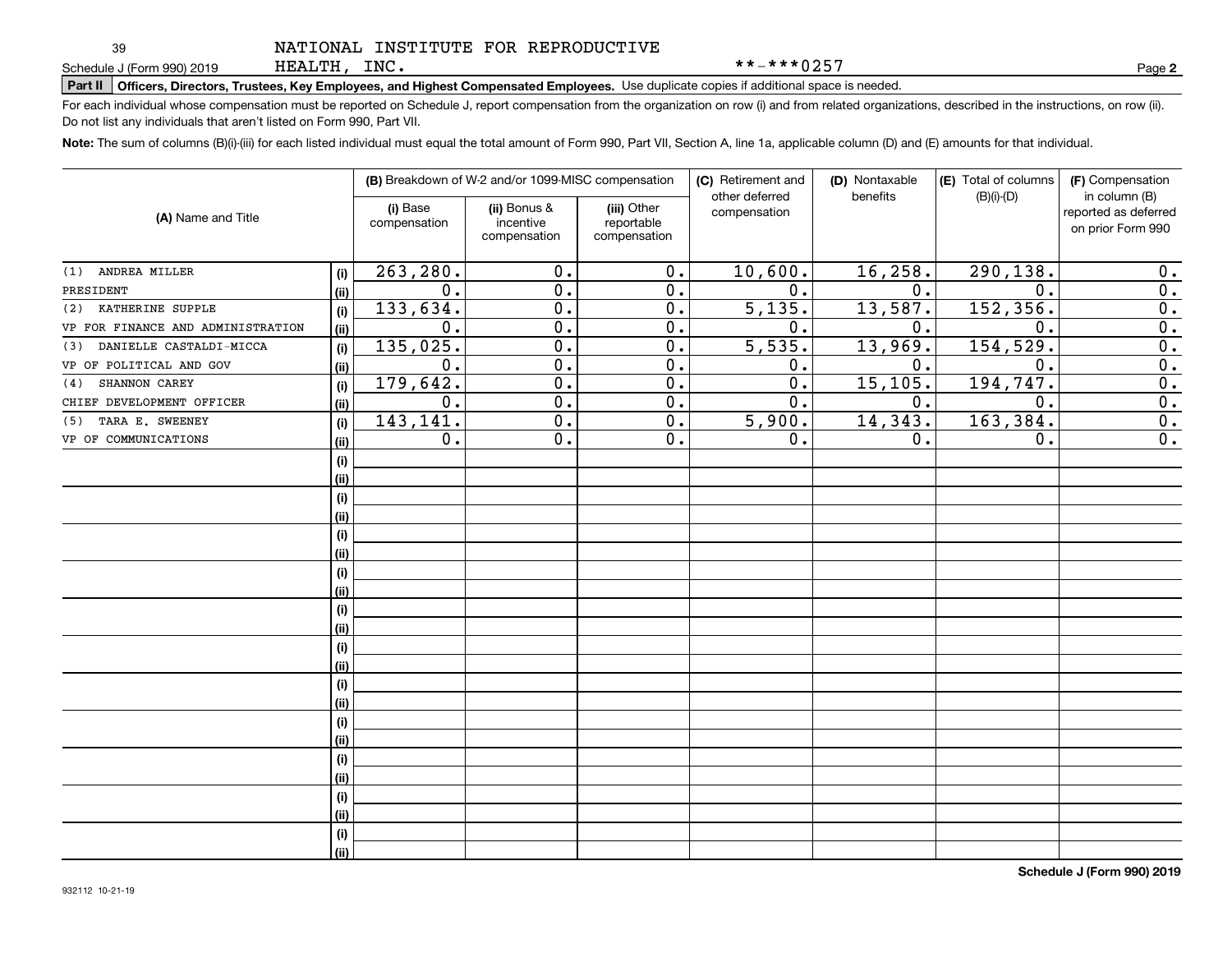39

|  | NATIONAL INSTITUTE FOR REPRODUCTIVE |
|--|-------------------------------------|
|  |                                     |

\*\*-\*\*\*0257

**2**

**Part II Officers, Directors, Trustees, Key Employees, and Highest Compensated Employees.**  Schedule J (Form 990) 2019 Page Use duplicate copies if additional space is needed.

HEALTH, INC.

For each individual whose compensation must be reported on Schedule J, report compensation from the organization on row (i) and from related organizations, described in the instructions, on row (ii). Do not list any individuals that aren't listed on Form 990, Part VII.

**Note:**  The sum of columns (B)(i)-(iii) for each listed individual must equal the total amount of Form 990, Part VII, Section A, line 1a, applicable column (D) and (E) amounts for that individual.

|                                   |      |                          | (B) Breakdown of W-2 and/or 1099-MISC compensation |                                           | (C) Retirement and<br>other deferred | (D) Nontaxable<br>benefits | (E) Total of columns<br>$(B)(i)-(D)$ | (F) Compensation<br>in column (B)         |
|-----------------------------------|------|--------------------------|----------------------------------------------------|-------------------------------------------|--------------------------------------|----------------------------|--------------------------------------|-------------------------------------------|
| (A) Name and Title                |      | (i) Base<br>compensation | (ii) Bonus &<br>incentive<br>compensation          | (iii) Other<br>reportable<br>compensation | compensation                         |                            |                                      | reported as deferred<br>on prior Form 990 |
| ANDREA MILLER<br>(1)              | (i)  | 263, 280.                | 0.                                                 | $\overline{0}$ .                          | 10,600.                              | 16, 258.                   | 290, 138.                            | 0.                                        |
| PRESIDENT                         | (ii) | 0.                       | $\overline{0}$ .                                   | $\overline{0}$ .                          | $\overline{0}$ .                     | 0.                         | $\mathbf 0$ .                        | $\overline{0}$ .                          |
| KATHERINE SUPPLE<br>(2)           | (i)  | 133,634.                 | $\overline{0}$ .                                   | $\overline{0}$ .                          | $\overline{5,135}$ .                 | 13,587.                    | 152, 356.                            | 0.                                        |
| VP FOR FINANCE AND ADMINISTRATION | (ii) | 0.                       | $\overline{0}$ .                                   | $\overline{0}$ .                          | 0.                                   | 0.                         | $\mathbf 0$ .                        | $\overline{0}$ .                          |
| DANIELLE CASTALDI-MICCA<br>(3)    | (i)  | 135,025.                 | $\overline{0}$ .                                   | $\overline{0}$ .                          | $\overline{5,535}$ .                 | 13,969.                    | 154, 529.                            | $\overline{0}$ .                          |
| VP OF POLITICAL AND GOV           | (ii) | 0.                       | $\overline{0}$ .                                   | $\overline{0}$ .                          | 0.                                   | 0.                         | 0.                                   | $\overline{0}$ .                          |
| SHANNON CAREY<br>(4)              | (i)  | 179, 642.                | 0.                                                 | $\overline{0}$ .                          | 0.                                   | 15, 105.                   | 194, 747.                            | $\overline{0}$ .                          |
| CHIEF DEVELOPMENT OFFICER         | (ii) | 0.                       | 0.                                                 | 0.                                        | 0.                                   | 0.                         | 0.                                   | $\overline{0}$ .                          |
| TARA E. SWEENEY<br>(5)            | (i)  | 143,141.                 | 0.                                                 | 0.                                        | 5,900.                               | 14,343.                    | 163,384.                             | 0.                                        |
| VP OF COMMUNICATIONS              | (ii) | 0.                       | 0.                                                 | 0.                                        | 0.                                   | 0.                         | 0.                                   | $\overline{0}$ .                          |
|                                   | (i)  |                          |                                                    |                                           |                                      |                            |                                      |                                           |
|                                   | (ii) |                          |                                                    |                                           |                                      |                            |                                      |                                           |
|                                   | (i)  |                          |                                                    |                                           |                                      |                            |                                      |                                           |
|                                   | (ii) |                          |                                                    |                                           |                                      |                            |                                      |                                           |
|                                   | (i)  |                          |                                                    |                                           |                                      |                            |                                      |                                           |
|                                   | (ii) |                          |                                                    |                                           |                                      |                            |                                      |                                           |
|                                   | (i)  |                          |                                                    |                                           |                                      |                            |                                      |                                           |
|                                   | (ii) |                          |                                                    |                                           |                                      |                            |                                      |                                           |
|                                   | (i)  |                          |                                                    |                                           |                                      |                            |                                      |                                           |
|                                   | (ii) |                          |                                                    |                                           |                                      |                            |                                      |                                           |
|                                   | (i)  |                          |                                                    |                                           |                                      |                            |                                      |                                           |
|                                   | (ii) |                          |                                                    |                                           |                                      |                            |                                      |                                           |
|                                   | (i)  |                          |                                                    |                                           |                                      |                            |                                      |                                           |
|                                   | (ii) |                          |                                                    |                                           |                                      |                            |                                      |                                           |
|                                   | (i)  |                          |                                                    |                                           |                                      |                            |                                      |                                           |
|                                   | (ii) |                          |                                                    |                                           |                                      |                            |                                      |                                           |
|                                   | (i)  |                          |                                                    |                                           |                                      |                            |                                      |                                           |
|                                   | (ii) |                          |                                                    |                                           |                                      |                            |                                      |                                           |
|                                   | (i)  |                          |                                                    |                                           |                                      |                            |                                      |                                           |
|                                   | (ii) |                          |                                                    |                                           |                                      |                            |                                      |                                           |
|                                   | (i)  |                          |                                                    |                                           |                                      |                            |                                      |                                           |
|                                   | (ii) |                          |                                                    |                                           |                                      |                            |                                      |                                           |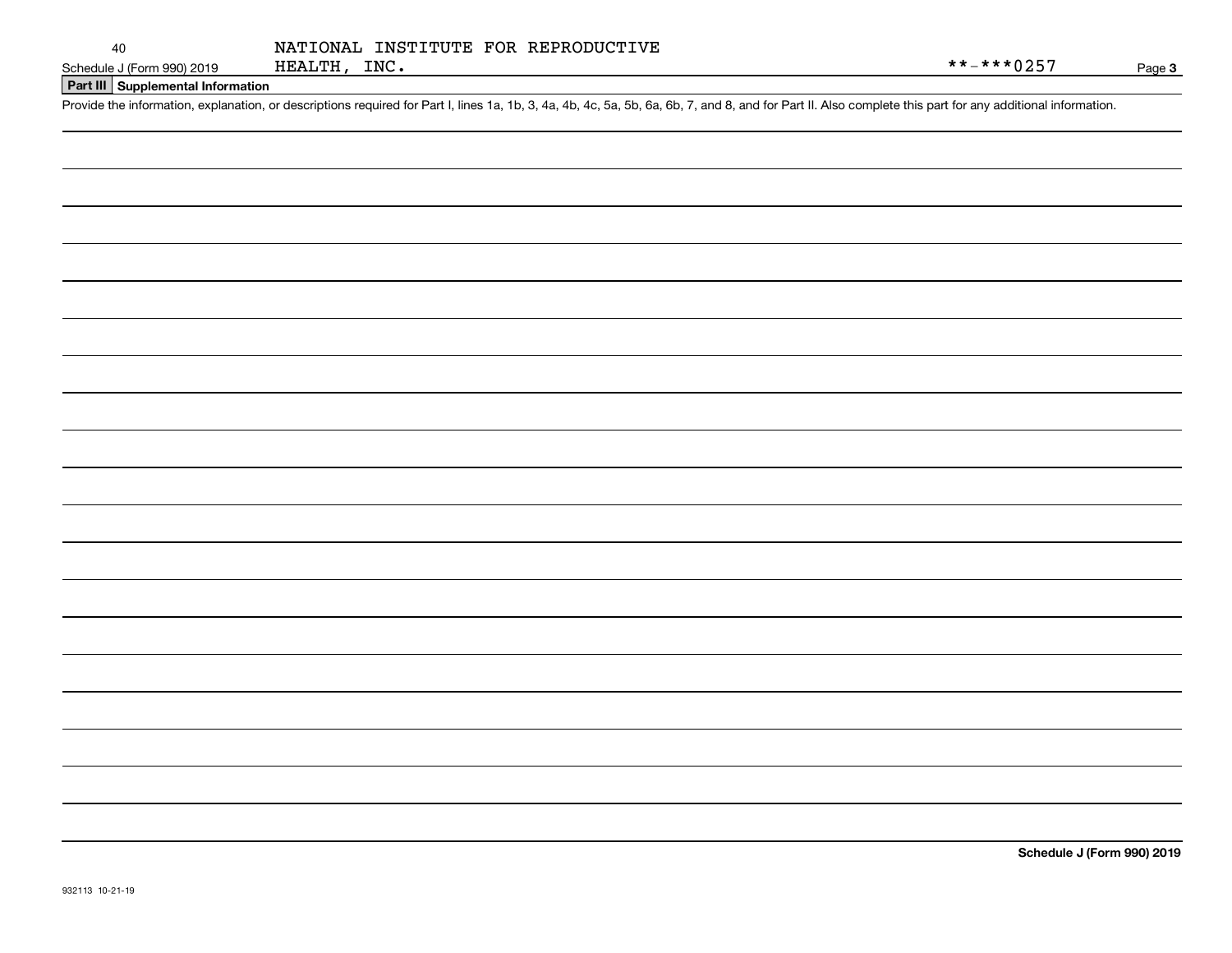Page 3

**Part III Supplemental Information**

Schedule J (Form 990) 2019 HEALTH, INC.<br>Part III Supplemental Information<br>Provide the information, explanation, or descriptions required for Part I, lines 1a, 1b, 3, 4a, 4b, 4c, 5a, 5b, 6a, 6b, 7, and 8, and for Part II. A

**Schedule J (Form 990) 2019**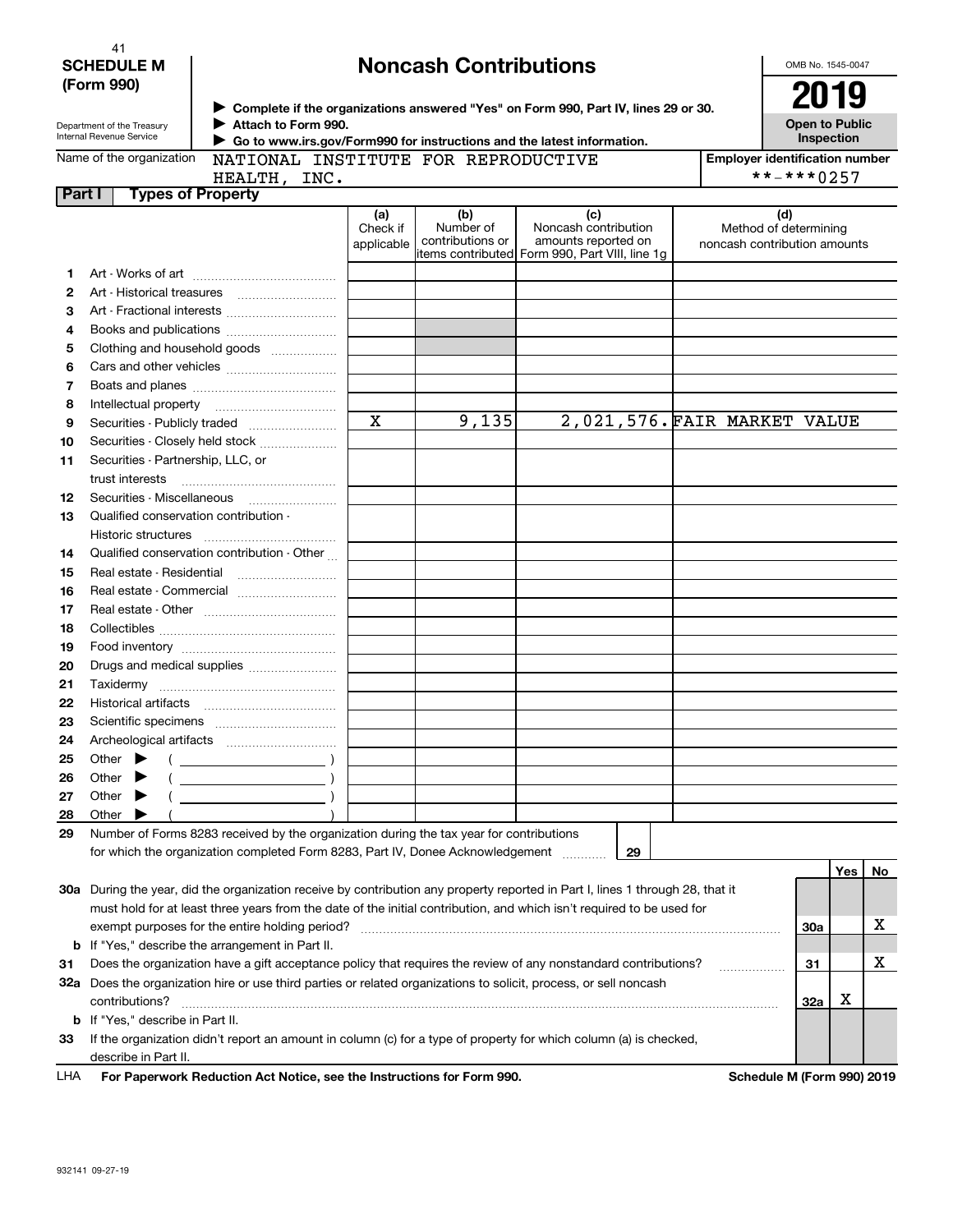| 41                |  |
|-------------------|--|
| <b>SCHEDULE M</b> |  |
| (Form 990)        |  |

## **Noncash Contributions**

OMB No. 1545-0047

| (Form 990) |  |
|------------|--|
|            |  |

Department of the Treasury Internal Revenue Service

**Part I** 

## **Complete if the organizations answered "Yes" on Form 990, Part IV, lines 29 or 30.** <sup>J</sup>**2019 Attach to Form 990.** J

**Open to Public Inspection**

| Name of the organization |
|--------------------------|
|--------------------------|

 **Go to www.irs.gov/Form990 for instructions and the latest information.** J

| $\overline{a}$ or the organization | INAI LUI        |
|------------------------------------|-----------------|
|                                    | <b>TTMAT MI</b> |

NATIONAL INSTITUTE FOR REPRODUCTIVE

**Employer identification number** \*\*-\*\*\*0257

|                          | ۱ م |  |
|--------------------------|-----|--|
| <b>Types of Property</b> |     |  |
| HEALTH, INC.             |     |  |

|    |                                                                                                                                                                                                                                                                                                                                                                                                                            | (a)<br>Check if | (b)<br>Number of | (c)<br>Noncash contribution                                           | (d)<br>Method of determining |     |     |    |
|----|----------------------------------------------------------------------------------------------------------------------------------------------------------------------------------------------------------------------------------------------------------------------------------------------------------------------------------------------------------------------------------------------------------------------------|-----------------|------------------|-----------------------------------------------------------------------|------------------------------|-----|-----|----|
|    |                                                                                                                                                                                                                                                                                                                                                                                                                            | applicable      | contributions or | amounts reported on<br>items contributed Form 990, Part VIII, line 1g | noncash contribution amounts |     |     |    |
| 1. |                                                                                                                                                                                                                                                                                                                                                                                                                            |                 |                  |                                                                       |                              |     |     |    |
| 2  |                                                                                                                                                                                                                                                                                                                                                                                                                            |                 |                  |                                                                       |                              |     |     |    |
| з  | Art - Fractional interests                                                                                                                                                                                                                                                                                                                                                                                                 |                 |                  |                                                                       |                              |     |     |    |
| 4  | Books and publications                                                                                                                                                                                                                                                                                                                                                                                                     |                 |                  |                                                                       |                              |     |     |    |
| 5  | Clothing and household goods                                                                                                                                                                                                                                                                                                                                                                                               |                 |                  |                                                                       |                              |     |     |    |
| 6  |                                                                                                                                                                                                                                                                                                                                                                                                                            |                 |                  |                                                                       |                              |     |     |    |
| 7  |                                                                                                                                                                                                                                                                                                                                                                                                                            |                 |                  |                                                                       |                              |     |     |    |
| 8  | Intellectual property                                                                                                                                                                                                                                                                                                                                                                                                      |                 |                  |                                                                       |                              |     |     |    |
| 9  | Securities - Publicly traded                                                                                                                                                                                                                                                                                                                                                                                               | $\mathbf X$     | 9,135            |                                                                       | 2,021,576. FAIR MARKET VALUE |     |     |    |
| 10 | Securities - Closely held stock                                                                                                                                                                                                                                                                                                                                                                                            |                 |                  |                                                                       |                              |     |     |    |
| 11 | Securities - Partnership, LLC, or                                                                                                                                                                                                                                                                                                                                                                                          |                 |                  |                                                                       |                              |     |     |    |
|    |                                                                                                                                                                                                                                                                                                                                                                                                                            |                 |                  |                                                                       |                              |     |     |    |
| 12 |                                                                                                                                                                                                                                                                                                                                                                                                                            |                 |                  |                                                                       |                              |     |     |    |
| 13 | Qualified conservation contribution -                                                                                                                                                                                                                                                                                                                                                                                      |                 |                  |                                                                       |                              |     |     |    |
|    | Historic structures                                                                                                                                                                                                                                                                                                                                                                                                        |                 |                  |                                                                       |                              |     |     |    |
| 14 | Qualified conservation contribution - Other                                                                                                                                                                                                                                                                                                                                                                                |                 |                  |                                                                       |                              |     |     |    |
| 15 | Real estate - Residential                                                                                                                                                                                                                                                                                                                                                                                                  |                 |                  |                                                                       |                              |     |     |    |
| 16 | Real estate - Commercial                                                                                                                                                                                                                                                                                                                                                                                                   |                 |                  |                                                                       |                              |     |     |    |
| 17 |                                                                                                                                                                                                                                                                                                                                                                                                                            |                 |                  |                                                                       |                              |     |     |    |
| 18 |                                                                                                                                                                                                                                                                                                                                                                                                                            |                 |                  |                                                                       |                              |     |     |    |
| 19 |                                                                                                                                                                                                                                                                                                                                                                                                                            |                 |                  |                                                                       |                              |     |     |    |
| 20 | Drugs and medical supplies                                                                                                                                                                                                                                                                                                                                                                                                 |                 |                  |                                                                       |                              |     |     |    |
| 21 |                                                                                                                                                                                                                                                                                                                                                                                                                            |                 |                  |                                                                       |                              |     |     |    |
| 22 |                                                                                                                                                                                                                                                                                                                                                                                                                            |                 |                  |                                                                       |                              |     |     |    |
| 23 |                                                                                                                                                                                                                                                                                                                                                                                                                            |                 |                  |                                                                       |                              |     |     |    |
| 24 |                                                                                                                                                                                                                                                                                                                                                                                                                            |                 |                  |                                                                       |                              |     |     |    |
| 25 | Other $\blacktriangleright$<br>$\left(\begin{array}{ccc}\n\frac{1}{2} & \frac{1}{2} & \frac{1}{2} \\ \frac{1}{2} & \frac{1}{2} & \frac{1}{2} \\ \frac{1}{2} & \frac{1}{2} & \frac{1}{2} \\ \frac{1}{2} & \frac{1}{2} & \frac{1}{2}\n\end{array}\right)$                                                                                                                                                                    |                 |                  |                                                                       |                              |     |     |    |
| 26 | $\left(\begin{array}{ccc} \rule{0pt}{2.5ex} & \rule{0pt}{2.5ex} & \rule{0pt}{2.5ex} & \rule{0pt}{2.5ex} & \rule{0pt}{2.5ex} & \rule{0pt}{2.5ex} & \rule{0pt}{2.5ex} & \rule{0pt}{2.5ex} & \rule{0pt}{2.5ex} & \rule{0pt}{2.5ex} & \rule{0pt}{2.5ex} & \rule{0pt}{2.5ex} & \rule{0pt}{2.5ex} & \rule{0pt}{2.5ex} & \rule{0pt}{2.5ex} & \rule{0pt}{2.5ex} & \rule{0pt}{2.5ex} & \rule{0pt}{2$<br>Other $\blacktriangleright$ |                 |                  |                                                                       |                              |     |     |    |
| 27 | Other $\blacktriangleright$                                                                                                                                                                                                                                                                                                                                                                                                |                 |                  |                                                                       |                              |     |     |    |
| 28 | Other $\blacktriangleright$                                                                                                                                                                                                                                                                                                                                                                                                |                 |                  |                                                                       |                              |     |     |    |
| 29 | Number of Forms 8283 received by the organization during the tax year for contributions                                                                                                                                                                                                                                                                                                                                    |                 |                  |                                                                       |                              |     |     |    |
|    | for which the organization completed Form 8283, Part IV, Donee Acknowledgement                                                                                                                                                                                                                                                                                                                                             |                 |                  | 29                                                                    |                              |     |     |    |
|    |                                                                                                                                                                                                                                                                                                                                                                                                                            |                 |                  |                                                                       |                              |     | Yes | No |
|    | 30a During the year, did the organization receive by contribution any property reported in Part I, lines 1 through 28, that it                                                                                                                                                                                                                                                                                             |                 |                  |                                                                       |                              |     |     |    |
|    | must hold for at least three years from the date of the initial contribution, and which isn't required to be used for                                                                                                                                                                                                                                                                                                      |                 |                  |                                                                       |                              |     |     |    |
|    | exempt purposes for the entire holding period?                                                                                                                                                                                                                                                                                                                                                                             |                 |                  |                                                                       |                              | 30a |     | х  |
|    | <b>b</b> If "Yes," describe the arrangement in Part II.                                                                                                                                                                                                                                                                                                                                                                    |                 |                  |                                                                       |                              |     |     |    |
| 31 | Does the organization have a gift acceptance policy that requires the review of any nonstandard contributions?                                                                                                                                                                                                                                                                                                             |                 |                  |                                                                       |                              | 31  |     | x  |
|    | 32a Does the organization hire or use third parties or related organizations to solicit, process, or sell noncash                                                                                                                                                                                                                                                                                                          |                 |                  |                                                                       |                              |     |     |    |
|    | contributions?                                                                                                                                                                                                                                                                                                                                                                                                             |                 |                  |                                                                       |                              | 32a | x   |    |
|    | <b>b</b> If "Yes," describe in Part II.                                                                                                                                                                                                                                                                                                                                                                                    |                 |                  |                                                                       |                              |     |     |    |

| 33 If the organization didn't report an amount in column (c) for a type of property for which column (a) is checked, |  |
|----------------------------------------------------------------------------------------------------------------------|--|
| describe in Part II.                                                                                                 |  |

| LHA | For Paperwork Reduction Act Notice, see the Instructions for Form 990. |  |
|-----|------------------------------------------------------------------------|--|
|-----|------------------------------------------------------------------------|--|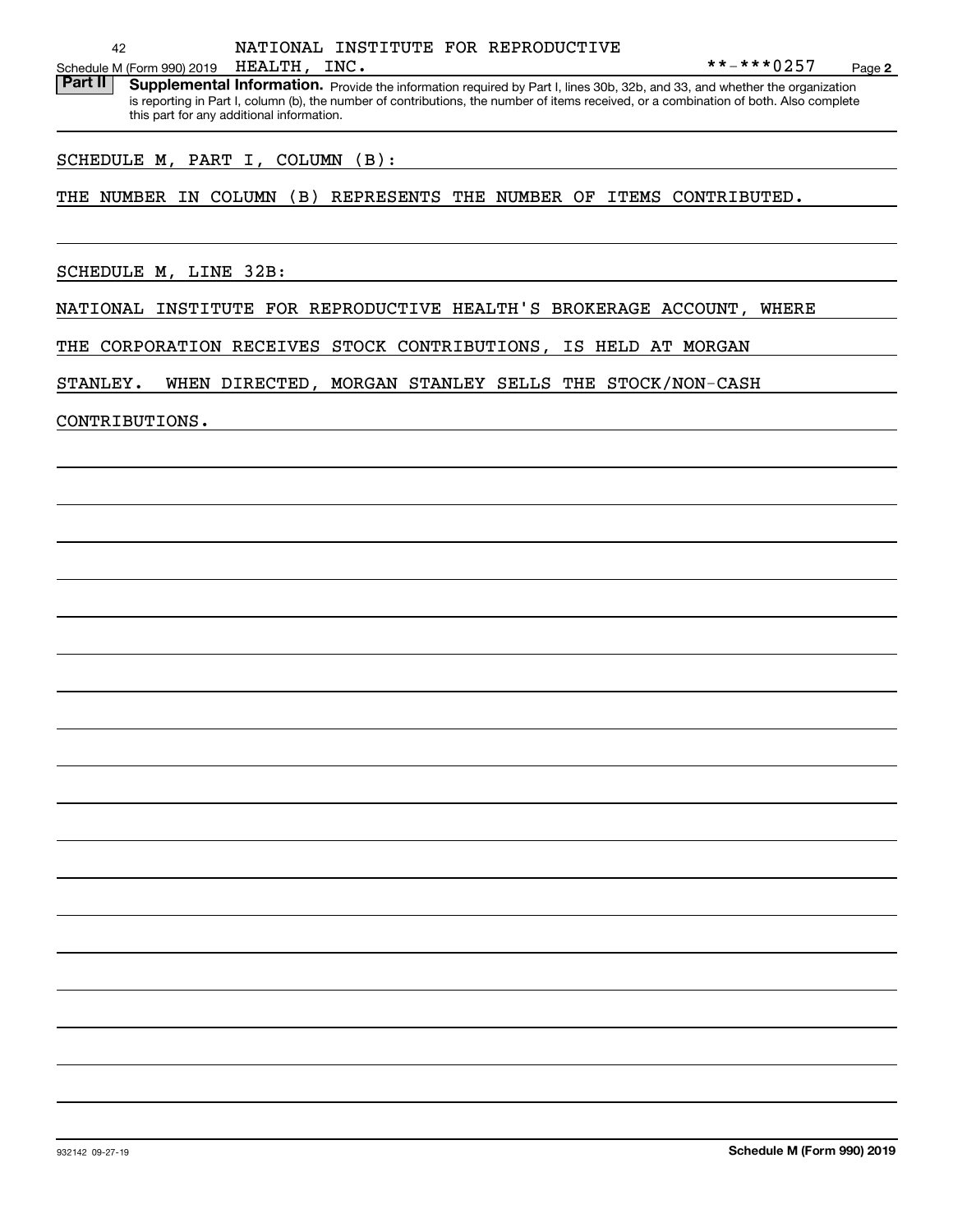Part II | Supplemental Information. Provide the information required by Part I, lines 30b, 32b, and 33, and whether the organization is reporting in Part I, column (b), the number of contributions, the number of items received, or a combination of both. Also complete this part for any additional information.

## SCHEDULE M, PART I, COLUMN (B):

THE NUMBER IN COLUMN (B) REPRESENTS THE NUMBER OF ITEMS CONTRIBUTED.

SCHEDULE M, LINE 32B:

NATIONAL INSTITUTE FOR REPRODUCTIVE HEALTH'S BROKERAGE ACCOUNT, WHERE

THE CORPORATION RECEIVES STOCK CONTRIBUTIONS, IS HELD AT MORGAN

STANLEY. WHEN DIRECTED, MORGAN STANLEY SELLS THE STOCK/NON-CASH

CONTRIBUTIONS.

**2**

 $***-***0257$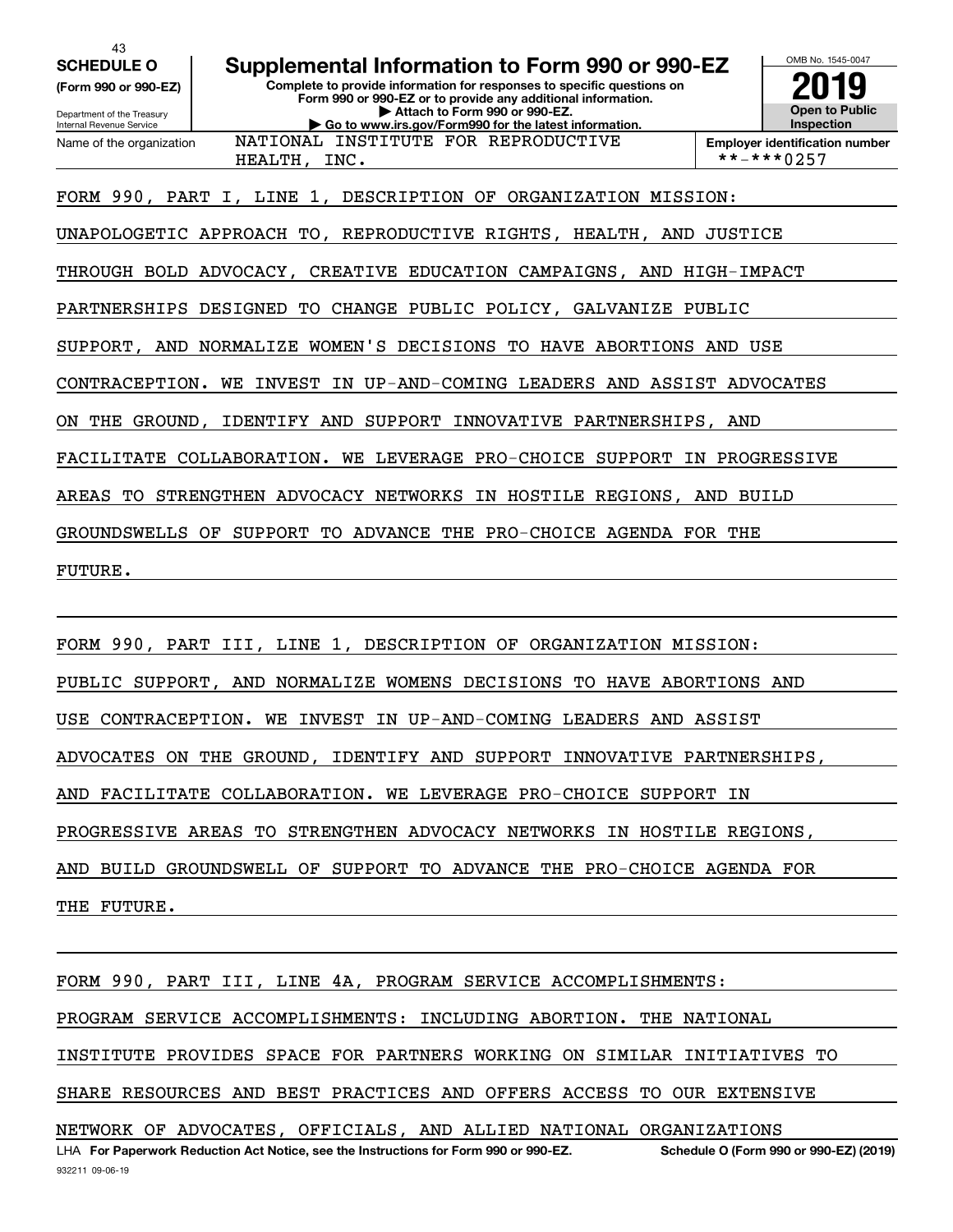43

**(Form 990 or 990-EZ)**

Department of the Treasury Internal Revenue Service Name of the organization

## **SCHEDULE O Supplemental Information to Form 990 or 990-EZ**

**Complete to provide information for responses to specific questions on Form 990 or 990-EZ or to provide any additional information. | Attach to Form 990 or 990-EZ. | Go to www.irs.gov/Form990 for the latest information.**



**Employer identification number** HEALTH, INC. \*\*-\*\*\*0257

FORM 990, PART I, LINE 1, DESCRIPTION OF ORGANIZATION MISSION:

UNAPOLOGETIC APPROACH TO, REPRODUCTIVE RIGHTS, HEALTH, AND JUSTICE

NATIONAL INSTITUTE FOR REPRODUCTIVE

THROUGH BOLD ADVOCACY, CREATIVE EDUCATION CAMPAIGNS, AND HIGH-IMPACT

PARTNERSHIPS DESIGNED TO CHANGE PUBLIC POLICY, GALVANIZE PUBLIC

SUPPORT, AND NORMALIZE WOMEN'S DECISIONS TO HAVE ABORTIONS AND USE

CONTRACEPTION. WE INVEST IN UP-AND-COMING LEADERS AND ASSIST ADVOCATES

ON THE GROUND, IDENTIFY AND SUPPORT INNOVATIVE PARTNERSHIPS, AND

FACILITATE COLLABORATION. WE LEVERAGE PRO-CHOICE SUPPORT IN PROGRESSIVE

AREAS TO STRENGTHEN ADVOCACY NETWORKS IN HOSTILE REGIONS, AND BUILD

GROUNDSWELLS OF SUPPORT TO ADVANCE THE PRO-CHOICE AGENDA FOR THE

FUTURE.

FORM 990, PART III, LINE 1, DESCRIPTION OF ORGANIZATION MISSION:

PUBLIC SUPPORT, AND NORMALIZE WOMENS DECISIONS TO HAVE ABORTIONS AND

USE CONTRACEPTION. WE INVEST IN UP-AND-COMING LEADERS AND ASSIST

ADVOCATES ON THE GROUND, IDENTIFY AND SUPPORT INNOVATIVE PARTNERSHIPS,

AND FACILITATE COLLABORATION. WE LEVERAGE PRO-CHOICE SUPPORT IN

PROGRESSIVE AREAS TO STRENGTHEN ADVOCACY NETWORKS IN HOSTILE REGIONS,

AND BUILD GROUNDSWELL OF SUPPORT TO ADVANCE THE PRO-CHOICE AGENDA FOR

THE FUTURE.

LHA For Paperwork Reduction Act Notice, see the Instructions for Form 990 or 990-EZ. Schedule O (Form 990 or 990-EZ) (2019) FORM 990, PART III, LINE 4A, PROGRAM SERVICE ACCOMPLISHMENTS: PROGRAM SERVICE ACCOMPLISHMENTS: INCLUDING ABORTION. THE NATIONAL INSTITUTE PROVIDES SPACE FOR PARTNERS WORKING ON SIMILAR INITIATIVES TO SHARE RESOURCES AND BEST PRACTICES AND OFFERS ACCESS TO OUR EXTENSIVE NETWORK OF ADVOCATES, OFFICIALS, AND ALLIED NATIONAL ORGANIZATIONS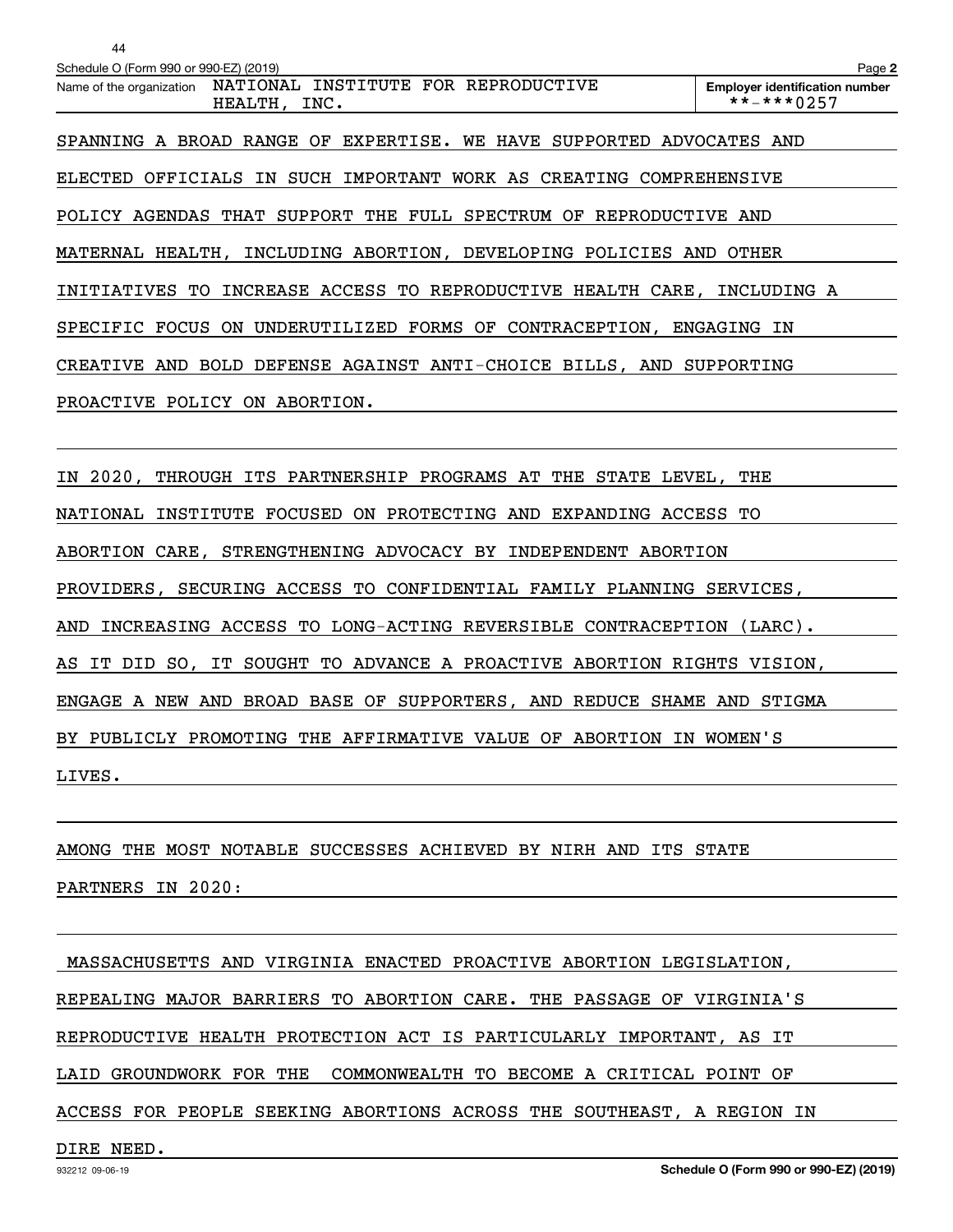| 44                                                                            |                                                     |  |
|-------------------------------------------------------------------------------|-----------------------------------------------------|--|
| Schedule O (Form 990 or 990-EZ) (2019)                                        | Page 2                                              |  |
| Name of the organization  NATIONAL INSTITUTE FOR REPRODUCTIVE<br>HEALTH, INC. | <b>Employer identification number</b><br>**-***0257 |  |
| SPANNING A BROAD RANGE OF EXPERTISE. WE HAVE SUPPORTED ADVOCATES AND          |                                                     |  |
| ELECTED OFFICIALS IN SUCH IMPORTANT WORK AS CREATING COMPREHENSIVE            |                                                     |  |
| POLICY AGENDAS THAT SUPPORT THE FULL SPECTRUM OF REPRODUCTIVE AND             |                                                     |  |
| MATERNAL HEALTH, INCLUDING ABORTION, DEVELOPING POLICIES AND OTHER            |                                                     |  |
| INITIATIVES TO INCREASE ACCESS TO REPRODUCTIVE HEALTH CARE, INCLUDING A       |                                                     |  |
| SPECIFIC FOCUS ON UNDERUTILIZED FORMS OF CONTRACEPTION, ENGAGING IN           |                                                     |  |
| CREATIVE AND BOLD DEFENSE AGAINST ANTI-CHOICE BILLS, AND SUPPORTING           |                                                     |  |
| PROACTIVE POLICY ON ABORTION.                                                 |                                                     |  |
|                                                                               |                                                     |  |
| IN 2020, THROUGH ITS PARTNERSHIP PROGRAMS AT THE STATE LEVEL, THE             |                                                     |  |
| NATIONAL INSTITUTE FOCUSED ON PROTECTING AND EXPANDING ACCESS TO              |                                                     |  |
|                                                                               |                                                     |  |

LIVES.

AMONG THE MOST NOTABLE SUCCESSES ACHIEVED BY NIRH AND ITS STATE

ABORTION CARE, STRENGTHENING ADVOCACY BY INDEPENDENT ABORTION

PROVIDERS, SECURING ACCESS TO CONFIDENTIAL FAMILY PLANNING SERVICES,

AND INCREASING ACCESS TO LONG-ACTING REVERSIBLE CONTRACEPTION (LARC).

AS IT DID SO, IT SOUGHT TO ADVANCE A PROACTIVE ABORTION RIGHTS VISION,

ENGAGE A NEW AND BROAD BASE OF SUPPORTERS, AND REDUCE SHAME AND STIGMA

BY PUBLICLY PROMOTING THE AFFIRMATIVE VALUE OF ABORTION IN WOMEN'S

PARTNERS IN 2020:

MASSACHUSETTS AND VIRGINIA ENACTED PROACTIVE ABORTION LEGISLATION,

REPEALING MAJOR BARRIERS TO ABORTION CARE. THE PASSAGE OF VIRGINIA'S

REPRODUCTIVE HEALTH PROTECTION ACT IS PARTICULARLY IMPORTANT, AS IT

LAID GROUNDWORK FOR THE COMMONWEALTH TO BECOME A CRITICAL POINT OF

ACCESS FOR PEOPLE SEEKING ABORTIONS ACROSS THE SOUTHEAST, A REGION IN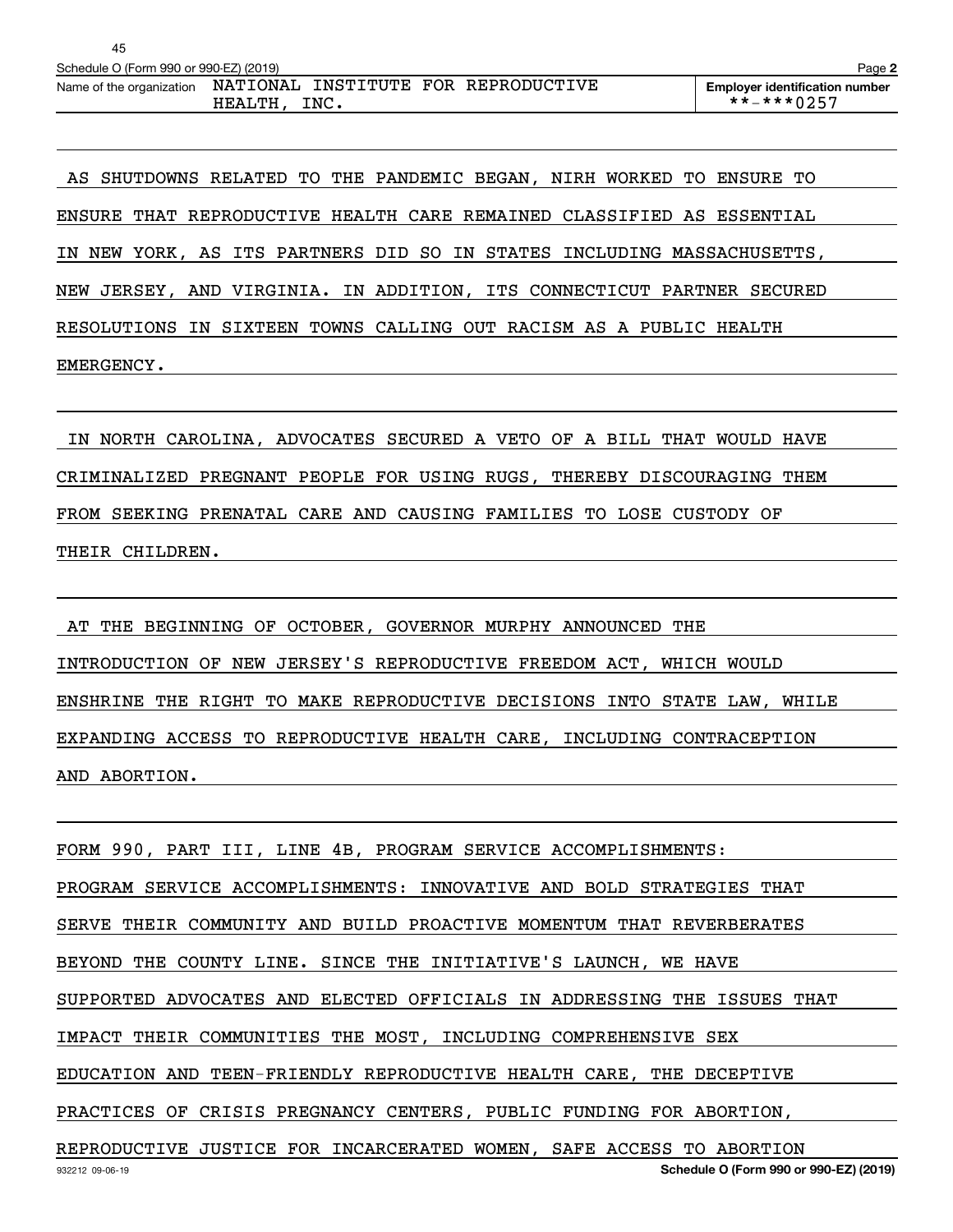| 45                                     |                                                          |                                                            |
|----------------------------------------|----------------------------------------------------------|------------------------------------------------------------|
| Schedule O (Form 990 or 990-EZ) (2019) |                                                          | Page 2                                                     |
| Name of the organization               | NATIONAL INSTITUTE FOR REPRODUCTIVE<br>INC.<br>HEALTH, I | <b>Employer identification number</b><br>$***$ $***$ 0.257 |

 AS SHUTDOWNS RELATED TO THE PANDEMIC BEGAN, NIRH WORKED TO ENSURE TO ENSURE THAT REPRODUCTIVE HEALTH CARE REMAINED CLASSIFIED AS ESSENTIAL IN NEW YORK, AS ITS PARTNERS DID SO IN STATES INCLUDING MASSACHUSETTS, NEW JERSEY, AND VIRGINIA. IN ADDITION, ITS CONNECTICUT PARTNER SECURED RESOLUTIONS IN SIXTEEN TOWNS CALLING OUT RACISM AS A PUBLIC HEALTH EMERGENCY.

 IN NORTH CAROLINA, ADVOCATES SECURED A VETO OF A BILL THAT WOULD HAVE CRIMINALIZED PREGNANT PEOPLE FOR USING RUGS, THEREBY DISCOURAGING THEM FROM SEEKING PRENATAL CARE AND CAUSING FAMILIES TO LOSE CUSTODY OF THEIR CHILDREN.

 AT THE BEGINNING OF OCTOBER, GOVERNOR MURPHY ANNOUNCED THE INTRODUCTION OF NEW JERSEY'S REPRODUCTIVE FREEDOM ACT, WHICH WOULD ENSHRINE THE RIGHT TO MAKE REPRODUCTIVE DECISIONS INTO STATE LAW, WHILE EXPANDING ACCESS TO REPRODUCTIVE HEALTH CARE, INCLUDING CONTRACEPTION AND ABORTION.

932212 09-06-19 **Schedule O (Form 990 or 990-EZ) (2019)** FORM 990, PART III, LINE 4B, PROGRAM SERVICE ACCOMPLISHMENTS: PROGRAM SERVICE ACCOMPLISHMENTS: INNOVATIVE AND BOLD STRATEGIES THAT SERVE THEIR COMMUNITY AND BUILD PROACTIVE MOMENTUM THAT REVERBERATES BEYOND THE COUNTY LINE. SINCE THE INITIATIVE'S LAUNCH, WE HAVE SUPPORTED ADVOCATES AND ELECTED OFFICIALS IN ADDRESSING THE ISSUES THAT IMPACT THEIR COMMUNITIES THE MOST, INCLUDING COMPREHENSIVE SEX EDUCATION AND TEEN-FRIENDLY REPRODUCTIVE HEALTH CARE, THE DECEPTIVE PRACTICES OF CRISIS PREGNANCY CENTERS, PUBLIC FUNDING FOR ABORTION, REPRODUCTIVE JUSTICE FOR INCARCERATED WOMEN, SAFE ACCESS TO ABORTION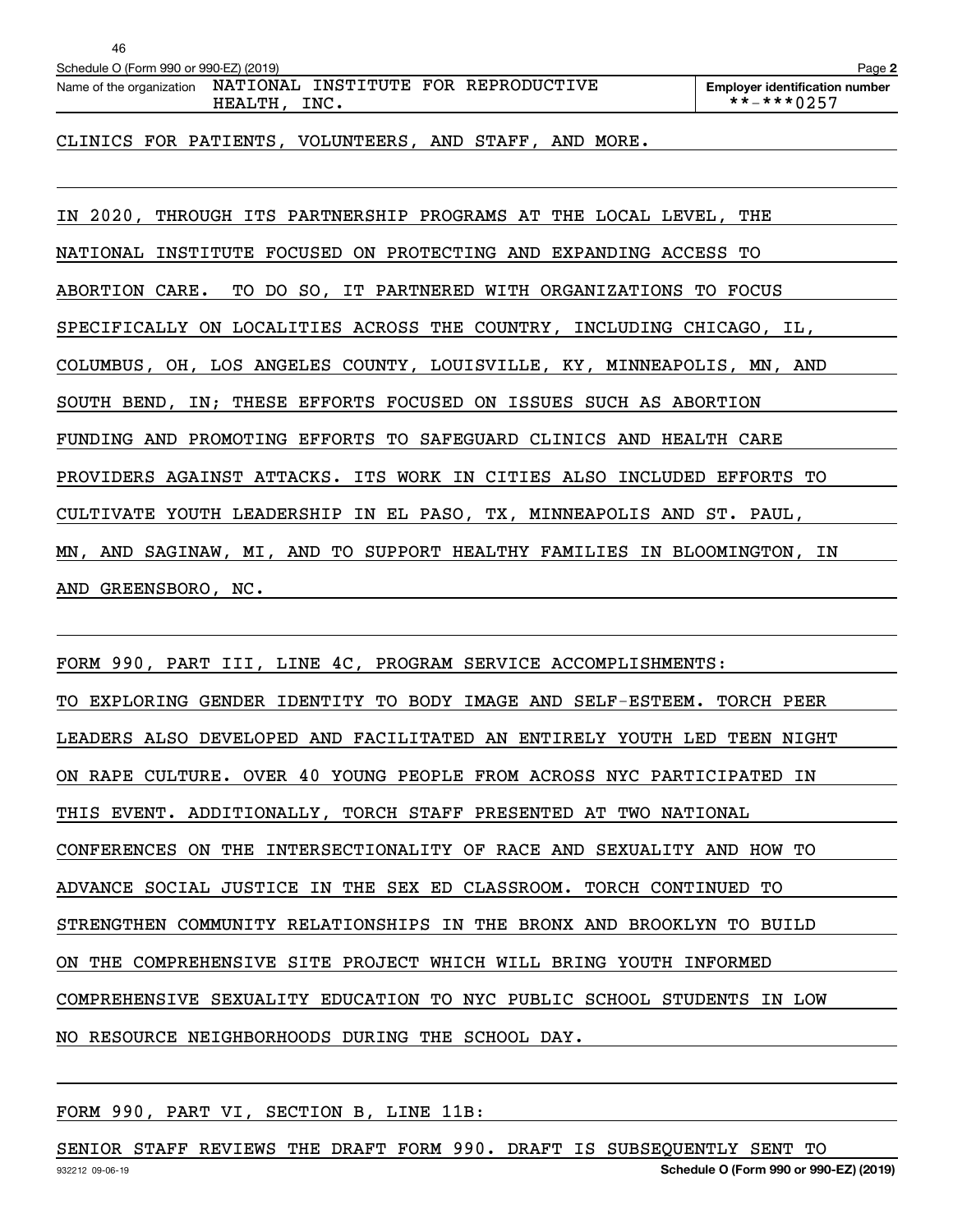| 46                                     |                                                        |                                                     |
|----------------------------------------|--------------------------------------------------------|-----------------------------------------------------|
| Schedule O (Form 990 or 990-EZ) (2019) |                                                        | Page 2                                              |
| Name of the organization               | NATIONAL INSTITUTE FOR REPRODUCTIVE<br>INC.<br>HEALTH, | <b>Employer identification number</b><br>**-***0257 |

CLINICS FOR PATIENTS, VOLUNTEERS, AND STAFF, AND MORE.

IN 2020, THROUGH ITS PARTNERSHIP PROGRAMS AT THE LOCAL LEVEL, THE NATIONAL INSTITUTE FOCUSED ON PROTECTING AND EXPANDING ACCESS TO ABORTION CARE. TO DO SO, IT PARTNERED WITH ORGANIZATIONS TO FOCUS SPECIFICALLY ON LOCALITIES ACROSS THE COUNTRY, INCLUDING CHICAGO, IL, COLUMBUS, OH, LOS ANGELES COUNTY, LOUISVILLE, KY, MINNEAPOLIS, MN, AND SOUTH BEND, IN; THESE EFFORTS FOCUSED ON ISSUES SUCH AS ABORTION FUNDING AND PROMOTING EFFORTS TO SAFEGUARD CLINICS AND HEALTH CARE PROVIDERS AGAINST ATTACKS. ITS WORK IN CITIES ALSO INCLUDED EFFORTS TO CULTIVATE YOUTH LEADERSHIP IN EL PASO, TX, MINNEAPOLIS AND ST. PAUL, MN, AND SAGINAW, MI, AND TO SUPPORT HEALTHY FAMILIES IN BLOOMINGTON, IN AND GREENSBORO, NC.

FORM 990, PART III, LINE 4C, PROGRAM SERVICE ACCOMPLISHMENTS: TO EXPLORING GENDER IDENTITY TO BODY IMAGE AND SELF-ESTEEM. TORCH PEER LEADERS ALSO DEVELOPED AND FACILITATED AN ENTIRELY YOUTH LED TEEN NIGHT ON RAPE CULTURE. OVER 40 YOUNG PEOPLE FROM ACROSS NYC PARTICIPATED IN THIS EVENT. ADDITIONALLY, TORCH STAFF PRESENTED AT TWO NATIONAL CONFERENCES ON THE INTERSECTIONALITY OF RACE AND SEXUALITY AND HOW TO ADVANCE SOCIAL JUSTICE IN THE SEX ED CLASSROOM. TORCH CONTINUED TO STRENGTHEN COMMUNITY RELATIONSHIPS IN THE BRONX AND BROOKLYN TO BUILD ON THE COMPREHENSIVE SITE PROJECT WHICH WILL BRING YOUTH INFORMED COMPREHENSIVE SEXUALITY EDUCATION TO NYC PUBLIC SCHOOL STUDENTS IN LOW NO RESOURCE NEIGHBORHOODS DURING THE SCHOOL DAY.

FORM 990, PART VI, SECTION B, LINE 11B:

932212 09-06-19 **Schedule O (Form 990 or 990-EZ) (2019)** SENIOR STAFF REVIEWS THE DRAFT FORM 990. DRAFT IS SUBSEQUENTLY SENT TO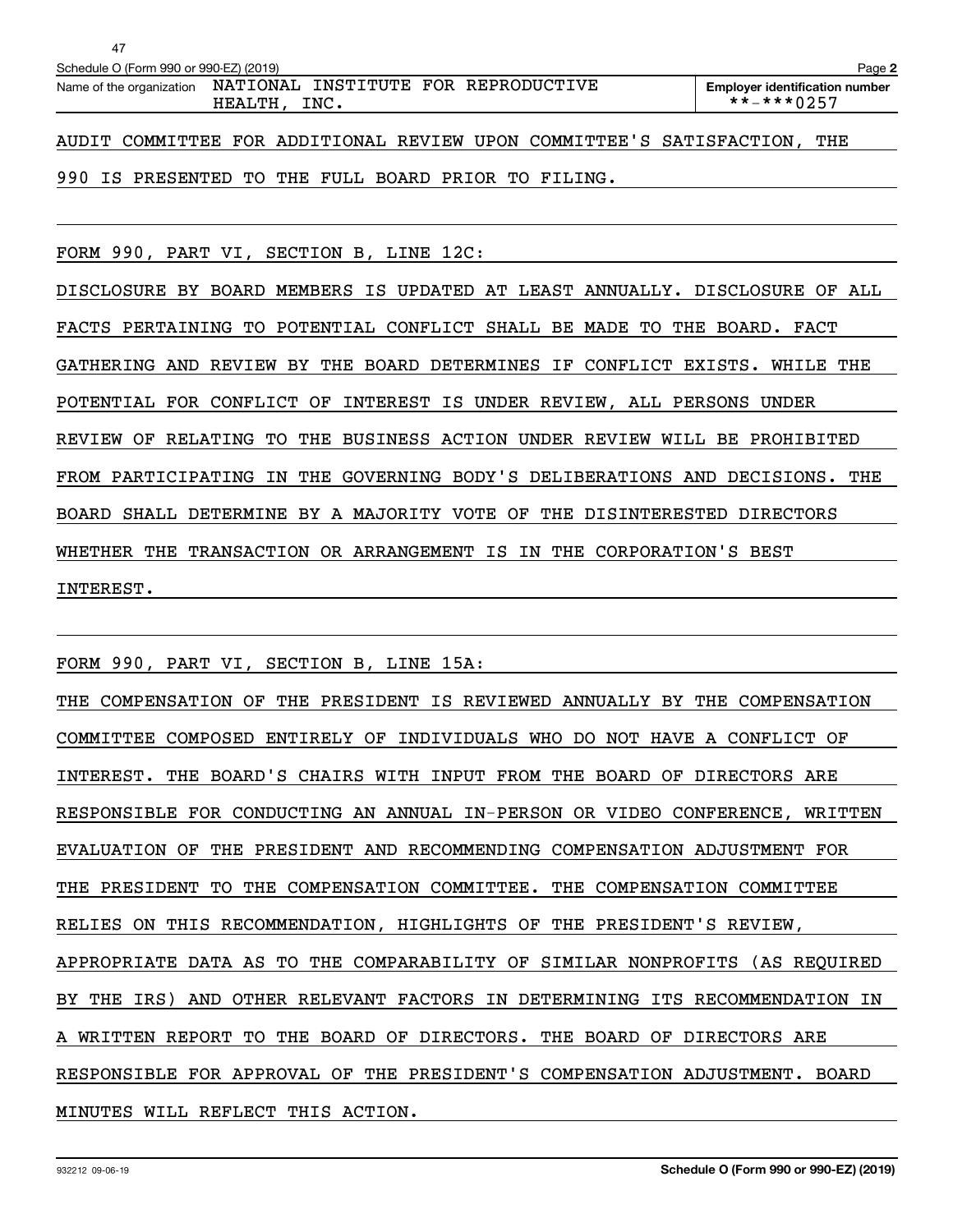| 47                                     |                                                                               |                                                            |
|----------------------------------------|-------------------------------------------------------------------------------|------------------------------------------------------------|
| Schedule O (Form 990 or 990-EZ) (2019) |                                                                               | Page 2                                                     |
|                                        | Name of the organization  NATIONAL INSTITUTE FOR REPRODUCTIVE<br>HEALTH, INC. | <b>Employer identification number</b><br>$***$ $***$ 0.257 |
|                                        | AUDIT COMMITTEE FOR ADDITIONAL REVIEW UPON COMMITTEE'S SATISFACTION,          | THE                                                        |

990 IS PRESENTED TO THE FULL BOARD PRIOR TO FILING.

FORM 990, PART VI, SECTION B, LINE 12C:

DISCLOSURE BY BOARD MEMBERS IS UPDATED AT LEAST ANNUALLY. DISCLOSURE OF ALL FACTS PERTAINING TO POTENTIAL CONFLICT SHALL BE MADE TO THE BOARD. FACT GATHERING AND REVIEW BY THE BOARD DETERMINES IF CONFLICT EXISTS. WHILE THE POTENTIAL FOR CONFLICT OF INTEREST IS UNDER REVIEW, ALL PERSONS UNDER REVIEW OF RELATING TO THE BUSINESS ACTION UNDER REVIEW WILL BE PROHIBITED FROM PARTICIPATING IN THE GOVERNING BODY'S DELIBERATIONS AND DECISIONS. THE BOARD SHALL DETERMINE BY A MAJORITY VOTE OF THE DISINTERESTED DIRECTORS WHETHER THE TRANSACTION OR ARRANGEMENT IS IN THE CORPORATION'S BEST INTEREST.

FORM 990, PART VI, SECTION B, LINE 15A:

THE COMPENSATION OF THE PRESIDENT IS REVIEWED ANNUALLY BY THE COMPENSATION COMMITTEE COMPOSED ENTIRELY OF INDIVIDUALS WHO DO NOT HAVE A CONFLICT OF INTEREST. THE BOARD'S CHAIRS WITH INPUT FROM THE BOARD OF DIRECTORS ARE RESPONSIBLE FOR CONDUCTING AN ANNUAL IN-PERSON OR VIDEO CONFERENCE, WRITTEN EVALUATION OF THE PRESIDENT AND RECOMMENDING COMPENSATION ADJUSTMENT FOR THE PRESIDENT TO THE COMPENSATION COMMITTEE. THE COMPENSATION COMMITTEE RELIES ON THIS RECOMMENDATION, HIGHLIGHTS OF THE PRESIDENT'S REVIEW, APPROPRIATE DATA AS TO THE COMPARABILITY OF SIMILAR NONPROFITS (AS REQUIRED BY THE IRS) AND OTHER RELEVANT FACTORS IN DETERMINING ITS RECOMMENDATION IN A WRITTEN REPORT TO THE BOARD OF DIRECTORS. THE BOARD OF DIRECTORS ARE RESPONSIBLE FOR APPROVAL OF THE PRESIDENT'S COMPENSATION ADJUSTMENT. BOARD MINUTES WILL REFLECT THIS ACTION.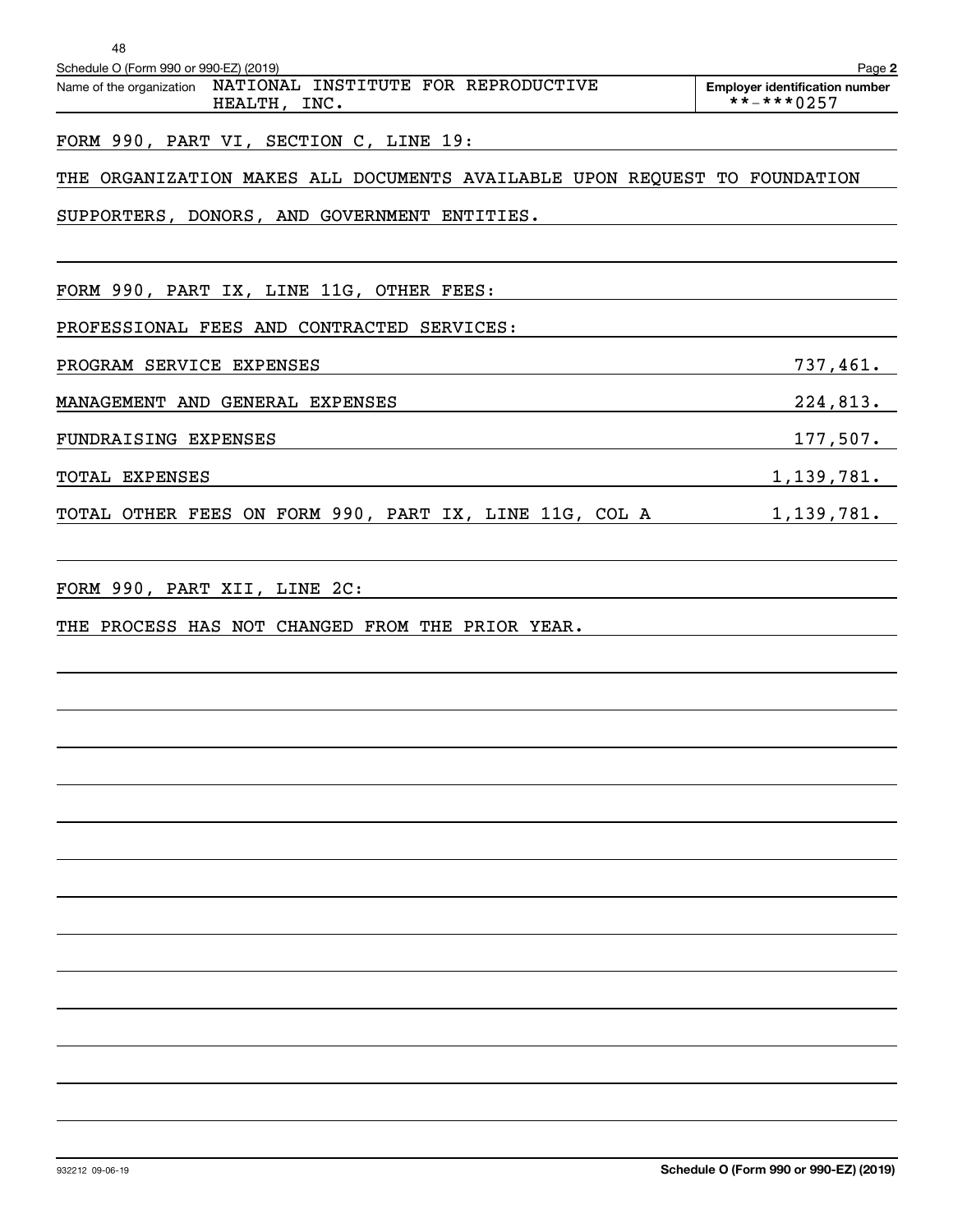| 48<br>Schedule O (Form 990 or 990-EZ) (2019)                                    | Page 2                                              |
|---------------------------------------------------------------------------------|-----------------------------------------------------|
| NATIONAL INSTITUTE FOR REPRODUCTIVE<br>Name of the organization<br>HEALTH, INC. | <b>Employer identification number</b><br>**-***0257 |
| FORM 990, PART VI, SECTION C, LINE 19:                                          |                                                     |
| THE ORGANIZATION MAKES ALL DOCUMENTS AVAILABLE UPON REQUEST TO FOUNDATION       |                                                     |
| SUPPORTERS, DONORS, AND GOVERNMENT ENTITIES.                                    |                                                     |
| FORM 990, PART IX, LINE 11G, OTHER FEES:                                        |                                                     |
| PROFESSIONAL FEES AND CONTRACTED SERVICES:                                      |                                                     |
| PROGRAM SERVICE EXPENSES                                                        | 737,461.                                            |
| MANAGEMENT AND GENERAL EXPENSES                                                 | 224,813.                                            |
| FUNDRAISING EXPENSES                                                            | 177,507.                                            |
| TOTAL EXPENSES                                                                  | 1,139,781.                                          |
| TOTAL OTHER FEES ON FORM 990, PART IX, LINE 11G, COL A                          | 1,139,781.                                          |
| FORM 990, PART XII, LINE 2C:                                                    |                                                     |
| THE PROCESS HAS NOT CHANGED FROM THE PRIOR YEAR.                                |                                                     |
|                                                                                 |                                                     |
|                                                                                 |                                                     |
|                                                                                 |                                                     |
|                                                                                 |                                                     |
|                                                                                 |                                                     |
|                                                                                 |                                                     |
|                                                                                 |                                                     |
|                                                                                 |                                                     |
|                                                                                 |                                                     |
|                                                                                 |                                                     |
|                                                                                 |                                                     |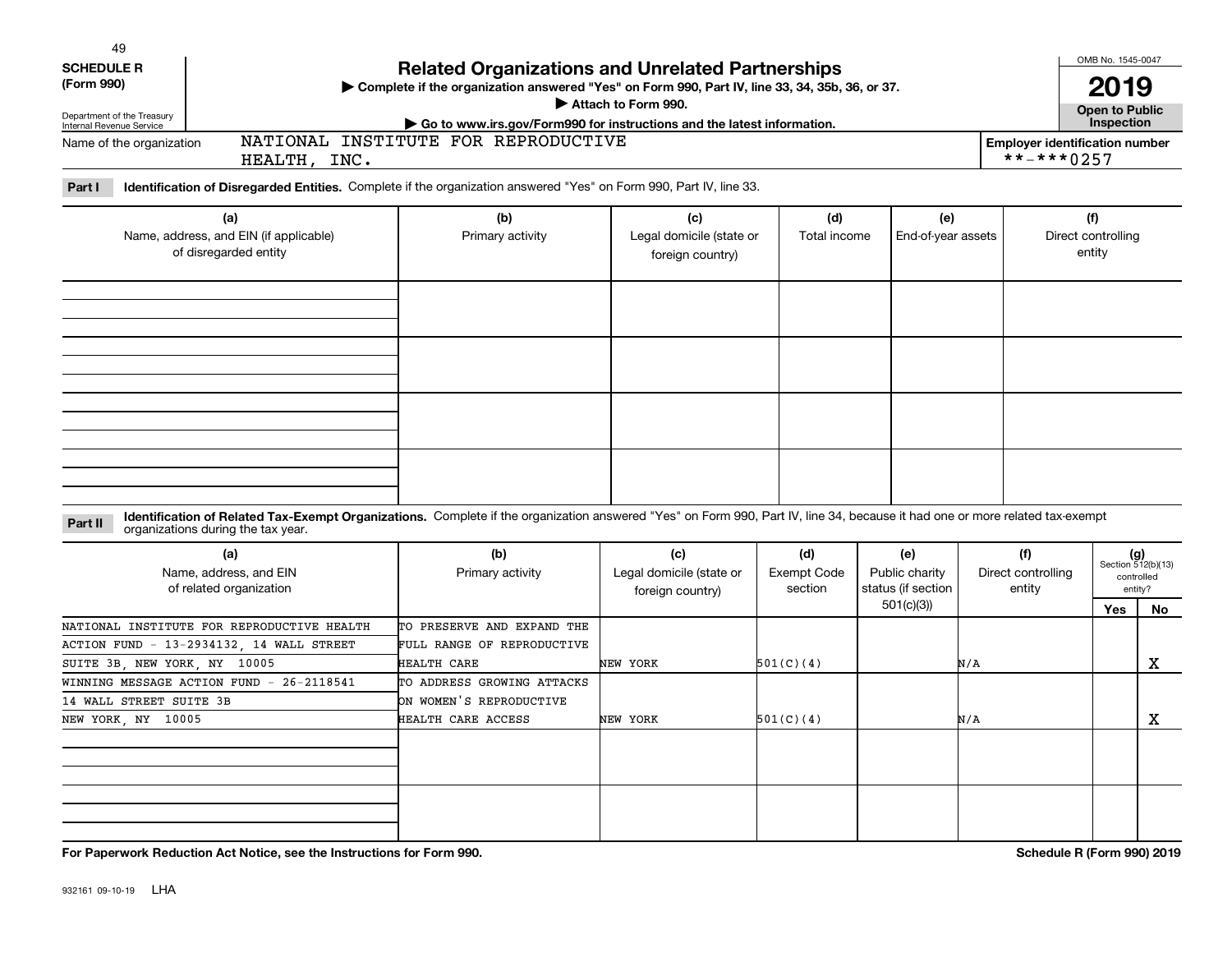| 49                |  |  |
|-------------------|--|--|
| <b>SCHEDULE R</b> |  |  |

| (Form 990) |  |
|------------|--|
|------------|--|

Department of the Treasury Internal Revenue Service

Name of the organization

## **Related Organizations and Unrelated Partnerships**

**Complete if the organization answered "Yes" on Form 990, Part IV, line 33, 34, 35b, 36, or 37.** |

**Attach to Form 990.**  |

HEALTH, INC.

**Part I Identification of Disregarded Entities.**  Complete if the organization answered "Yes" on Form 990, Part IV, line 33.

NATIONAL INSTITUTE FOR REPRODUCTIVE

| (a)<br>Name, address, and EIN (if applicable)<br>of disregarded entity | (b)<br>Primary activity | (c)<br>Legal domicile (state or<br>foreign country) | (d)<br>Total income | (e)<br>End-of-year assets | (f)<br>Direct controlling<br>entity |
|------------------------------------------------------------------------|-------------------------|-----------------------------------------------------|---------------------|---------------------------|-------------------------------------|
|                                                                        |                         |                                                     |                     |                           |                                     |
|                                                                        |                         |                                                     |                     |                           |                                     |
|                                                                        |                         |                                                     |                     |                           |                                     |
|                                                                        |                         |                                                     |                     |                           |                                     |

#### **Identification of Related Tax-Exempt Organizations.** Complete if the organization answered "Yes" on Form 990, Part IV, line 34, because it had one or more related tax-exempt **Part II** organizations during the tax year.

| (a)<br>Name, address, and EIN<br>of related organization | (b)<br>Primary activity    | (c)<br>Legal domicile (state or<br>foreign country) | (d)<br>Exempt Code<br>section | (e)<br>Public charity<br>status (if section | (f)<br>Direct controlling<br>entity |     | $(g)$<br>Section 512(b)(13)<br>controlled<br>entity? |
|----------------------------------------------------------|----------------------------|-----------------------------------------------------|-------------------------------|---------------------------------------------|-------------------------------------|-----|------------------------------------------------------|
|                                                          |                            |                                                     |                               | 501(c)(3))                                  |                                     | Yes | No                                                   |
| NATIONAL INSTITUTE FOR REPRODUCTIVE HEALTH               | TO PRESERVE AND EXPAND THE |                                                     |                               |                                             |                                     |     |                                                      |
| ACTION FUND - 13-2934132, 14 WALL STREET                 | FULL RANGE OF REPRODUCTIVE |                                                     |                               |                                             |                                     |     |                                                      |
| SUITE 3B, NEW YORK, NY 10005                             | HEALTH CARE                | NEW YORK                                            | 501(C)(4)                     |                                             | N/A                                 |     | х                                                    |
| WINNING MESSAGE ACTION FUND - 26-2118541                 | TO ADDRESS GROWING ATTACKS |                                                     |                               |                                             |                                     |     |                                                      |
| 14 WALL STREET SUITE 3B                                  | ON WOMEN'S REPRODUCTIVE    |                                                     |                               |                                             |                                     |     |                                                      |
| NEW YORK, NY 10005                                       | HEALTH CARE ACCESS         | NEW YORK                                            | 501(C)(4)                     |                                             | N/A                                 |     | х                                                    |
|                                                          |                            |                                                     |                               |                                             |                                     |     |                                                      |
|                                                          |                            |                                                     |                               |                                             |                                     |     |                                                      |
|                                                          |                            |                                                     |                               |                                             |                                     |     |                                                      |
|                                                          |                            |                                                     |                               |                                             |                                     |     |                                                      |

**For Paperwork Reduction Act Notice, see the Instructions for Form 990. Schedule R (Form 990) 2019**

OMB No. 1545-0047

**2019**

 $***$  \*\*\*\* 0257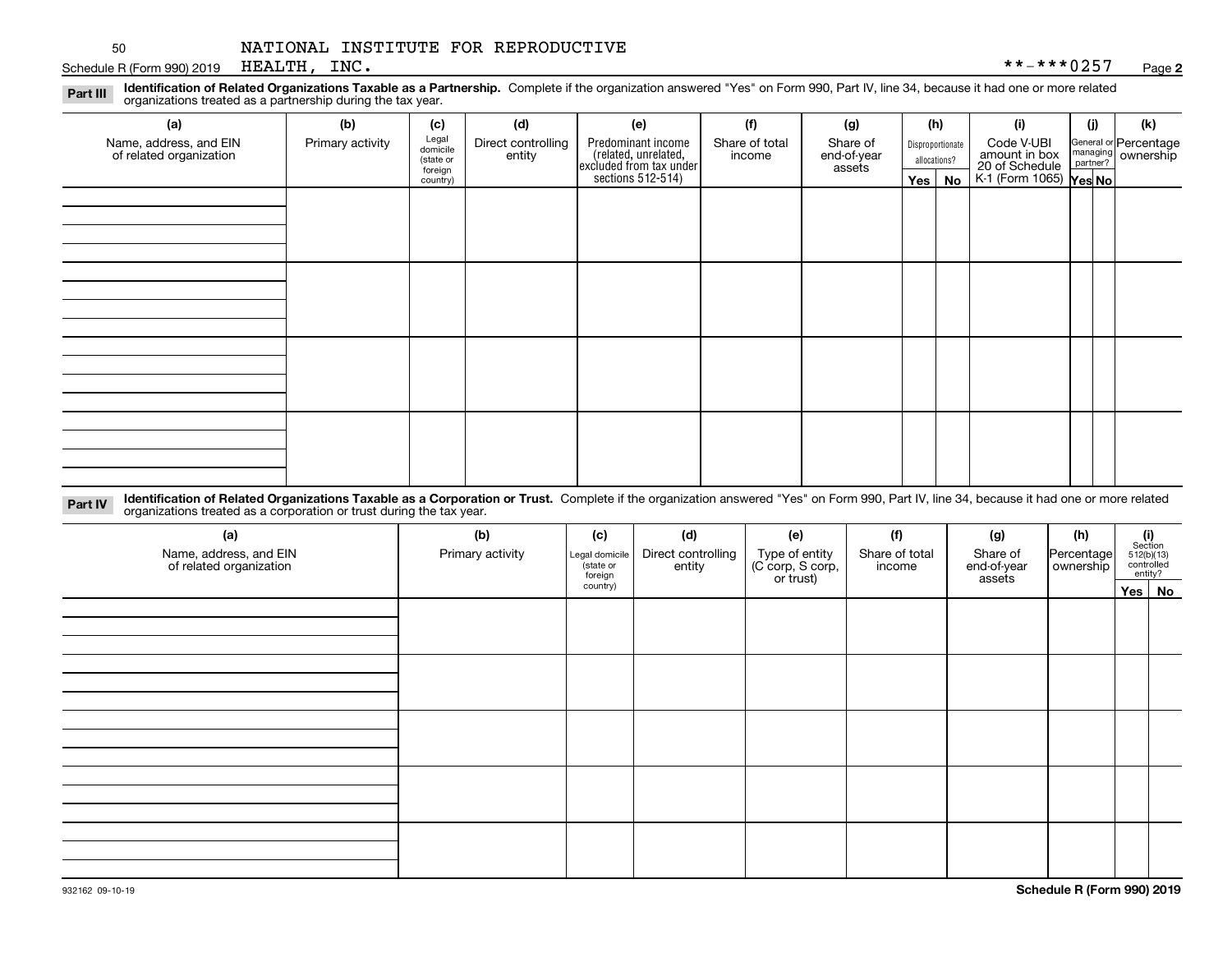Schedule R (Form 990) 2019  $\,$  HEALTH ,  $\,$  INC  $\,$   $\,$ HEALTH, INC.

**2**

**Identification of Related Organizations Taxable as a Partnership.** Complete if the organization answered "Yes" on Form 990, Part IV, line 34, because it had one or more related **Part III** organizations treated as a partnership during the tax year.

| (a)                                               | (b)              | (c)                  | (d)                          | (e)                                                                 | (f)                      | (g)                     | (h)              | (i)                                                              | (j) | (k)                                         |
|---------------------------------------------------|------------------|----------------------|------------------------------|---------------------------------------------------------------------|--------------------------|-------------------------|------------------|------------------------------------------------------------------|-----|---------------------------------------------|
| Name, address, and EIN<br>of related organization | Primary activity | Legal<br>domicile    | Direct controlling<br>entity | Predominant income                                                  | Share of total<br>income | Share of<br>end-of-year | Disproportionate | Code V-UBI                                                       |     | General or Percentage<br>managing ownership |
|                                                   |                  | (state or<br>foreign |                              |                                                                     |                          | assets                  | allocations?     |                                                                  |     |                                             |
|                                                   |                  | country)             |                              | related, unrelated,<br>excluded from tax under<br>sections 512-514) |                          |                         | Yes   No         | amount in box<br>20 of Schedule<br>K-1 (Form 1065) <b>Yes No</b> |     |                                             |
|                                                   |                  |                      |                              |                                                                     |                          |                         |                  |                                                                  |     |                                             |
|                                                   |                  |                      |                              |                                                                     |                          |                         |                  |                                                                  |     |                                             |
|                                                   |                  |                      |                              |                                                                     |                          |                         |                  |                                                                  |     |                                             |
|                                                   |                  |                      |                              |                                                                     |                          |                         |                  |                                                                  |     |                                             |
|                                                   |                  |                      |                              |                                                                     |                          |                         |                  |                                                                  |     |                                             |
|                                                   |                  |                      |                              |                                                                     |                          |                         |                  |                                                                  |     |                                             |
|                                                   |                  |                      |                              |                                                                     |                          |                         |                  |                                                                  |     |                                             |
|                                                   |                  |                      |                              |                                                                     |                          |                         |                  |                                                                  |     |                                             |
|                                                   |                  |                      |                              |                                                                     |                          |                         |                  |                                                                  |     |                                             |
|                                                   |                  |                      |                              |                                                                     |                          |                         |                  |                                                                  |     |                                             |
|                                                   |                  |                      |                              |                                                                     |                          |                         |                  |                                                                  |     |                                             |
|                                                   |                  |                      |                              |                                                                     |                          |                         |                  |                                                                  |     |                                             |
|                                                   |                  |                      |                              |                                                                     |                          |                         |                  |                                                                  |     |                                             |
|                                                   |                  |                      |                              |                                                                     |                          |                         |                  |                                                                  |     |                                             |
|                                                   |                  |                      |                              |                                                                     |                          |                         |                  |                                                                  |     |                                             |
|                                                   |                  |                      |                              |                                                                     |                          |                         |                  |                                                                  |     |                                             |
|                                                   |                  |                      |                              |                                                                     |                          |                         |                  |                                                                  |     |                                             |

**Identification of Related Organizations Taxable as a Corporation or Trust.** Complete if the organization answered "Yes" on Form 990, Part IV, line 34, because it had one or more related **Part IV** organizations treated as a corporation or trust during the tax year.

| (a)<br>Name, address, and EIN<br>of related organization | (b)<br>Primary activity | (c)<br>Legal domicile<br>(state or<br>foreign | (d)<br>Direct controlling<br>entity | (e)<br>Type of entity<br>(C corp, S corp,<br>or trust) | (f)<br>Share of total<br>income | (g)<br>Share of<br>end-of-year<br>assets | (h)<br> Percentage <br>ownership | $\begin{array}{c} \textbf{(i)}\\ \text{Section}\\ 512 \text{(b)} \text{(13)}\\ \text{controlled}\\ \text{entity?} \end{array}$ |
|----------------------------------------------------------|-------------------------|-----------------------------------------------|-------------------------------------|--------------------------------------------------------|---------------------------------|------------------------------------------|----------------------------------|--------------------------------------------------------------------------------------------------------------------------------|
|                                                          |                         | country)                                      |                                     |                                                        |                                 |                                          |                                  | Yes No                                                                                                                         |
|                                                          |                         |                                               |                                     |                                                        |                                 |                                          |                                  |                                                                                                                                |
|                                                          |                         |                                               |                                     |                                                        |                                 |                                          |                                  |                                                                                                                                |
|                                                          |                         |                                               |                                     |                                                        |                                 |                                          |                                  |                                                                                                                                |
|                                                          |                         |                                               |                                     |                                                        |                                 |                                          |                                  |                                                                                                                                |
|                                                          |                         |                                               |                                     |                                                        |                                 |                                          |                                  |                                                                                                                                |
|                                                          |                         |                                               |                                     |                                                        |                                 |                                          |                                  |                                                                                                                                |
|                                                          |                         |                                               |                                     |                                                        |                                 |                                          |                                  |                                                                                                                                |
|                                                          |                         |                                               |                                     |                                                        |                                 |                                          |                                  |                                                                                                                                |
|                                                          |                         |                                               |                                     |                                                        |                                 |                                          |                                  |                                                                                                                                |
|                                                          |                         |                                               |                                     |                                                        |                                 |                                          |                                  |                                                                                                                                |
|                                                          |                         |                                               |                                     |                                                        |                                 |                                          |                                  |                                                                                                                                |
|                                                          |                         |                                               |                                     |                                                        |                                 |                                          |                                  |                                                                                                                                |
|                                                          |                         |                                               |                                     |                                                        |                                 |                                          |                                  |                                                                                                                                |
|                                                          |                         |                                               |                                     |                                                        |                                 |                                          |                                  |                                                                                                                                |
|                                                          |                         |                                               |                                     |                                                        |                                 |                                          |                                  |                                                                                                                                |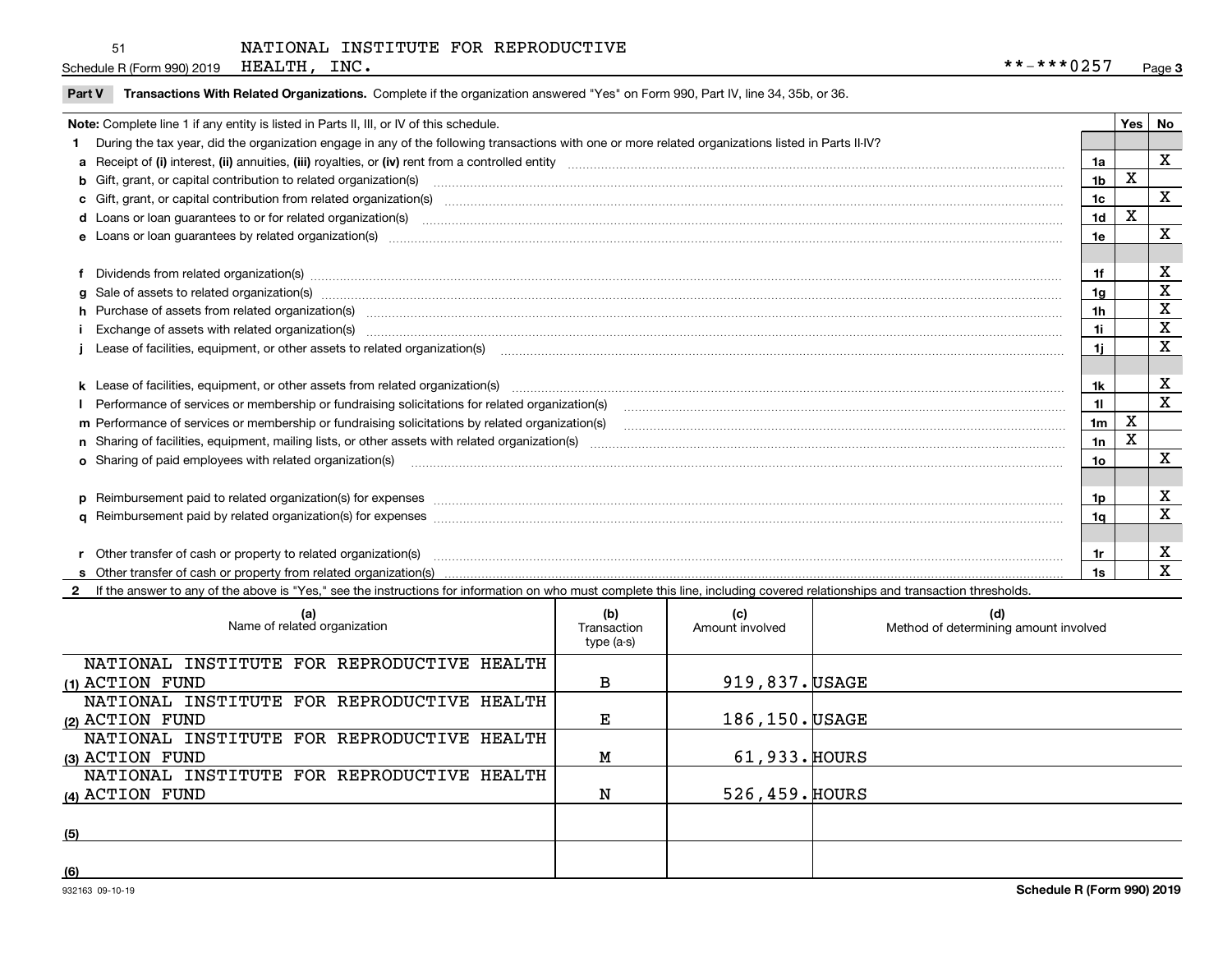| Part V Transactions With Related Organizations. Complete if the organization answered "Yes" on Form 990, Part IV, line 34, 35b, or 36. |  |  |
|----------------------------------------------------------------------------------------------------------------------------------------|--|--|
|                                                                                                                                        |  |  |

| Note: Complete line 1 if any entity is listed in Parts II, III, or IV of this schedule.                                                                                                                                        |                | Yes | l No        |
|--------------------------------------------------------------------------------------------------------------------------------------------------------------------------------------------------------------------------------|----------------|-----|-------------|
| During the tax year, did the organization engage in any of the following transactions with one or more related organizations listed in Parts II-IV?                                                                            |                |     |             |
|                                                                                                                                                                                                                                | 1a             |     | X           |
| b Gift, grant, or capital contribution to related organization(s) manufaction contracts and contribution to related organization(s)                                                                                            | 1 <sub>b</sub> | X   |             |
|                                                                                                                                                                                                                                | 1 <sub>c</sub> |     | X           |
| d Loans or loan guarantees to or for related organization(s) committion contracts are constructed as a control or contract or contract or contract or contract or contract or contract or contract or contract or contract or  | 1 <sub>d</sub> | X   |             |
| e Loans or loan guarantees by related organization(s) enconversements and construction of the construction of the constraint of the constraint of the constraint of the constraint of the constraint of the constraint of the  | 1e             |     | X           |
|                                                                                                                                                                                                                                |                |     |             |
| Dividends from related organization(s) manufactured and contract and contract and contract and contract and contract and contract and contract and contract and contract and contract and contract and contract and contract a | 1f             |     | X           |
|                                                                                                                                                                                                                                | 1g             |     | X           |
| h Purchase of assets from related organization(s) manufactured and content to the content of the content of the content of the content of the content of the content of the content of the content of the content of the conte | 1 <sub>h</sub> |     | $\mathbf x$ |
| Exchange of assets with related organization(s) <b>construction and construction</b> and construction and construction                                                                                                         | 1i             |     | X           |
| Lease of facilities, equipment, or other assets to related organization(s) [11] manufactured content and content and content and content and content and content and content and content and content and content and content a | 11             |     | X           |
|                                                                                                                                                                                                                                |                |     |             |
|                                                                                                                                                                                                                                | 1k             |     | х           |
|                                                                                                                                                                                                                                | 11             |     | X           |
| m Performance of services or membership or fundraising solicitations by related organization(s)                                                                                                                                | 1 <sub>m</sub> | X   |             |
|                                                                                                                                                                                                                                | 1n             | X   |             |
| <b>o</b> Sharing of paid employees with related organization(s)                                                                                                                                                                | 1o             |     | X           |
|                                                                                                                                                                                                                                |                |     |             |
|                                                                                                                                                                                                                                | 1p             |     | X           |
|                                                                                                                                                                                                                                | 1q             |     | X           |
|                                                                                                                                                                                                                                |                |     |             |
| Other transfer of cash or property to related organization(s)                                                                                                                                                                  | 1r             |     | х           |
|                                                                                                                                                                                                                                |                |     | X           |

**2**If the answer to any of the above is "Yes," see the instructions for information on who must complete this line, including covered relationships and transaction thresholds.

| (a)<br>Name of related organization        | (b)<br>Transaction<br>type (a-s) | (c)<br>Amount involved | (d)<br>Method of determining amount involved |
|--------------------------------------------|----------------------------------|------------------------|----------------------------------------------|
| NATIONAL INSTITUTE FOR REPRODUCTIVE HEALTH |                                  |                        |                                              |
| (1) ACTION FUND                            | в                                | 919,837. USAGE         |                                              |
| NATIONAL INSTITUTE FOR REPRODUCTIVE HEALTH |                                  |                        |                                              |
| (2) ACTION FUND                            | Е                                | 186,150. USAGE         |                                              |
| NATIONAL INSTITUTE FOR REPRODUCTIVE HEALTH |                                  |                        |                                              |
| (3) ACTION FUND                            | Μ                                | 61,933. HOURS          |                                              |
| NATIONAL INSTITUTE FOR REPRODUCTIVE HEALTH |                                  |                        |                                              |
| (4) ACTION FUND                            | N                                | 526, 459. HOURS        |                                              |
|                                            |                                  |                        |                                              |
| (5)                                        |                                  |                        |                                              |
|                                            |                                  |                        |                                              |
| (6)                                        |                                  |                        |                                              |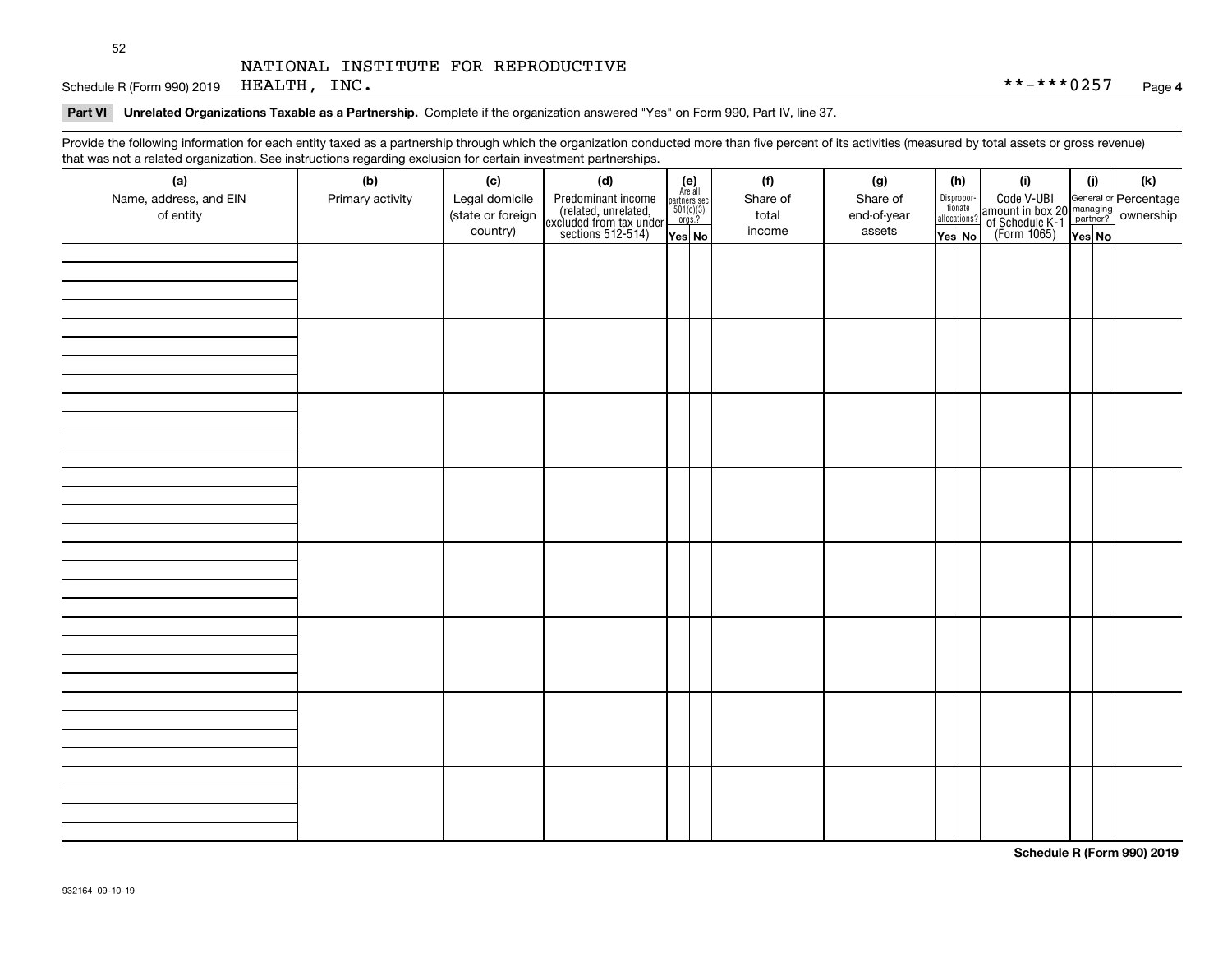Schedule R (Form 990) 2019 Page HEALTH, INC. \*\*-\*\*\*0257

## **Part VI Unrelated Organizations Taxable as a Partnership.**  Complete if the organization answered "Yes" on Form 990, Part IV, line 37.

Provide the following information for each entity taxed as a partnership through which the organization conducted more than five percent of its activities (measured by total assets or gross revenue) that was not a related organization. See instructions regarding exclusion for certain investment partnerships.

| (a)<br>Name, address, and EIN<br>of entity | (b)<br>Primary activity | (c)<br>Legal domicile<br>(state or foreign<br>country) | (d)<br>Predominant income<br>(related, unrelated,<br>excluded from tax under<br>sections 512-514) | $\begin{array}{c} \textbf{(e)}\\ \text{Are all} \\ \text{partners sec.}\\ 501(c)(3)\\ \text{orgs.?} \end{array}$<br>Yes No | (f)<br>Share of<br>total<br>income | (g)<br>Share of<br>end-of-year<br>assets | (h)<br>Dispropor-<br>tionate<br>allocations?<br>Yes No | (i)<br>Code V-UBI<br>amount in box 20 managing<br>of Schedule K-1<br>(Form 1065)<br>$\overline{Yes}$ No | (j)<br>Yes No | (k) |
|--------------------------------------------|-------------------------|--------------------------------------------------------|---------------------------------------------------------------------------------------------------|----------------------------------------------------------------------------------------------------------------------------|------------------------------------|------------------------------------------|--------------------------------------------------------|---------------------------------------------------------------------------------------------------------|---------------|-----|
|                                            |                         |                                                        |                                                                                                   |                                                                                                                            |                                    |                                          |                                                        |                                                                                                         |               |     |
|                                            |                         |                                                        |                                                                                                   |                                                                                                                            |                                    |                                          |                                                        |                                                                                                         |               |     |
|                                            |                         |                                                        |                                                                                                   |                                                                                                                            |                                    |                                          |                                                        |                                                                                                         |               |     |
|                                            |                         |                                                        |                                                                                                   |                                                                                                                            |                                    |                                          |                                                        |                                                                                                         |               |     |
|                                            |                         |                                                        |                                                                                                   |                                                                                                                            |                                    |                                          |                                                        |                                                                                                         |               |     |
|                                            |                         |                                                        |                                                                                                   |                                                                                                                            |                                    |                                          |                                                        |                                                                                                         |               |     |
|                                            |                         |                                                        |                                                                                                   |                                                                                                                            |                                    |                                          |                                                        |                                                                                                         |               |     |
|                                            |                         |                                                        |                                                                                                   |                                                                                                                            |                                    |                                          |                                                        |                                                                                                         |               |     |

**Schedule R (Form 990) 2019**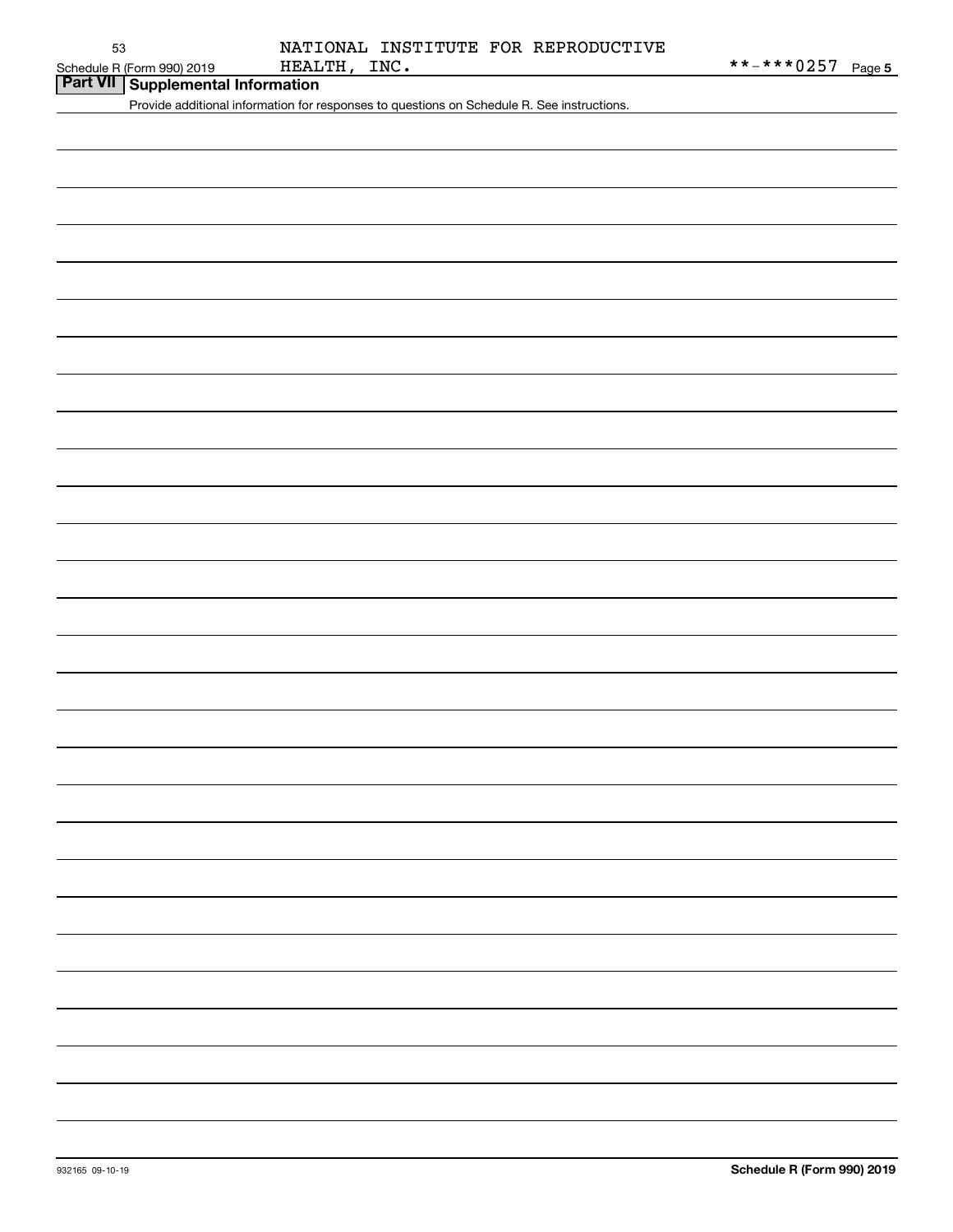**Part VII Supplemental Information**

Provide additional information for responses to questions on Schedule R. See instructions.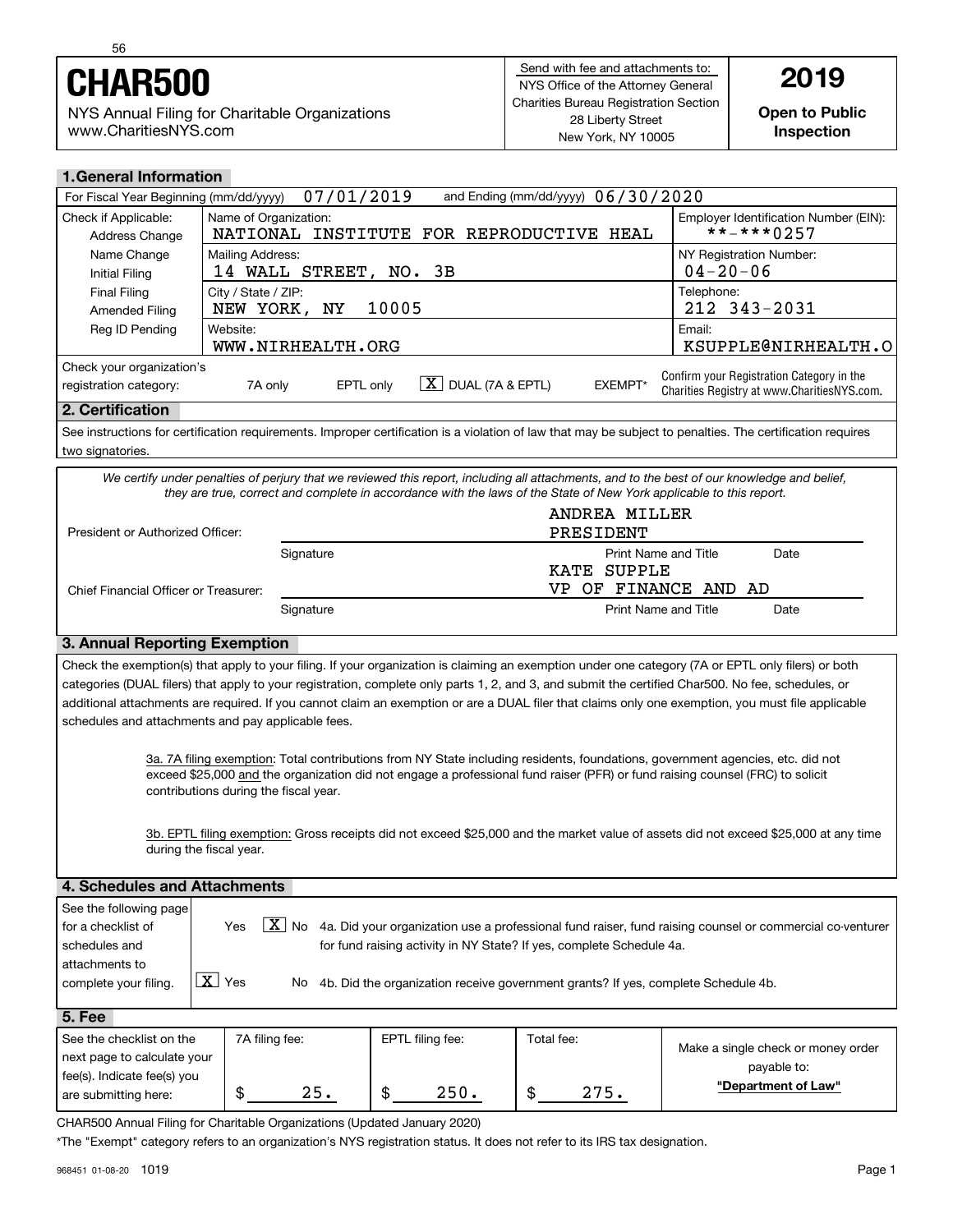

NYS Annual Filing for Charitable Organizations www.CharitiesNYS.com

**Open to Public Inspection**

| <b>1. General Information</b>                                                                |                                                                                                                                                            |                                                                                          |  |  |  |  |
|----------------------------------------------------------------------------------------------|------------------------------------------------------------------------------------------------------------------------------------------------------------|------------------------------------------------------------------------------------------|--|--|--|--|
| 07/01/2019<br>and Ending (mm/dd/yyyy) $06/30/2020$<br>For Fiscal Year Beginning (mm/dd/yyyy) |                                                                                                                                                            |                                                                                          |  |  |  |  |
| Check if Applicable:<br>Address Change                                                       | Name of Organization:<br>INSTITUTE FOR REPRODUCTIVE<br>NATIONAL<br>HEAL                                                                                    | Employer Identification Number (EIN):<br>$***$ -*** 0257                                 |  |  |  |  |
| Name Change<br>Initial Filing                                                                | Mailing Address:<br>14 WALL STREET, NO. 3B                                                                                                                 | NY Registration Number:<br>$04 - 20 - 06$                                                |  |  |  |  |
| Final Filing<br>Amended Filing                                                               | City / State / ZIP:<br>10005<br>NEW YORK, NY                                                                                                               | Telephone:<br>212 343-2031                                                               |  |  |  |  |
| Reg ID Pending                                                                               | Website:<br>WWW.NIRHEALTH.ORG                                                                                                                              | Email:<br>KSUPPLE@NIRHEALTH.O                                                            |  |  |  |  |
| Check your organization's<br>registration category:                                          | X  <br>DUAL (7A & EPTL)<br>EXEMPT*<br>EPTL only<br>7A only                                                                                                 | Confirm your Registration Category in the<br>Charities Registry at www.CharitiesNYS.com. |  |  |  |  |
| 2. Certification                                                                             |                                                                                                                                                            |                                                                                          |  |  |  |  |
| two signatories.                                                                             | See instructions for certification requirements. Improper certification is a violation of law that may be subject to penalties. The certification requires |                                                                                          |  |  |  |  |
|                                                                                              | We certify under penalties of periury that we reviewed this report, including all attachments, and to the best of our knowledge and belief.                |                                                                                          |  |  |  |  |

*We certify under penalties of perjury that we reviewed this report, including all attachments, and to the best of our knowledge and belief, they are true, correct and complete in accordance with the laws of the State of New York applicable to this report.*

| President or Authorized Officer:      |           | ANDREA MILLER<br>PRESIDENT                                                     |  |
|---------------------------------------|-----------|--------------------------------------------------------------------------------|--|
| Chief Financial Officer or Treasurer: | Signature | <b>Print Name and Title</b><br>Date<br>KATE SUPPLE<br>OF FINANCE AND AD<br>VP. |  |
|                                       | Signature | Print Name and Title<br>Date                                                   |  |

## **3. Annual Reporting Exemption**

Check the exemption(s) that apply to your filing. If your organization is claiming an exemption under one category (7A or EPTL only filers) or both categories (DUAL filers) that apply to your registration, complete only parts 1, 2, and 3, and submit the certified Char500. No fee, schedules, or additional attachments are required. If you cannot claim an exemption or are a DUAL filer that claims only one exemption, you must file applicable schedules and attachments and pay applicable fees.

> 3a. 7A filing exemption: Total contributions from NY State including residents, foundations, government agencies, etc. did not exceed \$25,000 and the organization did not engage a professional fund raiser (PFR) or fund raising counsel (FRC) to solicit contributions during the fiscal year.

3b. EPTL filing exemption: Gross receipts did not exceed \$25,000 and the market value of assets did not exceed \$25,000 at any time during the fiscal year.

| 4. Schedules and Attachments |               |    |                                                                                                             |  |  |  |
|------------------------------|---------------|----|-------------------------------------------------------------------------------------------------------------|--|--|--|
| See the following page       |               |    |                                                                                                             |  |  |  |
| I for a checklist of         | <b>Yes</b>    | ΧI | No 4a. Did your organization use a professional fund raiser, fund raising counsel or commercial co-venturer |  |  |  |
| schedules and                |               |    | for fund raising activity in NY State? If yes, complete Schedule 4a.                                        |  |  |  |
| l attachments to             |               |    |                                                                                                             |  |  |  |
| complete your filing.        | $X \mid Y$ es |    | No 4b. Did the organization receive government grants? If yes, complete Schedule 4b.                        |  |  |  |
|                              |               |    |                                                                                                             |  |  |  |

| <b>5. Fee</b>               |                |     |                  |            |      |                                    |
|-----------------------------|----------------|-----|------------------|------------|------|------------------------------------|
| See the checklist on the    | 7A filing fee: |     | EPTL filing fee: | Total fee: |      | Make a single check or money order |
| next page to calculate your |                |     |                  |            |      | payable to:                        |
| fee(s). Indicate fee(s) you |                |     |                  |            |      | "Department of Law"                |
| are submitting here:        |                | 25. | 250.             | \$         | 275. |                                    |
|                             |                |     |                  |            |      |                                    |

CHAR500 Annual Filing for Charitable Organizations (Updated January 2020)

\*The "Exempt" category refers to an organization's NYS registration status. It does not refer to its IRS tax designation.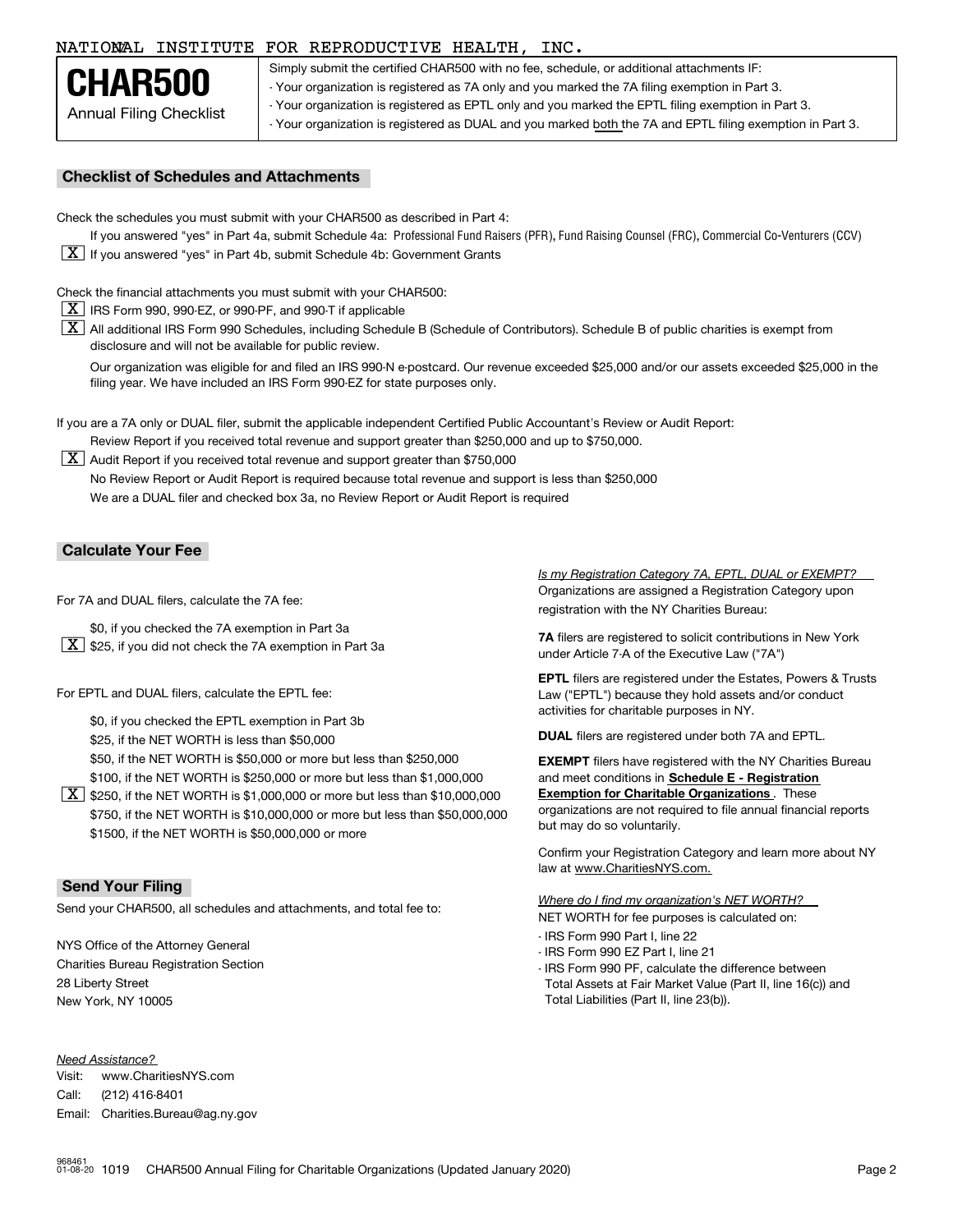## NATIONAL INSTITUTE FOR REPRODUCTIVE HEALTH, INC. 57

Annual Filing Checklist **CHAR500**

Simply submit the certified CHAR500 with no fee, schedule, or additional attachments IF: - Your organization is registered as 7A only and you marked the 7A filing exemption in Part 3. - Your organization is registered as EPTL only and you marked the EPTL filing exemption in Part 3. - Your organization is registered as DUAL and you marked both the 7A and EPTL filing exemption in Part 3.<br>-

## **Checklist of Schedules and Attachments**

Check the schedules you must submit with your CHAR500 as described in Part 4:

If you answered "yes" in Part 4a, submit Schedule 4a: Professional Fund Raisers (PFR), Fund Raising Counsel (FRC), Commercial Co-Venturers (CCV)  $\boxed{\textbf{X}}$  If you answered "yes" in Part 4b, submit Schedule 4b: Government Grants

Check the financial attachments you must submit with your CHAR500:

- $\boxed{\textbf{X}}$  IRS Form 990, 990-EZ, or 990-PF, and 990-T if applicable
- $\boxed{\textbf{X}}$  All additional IRS Form 990 Schedules, including Schedule B (Schedule of Contributors). Schedule B of public charities is exempt from disclosure and will not be available for public review.

Our organization was eligible for and filed an IRS 990-N e-postcard. Our revenue exceeded \$25,000 and/or our assets exceeded \$25,000 in the filing year. We have included an IRS Form 990-EZ for state purposes only.

If you are a 7A only or DUAL filer, submit the applicable independent Certified Public Accountant's Review or Audit Report: Review Report if you received total revenue and support greater than \$250,000 and up to \$750,000.

 $\boxed{\textbf{X}}$  Audit Report if you received total revenue and support greater than \$750,000 No Review Report or Audit Report is required because total revenue and support is less than \$250,000 We are a DUAL filer and checked box 3a, no Review Report or Audit Report is required

## **Calculate Your Fee**

For 7A and DUAL filers, calculate the 7A fee:

- \$0, if you checked the 7A exemption in Part 3a
- $\boxed{\textbf{X}}$  \$25, if you did not check the 7A exemption in Part 3a

For EPTL and DUAL filers, calculate the EPTL fee:

\$0, if you checked the EPTL exemption in Part 3b

\$25, if the NET WORTH is less than \$50,000

\$50, if the NET WORTH is \$50,000 or more but less than \$250,000 **filers have registered with the NY** Charities Bureau

- \$100, if the NET WORTH is \$250,000 or more but less than \$1,000,000
- $\boxed{\textbf{X}}$  \$250, if the NET WORTH is \$1,000,000 or more but less than \$10,000,000 \$750, if the NET WORTH is \$10,000,000 or more but less than \$50,000,000 \$1500, if the NET WORTH is \$50,000,000 or more

## **Send Your Filing**

Send your CHAR500, all schedules and attachments, and total fee to:

NYS Office of the Attorney General Charities Bureau Registration Section 28 Liberty Street New York, NY 10005

### *Need Assistance?*

Visit:Call:Email:Charities.Bureau@ag.ny.gov www.CharitiesNYS.com(212) 416-8401

Organizations are assigned a Registration Category upon registration with the NY Charities Bureau: *Is my Registration Category 7A, EPTL, DUAL or EXEMPT?* 

**7A** filers are registered to solicit contributions in New York under Article 7-A of the Executive Law ("7A")

**EPTL** filers are registered under the Estates, Powers & Trusts Law ("EPTL") because they hold assets and/or conduct activities for charitable purposes in NY.

**DUAL** filers are registered under both 7A and EPTL.

and meet conditions in **Schedule E - Registration Exemption for Charitable Organizations** . These organizations are not required to file annual financial reports but may do so voluntarily.

Confirm your Registration Category and learn more about NY law at www.CharitiesNYS.com.

NET WORTH for fee purposes is calculated on: *Where do I find my organization's NET WORTH?*

- IRS Form 990 Part I. line 22
- IRS Form 990 Part I, line 22 IRS Form 990 EZ Part I, line 21
- IRS Form 990 PF, calculate the difference between Total Assets at Fair Market Value (Part II, line 16(c)) and Total Liabilities (Part II, line 23(b)).